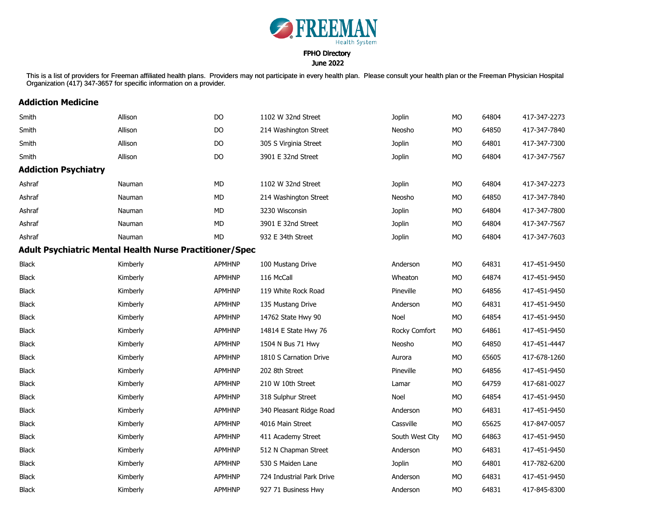

#### June 2022

This is a list of providers for Freeman affiliated health plans. Providers may not participate in every health plan. Please consult your health plan or the Freeman Physician Hospital<br>Organization (417) 347-3657 for specifi

### Addiction Medicine

| Smith                       | Allison                                                        | DO             | 1102 W 32nd Street        | Joplin          | <b>MO</b> | 64804 | 417-347-2273 |
|-----------------------------|----------------------------------------------------------------|----------------|---------------------------|-----------------|-----------|-------|--------------|
| Smith                       | Allison                                                        | DO             | 214 Washington Street     | Neosho          | <b>MO</b> | 64850 | 417-347-7840 |
| Smith                       | Allison                                                        | <b>DO</b>      | 305 S Virginia Street     | <b>Joplin</b>   | <b>MO</b> | 64801 | 417-347-7300 |
| Smith                       | Allison                                                        | D <sub>O</sub> | 3901 E 32nd Street        | <b>Joplin</b>   | <b>MO</b> | 64804 | 417-347-7567 |
| <b>Addiction Psychiatry</b> |                                                                |                |                           |                 |           |       |              |
| Ashraf                      | Nauman                                                         | <b>MD</b>      | 1102 W 32nd Street        | <b>Joplin</b>   | MO        | 64804 | 417-347-2273 |
| Ashraf                      | Nauman                                                         | <b>MD</b>      | 214 Washington Street     | Neosho          | MO        | 64850 | 417-347-7840 |
| Ashraf                      | Nauman                                                         | <b>MD</b>      | 3230 Wisconsin            | Joplin          | MO        | 64804 | 417-347-7800 |
| Ashraf                      | Nauman                                                         | <b>MD</b>      | 3901 E 32nd Street        | Joplin          | <b>MO</b> | 64804 | 417-347-7567 |
| Ashraf                      | Nauman                                                         | <b>MD</b>      | 932 E 34th Street         | <b>Joplin</b>   | <b>MO</b> | 64804 | 417-347-7603 |
|                             | <b>Adult Psychiatric Mental Health Nurse Practitioner/Spec</b> |                |                           |                 |           |       |              |
| <b>Black</b>                | Kimberly                                                       | <b>APMHNP</b>  | 100 Mustang Drive         | Anderson        | MO        | 64831 | 417-451-9450 |
| <b>Black</b>                | Kimberly                                                       | <b>APMHNP</b>  | 116 McCall                | Wheaton         | MO        | 64874 | 417-451-9450 |
| <b>Black</b>                | Kimberly                                                       | <b>APMHNP</b>  | 119 White Rock Road       | Pineville       | <b>MO</b> | 64856 | 417-451-9450 |
| <b>Black</b>                | Kimberly                                                       | <b>APMHNP</b>  | 135 Mustang Drive         | Anderson        | MO        | 64831 | 417-451-9450 |
| Black                       | Kimberly                                                       | <b>APMHNP</b>  | 14762 State Hwy 90        | Noel            | <b>MO</b> | 64854 | 417-451-9450 |
| <b>Black</b>                | Kimberly                                                       | <b>APMHNP</b>  | 14814 E State Hwy 76      | Rocky Comfort   | <b>MO</b> | 64861 | 417-451-9450 |
| <b>Black</b>                | Kimberly                                                       | <b>APMHNP</b>  | 1504 N Bus 71 Hwy         | Neosho          | MO        | 64850 | 417-451-4447 |
| Black                       | Kimberly                                                       | <b>APMHNP</b>  | 1810 S Carnation Drive    | Aurora          | MO        | 65605 | 417-678-1260 |
| <b>Black</b>                | Kimberly                                                       | <b>APMHNP</b>  | 202 8th Street            | Pineville       | <b>MO</b> | 64856 | 417-451-9450 |
| <b>Black</b>                | Kimberly                                                       | <b>APMHNP</b>  | 210 W 10th Street         | Lamar           | <b>MO</b> | 64759 | 417-681-0027 |
| <b>Black</b>                | Kimberly                                                       | <b>APMHNP</b>  | 318 Sulphur Street        | Noel            | <b>MO</b> | 64854 | 417-451-9450 |
| <b>Black</b>                | Kimberly                                                       | <b>APMHNP</b>  | 340 Pleasant Ridge Road   | Anderson        | <b>MO</b> | 64831 | 417-451-9450 |
| <b>Black</b>                | Kimberly                                                       | <b>APMHNP</b>  | 4016 Main Street          | Cassville       | <b>MO</b> | 65625 | 417-847-0057 |
| <b>Black</b>                | Kimberly                                                       | <b>APMHNP</b>  | 411 Academy Street        | South West City | MO        | 64863 | 417-451-9450 |
| <b>Black</b>                | Kimberly                                                       | <b>APMHNP</b>  | 512 N Chapman Street      | Anderson        | MO        | 64831 | 417-451-9450 |
| <b>Black</b>                | Kimberly                                                       | <b>APMHNP</b>  | 530 S Maiden Lane         | <b>Joplin</b>   | МO        | 64801 | 417-782-6200 |
| <b>Black</b>                | Kimberly                                                       | <b>APMHNP</b>  | 724 Industrial Park Drive | Anderson        | MO        | 64831 | 417-451-9450 |
| <b>Black</b>                | Kimberly                                                       | <b>APMHNP</b>  | 927 71 Business Hwy       | Anderson        | MO        | 64831 | 417-845-8300 |
|                             |                                                                |                |                           |                 |           |       |              |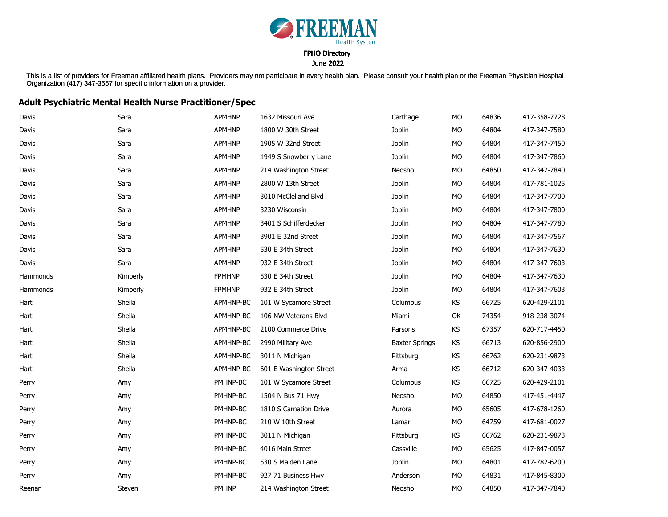

#### June 2022

This is a list of providers for Freeman affiliated health plans. Providers may not participate in every health plan. Please consult your health plan or the Freeman Physician Hospital<br>Organization (417) 347-3657 for specifi

# Adult Psychiatric Mental Health Nurse Practitioner/Spec

| Davis    | Sara     | <b>APMHNP</b> | 1632 Missouri Ave       | Carthage              | MO        | 64836 | 417-358-7728 |
|----------|----------|---------------|-------------------------|-----------------------|-----------|-------|--------------|
| Davis    | Sara     | <b>APMHNP</b> | 1800 W 30th Street      | <b>Joplin</b>         | <b>MO</b> | 64804 | 417-347-7580 |
| Davis    | Sara     | <b>APMHNP</b> | 1905 W 32nd Street      | <b>Joplin</b>         | MO        | 64804 | 417-347-7450 |
| Davis    | Sara     | <b>APMHNP</b> | 1949 S Snowberry Lane   | Joplin                | MO        | 64804 | 417-347-7860 |
| Davis    | Sara     | <b>APMHNP</b> | 214 Washington Street   | Neosho                | MO        | 64850 | 417-347-7840 |
| Davis    | Sara     | <b>APMHNP</b> | 2800 W 13th Street      | <b>Joplin</b>         | MO        | 64804 | 417-781-1025 |
| Davis    | Sara     | <b>APMHNP</b> | 3010 McClelland Blvd    | <b>Joplin</b>         | MO        | 64804 | 417-347-7700 |
| Davis    | Sara     | <b>APMHNP</b> | 3230 Wisconsin          | Joplin                | MO        | 64804 | 417-347-7800 |
| Davis    | Sara     | <b>APMHNP</b> | 3401 S Schifferdecker   | <b>Joplin</b>         | MO        | 64804 | 417-347-7780 |
| Davis    | Sara     | <b>APMHNP</b> | 3901 E 32nd Street      | Joplin                | MO        | 64804 | 417-347-7567 |
| Davis    | Sara     | <b>APMHNP</b> | 530 E 34th Street       | <b>Joplin</b>         | <b>MO</b> | 64804 | 417-347-7630 |
| Davis    | Sara     | <b>APMHNP</b> | 932 E 34th Street       | <b>Joplin</b>         | MO        | 64804 | 417-347-7603 |
| Hammonds | Kimberly | <b>FPMHNP</b> | 530 E 34th Street       | <b>Joplin</b>         | MO        | 64804 | 417-347-7630 |
| Hammonds | Kimberly | <b>FPMHNP</b> | 932 E 34th Street       | <b>Joplin</b>         | <b>MO</b> | 64804 | 417-347-7603 |
| Hart     | Sheila   | APMHNP-BC     | 101 W Sycamore Street   | Columbus              | KS        | 66725 | 620-429-2101 |
| Hart     | Sheila   | APMHNP-BC     | 106 NW Veterans Blvd    | Miami                 | OK        | 74354 | 918-238-3074 |
| Hart     | Sheila   | APMHNP-BC     | 2100 Commerce Drive     | Parsons               | KS        | 67357 | 620-717-4450 |
| Hart     | Sheila   | APMHNP-BC     | 2990 Military Ave       | <b>Baxter Springs</b> | KS        | 66713 | 620-856-2900 |
| Hart     | Sheila   | APMHNP-BC     | 3011 N Michigan         | Pittsburg             | KS        | 66762 | 620-231-9873 |
| Hart     | Sheila   | APMHNP-BC     | 601 E Washington Street | Arma                  | KS        | 66712 | 620-347-4033 |
| Perry    | Amy      | PMHNP-BC      | 101 W Sycamore Street   | Columbus              | KS        | 66725 | 620-429-2101 |
| Perry    | Amy      | PMHNP-BC      | 1504 N Bus 71 Hwy       | Neosho                | MO        | 64850 | 417-451-4447 |
| Perry    | Amy      | PMHNP-BC      | 1810 S Carnation Drive  | Aurora                | MO        | 65605 | 417-678-1260 |
| Perry    | Amy      | PMHNP-BC      | 210 W 10th Street       | Lamar                 | MO        | 64759 | 417-681-0027 |
| Perry    | Amy      | PMHNP-BC      | 3011 N Michigan         | Pittsburg             | KS        | 66762 | 620-231-9873 |
| Perry    | Amy      | PMHNP-BC      | 4016 Main Street        | Cassville             | MO        | 65625 | 417-847-0057 |
| Perry    | Amy      | PMHNP-BC      | 530 S Maiden Lane       | Joplin                | <b>MO</b> | 64801 | 417-782-6200 |
| Perry    | Amy      | PMHNP-BC      | 927 71 Business Hwy     | Anderson              | MO        | 64831 | 417-845-8300 |
| Reenan   | Steven   | <b>PMHNP</b>  | 214 Washington Street   | Neosho                | MO        | 64850 | 417-347-7840 |
|          |          |               |                         |                       |           |       |              |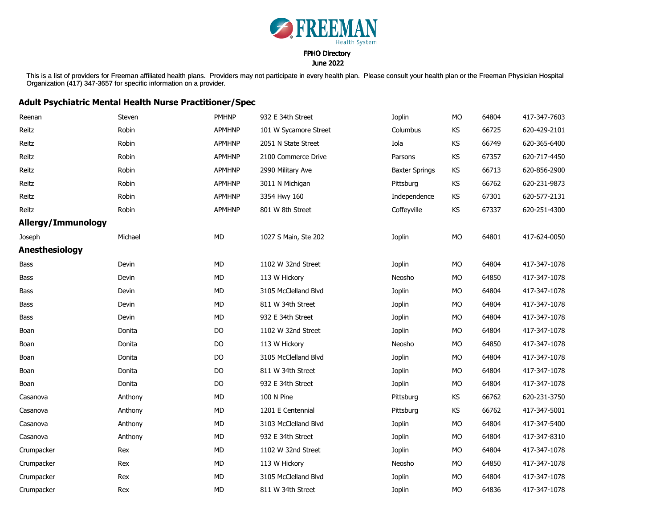

### June 2022

This is a list of providers for Freeman affiliated health plans. Providers may not participate in every health plan. Please consult your health plan or the Freeman Physician Hospital<br>Organization (417) 347-3657 for specifi

# Adult Psychiatric Mental Health Nurse Practitioner/Spec

| Reenan                    | Steven  | <b>PMHNP</b>  | 932 E 34th Street     | <b>Joplin</b>         | <b>MO</b> | 64804 | 417-347-7603 |
|---------------------------|---------|---------------|-----------------------|-----------------------|-----------|-------|--------------|
| Reitz                     | Robin   | <b>APMHNP</b> | 101 W Sycamore Street | Columbus              | KS        | 66725 | 620-429-2101 |
| Reitz                     | Robin   | <b>APMHNP</b> | 2051 N State Street   | Iola                  | KS        | 66749 | 620-365-6400 |
| Reitz                     | Robin   | <b>APMHNP</b> | 2100 Commerce Drive   | Parsons               | KS        | 67357 | 620-717-4450 |
| Reitz                     | Robin   | <b>APMHNP</b> | 2990 Military Ave     | <b>Baxter Springs</b> | KS        | 66713 | 620-856-2900 |
| Reitz                     | Robin   | <b>APMHNP</b> | 3011 N Michigan       | Pittsburg             | KS        | 66762 | 620-231-9873 |
| Reitz                     | Robin   | <b>APMHNP</b> | 3354 Hwy 160          | Independence          | KS        | 67301 | 620-577-2131 |
| Reitz                     | Robin   | <b>APMHNP</b> | 801 W 8th Street      | Coffeyville           | KS        | 67337 | 620-251-4300 |
| <b>Allergy/Immunology</b> |         |               |                       |                       |           |       |              |
| Joseph                    | Michael | MD            | 1027 S Main, Ste 202  | Joplin                | MO        | 64801 | 417-624-0050 |
| Anesthesiology            |         |               |                       |                       |           |       |              |
| Bass                      | Devin   | MD            | 1102 W 32nd Street    | <b>Joplin</b>         | MO        | 64804 | 417-347-1078 |
| Bass                      | Devin   | MD            | 113 W Hickory         | Neosho                | <b>MO</b> | 64850 | 417-347-1078 |
| Bass                      | Devin   | MD            | 3105 McClelland Blvd  | <b>Joplin</b>         | <b>MO</b> | 64804 | 417-347-1078 |
| Bass                      | Devin   | MD            | 811 W 34th Street     | <b>Joplin</b>         | <b>MO</b> | 64804 | 417-347-1078 |
| Bass                      | Devin   | <b>MD</b>     | 932 E 34th Street     | <b>Joplin</b>         | <b>MO</b> | 64804 | 417-347-1078 |
| Boan                      | Donita  | DO            | 1102 W 32nd Street    | <b>Joplin</b>         | MO        | 64804 | 417-347-1078 |
| Boan                      | Donita  | DO            | 113 W Hickory         | Neosho                | MO        | 64850 | 417-347-1078 |
| Boan                      | Donita  | DO            | 3105 McClelland Blvd  | Joplin                | <b>MO</b> | 64804 | 417-347-1078 |
| Boan                      | Donita  | DO            | 811 W 34th Street     | <b>Joplin</b>         | MO        | 64804 | 417-347-1078 |
| Boan                      | Donita  | DO            | 932 E 34th Street     | <b>Joplin</b>         | <b>MO</b> | 64804 | 417-347-1078 |
| Casanova                  | Anthony | MD            | 100 N Pine            | Pittsburg             | KS        | 66762 | 620-231-3750 |
| Casanova                  | Anthony | MD            | 1201 E Centennial     | Pittsburg             | KS        | 66762 | 417-347-5001 |
| Casanova                  | Anthony | MD            | 3103 McClelland Blvd  | <b>Joplin</b>         | <b>MO</b> | 64804 | 417-347-5400 |
| Casanova                  | Anthony | <b>MD</b>     | 932 E 34th Street     | <b>Joplin</b>         | MO        | 64804 | 417-347-8310 |
| Crumpacker                | Rex     | MD            | 1102 W 32nd Street    | <b>Joplin</b>         | <b>MO</b> | 64804 | 417-347-1078 |
| Crumpacker                | Rex     | MD            | 113 W Hickory         | Neosho                | <b>MO</b> | 64850 | 417-347-1078 |
| Crumpacker                | Rex     | MD            | 3105 McClelland Blvd  | <b>Joplin</b>         | MO        | 64804 | 417-347-1078 |
| Crumpacker                | Rex     | <b>MD</b>     | 811 W 34th Street     | <b>Joplin</b>         | <b>MO</b> | 64836 | 417-347-1078 |
|                           |         |               |                       |                       |           |       |              |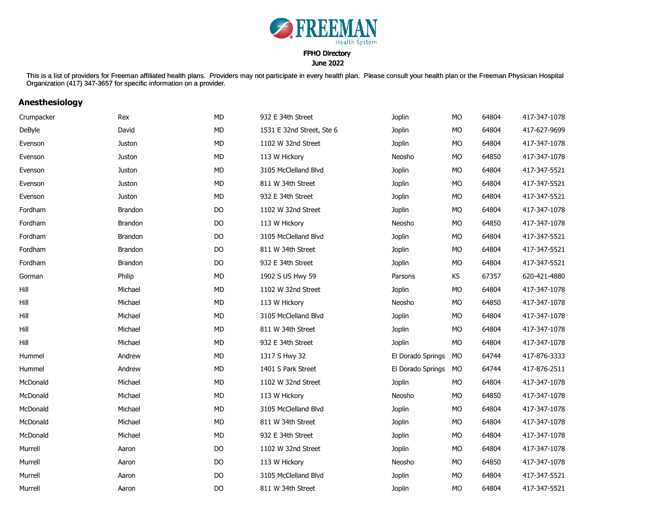

#### June 2022

This is a list of providers for Freeman affiliated health plans. Providers may not participate in every health plan. Please consult your health plan or the Freeman Physician Hospital<br>Organization (417) 347-3657 for specifi

# Anesthesiology

| Crumpacker | Rex     | <b>MD</b> | 932 E 34th Street         | <b>Joplin</b>     | <b>MO</b> | 64804 | 417-347-1078 |
|------------|---------|-----------|---------------------------|-------------------|-----------|-------|--------------|
| DeByle     | David   | <b>MD</b> | 1531 E 32nd Street, Ste 6 | <b>Joplin</b>     | <b>MO</b> | 64804 | 417-627-9699 |
| Evenson    | Juston  | <b>MD</b> | 1102 W 32nd Street        | <b>Joplin</b>     | <b>MO</b> | 64804 | 417-347-1078 |
| Evenson    | Juston  | <b>MD</b> | 113 W Hickory             | Neosho            | MO        | 64850 | 417-347-1078 |
| Evenson    | Juston  | <b>MD</b> | 3105 McClelland Blvd      | <b>Joplin</b>     | <b>MO</b> | 64804 | 417-347-5521 |
| Evenson    | Juston  | <b>MD</b> | 811 W 34th Street         | <b>Joplin</b>     | <b>MO</b> | 64804 | 417-347-5521 |
| Evenson    | Juston  | <b>MD</b> | 932 E 34th Street         | <b>Joplin</b>     | <b>MO</b> | 64804 | 417-347-5521 |
| Fordham    | Brandon | DO        | 1102 W 32nd Street        | Joplin            | <b>MO</b> | 64804 | 417-347-1078 |
| Fordham    | Brandon | DO        | 113 W Hickory             | Neosho            | <b>MO</b> | 64850 | 417-347-1078 |
| Fordham    | Brandon | DO        | 3105 McClelland Blvd      | Joplin            | <b>MO</b> | 64804 | 417-347-5521 |
| Fordham    | Brandon | DO        | 811 W 34th Street         | <b>Joplin</b>     | <b>MO</b> | 64804 | 417-347-5521 |
| Fordham    | Brandon | <b>DO</b> | 932 E 34th Street         | <b>Joplin</b>     | <b>MO</b> | 64804 | 417-347-5521 |
| Gorman     | Philip  | <b>MD</b> | 1902 S US Hwy 59          | Parsons           | KS        | 67357 | 620-421-4880 |
| Hill       | Michael | <b>MD</b> | 1102 W 32nd Street        | Joplin            | <b>MO</b> | 64804 | 417-347-1078 |
| Hill       | Michael | MD        | 113 W Hickory             | Neosho            | МO        | 64850 | 417-347-1078 |
| Hill       | Michael | <b>MD</b> | 3105 McClelland Blvd      | Joplin            | <b>MO</b> | 64804 | 417-347-1078 |
| Hill       | Michael | <b>MD</b> | 811 W 34th Street         | <b>Joplin</b>     | <b>MO</b> | 64804 | 417-347-1078 |
| Hill       | Michael | <b>MD</b> | 932 E 34th Street         | <b>Joplin</b>     | MO        | 64804 | 417-347-1078 |
| Hummel     | Andrew  | <b>MD</b> | 1317 S Hwy 32             | El Dorado Springs | MO        | 64744 | 417-876-3333 |
| Hummel     | Andrew  | <b>MD</b> | 1401 S Park Street        | El Dorado Springs | <b>MO</b> | 64744 | 417-876-2511 |
| McDonald   | Michael | <b>MD</b> | 1102 W 32nd Street        | <b>Joplin</b>     | MO        | 64804 | 417-347-1078 |
| McDonald   | Michael | <b>MD</b> | 113 W Hickory             | Neosho            | МO        | 64850 | 417-347-1078 |
| McDonald   | Michael | <b>MD</b> | 3105 McClelland Blvd      | Joplin            | <b>MO</b> | 64804 | 417-347-1078 |
| McDonald   | Michael | <b>MD</b> | 811 W 34th Street         | <b>Joplin</b>     | <b>MO</b> | 64804 | 417-347-1078 |
| McDonald   | Michael | <b>MD</b> | 932 E 34th Street         | Joplin            | MO        | 64804 | 417-347-1078 |
| Murrell    | Aaron   | DO        | 1102 W 32nd Street        | <b>Joplin</b>     | <b>MO</b> | 64804 | 417-347-1078 |
| Murrell    | Aaron   | DO        | 113 W Hickory             | Neosho            | MO        | 64850 | 417-347-1078 |
| Murrell    | Aaron   | DO        | 3105 McClelland Blvd      | <b>Joplin</b>     | <b>MO</b> | 64804 | 417-347-5521 |
| Murrell    | Aaron   | DO        | 811 W 34th Street         | <b>Joplin</b>     | <b>MO</b> | 64804 | 417-347-5521 |
|            |         |           |                           |                   |           |       |              |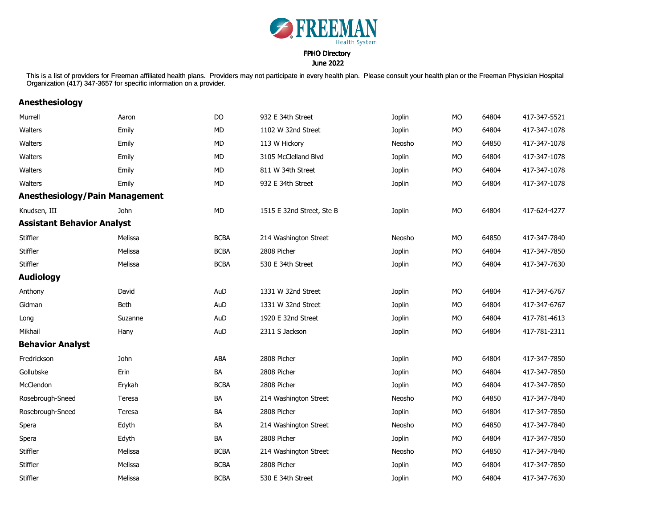

### June 2022

This is a list of providers for Freeman affiliated health plans. Providers may not participate in every health plan. Please consult your health plan or the Freeman Physician Hospital<br>Organization (417) 347-3657 for specifi

# Anesthesiology

| Murrell                               | Aaron   | DO          | 932 E 34th Street         | <b>Joplin</b> | <b>MO</b> | 64804 | 417-347-5521 |
|---------------------------------------|---------|-------------|---------------------------|---------------|-----------|-------|--------------|
| Walters                               | Emily   | MD          | 1102 W 32nd Street        | Joplin        | <b>MO</b> | 64804 | 417-347-1078 |
| Walters                               | Emily   | MD          | 113 W Hickory             | Neosho        | МO        | 64850 | 417-347-1078 |
| Walters                               | Emily   | MD          | 3105 McClelland Blvd      | <b>Joplin</b> | MO        | 64804 | 417-347-1078 |
| Walters                               | Emily   | <b>MD</b>   | 811 W 34th Street         | <b>Joplin</b> | <b>MO</b> | 64804 | 417-347-1078 |
| Walters                               | Emily   | MD          | 932 E 34th Street         | <b>Joplin</b> | MO        | 64804 | 417-347-1078 |
| <b>Anesthesiology/Pain Management</b> |         |             |                           |               |           |       |              |
| Knudsen, III                          | John    | MD          | 1515 E 32nd Street, Ste B | Joplin        | <b>MO</b> | 64804 | 417-624-4277 |
| <b>Assistant Behavior Analyst</b>     |         |             |                           |               |           |       |              |
| Stiffler                              | Melissa | <b>BCBA</b> | 214 Washington Street     | Neosho        | МO        | 64850 | 417-347-7840 |
| Stiffler                              | Melissa | <b>BCBA</b> | 2808 Picher               | <b>Joplin</b> | <b>MO</b> | 64804 | 417-347-7850 |
| Stiffler                              | Melissa | <b>BCBA</b> | 530 E 34th Street         | <b>Joplin</b> | MO        | 64804 | 417-347-7630 |
| <b>Audiology</b>                      |         |             |                           |               |           |       |              |
| Anthony                               | David   | AuD         | 1331 W 32nd Street        | <b>Joplin</b> | МO        | 64804 | 417-347-6767 |
| Gidman                                | Beth    | AuD         | 1331 W 32nd Street        | <b>Joplin</b> | <b>MO</b> | 64804 | 417-347-6767 |
| Long                                  | Suzanne | AuD         | 1920 E 32nd Street        | <b>Joplin</b> | MO        | 64804 | 417-781-4613 |
| Mikhail                               | Hany    | AuD         | 2311 S Jackson            | <b>Joplin</b> | <b>MO</b> | 64804 | 417-781-2311 |
| <b>Behavior Analyst</b>               |         |             |                           |               |           |       |              |
| Fredrickson                           | John    | ABA         | 2808 Picher               | <b>Joplin</b> | <b>MO</b> | 64804 | 417-347-7850 |
| Gollubske                             | Erin    | BA          | 2808 Picher               | Joplin        | MO        | 64804 | 417-347-7850 |
| McClendon                             | Erykah  | <b>BCBA</b> | 2808 Picher               | <b>Joplin</b> | <b>MO</b> | 64804 | 417-347-7850 |
| Rosebrough-Sneed                      | Teresa  | BA          | 214 Washington Street     | Neosho        | <b>MO</b> | 64850 | 417-347-7840 |
| Rosebrough-Sneed                      | Teresa  | BA          | 2808 Picher               | Joplin        | <b>MO</b> | 64804 | 417-347-7850 |
| Spera                                 | Edyth   | BA          | 214 Washington Street     | Neosho        | <b>MO</b> | 64850 | 417-347-7840 |
| Spera                                 | Edyth   | BA          | 2808 Picher               | <b>Joplin</b> | <b>MO</b> | 64804 | 417-347-7850 |
| Stiffler                              | Melissa | <b>BCBA</b> | 214 Washington Street     | Neosho        | <b>MO</b> | 64850 | 417-347-7840 |
| Stiffler                              | Melissa | <b>BCBA</b> | 2808 Picher               | Joplin        | <b>MO</b> | 64804 | 417-347-7850 |
| Stiffler                              | Melissa | <b>BCBA</b> | 530 E 34th Street         | Joplin        | <b>MO</b> | 64804 | 417-347-7630 |
|                                       |         |             |                           |               |           |       |              |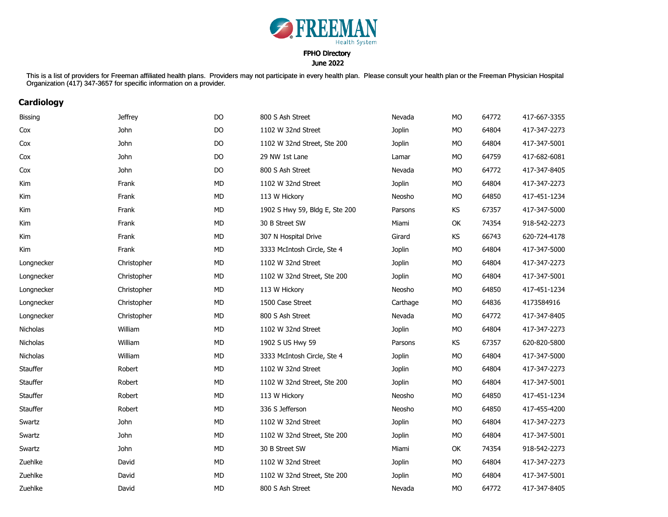

#### June 2022

This is a list of providers for Freeman affiliated health plans. Providers may not participate in every health plan. Please consult your health plan or the Freeman Physician Hospital<br>Organization (417) 347-3657 for specifi

# **Cardiology**

| <b>Bissing</b> | <b>Jeffrey</b> | DO        | 800 S Ash Street               | Nevada        | MO        | 64772 | 417-667-3355 |
|----------------|----------------|-----------|--------------------------------|---------------|-----------|-------|--------------|
| Cox            | John           | DO        | 1102 W 32nd Street             | Joplin        | <b>MO</b> | 64804 | 417-347-2273 |
| Cox            | John           | DO        | 1102 W 32nd Street, Ste 200    | Joplin        | <b>MO</b> | 64804 | 417-347-5001 |
| Cox            | John           | DO        | 29 NW 1st Lane                 | Lamar         | <b>MO</b> | 64759 | 417-682-6081 |
| Cox            | John           | DO        | 800 S Ash Street               | Nevada        | MO        | 64772 | 417-347-8405 |
| Kim            | Frank          | <b>MD</b> | 1102 W 32nd Street             | Joplin        | <b>MO</b> | 64804 | 417-347-2273 |
| Kim            | Frank          | <b>MD</b> | 113 W Hickory                  | Neosho        | <b>MO</b> | 64850 | 417-451-1234 |
| Kim            | Frank          | <b>MD</b> | 1902 S Hwy 59, Bldg E, Ste 200 | Parsons       | KS        | 67357 | 417-347-5000 |
| Kim            | Frank          | <b>MD</b> | 30 B Street SW                 | Miami         | OK        | 74354 | 918-542-2273 |
| Kim            | Frank          | <b>MD</b> | 307 N Hospital Drive           | Girard        | KS        | 66743 | 620-724-4178 |
| Kim            | Frank          | <b>MD</b> | 3333 McIntosh Circle, Ste 4    | Joplin        | <b>MO</b> | 64804 | 417-347-5000 |
| Longnecker     | Christopher    | <b>MD</b> | 1102 W 32nd Street             | <b>Joplin</b> | <b>MO</b> | 64804 | 417-347-2273 |
| Longnecker     | Christopher    | <b>MD</b> | 1102 W 32nd Street, Ste 200    | <b>Joplin</b> | MO        | 64804 | 417-347-5001 |
| Longnecker     | Christopher    | <b>MD</b> | 113 W Hickory                  | Neosho        | <b>MO</b> | 64850 | 417-451-1234 |
| Longnecker     | Christopher    | <b>MD</b> | 1500 Case Street               | Carthage      | MO        | 64836 | 4173584916   |
| Longnecker     | Christopher    | <b>MD</b> | 800 S Ash Street               | Nevada        | <b>MO</b> | 64772 | 417-347-8405 |
| Nicholas       | William        | <b>MD</b> | 1102 W 32nd Street             | Joplin        | MO        | 64804 | 417-347-2273 |
| Nicholas       | William        | <b>MD</b> | 1902 S US Hwy 59               | Parsons       | KS        | 67357 | 620-820-5800 |
| Nicholas       | William        | <b>MD</b> | 3333 McIntosh Circle, Ste 4    | Joplin        | <b>MO</b> | 64804 | 417-347-5000 |
| Stauffer       | Robert         | <b>MD</b> | 1102 W 32nd Street             | <b>Joplin</b> | <b>MO</b> | 64804 | 417-347-2273 |
| Stauffer       | Robert         | <b>MD</b> | 1102 W 32nd Street, Ste 200    | <b>Joplin</b> | MO        | 64804 | 417-347-5001 |
| Stauffer       | Robert         | MD        | 113 W Hickory                  | Neosho        | MO        | 64850 | 417-451-1234 |
| Stauffer       | Robert         | <b>MD</b> | 336 S Jefferson                | Neosho        | <b>MO</b> | 64850 | 417-455-4200 |
| Swartz         | John           | <b>MD</b> | 1102 W 32nd Street             | <b>Joplin</b> | <b>MO</b> | 64804 | 417-347-2273 |
| Swartz         | John           | <b>MD</b> | 1102 W 32nd Street, Ste 200    | <b>Joplin</b> | MO        | 64804 | 417-347-5001 |
| Swartz         | John           | <b>MD</b> | 30 B Street SW                 | Miami         | OK        | 74354 | 918-542-2273 |
| Zuehlke        | David          | MD        | 1102 W 32nd Street             | <b>Joplin</b> | MO        | 64804 | 417-347-2273 |
| Zuehlke        | David          | <b>MD</b> | 1102 W 32nd Street, Ste 200    | Joplin        | MO        | 64804 | 417-347-5001 |
| Zuehlke        | David          | <b>MD</b> | 800 S Ash Street               | Nevada        | MO        | 64772 | 417-347-8405 |
|                |                |           |                                |               |           |       |              |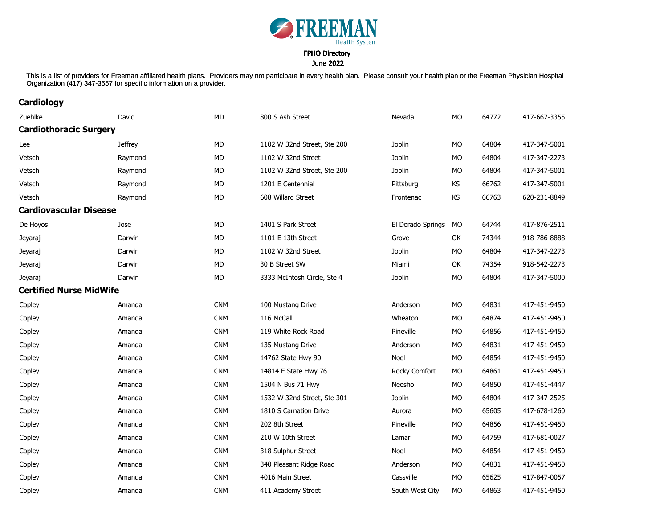

#### June 2022

This is a list of providers for Freeman affiliated health plans. Providers may not participate in every health plan. Please consult your health plan or the Freeman Physician Hospital<br>Organization (417) 347-3657 for specifi

# **Cardiology**

| Zuehlke                        | David          | <b>MD</b>  | 800 S Ash Street            | Nevada            | <b>MO</b> | 64772 | 417-667-3355 |
|--------------------------------|----------------|------------|-----------------------------|-------------------|-----------|-------|--------------|
| <b>Cardiothoracic Surgery</b>  |                |            |                             |                   |           |       |              |
| Lee                            | <b>Jeffrey</b> | <b>MD</b>  | 1102 W 32nd Street, Ste 200 | <b>Joplin</b>     | <b>MO</b> | 64804 | 417-347-5001 |
| Vetsch                         | Raymond        | <b>MD</b>  | 1102 W 32nd Street          | <b>Joplin</b>     | <b>MO</b> | 64804 | 417-347-2273 |
| Vetsch                         | Raymond        | <b>MD</b>  | 1102 W 32nd Street, Ste 200 | Joplin            | <b>MO</b> | 64804 | 417-347-5001 |
| Vetsch                         | Raymond        | <b>MD</b>  | 1201 E Centennial           | Pittsburg         | KS        | 66762 | 417-347-5001 |
| Vetsch                         | Raymond        | <b>MD</b>  | 608 Willard Street          | Frontenac         | KS        | 66763 | 620-231-8849 |
| <b>Cardiovascular Disease</b>  |                |            |                             |                   |           |       |              |
| De Hoyos                       | Jose           | <b>MD</b>  | 1401 S Park Street          | El Dorado Springs | <b>MO</b> | 64744 | 417-876-2511 |
| Jeyaraj                        | Darwin         | <b>MD</b>  | 1101 E 13th Street          | Grove             | OK        | 74344 | 918-786-8888 |
| Jeyaraj                        | Darwin         | MD         | 1102 W 32nd Street          | <b>Joplin</b>     | <b>MO</b> | 64804 | 417-347-2273 |
| Jeyaraj                        | Darwin         | MD         | 30 B Street SW              | Miami             | OK        | 74354 | 918-542-2273 |
| Jeyaraj                        | Darwin         | <b>MD</b>  | 3333 McIntosh Circle, Ste 4 | Joplin            | <b>MO</b> | 64804 | 417-347-5000 |
| <b>Certified Nurse MidWife</b> |                |            |                             |                   |           |       |              |
| Copley                         | Amanda         | <b>CNM</b> | 100 Mustang Drive           | Anderson          | <b>MO</b> | 64831 | 417-451-9450 |
| Copley                         | Amanda         | <b>CNM</b> | 116 McCall                  | Wheaton           | <b>MO</b> | 64874 | 417-451-9450 |
| Copley                         | Amanda         | <b>CNM</b> | 119 White Rock Road         | Pineville         | <b>MO</b> | 64856 | 417-451-9450 |
| Copley                         | Amanda         | <b>CNM</b> | 135 Mustang Drive           | Anderson          | <b>MO</b> | 64831 | 417-451-9450 |
| Copley                         | Amanda         | <b>CNM</b> | 14762 State Hwy 90          | Noel              | <b>MO</b> | 64854 | 417-451-9450 |
| Copley                         | Amanda         | <b>CNM</b> | 14814 E State Hwy 76        | Rocky Comfort     | <b>MO</b> | 64861 | 417-451-9450 |
| Copley                         | Amanda         | <b>CNM</b> | 1504 N Bus 71 Hwy           | Neosho            | <b>MO</b> | 64850 | 417-451-4447 |
| Copley                         | Amanda         | <b>CNM</b> | 1532 W 32nd Street, Ste 301 | <b>Joplin</b>     | <b>MO</b> | 64804 | 417-347-2525 |
| Copley                         | Amanda         | <b>CNM</b> | 1810 S Carnation Drive      | Aurora            | <b>MO</b> | 65605 | 417-678-1260 |
| Copley                         | Amanda         | <b>CNM</b> | 202 8th Street              | Pineville         | <b>MO</b> | 64856 | 417-451-9450 |
| Copley                         | Amanda         | <b>CNM</b> | 210 W 10th Street           | Lamar             | <b>MO</b> | 64759 | 417-681-0027 |
| Copley                         | Amanda         | <b>CNM</b> | 318 Sulphur Street          | Noel              | <b>MO</b> | 64854 | 417-451-9450 |
| Copley                         | Amanda         | <b>CNM</b> | 340 Pleasant Ridge Road     | Anderson          | <b>MO</b> | 64831 | 417-451-9450 |
| Copley                         | Amanda         | <b>CNM</b> | 4016 Main Street            | Cassville         | <b>MO</b> | 65625 | 417-847-0057 |
| Copley                         | Amanda         | <b>CNM</b> | 411 Academy Street          | South West City   | <b>MO</b> | 64863 | 417-451-9450 |
|                                |                |            |                             |                   |           |       |              |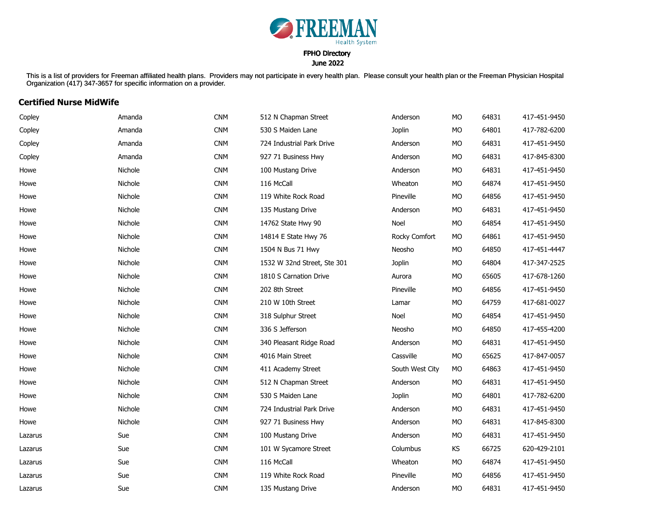

#### June 2022

This is a list of providers for Freeman affiliated health plans. Providers may not participate in every health plan. Please consult your health plan or the Freeman Physician Hospital<br>Organization (417) 347-3657 for specifi

### Certified Nurse MidWife

| Copley  | Amanda  | <b>CNM</b> | 512 N Chapman Street        | Anderson        | <b>MO</b> | 64831 | 417-451-9450 |
|---------|---------|------------|-----------------------------|-----------------|-----------|-------|--------------|
| Copley  | Amanda  | <b>CNM</b> | 530 S Maiden Lane           | Joplin          | <b>MO</b> | 64801 | 417-782-6200 |
| Copley  | Amanda  | <b>CNM</b> | 724 Industrial Park Drive   | Anderson        | MO        | 64831 | 417-451-9450 |
| Copley  | Amanda  | <b>CNM</b> | 927 71 Business Hwy         | Anderson        | <b>MO</b> | 64831 | 417-845-8300 |
| Howe    | Nichole | <b>CNM</b> | 100 Mustang Drive           | Anderson        | <b>MO</b> | 64831 | 417-451-9450 |
| Howe    | Nichole | <b>CNM</b> | 116 McCall                  | Wheaton         | <b>MO</b> | 64874 | 417-451-9450 |
| Howe    | Nichole | <b>CNM</b> | 119 White Rock Road         | Pineville       | MO        | 64856 | 417-451-9450 |
| Howe    | Nichole | <b>CNM</b> | 135 Mustang Drive           | Anderson        | <b>MO</b> | 64831 | 417-451-9450 |
| Howe    | Nichole | <b>CNM</b> | 14762 State Hwy 90          | Noel            | MO        | 64854 | 417-451-9450 |
| Howe    | Nichole | <b>CNM</b> | 14814 E State Hwy 76        | Rocky Comfort   | <b>MO</b> | 64861 | 417-451-9450 |
| Howe    | Nichole | <b>CNM</b> | 1504 N Bus 71 Hwy           | Neosho          | <b>MO</b> | 64850 | 417-451-4447 |
| Howe    | Nichole | <b>CNM</b> | 1532 W 32nd Street, Ste 301 | <b>Joplin</b>   | MO        | 64804 | 417-347-2525 |
| Howe    | Nichole | <b>CNM</b> | 1810 S Carnation Drive      | Aurora          | <b>MO</b> | 65605 | 417-678-1260 |
| Howe    | Nichole | <b>CNM</b> | 202 8th Street              | Pineville       | <b>MO</b> | 64856 | 417-451-9450 |
| Howe    | Nichole | <b>CNM</b> | 210 W 10th Street           | Lamar           | MO        | 64759 | 417-681-0027 |
| Howe    | Nichole | <b>CNM</b> | 318 Sulphur Street          | Noel            | <b>MO</b> | 64854 | 417-451-9450 |
| Howe    | Nichole | <b>CNM</b> | 336 S Jefferson             | Neosho          | <b>MO</b> | 64850 | 417-455-4200 |
| Howe    | Nichole | <b>CNM</b> | 340 Pleasant Ridge Road     | Anderson        | <b>MO</b> | 64831 | 417-451-9450 |
| Howe    | Nichole | <b>CNM</b> | 4016 Main Street            | Cassville       | MO        | 65625 | 417-847-0057 |
| Howe    | Nichole | <b>CNM</b> | 411 Academy Street          | South West City | MO        | 64863 | 417-451-9450 |
| Howe    | Nichole | <b>CNM</b> | 512 N Chapman Street        | Anderson        | MO        | 64831 | 417-451-9450 |
| Howe    | Nichole | <b>CNM</b> | 530 S Maiden Lane           | <b>Joplin</b>   | MO        | 64801 | 417-782-6200 |
| Howe    | Nichole | <b>CNM</b> | 724 Industrial Park Drive   | Anderson        | <b>MO</b> | 64831 | 417-451-9450 |
| Howe    | Nichole | <b>CNM</b> | 927 71 Business Hwy         | Anderson        | MO        | 64831 | 417-845-8300 |
| Lazarus | Sue     | <b>CNM</b> | 100 Mustang Drive           | Anderson        | <b>MO</b> | 64831 | 417-451-9450 |
| Lazarus | Sue     | <b>CNM</b> | 101 W Sycamore Street       | Columbus        | KS        | 66725 | 620-429-2101 |
| Lazarus | Sue     | <b>CNM</b> | 116 McCall                  | Wheaton         | <b>MO</b> | 64874 | 417-451-9450 |
| Lazarus | Sue     | <b>CNM</b> | 119 White Rock Road         | Pineville       | MO        | 64856 | 417-451-9450 |
| Lazarus | Sue     | <b>CNM</b> | 135 Mustang Drive           | Anderson        | MO        | 64831 | 417-451-9450 |
|         |         |            |                             |                 |           |       |              |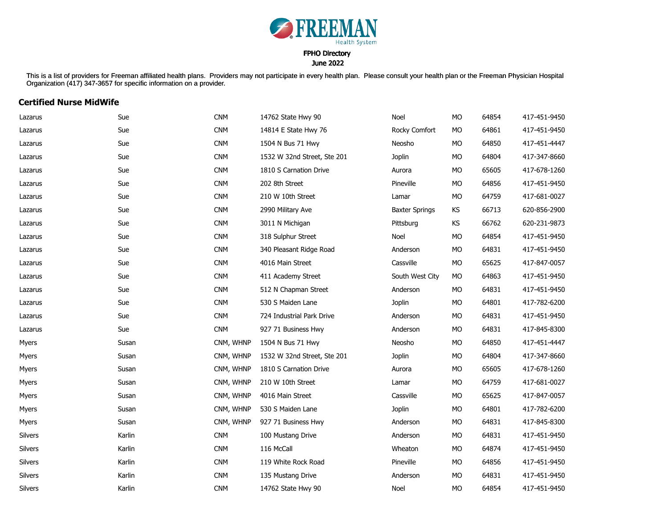

#### June 2022

This is a list of providers for Freeman affiliated health plans. Providers may not participate in every health plan. Please consult your health plan or the Freeman Physician Hospital<br>Organization (417) 347-3657 for specifi

### Certified Nurse MidWife

| Lazarus        | Sue    | <b>CNM</b> | 14762 State Hwy 90          | Noel                  | <b>MO</b> | 64854 | 417-451-9450 |
|----------------|--------|------------|-----------------------------|-----------------------|-----------|-------|--------------|
| Lazarus        | Sue    | <b>CNM</b> | 14814 E State Hwy 76        | Rocky Comfort         | <b>MO</b> | 64861 | 417-451-9450 |
| Lazarus        | Sue    | <b>CNM</b> | 1504 N Bus 71 Hwy           | Neosho                | <b>MO</b> | 64850 | 417-451-4447 |
| Lazarus        | Sue    | <b>CNM</b> | 1532 W 32nd Street, Ste 201 | <b>Joplin</b>         | <b>MO</b> | 64804 | 417-347-8660 |
| Lazarus        | Sue    | <b>CNM</b> | 1810 S Carnation Drive      | Aurora                | <b>MO</b> | 65605 | 417-678-1260 |
| Lazarus        | Sue    | <b>CNM</b> | 202 8th Street              | Pineville             | <b>MO</b> | 64856 | 417-451-9450 |
| Lazarus        | Sue    | <b>CNM</b> | 210 W 10th Street           | Lamar                 | <b>MO</b> | 64759 | 417-681-0027 |
| Lazarus        | Sue    | <b>CNM</b> | 2990 Military Ave           | <b>Baxter Springs</b> | KS        | 66713 | 620-856-2900 |
| Lazarus        | Sue    | <b>CNM</b> | 3011 N Michigan             | Pittsburg             | KS        | 66762 | 620-231-9873 |
| Lazarus        | Sue    | <b>CNM</b> | 318 Sulphur Street          | Noel                  | <b>MO</b> | 64854 | 417-451-9450 |
| Lazarus        | Sue    | <b>CNM</b> | 340 Pleasant Ridge Road     | Anderson              | <b>MO</b> | 64831 | 417-451-9450 |
| Lazarus        | Sue    | <b>CNM</b> | 4016 Main Street            | Cassville             | MO        | 65625 | 417-847-0057 |
| Lazarus        | Sue    | <b>CNM</b> | 411 Academy Street          | South West City       | <b>MO</b> | 64863 | 417-451-9450 |
| Lazarus        | Sue    | <b>CNM</b> | 512 N Chapman Street        | Anderson              | <b>MO</b> | 64831 | 417-451-9450 |
| Lazarus        | Sue    | <b>CNM</b> | 530 S Maiden Lane           | <b>Joplin</b>         | <b>MO</b> | 64801 | 417-782-6200 |
| Lazarus        | Sue    | <b>CNM</b> | 724 Industrial Park Drive   | Anderson              | <b>MO</b> | 64831 | 417-451-9450 |
| Lazarus        | Sue    | <b>CNM</b> | 927 71 Business Hwy         | Anderson              | <b>MO</b> | 64831 | 417-845-8300 |
| Myers          | Susan  | CNM, WHNP  | 1504 N Bus 71 Hwy           | Neosho                | <b>MO</b> | 64850 | 417-451-4447 |
| Myers          | Susan  | CNM, WHNP  | 1532 W 32nd Street, Ste 201 | Joplin                | MO        | 64804 | 417-347-8660 |
| <b>Myers</b>   | Susan  | CNM, WHNP  | 1810 S Carnation Drive      | Aurora                | <b>MO</b> | 65605 | 417-678-1260 |
| Myers          | Susan  | CNM, WHNP  | 210 W 10th Street           | Lamar                 | <b>MO</b> | 64759 | 417-681-0027 |
| <b>Myers</b>   | Susan  | CNM, WHNP  | 4016 Main Street            | Cassville             | <b>MO</b> | 65625 | 417-847-0057 |
| Myers          | Susan  | CNM, WHNP  | 530 S Maiden Lane           | <b>Joplin</b>         | <b>MO</b> | 64801 | 417-782-6200 |
| Myers          | Susan  | CNM, WHNP  | 927 71 Business Hwy         | Anderson              | <b>MO</b> | 64831 | 417-845-8300 |
| Silvers        | Karlin | <b>CNM</b> | 100 Mustang Drive           | Anderson              | <b>MO</b> | 64831 | 417-451-9450 |
| Silvers        | Karlin | <b>CNM</b> | 116 McCall                  | Wheaton               | <b>MO</b> | 64874 | 417-451-9450 |
| <b>Silvers</b> | Karlin | <b>CNM</b> | 119 White Rock Road         | Pineville             | <b>MO</b> | 64856 | 417-451-9450 |
| <b>Silvers</b> | Karlin | <b>CNM</b> | 135 Mustang Drive           | Anderson              | <b>MO</b> | 64831 | 417-451-9450 |
| Silvers        | Karlin | <b>CNM</b> | 14762 State Hwy 90          | Noel                  | <b>MO</b> | 64854 | 417-451-9450 |
|                |        |            |                             |                       |           |       |              |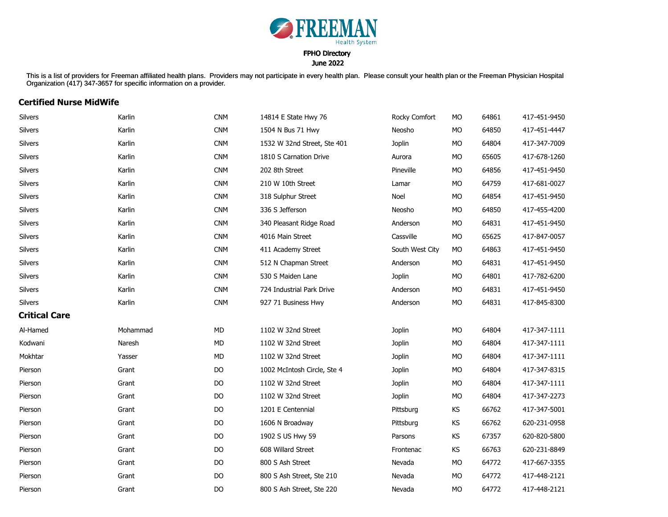

#### June 2022

This is a list of providers for Freeman affiliated health plans. Providers may not participate in every health plan. Please consult your health plan or the Freeman Physician Hospital<br>Organization (417) 347-3657 for specifi

### Certified Nurse MidWife

| <b>Silvers</b>       | Karlin   | <b>CNM</b> | 14814 E State Hwy 76        | Rocky Comfort   | MO        | 64861 | 417-451-9450 |
|----------------------|----------|------------|-----------------------------|-----------------|-----------|-------|--------------|
| Silvers              | Karlin   | <b>CNM</b> | 1504 N Bus 71 Hwy           | Neosho          | <b>MO</b> | 64850 | 417-451-4447 |
| Silvers              | Karlin   | <b>CNM</b> | 1532 W 32nd Street, Ste 401 | <b>Joplin</b>   | MO        | 64804 | 417-347-7009 |
| Silvers              | Karlin   | <b>CNM</b> | 1810 S Carnation Drive      | Aurora          | MO        | 65605 | 417-678-1260 |
| Silvers              | Karlin   | <b>CNM</b> | 202 8th Street              | Pineville       | MO        | 64856 | 417-451-9450 |
| Silvers              | Karlin   | <b>CNM</b> | 210 W 10th Street           | Lamar           | MO        | 64759 | 417-681-0027 |
| Silvers              | Karlin   | <b>CNM</b> | 318 Sulphur Street          | Noel            | MO        | 64854 | 417-451-9450 |
| Silvers              | Karlin   | <b>CNM</b> | 336 S Jefferson             | Neosho          | <b>MO</b> | 64850 | 417-455-4200 |
| Silvers              | Karlin   | <b>CNM</b> | 340 Pleasant Ridge Road     | Anderson        | <b>MO</b> | 64831 | 417-451-9450 |
| Silvers              | Karlin   | <b>CNM</b> | 4016 Main Street            | Cassville       | <b>MO</b> | 65625 | 417-847-0057 |
| Silvers              | Karlin   | <b>CNM</b> | 411 Academy Street          | South West City | MO        | 64863 | 417-451-9450 |
| Silvers              | Karlin   | <b>CNM</b> | 512 N Chapman Street        | Anderson        | <b>MO</b> | 64831 | 417-451-9450 |
| Silvers              | Karlin   | <b>CNM</b> | 530 S Maiden Lane           | Joplin          | <b>MO</b> | 64801 | 417-782-6200 |
| Silvers              | Karlin   | <b>CNM</b> | 724 Industrial Park Drive   | Anderson        | <b>MO</b> | 64831 | 417-451-9450 |
| Silvers              | Karlin   | <b>CNM</b> | 927 71 Business Hwy         | Anderson        | MO        | 64831 | 417-845-8300 |
| <b>Critical Care</b> |          |            |                             |                 |           |       |              |
| Al-Hamed             | Mohammad | <b>MD</b>  | 1102 W 32nd Street          | Joplin          | MO        | 64804 | 417-347-1111 |
| Kodwani              | Naresh   | <b>MD</b>  | 1102 W 32nd Street          | <b>Joplin</b>   | MO        | 64804 | 417-347-1111 |
| Mokhtar              | Yasser   | <b>MD</b>  | 1102 W 32nd Street          | Joplin          | MO        | 64804 | 417-347-1111 |
| Pierson              | Grant    | DO         | 1002 McIntosh Circle, Ste 4 | Joplin          | MO        | 64804 | 417-347-8315 |
| Pierson              | Grant    | DO         | 1102 W 32nd Street          | Joplin          | <b>MO</b> | 64804 | 417-347-1111 |
| Pierson              | Grant    | DO         | 1102 W 32nd Street          | Joplin          | <b>MO</b> | 64804 | 417-347-2273 |
| Pierson              | Grant    | DO         | 1201 E Centennial           | Pittsburg       | KS        | 66762 | 417-347-5001 |
| Pierson              | Grant    | DO         | 1606 N Broadway             | Pittsburg       | KS        | 66762 | 620-231-0958 |
| Pierson              | Grant    | DO         | 1902 S US Hwy 59            | Parsons         | KS        | 67357 | 620-820-5800 |
| Pierson              | Grant    | DO         | 608 Willard Street          | Frontenac       | KS        | 66763 | 620-231-8849 |
| Pierson              | Grant    | DO         | 800 S Ash Street            | Nevada          | MO        | 64772 | 417-667-3355 |
| Pierson              | Grant    | DO         | 800 S Ash Street, Ste 210   | Nevada          | MO        | 64772 | 417-448-2121 |
|                      |          |            |                             |                 |           |       |              |
| Pierson              | Grant    | DO         | 800 S Ash Street, Ste 220   | Nevada          | MO        | 64772 | 417-448-2121 |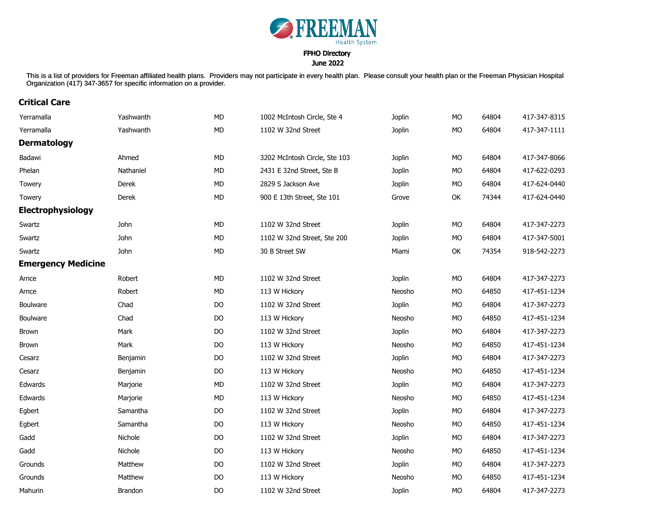

### June 2022

This is a list of providers for Freeman affiliated health plans. Providers may not participate in every health plan. Please consult your health plan or the Freeman Physician Hospital<br>Organization (417) 347-3657 for specifi

# Critical Care

| Yerramalla                | Yashwanth | <b>MD</b> | 1002 McIntosh Circle, Ste 4   | <b>Joplin</b> | <b>MO</b> | 64804 | 417-347-8315 |
|---------------------------|-----------|-----------|-------------------------------|---------------|-----------|-------|--------------|
| Yerramalla                | Yashwanth | <b>MD</b> | 1102 W 32nd Street            | Joplin        | MO        | 64804 | 417-347-1111 |
| <b>Dermatology</b>        |           |           |                               |               |           |       |              |
| Badawi                    | Ahmed     | MD        | 3202 McIntosh Circle, Ste 103 | <b>Joplin</b> | MO        | 64804 | 417-347-8066 |
| Phelan                    | Nathaniel | <b>MD</b> | 2431 E 32nd Street, Ste B     | Joplin        | <b>MO</b> | 64804 | 417-622-0293 |
| Towery                    | Derek     | MD        | 2829 S Jackson Ave            | <b>Joplin</b> | <b>MO</b> | 64804 | 417-624-0440 |
| Towery                    | Derek     | MD        | 900 E 13th Street, Ste 101    | Grove         | OK        | 74344 | 417-624-0440 |
| Electrophysiology         |           |           |                               |               |           |       |              |
| Swartz                    | John      | MD        | 1102 W 32nd Street            | <b>Joplin</b> | MO        | 64804 | 417-347-2273 |
| Swartz                    | John      | MD        | 1102 W 32nd Street, Ste 200   | <b>Joplin</b> | <b>MO</b> | 64804 | 417-347-5001 |
| Swartz                    | John      | MD        | 30 B Street SW                | Miami         | OK        | 74354 | 918-542-2273 |
| <b>Emergency Medicine</b> |           |           |                               |               |           |       |              |
| Arnce                     | Robert    | <b>MD</b> | 1102 W 32nd Street            | <b>Joplin</b> | MO        | 64804 | 417-347-2273 |
| Arnce                     | Robert    | <b>MD</b> | 113 W Hickory                 | Neosho        | <b>MO</b> | 64850 | 417-451-1234 |
| <b>Boulware</b>           | Chad      | DO        | 1102 W 32nd Street            | <b>Joplin</b> | MO        | 64804 | 417-347-2273 |
| Boulware                  | Chad      | DO        | 113 W Hickory                 | Neosho        | <b>MO</b> | 64850 | 417-451-1234 |
| Brown                     | Mark      | DO        | 1102 W 32nd Street            | <b>Joplin</b> | MO        | 64804 | 417-347-2273 |
| <b>Brown</b>              | Mark      | DO        | 113 W Hickory                 | Neosho        | MO        | 64850 | 417-451-1234 |
| Cesarz                    | Benjamin  | DO        | 1102 W 32nd Street            | Joplin        | <b>MO</b> | 64804 | 417-347-2273 |
| Cesarz                    | Benjamin  | DO        | 113 W Hickory                 | Neosho        | <b>MO</b> | 64850 | 417-451-1234 |
| Edwards                   | Marjorie  | <b>MD</b> | 1102 W 32nd Street            | Joplin        | MO        | 64804 | 417-347-2273 |
| Edwards                   | Marjorie  | MD        | 113 W Hickory                 | Neosho        | <b>MO</b> | 64850 | 417-451-1234 |
| Egbert                    | Samantha  | DO        | 1102 W 32nd Street            | <b>Joplin</b> | <b>MO</b> | 64804 | 417-347-2273 |
| Egbert                    | Samantha  | DO        | 113 W Hickory                 | Neosho        | <b>MO</b> | 64850 | 417-451-1234 |
| Gadd                      | Nichole   | DO        | 1102 W 32nd Street            | <b>Joplin</b> | MO        | 64804 | 417-347-2273 |
| Gadd                      | Nichole   | DO        | 113 W Hickory                 | Neosho        | <b>MO</b> | 64850 | 417-451-1234 |
| Grounds                   | Matthew   | DO        | 1102 W 32nd Street            | Joplin        | MO        | 64804 | 417-347-2273 |
| Grounds                   | Matthew   | DO        | 113 W Hickory                 | Neosho        | <b>MO</b> | 64850 | 417-451-1234 |
| Mahurin                   | Brandon   | DO        | 1102 W 32nd Street            | <b>Joplin</b> | <b>MO</b> | 64804 | 417-347-2273 |
|                           |           |           |                               |               |           |       |              |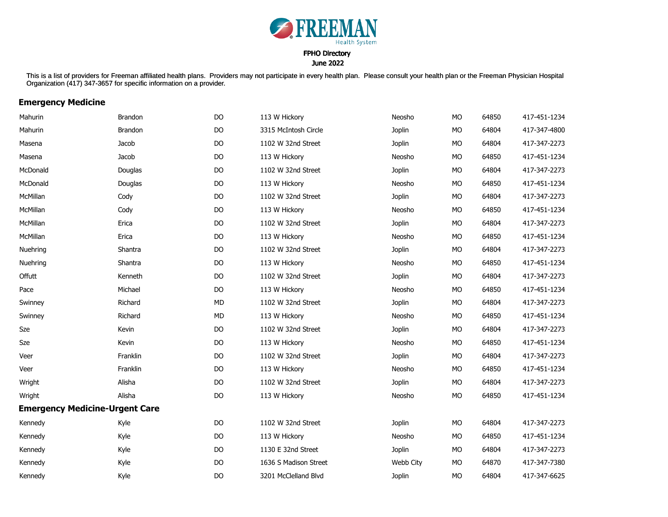

#### June 2022

This is a list of providers for Freeman affiliated health plans. Providers may not participate in every health plan. Please consult your health plan or the Freeman Physician Hospital<br>Organization (417) 347-3657 for specifi

# Emergency Medicine

| Mahurin                               | Brandon  | DO        | 113 W Hickory         | Neosho        | MO        | 64850 | 417-451-1234 |
|---------------------------------------|----------|-----------|-----------------------|---------------|-----------|-------|--------------|
| Mahurin                               | Brandon  | DO        | 3315 McIntosh Circle  | Joplin        | <b>MO</b> | 64804 | 417-347-4800 |
| Masena                                | Jacob    | DO        | 1102 W 32nd Street    | Joplin        | MO        | 64804 | 417-347-2273 |
| Masena                                | Jacob    | <b>DO</b> | 113 W Hickory         | Neosho        | MO        | 64850 | 417-451-1234 |
| McDonald                              | Douglas  | DO        | 1102 W 32nd Street    | Joplin        | MO        | 64804 | 417-347-2273 |
| McDonald                              | Douglas  | <b>DO</b> | 113 W Hickory         | Neosho        | MO        | 64850 | 417-451-1234 |
| McMillan                              | Cody     | DO        | 1102 W 32nd Street    | <b>Joplin</b> | MO        | 64804 | 417-347-2273 |
| McMillan                              | Cody     | DO        | 113 W Hickory         | Neosho        | MO        | 64850 | 417-451-1234 |
| McMillan                              | Erica    | DO        | 1102 W 32nd Street    | <b>Joplin</b> | MO        | 64804 | 417-347-2273 |
| McMillan                              | Erica    | DO        | 113 W Hickory         | Neosho        | MO        | 64850 | 417-451-1234 |
| Nuehring                              | Shantra  | DO        | 1102 W 32nd Street    | <b>Joplin</b> | MO        | 64804 | 417-347-2273 |
| Nuehring                              | Shantra  | DO        | 113 W Hickory         | Neosho        | MO        | 64850 | 417-451-1234 |
| Offutt                                | Kenneth  | <b>DO</b> | 1102 W 32nd Street    | <b>Joplin</b> | MO        | 64804 | 417-347-2273 |
| Pace                                  | Michael  | DO        | 113 W Hickory         | Neosho        | MO        | 64850 | 417-451-1234 |
| Swinney                               | Richard  | <b>MD</b> | 1102 W 32nd Street    | <b>Joplin</b> | MO        | 64804 | 417-347-2273 |
| Swinney                               | Richard  | <b>MD</b> | 113 W Hickory         | Neosho        | MO        | 64850 | 417-451-1234 |
| Sze                                   | Kevin    | DO        | 1102 W 32nd Street    | Joplin        | MO        | 64804 | 417-347-2273 |
| Sze                                   | Kevin    | <b>DO</b> | 113 W Hickory         | Neosho        | MO        | 64850 | 417-451-1234 |
| Veer                                  | Franklin | DO        | 1102 W 32nd Street    | <b>Joplin</b> | MO        | 64804 | 417-347-2273 |
| Veer                                  | Franklin | <b>DO</b> | 113 W Hickory         | Neosho        | <b>MO</b> | 64850 | 417-451-1234 |
| Wright                                | Alisha   | DO        | 1102 W 32nd Street    | Joplin        | MO        | 64804 | 417-347-2273 |
| Wright                                | Alisha   | DO        | 113 W Hickory         | Neosho        | MO        | 64850 | 417-451-1234 |
| <b>Emergency Medicine-Urgent Care</b> |          |           |                       |               |           |       |              |
| Kennedy                               | Kyle     | DO        | 1102 W 32nd Street    | <b>Joplin</b> | MO        | 64804 | 417-347-2273 |
| Kennedy                               | Kyle     | <b>DO</b> | 113 W Hickory         | Neosho        | MO        | 64850 | 417-451-1234 |
| Kennedy                               | Kyle     | DO        | 1130 E 32nd Street    | Joplin        | MO        | 64804 | 417-347-2273 |
| Kennedy                               | Kyle     | <b>DO</b> | 1636 S Madison Street | Webb City     | MO        | 64870 | 417-347-7380 |
| Kennedy                               | Kyle     | DO        | 3201 McClelland Blvd  | Joplin        | MO        | 64804 | 417-347-6625 |
|                                       |          |           |                       |               |           |       |              |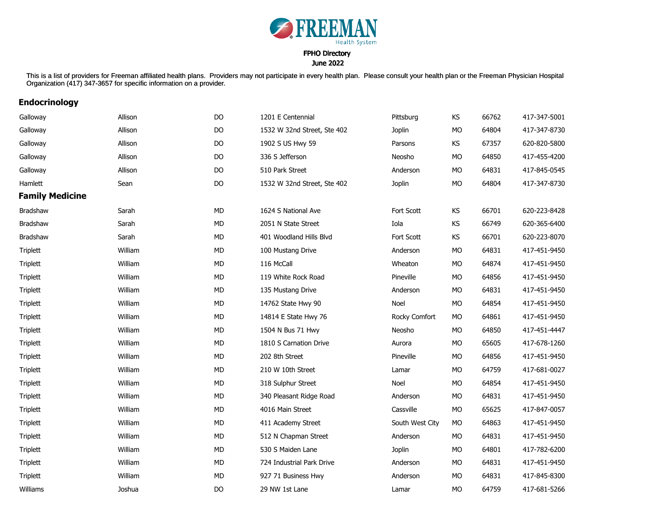

#### June 2022

This is a list of providers for Freeman affiliated health plans. Providers may not participate in every health plan. Please consult your health plan or the Freeman Physician Hospital<br>Organization (417) 347-3657 for specifi

# Endocrinology

| Galloway               | Allison | DO        | 1201 E Centennial           | Pittsburg       | KS        | 66762 | 417-347-5001 |
|------------------------|---------|-----------|-----------------------------|-----------------|-----------|-------|--------------|
| Galloway               | Allison | <b>DO</b> | 1532 W 32nd Street, Ste 402 | <b>Joplin</b>   | MO        | 64804 | 417-347-8730 |
| Galloway               | Allison | DO        | 1902 S US Hwy 59            | Parsons         | KS        | 67357 | 620-820-5800 |
| Galloway               | Allison | DO        | 336 S Jefferson             | Neosho          | <b>MO</b> | 64850 | 417-455-4200 |
| Galloway               | Allison | DO        | 510 Park Street             | Anderson        | <b>MO</b> | 64831 | 417-845-0545 |
| Hamlett                | Sean    | DO        | 1532 W 32nd Street, Ste 402 | <b>Joplin</b>   | <b>MO</b> | 64804 | 417-347-8730 |
| <b>Family Medicine</b> |         |           |                             |                 |           |       |              |
| Bradshaw               | Sarah   | MD        | 1624 S National Ave         | Fort Scott      | KS        | 66701 | 620-223-8428 |
| Bradshaw               | Sarah   | <b>MD</b> | 2051 N State Street         | Iola            | KS        | 66749 | 620-365-6400 |
| Bradshaw               | Sarah   | <b>MD</b> | 401 Woodland Hills Blvd     | Fort Scott      | KS        | 66701 | 620-223-8070 |
| <b>Triplett</b>        | William | <b>MD</b> | 100 Mustang Drive           | Anderson        | <b>MO</b> | 64831 | 417-451-9450 |
| Triplett               | William | MD        | 116 McCall                  | Wheaton         | MO        | 64874 | 417-451-9450 |
| <b>Triplett</b>        | William | MD        | 119 White Rock Road         | Pineville       | <b>MO</b> | 64856 | 417-451-9450 |
| <b>Triplett</b>        | William | <b>MD</b> | 135 Mustang Drive           | Anderson        | <b>MO</b> | 64831 | 417-451-9450 |
| <b>Triplett</b>        | William | MD        | 14762 State Hwy 90          | Noel            | MO        | 64854 | 417-451-9450 |
| <b>Triplett</b>        | William | <b>MD</b> | 14814 E State Hwy 76        | Rocky Comfort   | <b>MO</b> | 64861 | 417-451-9450 |
| <b>Triplett</b>        | William | <b>MD</b> | 1504 N Bus 71 Hwy           | Neosho          | <b>MO</b> | 64850 | 417-451-4447 |
| <b>Triplett</b>        | William | <b>MD</b> | 1810 S Carnation Drive      | Aurora          | MO        | 65605 | 417-678-1260 |
| Triplett               | William | <b>MD</b> | 202 8th Street              | Pineville       | <b>MO</b> | 64856 | 417-451-9450 |
| <b>Triplett</b>        | William | MD        | 210 W 10th Street           | Lamar           | <b>MO</b> | 64759 | 417-681-0027 |
| <b>Triplett</b>        | William | <b>MD</b> | 318 Sulphur Street          | Noel            | <b>MO</b> | 64854 | 417-451-9450 |
| Triplett               | William | MD        | 340 Pleasant Ridge Road     | Anderson        | MO        | 64831 | 417-451-9450 |
| <b>Triplett</b>        | William | <b>MD</b> | 4016 Main Street            | Cassville       | <b>MO</b> | 65625 | 417-847-0057 |
| Triplett               | William | <b>MD</b> | 411 Academy Street          | South West City | <b>MO</b> | 64863 | 417-451-9450 |
| <b>Triplett</b>        | William | <b>MD</b> | 512 N Chapman Street        | Anderson        | MO        | 64831 | 417-451-9450 |
| Triplett               | William | <b>MD</b> | 530 S Maiden Lane           | <b>Joplin</b>   | MO        | 64801 | 417-782-6200 |
| <b>Triplett</b>        | William | MD        | 724 Industrial Park Drive   | Anderson        | <b>MO</b> | 64831 | 417-451-9450 |
| <b>Triplett</b>        | William | <b>MD</b> | 927 71 Business Hwy         | Anderson        | MO        | 64831 | 417-845-8300 |
| Williams               | Joshua  | DO        | 29 NW 1st Lane              | Lamar           | MO        | 64759 | 417-681-5266 |
|                        |         |           |                             |                 |           |       |              |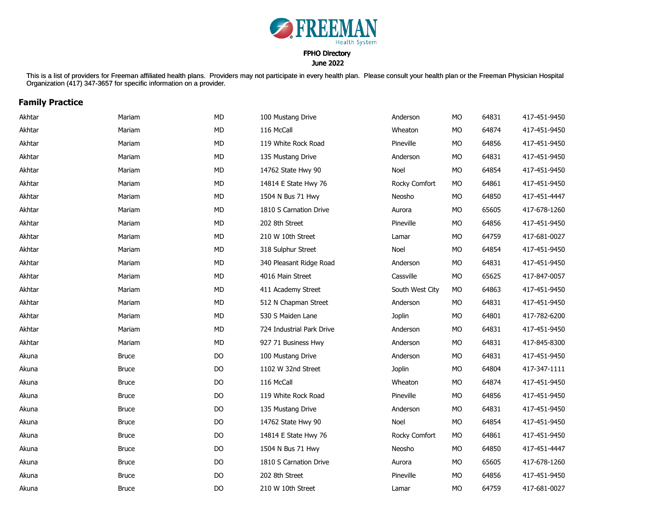

### June 2022

This is a list of providers for Freeman affiliated health plans. Providers may not participate in every health plan. Please consult your health plan or the Freeman Physician Hospital<br>Organization (417) 347-3657 for specifi

| Akhtar | Mariam       | <b>MD</b> | 100 Mustang Drive         | Anderson        | <b>MO</b> | 64831 | 417-451-9450 |
|--------|--------------|-----------|---------------------------|-----------------|-----------|-------|--------------|
| Akhtar | Mariam       | <b>MD</b> | 116 McCall                | Wheaton         | <b>MO</b> | 64874 | 417-451-9450 |
| Akhtar | Mariam       | <b>MD</b> | 119 White Rock Road       | Pineville       | MO        | 64856 | 417-451-9450 |
| Akhtar | Mariam       | MD        | 135 Mustang Drive         | Anderson        | MO        | 64831 | 417-451-9450 |
| Akhtar | Mariam       | MD        | 14762 State Hwy 90        | Noel            | <b>MO</b> | 64854 | 417-451-9450 |
| Akhtar | Mariam       | MD        | 14814 E State Hwy 76      | Rocky Comfort   | MO        | 64861 | 417-451-9450 |
| Akhtar | Mariam       | MD        | 1504 N Bus 71 Hwy         | Neosho          | <b>MO</b> | 64850 | 417-451-4447 |
| Akhtar | Mariam       | MD        | 1810 S Carnation Drive    | Aurora          | MO        | 65605 | 417-678-1260 |
| Akhtar | Mariam       | MD        | 202 8th Street            | Pineville       | <b>MO</b> | 64856 | 417-451-9450 |
| Akhtar | Mariam       | <b>MD</b> | 210 W 10th Street         | Lamar           | MO        | 64759 | 417-681-0027 |
| Akhtar | Mariam       | MD        | 318 Sulphur Street        | Noel            | <b>MO</b> | 64854 | 417-451-9450 |
| Akhtar | Mariam       | MD        | 340 Pleasant Ridge Road   | Anderson        | MO        | 64831 | 417-451-9450 |
| Akhtar | Mariam       | MD        | 4016 Main Street          | Cassville       | MO        | 65625 | 417-847-0057 |
| Akhtar | Mariam       | MD        | 411 Academy Street        | South West City | MO        | 64863 | 417-451-9450 |
| Akhtar | Mariam       | MD        | 512 N Chapman Street      | Anderson        | MO        | 64831 | 417-451-9450 |
| Akhtar | Mariam       | MD        | 530 S Maiden Lane         | Joplin          | <b>MO</b> | 64801 | 417-782-6200 |
| Akhtar | Mariam       | MD        | 724 Industrial Park Drive | Anderson        | <b>MO</b> | 64831 | 417-451-9450 |
| Akhtar | Mariam       | MD        | 927 71 Business Hwy       | Anderson        | MO        | 64831 | 417-845-8300 |
| Akuna  | Bruce        | DO        | 100 Mustang Drive         | Anderson        | MO        | 64831 | 417-451-9450 |
| Akuna  | <b>Bruce</b> | DO        | 1102 W 32nd Street        | <b>Joplin</b>   | MO        | 64804 | 417-347-1111 |
| Akuna  | <b>Bruce</b> | DO        | 116 McCall                | Wheaton         | MO        | 64874 | 417-451-9450 |
| Akuna  | <b>Bruce</b> | DO        | 119 White Rock Road       | Pineville       | MO        | 64856 | 417-451-9450 |
| Akuna  | <b>Bruce</b> | DO        | 135 Mustang Drive         | Anderson        | MO        | 64831 | 417-451-9450 |
| Akuna  | <b>Bruce</b> | DO        | 14762 State Hwy 90        | Noel            | MO        | 64854 | 417-451-9450 |
| Akuna  | <b>Bruce</b> | DO        | 14814 E State Hwy 76      | Rocky Comfort   | MO        | 64861 | 417-451-9450 |
| Akuna  | <b>Bruce</b> | DO        | 1504 N Bus 71 Hwy         | Neosho          | MO        | 64850 | 417-451-4447 |
| Akuna  | <b>Bruce</b> | DO        | 1810 S Carnation Drive    | Aurora          | <b>MO</b> | 65605 | 417-678-1260 |
| Akuna  | <b>Bruce</b> | DO        | 202 8th Street            | Pineville       | MO        | 64856 | 417-451-9450 |
| Akuna  | <b>Bruce</b> | DO        | 210 W 10th Street         | Lamar           | MO        | 64759 | 417-681-0027 |
|        |              |           |                           |                 |           |       |              |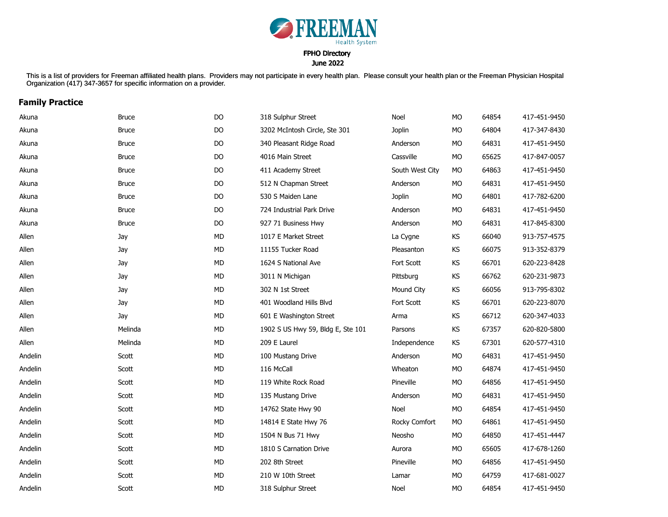

#### June 2022

This is a list of providers for Freeman affiliated health plans. Providers may not participate in every health plan. Please consult your health plan or the Freeman Physician Hospital<br>Organization (417) 347-3657 for specifi

| Akuna   | <b>Bruce</b> | DO        | 318 Sulphur Street                | Noel            | <b>MO</b> | 64854 | 417-451-9450 |
|---------|--------------|-----------|-----------------------------------|-----------------|-----------|-------|--------------|
| Akuna   | <b>Bruce</b> | DO        | 3202 McIntosh Circle, Ste 301     | <b>Joplin</b>   | <b>MO</b> | 64804 | 417-347-8430 |
| Akuna   | <b>Bruce</b> | DO        | 340 Pleasant Ridge Road           | Anderson        | <b>MO</b> | 64831 | 417-451-9450 |
|         |              |           |                                   |                 |           |       |              |
| Akuna   | <b>Bruce</b> | DO        | 4016 Main Street                  | Cassville       | <b>MO</b> | 65625 | 417-847-0057 |
| Akuna   | <b>Bruce</b> | DO        | 411 Academy Street                | South West City | MO        | 64863 | 417-451-9450 |
| Akuna   | <b>Bruce</b> | DO        | 512 N Chapman Street              | Anderson        | <b>MO</b> | 64831 | 417-451-9450 |
| Akuna   | <b>Bruce</b> | DO        | 530 S Maiden Lane                 | <b>Joplin</b>   | <b>MO</b> | 64801 | 417-782-6200 |
| Akuna   | <b>Bruce</b> | DO        | 724 Industrial Park Drive         | Anderson        | MO        | 64831 | 417-451-9450 |
| Akuna   | <b>Bruce</b> | DO        | 927 71 Business Hwy               | Anderson        | <b>MO</b> | 64831 | 417-845-8300 |
| Allen   | Jay          | <b>MD</b> | 1017 E Market Street              | La Cygne        | KS        | 66040 | 913-757-4575 |
| Allen   | Jay          | <b>MD</b> | 11155 Tucker Road                 | Pleasanton      | KS        | 66075 | 913-352-8379 |
| Allen   | Jay          | <b>MD</b> | 1624 S National Ave               | Fort Scott      | KS        | 66701 | 620-223-8428 |
| Allen   | Jay          | <b>MD</b> | 3011 N Michigan                   | Pittsburg       | KS        | 66762 | 620-231-9873 |
| Allen   | Jay          | <b>MD</b> | 302 N 1st Street                  | Mound City      | KS        | 66056 | 913-795-8302 |
| Allen   | Jay          | <b>MD</b> | 401 Woodland Hills Blvd           | Fort Scott      | KS        | 66701 | 620-223-8070 |
| Allen   | Jay          | <b>MD</b> | 601 E Washington Street           | Arma            | KS        | 66712 | 620-347-4033 |
| Allen   | Melinda      | <b>MD</b> | 1902 S US Hwy 59, Bldg E, Ste 101 | Parsons         | KS        | 67357 | 620-820-5800 |
| Allen   | Melinda      | <b>MD</b> | 209 E Laurel                      | Independence    | KS        | 67301 | 620-577-4310 |
| Andelin | Scott        | <b>MD</b> | 100 Mustang Drive                 | Anderson        | <b>MO</b> | 64831 | 417-451-9450 |
| Andelin | Scott        | <b>MD</b> | 116 McCall                        | Wheaton         | <b>MO</b> | 64874 | 417-451-9450 |
| Andelin | Scott        | <b>MD</b> | 119 White Rock Road               | Pineville       | <b>MO</b> | 64856 | 417-451-9450 |
| Andelin | Scott        | <b>MD</b> | 135 Mustang Drive                 | Anderson        | MO        | 64831 | 417-451-9450 |
| Andelin | Scott        | <b>MD</b> | 14762 State Hwy 90                | Noel            | <b>MO</b> | 64854 | 417-451-9450 |
| Andelin | Scott        | <b>MD</b> | 14814 E State Hwy 76              | Rocky Comfort   | <b>MO</b> | 64861 | 417-451-9450 |
| Andelin | Scott        | MD        | 1504 N Bus 71 Hwy                 | Neosho          | MO        | 64850 | 417-451-4447 |
| Andelin | Scott        | <b>MD</b> | 1810 S Carnation Drive            | Aurora          | MO        | 65605 | 417-678-1260 |
| Andelin | Scott        | <b>MD</b> | 202 8th Street                    | Pineville       | <b>MO</b> | 64856 | 417-451-9450 |
| Andelin | Scott        | MD        | 210 W 10th Street                 | Lamar           | MO        | 64759 | 417-681-0027 |
| Andelin | Scott        | <b>MD</b> | 318 Sulphur Street                | Noel            | <b>MO</b> | 64854 | 417-451-9450 |
|         |              |           |                                   |                 |           |       |              |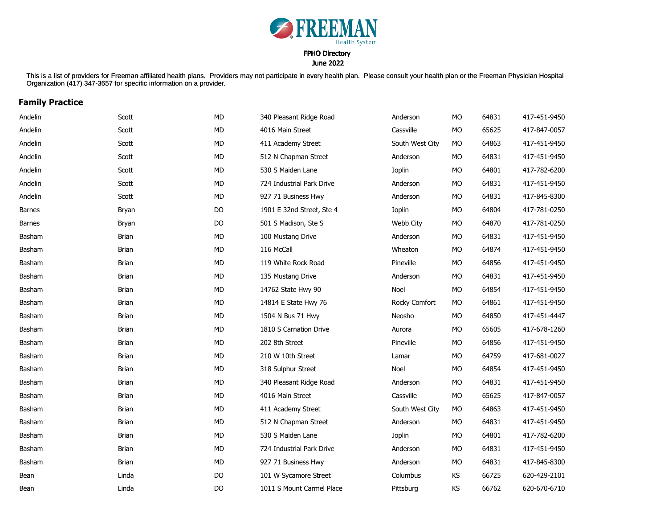

#### June 2022

This is a list of providers for Freeman affiliated health plans. Providers may not participate in every health plan. Please consult your health plan or the Freeman Physician Hospital<br>Organization (417) 347-3657 for specifi

| Andelin       | Scott        | <b>MD</b> | 340 Pleasant Ridge Road   | Anderson        | <b>MO</b> | 64831 | 417-451-9450 |
|---------------|--------------|-----------|---------------------------|-----------------|-----------|-------|--------------|
| Andelin       | Scott        | <b>MD</b> | 4016 Main Street          | Cassville       | <b>MO</b> | 65625 | 417-847-0057 |
| Andelin       | Scott        | <b>MD</b> | 411 Academy Street        | South West City | MO        | 64863 | 417-451-9450 |
| Andelin       | Scott        | <b>MD</b> | 512 N Chapman Street      | Anderson        | MO        | 64831 | 417-451-9450 |
| Andelin       | Scott        | <b>MD</b> | 530 S Maiden Lane         | <b>Joplin</b>   | <b>MO</b> | 64801 | 417-782-6200 |
| Andelin       | Scott        | <b>MD</b> | 724 Industrial Park Drive | Anderson        | <b>MO</b> | 64831 | 417-451-9450 |
| Andelin       | Scott        | <b>MD</b> | 927 71 Business Hwy       | Anderson        | MO        | 64831 | 417-845-8300 |
| <b>Barnes</b> | Bryan        | DO        | 1901 E 32nd Street, Ste 4 | Joplin          | MO        | 64804 | 417-781-0250 |
| Barnes        | Bryan        | DO        | 501 S Madison, Ste S      | Webb City       | <b>MO</b> | 64870 | 417-781-0250 |
| Basham        | <b>Brian</b> | <b>MD</b> | 100 Mustang Drive         | Anderson        | MO        | 64831 | 417-451-9450 |
| Basham        | Brian        | <b>MD</b> | 116 McCall                | Wheaton         | <b>MO</b> | 64874 | 417-451-9450 |
| Basham        | <b>Brian</b> | <b>MD</b> | 119 White Rock Road       | Pineville       | MO        | 64856 | 417-451-9450 |
| Basham        | <b>Brian</b> | <b>MD</b> | 135 Mustang Drive         | Anderson        | MO        | 64831 | 417-451-9450 |
| Basham        | <b>Brian</b> | <b>MD</b> | 14762 State Hwy 90        | Noel            | MO        | 64854 | 417-451-9450 |
| Basham        | <b>Brian</b> | <b>MD</b> | 14814 E State Hwy 76      | Rocky Comfort   | MO        | 64861 | 417-451-9450 |
| Basham        | <b>Brian</b> | <b>MD</b> | 1504 N Bus 71 Hwy         | Neosho          | <b>MO</b> | 64850 | 417-451-4447 |
| Basham        | <b>Brian</b> | <b>MD</b> | 1810 S Carnation Drive    | Aurora          | <b>MO</b> | 65605 | 417-678-1260 |
| Basham        | Brian        | <b>MD</b> | 202 8th Street            | Pineville       | <b>MO</b> | 64856 | 417-451-9450 |
| Basham        | <b>Brian</b> | <b>MD</b> | 210 W 10th Street         | Lamar           | MO        | 64759 | 417-681-0027 |
| Basham        | <b>Brian</b> | <b>MD</b> | 318 Sulphur Street        | Noel            | MO        | 64854 | 417-451-9450 |
| Basham        | <b>Brian</b> | MD        | 340 Pleasant Ridge Road   | Anderson        | MO        | 64831 | 417-451-9450 |
| Basham        | <b>Brian</b> | <b>MD</b> | 4016 Main Street          | Cassville       | MO        | 65625 | 417-847-0057 |
| Basham        | <b>Brian</b> | <b>MD</b> | 411 Academy Street        | South West City | <b>MO</b> | 64863 | 417-451-9450 |
| Basham        | <b>Brian</b> | <b>MD</b> | 512 N Chapman Street      | Anderson        | <b>MO</b> | 64831 | 417-451-9450 |
| Basham        | <b>Brian</b> | <b>MD</b> | 530 S Maiden Lane         | <b>Joplin</b>   | MO        | 64801 | 417-782-6200 |
| Basham        | <b>Brian</b> | <b>MD</b> | 724 Industrial Park Drive | Anderson        | MO        | 64831 | 417-451-9450 |
| Basham        | <b>Brian</b> | <b>MD</b> | 927 71 Business Hwy       | Anderson        | MO        | 64831 | 417-845-8300 |
| Bean          | Linda        | <b>DO</b> | 101 W Sycamore Street     | Columbus        | KS        | 66725 | 620-429-2101 |
| Bean          | Linda        | <b>DO</b> | 1011 S Mount Carmel Place | Pittsburg       | KS        | 66762 | 620-670-6710 |
|               |              |           |                           |                 |           |       |              |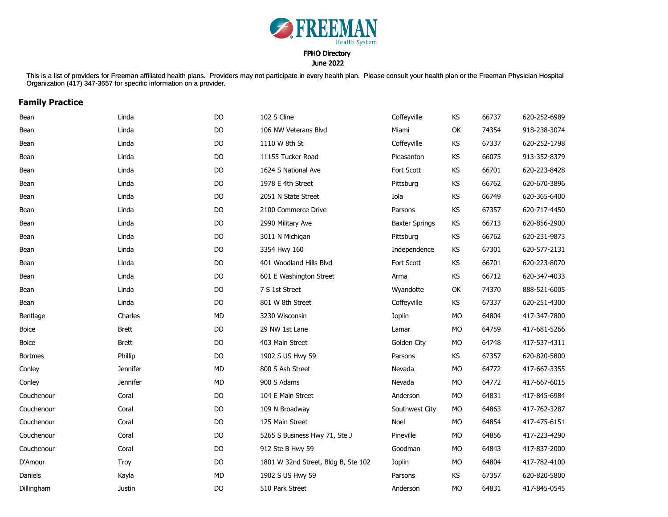

#### June 2022

This is a list of providers for Freeman affiliated health plans. Providers may not participate in every health plan. Please consult your health plan or the Freeman Physician Hospital<br>Organization (417) 347-3657 for specifi

| Bean           | Linda           | DO        | 102 S Cline                         | Coffeyville           | KS        | 66737 | 620-252-6989 |
|----------------|-----------------|-----------|-------------------------------------|-----------------------|-----------|-------|--------------|
| Bean           | Linda           | DO        | 106 NW Veterans Blvd                | Miami                 | OK        | 74354 | 918-238-3074 |
| Bean           | Linda           | DO        | 1110 W 8th St                       | Coffeyville           | KS        | 67337 | 620-252-1798 |
| Bean           | Linda           | DO        | 11155 Tucker Road                   | Pleasanton            | KS        | 66075 | 913-352-8379 |
| Bean           | Linda           | DO        | 1624 S National Ave                 | Fort Scott            | KS        | 66701 | 620-223-8428 |
| Bean           | Linda           | DO.       | 1978 E 4th Street                   | Pittsburg             | KS        | 66762 | 620-670-3896 |
| Bean           | Linda           | DO        | 2051 N State Street                 | Iola                  | KS        | 66749 | 620-365-6400 |
| Bean           | Linda           | DO        | 2100 Commerce Drive                 | Parsons               | KS        | 67357 | 620-717-4450 |
| Bean           | Linda           | DO        | 2990 Military Ave                   | <b>Baxter Springs</b> | KS        | 66713 | 620-856-2900 |
| Bean           | Linda           | DO        | 3011 N Michigan                     | Pittsburg             | KS        | 66762 | 620-231-9873 |
| Bean           | Linda           | DO        | 3354 Hwy 160                        | Independence          | KS        | 67301 | 620-577-2131 |
| Bean           | Linda           | DO        | 401 Woodland Hills Blvd             | Fort Scott            | KS        | 66701 | 620-223-8070 |
| Bean           | Linda           | DO.       | 601 E Washington Street             | Arma                  | KS        | 66712 | 620-347-4033 |
| Bean           | Linda           | DO        | 7 S 1st Street                      | Wyandotte             | OK        | 74370 | 888-521-6005 |
| Bean           | Linda           | DO        | 801 W 8th Street                    | Coffeyville           | KS        | 67337 | 620-251-4300 |
| Bentlage       | Charles         | <b>MD</b> | 3230 Wisconsin                      | <b>Joplin</b>         | MO        | 64804 | 417-347-7800 |
| Boice          | <b>Brett</b>    | DO        | 29 NW 1st Lane                      | Lamar                 | MO        | 64759 | 417-681-5266 |
| Boice          | <b>Brett</b>    | DO        | 403 Main Street                     | Golden City           | MO        | 64748 | 417-537-4311 |
| <b>Bortmes</b> | Phillip         | DO        | 1902 S US Hwy 59                    | Parsons               | KS        | 67357 | 620-820-5800 |
| Conley         | <b>Jennifer</b> | MD        | 800 S Ash Street                    | Nevada                | <b>MO</b> | 64772 | 417-667-3355 |
| Conley         | <b>Jennifer</b> | MD        | 900 S Adams                         | Nevada                | <b>MO</b> | 64772 | 417-667-6015 |
| Couchenour     | Coral           | DO        | 104 E Main Street                   | Anderson              | MO        | 64831 | 417-845-6984 |
| Couchenour     | Coral           | DO        | 109 N Broadway                      | Southwest City        | MO        | 64863 | 417-762-3287 |
| Couchenour     | Coral           | DO        | 125 Main Street                     | Noel                  | MO        | 64854 | 417-475-6151 |
| Couchenour     | Coral           | DO        | 5265 S Business Hwy 71, Ste J       | Pineville             | MO        | 64856 | 417-223-4290 |
| Couchenour     | Coral           | DO        | 912 Ste B Hwy 59                    | Goodman               | MO        | 64843 | 417-837-2000 |
| D'Amour        | Troy            | DO        | 1801 W 32nd Street, Bldg B, Ste 102 | <b>Joplin</b>         | MO        | 64804 | 417-782-4100 |
| Daniels        | Kayla           | MD        | 1902 S US Hwy 59                    | Parsons               | KS        | 67357 | 620-820-5800 |
| Dillingham     | Justin          | DO        | 510 Park Street                     | Anderson              | MO        | 64831 | 417-845-0545 |
|                |                 |           |                                     |                       |           |       |              |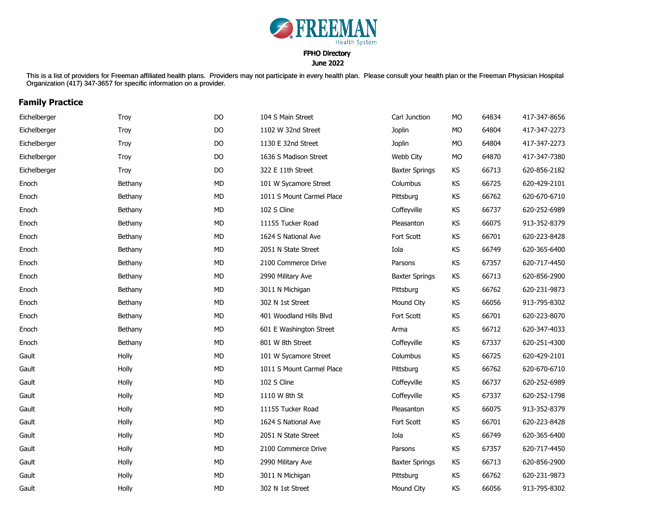

### June 2022

This is a list of providers for Freeman affiliated health plans. Providers may not participate in every health plan. Please consult your health plan or the Freeman Physician Hospital<br>Organization (417) 347-3657 for specifi

| Eichelberger | Troy        | DO        | 104 S Main Street         | Carl Junction         | <b>MO</b> | 64834 | 417-347-8656 |
|--------------|-------------|-----------|---------------------------|-----------------------|-----------|-------|--------------|
| Eichelberger | Troy        | DO        | 1102 W 32nd Street        | <b>Joplin</b>         | <b>MO</b> | 64804 | 417-347-2273 |
| Eichelberger | <b>Troy</b> | DO        | 1130 E 32nd Street        | <b>Joplin</b>         | <b>MO</b> | 64804 | 417-347-2273 |
| Eichelberger | <b>Troy</b> | DO        | 1636 S Madison Street     | Webb City             | MO        | 64870 | 417-347-7380 |
| Eichelberger | Troy        | DO        | 322 E 11th Street         | <b>Baxter Springs</b> | KS        | 66713 | 620-856-2182 |
| Enoch        | Bethany     | <b>MD</b> | 101 W Sycamore Street     | Columbus              | KS        | 66725 | 620-429-2101 |
| Enoch        | Bethany     | <b>MD</b> | 1011 S Mount Carmel Place | Pittsburg             | KS        | 66762 | 620-670-6710 |
| Enoch        | Bethany     | <b>MD</b> | 102 S Cline               | Coffeyville           | KS        | 66737 | 620-252-6989 |
| Enoch        | Bethany     | <b>MD</b> | 11155 Tucker Road         | Pleasanton            | KS        | 66075 | 913-352-8379 |
| Enoch        | Bethany     | <b>MD</b> | 1624 S National Ave       | Fort Scott            | KS        | 66701 | 620-223-8428 |
| Enoch        | Bethany     | <b>MD</b> | 2051 N State Street       | Iola                  | KS        | 66749 | 620-365-6400 |
| Enoch        | Bethany     | <b>MD</b> | 2100 Commerce Drive       | Parsons               | KS        | 67357 | 620-717-4450 |
| Enoch        | Bethany     | <b>MD</b> | 2990 Military Ave         | <b>Baxter Springs</b> | KS        | 66713 | 620-856-2900 |
| Enoch        | Bethany     | <b>MD</b> | 3011 N Michigan           | Pittsburg             | KS        | 66762 | 620-231-9873 |
| Enoch        | Bethany     | <b>MD</b> | 302 N 1st Street          | Mound City            | KS        | 66056 | 913-795-8302 |
| Enoch        | Bethany     | <b>MD</b> | 401 Woodland Hills Blvd   | Fort Scott            | KS        | 66701 | 620-223-8070 |
| Enoch        | Bethany     | <b>MD</b> | 601 E Washington Street   | Arma                  | KS        | 66712 | 620-347-4033 |
| Enoch        | Bethany     | <b>MD</b> | 801 W 8th Street          | Coffeyville           | KS        | 67337 | 620-251-4300 |
| Gault        | Holly       | <b>MD</b> | 101 W Sycamore Street     | Columbus              | KS        | 66725 | 620-429-2101 |
| Gault        | Holly       | <b>MD</b> | 1011 S Mount Carmel Place | Pittsburg             | KS        | 66762 | 620-670-6710 |
| Gault        | Holly       | MD        | 102 S Cline               | Coffeyville           | KS        | 66737 | 620-252-6989 |
| Gault        | Holly       | <b>MD</b> | 1110 W 8th St             | Coffeyville           | KS        | 67337 | 620-252-1798 |
| Gault        | Holly       | <b>MD</b> | 11155 Tucker Road         | Pleasanton            | KS        | 66075 | 913-352-8379 |
| Gault        | Holly       | <b>MD</b> | 1624 S National Ave       | Fort Scott            | KS        | 66701 | 620-223-8428 |
| Gault        | Holly       | <b>MD</b> | 2051 N State Street       | Iola                  | KS        | 66749 | 620-365-6400 |
| Gault        | Holly       | <b>MD</b> | 2100 Commerce Drive       | Parsons               | KS        | 67357 | 620-717-4450 |
| Gault        | Holly       | <b>MD</b> | 2990 Military Ave         | <b>Baxter Springs</b> | KS        | 66713 | 620-856-2900 |
| Gault        | Holly       | <b>MD</b> | 3011 N Michigan           | Pittsburg             | KS        | 66762 | 620-231-9873 |
| Gault        | Holly       | <b>MD</b> | 302 N 1st Street          | Mound City            | KS        | 66056 | 913-795-8302 |
|              |             |           |                           |                       |           |       |              |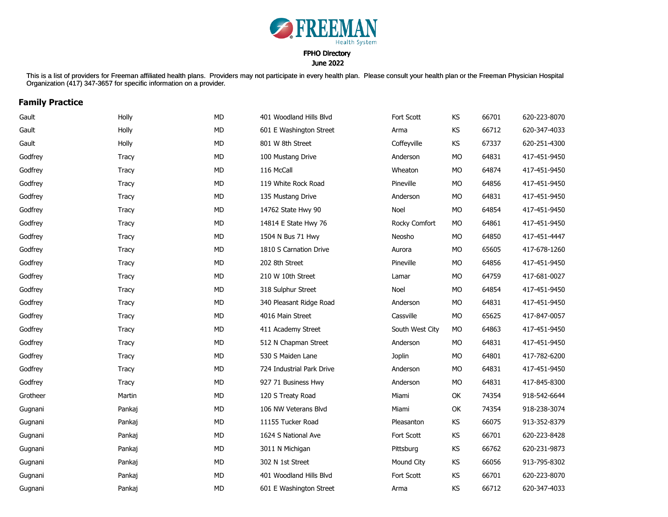

#### June 2022

This is a list of providers for Freeman affiliated health plans. Providers may not participate in every health plan. Please consult your health plan or the Freeman Physician Hospital<br>Organization (417) 347-3657 for specifi

| Gault    | Holly        | <b>MD</b> | 401 Woodland Hills Blvd   | Fort Scott      | KS        | 66701 | 620-223-8070 |
|----------|--------------|-----------|---------------------------|-----------------|-----------|-------|--------------|
|          |              |           |                           |                 |           |       |              |
| Gault    | Holly        | <b>MD</b> | 601 E Washington Street   | Arma            | KS        | 66712 | 620-347-4033 |
| Gault    | Holly        | <b>MD</b> | 801 W 8th Street          | Coffeyville     | KS        | 67337 | 620-251-4300 |
| Godfrey  | <b>Tracy</b> | <b>MD</b> | 100 Mustang Drive         | Anderson        | MO        | 64831 | 417-451-9450 |
| Godfrey  | <b>Tracy</b> | <b>MD</b> | 116 McCall                | Wheaton         | MO        | 64874 | 417-451-9450 |
| Godfrey  | <b>Tracy</b> | <b>MD</b> | 119 White Rock Road       | Pineville       | MO        | 64856 | 417-451-9450 |
| Godfrey  | Tracy        | <b>MD</b> | 135 Mustang Drive         | Anderson        | MO        | 64831 | 417-451-9450 |
| Godfrey  | Tracy        | <b>MD</b> | 14762 State Hwy 90        | Noel            | <b>MO</b> | 64854 | 417-451-9450 |
| Godfrey  | Tracy        | <b>MD</b> | 14814 E State Hwy 76      | Rocky Comfort   | <b>MO</b> | 64861 | 417-451-9450 |
| Godfrey  | <b>Tracy</b> | <b>MD</b> | 1504 N Bus 71 Hwy         | Neosho          | <b>MO</b> | 64850 | 417-451-4447 |
| Godfrey  | <b>Tracy</b> | <b>MD</b> | 1810 S Carnation Drive    | Aurora          | MO        | 65605 | 417-678-1260 |
| Godfrey  | Tracy        | <b>MD</b> | 202 8th Street            | Pineville       | MO        | 64856 | 417-451-9450 |
| Godfrey  | <b>Tracy</b> | <b>MD</b> | 210 W 10th Street         | Lamar           | MO        | 64759 | 417-681-0027 |
| Godfrey  | <b>Tracy</b> | <b>MD</b> | 318 Sulphur Street        | Noel            | MO        | 64854 | 417-451-9450 |
| Godfrey  | <b>Tracy</b> | <b>MD</b> | 340 Pleasant Ridge Road   | Anderson        | MO        | 64831 | 417-451-9450 |
| Godfrey  | <b>Tracy</b> | <b>MD</b> | 4016 Main Street          | Cassville       | MO        | 65625 | 417-847-0057 |
| Godfrey  | Tracy        | <b>MD</b> | 411 Academy Street        | South West City | <b>MO</b> | 64863 | 417-451-9450 |
| Godfrey  | <b>Tracy</b> | <b>MD</b> | 512 N Chapman Street      | Anderson        | <b>MO</b> | 64831 | 417-451-9450 |
| Godfrey  | <b>Tracy</b> | <b>MD</b> | 530 S Maiden Lane         | <b>Joplin</b>   | MO        | 64801 | 417-782-6200 |
| Godfrey  | Tracy        | <b>MD</b> | 724 Industrial Park Drive | Anderson        | MO        | 64831 | 417-451-9450 |
| Godfrey  | <b>Tracy</b> | <b>MD</b> | 927 71 Business Hwy       | Anderson        | MO        | 64831 | 417-845-8300 |
| Grotheer | Martin       | <b>MD</b> | 120 S Treaty Road         | Miami           | OK        | 74354 | 918-542-6644 |
| Gugnani  | Pankaj       | <b>MD</b> | 106 NW Veterans Blvd      | Miami           | OK        | 74354 | 918-238-3074 |
| Gugnani  | Pankaj       | <b>MD</b> | 11155 Tucker Road         | Pleasanton      | KS        | 66075 | 913-352-8379 |
| Gugnani  | Pankaj       | MD        | 1624 S National Ave       | Fort Scott      | KS        | 66701 | 620-223-8428 |
| Gugnani  | Pankaj       | <b>MD</b> | 3011 N Michigan           | Pittsburg       | KS        | 66762 | 620-231-9873 |
| Gugnani  | Pankaj       | <b>MD</b> | 302 N 1st Street          | Mound City      | KS        | 66056 | 913-795-8302 |
| Gugnani  | Pankaj       | <b>MD</b> | 401 Woodland Hills Blvd   | Fort Scott      | KS        | 66701 | 620-223-8070 |
| Gugnani  | Pankaj       | <b>MD</b> | 601 E Washington Street   | Arma            | KS        | 66712 | 620-347-4033 |
|          |              |           |                           |                 |           |       |              |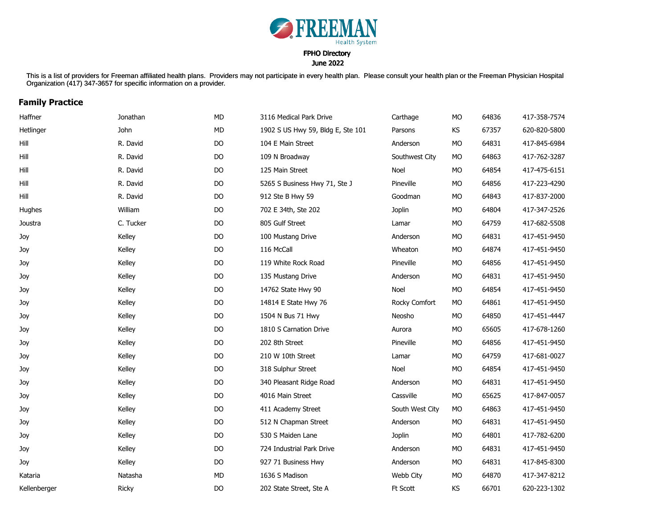

#### June 2022

This is a list of providers for Freeman affiliated health plans. Providers may not participate in every health plan. Please consult your health plan or the Freeman Physician Hospital<br>Organization (417) 347-3657 for specifi

| Haffner      | Jonathan  | <b>MD</b> | 3116 Medical Park Drive           | Carthage        | <b>MO</b> | 64836 | 417-358-7574 |
|--------------|-----------|-----------|-----------------------------------|-----------------|-----------|-------|--------------|
| Hetlinger    | John      | MD        | 1902 S US Hwy 59, Bldg E, Ste 101 | Parsons         | KS        | 67357 | 620-820-5800 |
| Hill         | R. David  | DO        | 104 E Main Street                 | Anderson        | MO        | 64831 | 417-845-6984 |
| Hill         | R. David  | DO        | 109 N Broadway                    | Southwest City  | MO        | 64863 | 417-762-3287 |
| Hill         | R. David  | DO        | 125 Main Street                   | Noel            | <b>MO</b> | 64854 | 417-475-6151 |
| Hill         | R. David  | DO        | 5265 S Business Hwy 71, Ste J     | Pineville       | <b>MO</b> | 64856 | 417-223-4290 |
| Hill         | R. David  | DO        | 912 Ste B Hwy 59                  | Goodman         | MO        | 64843 | 417-837-2000 |
| Hughes       | William   | DO        | 702 E 34th, Ste 202               | <b>Joplin</b>   | MO        | 64804 | 417-347-2526 |
| Joustra      | C. Tucker | DO        | 805 Gulf Street                   | Lamar           | MO        | 64759 | 417-682-5508 |
| Joy          | Kelley    | DO.       | 100 Mustang Drive                 | Anderson        | MO        | 64831 | 417-451-9450 |
| Joy          | Kelley    | DO        | 116 McCall                        | Wheaton         | <b>MO</b> | 64874 | 417-451-9450 |
| Joy          | Kelley    | DO        | 119 White Rock Road               | Pineville       | MO        | 64856 | 417-451-9450 |
| Joy          | Kelley    | DO        | 135 Mustang Drive                 | Anderson        | МO        | 64831 | 417-451-9450 |
| Joy          | Kelley    | DO        | 14762 State Hwy 90                | Noel            | MO        | 64854 | 417-451-9450 |
| Joy          | Kelley    | DO        | 14814 E State Hwy 76              | Rocky Comfort   | MO        | 64861 | 417-451-9450 |
| Joy          | Kelley    | DO        | 1504 N Bus 71 Hwy                 | Neosho          | <b>MO</b> | 64850 | 417-451-4447 |
| Joy          | Kelley    | DO        | 1810 S Carnation Drive            | Aurora          | <b>MO</b> | 65605 | 417-678-1260 |
| Joy          | Kelley    | DO        | 202 8th Street                    | Pineville       | <b>MO</b> | 64856 | 417-451-9450 |
| Joy          | Kelley    | DO        | 210 W 10th Street                 | Lamar           | MO        | 64759 | 417-681-0027 |
| Joy          | Kelley    | DO        | 318 Sulphur Street                | Noel            | MO        | 64854 | 417-451-9450 |
| Joy          | Kelley    | DO        | 340 Pleasant Ridge Road           | Anderson        | MO        | 64831 | 417-451-9450 |
| Joy          | Kelley    | DO        | 4016 Main Street                  | Cassville       | MO        | 65625 | 417-847-0057 |
| Joy          | Kelley    | DO        | 411 Academy Street                | South West City | <b>MO</b> | 64863 | 417-451-9450 |
| Joy          | Kelley    | DO        | 512 N Chapman Street              | Anderson        | <b>MO</b> | 64831 | 417-451-9450 |
| Joy          | Kelley    | DO        | 530 S Maiden Lane                 | <b>Joplin</b>   | MO        | 64801 | 417-782-6200 |
| Joy          | Kelley    | DO        | 724 Industrial Park Drive         | Anderson        | MO        | 64831 | 417-451-9450 |
| Joy          | Kelley    | DO.       | 927 71 Business Hwy               | Anderson        | <b>MO</b> | 64831 | 417-845-8300 |
| Kataria      | Natasha   | MD        | 1636 S Madison                    | Webb City       | MO        | 64870 | 417-347-8212 |
| Kellenberger | Ricky     | DO        | 202 State Street, Ste A           | Ft Scott        | KS        | 66701 | 620-223-1302 |
|              |           |           |                                   |                 |           |       |              |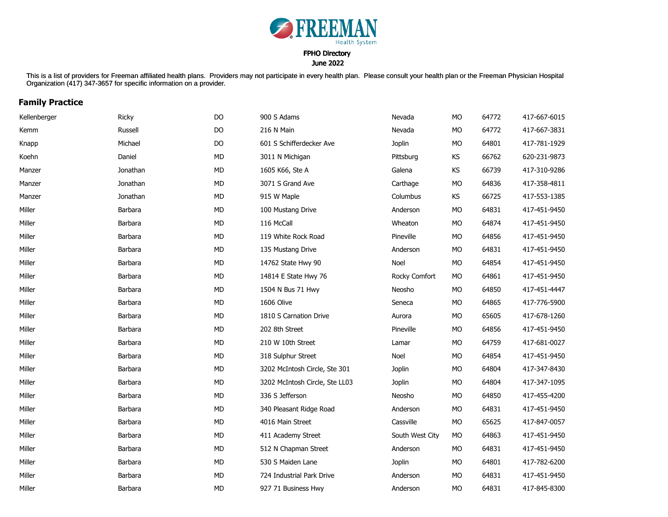

#### June 2022

This is a list of providers for Freeman affiliated health plans. Providers may not participate in every health plan. Please consult your health plan or the Freeman Physician Hospital<br>Organization (417) 347-3657 for specifi

| Kellenberger | <b>Ricky</b> | DO        | 900 S Adams                    | Nevada          | <b>MO</b> | 64772 | 417-667-6015 |
|--------------|--------------|-----------|--------------------------------|-----------------|-----------|-------|--------------|
| Kemm         | Russell      | DO        | 216 N Main                     | Nevada          | <b>MO</b> | 64772 | 417-667-3831 |
| Knapp        | Michael      | DO        | 601 S Schifferdecker Ave       | Joplin          | MO        | 64801 | 417-781-1929 |
| Koehn        | Daniel       | <b>MD</b> | 3011 N Michigan                | Pittsburg       | KS        | 66762 | 620-231-9873 |
| Manzer       | Jonathan     | <b>MD</b> | 1605 K66, Ste A                | Galena          | KS        | 66739 | 417-310-9286 |
| Manzer       | Jonathan     | <b>MD</b> | 3071 S Grand Ave               | Carthage        | MO        | 64836 | 417-358-4811 |
| Manzer       | Jonathan     | <b>MD</b> | 915 W Maple                    | Columbus        | KS        | 66725 | 417-553-1385 |
| Miller       | Barbara      | <b>MD</b> | 100 Mustang Drive              | Anderson        | MO        | 64831 | 417-451-9450 |
| Miller       | Barbara      | <b>MD</b> | 116 McCall                     | Wheaton         | MO        | 64874 | 417-451-9450 |
| Miller       | Barbara      | <b>MD</b> | 119 White Rock Road            | Pineville       | MO        | 64856 | 417-451-9450 |
| Miller       | Barbara      | <b>MD</b> | 135 Mustang Drive              | Anderson        | <b>MO</b> | 64831 | 417-451-9450 |
| Miller       | Barbara      | <b>MD</b> | 14762 State Hwy 90             | Noel            | MO        | 64854 | 417-451-9450 |
| Miller       | Barbara      | <b>MD</b> | 14814 E State Hwy 76           | Rocky Comfort   | MO        | 64861 | 417-451-9450 |
| Miller       | Barbara      | <b>MD</b> | 1504 N Bus 71 Hwy              | Neosho          | MO        | 64850 | 417-451-4447 |
| Miller       | Barbara      | <b>MD</b> | 1606 Olive                     | Seneca          | MO        | 64865 | 417-776-5900 |
| Miller       | Barbara      | <b>MD</b> | 1810 S Carnation Drive         | Aurora          | <b>MO</b> | 65605 | 417-678-1260 |
| Miller       | Barbara      | <b>MD</b> | 202 8th Street                 | Pineville       | <b>MO</b> | 64856 | 417-451-9450 |
| Miller       | Barbara      | <b>MD</b> | 210 W 10th Street              | Lamar           | <b>MO</b> | 64759 | 417-681-0027 |
| Miller       | Barbara      | <b>MD</b> | 318 Sulphur Street             | Noel            | MO        | 64854 | 417-451-9450 |
| Miller       | Barbara      | <b>MD</b> | 3202 McIntosh Circle, Ste 301  | <b>Joplin</b>   | MO        | 64804 | 417-347-8430 |
| Miller       | Barbara      | <b>MD</b> | 3202 McIntosh Circle, Ste LL03 | <b>Joplin</b>   | <b>MO</b> | 64804 | 417-347-1095 |
| Miller       | Barbara      | <b>MD</b> | 336 S Jefferson                | Neosho          | <b>MO</b> | 64850 | 417-455-4200 |
| Miller       | Barbara      | <b>MD</b> | 340 Pleasant Ridge Road        | Anderson        | MO        | 64831 | 417-451-9450 |
| Miller       | Barbara      | MD        | 4016 Main Street               | Cassville       | <b>MO</b> | 65625 | 417-847-0057 |
| Miller       | Barbara      | <b>MD</b> | 411 Academy Street             | South West City | <b>MO</b> | 64863 | 417-451-9450 |
| Miller       | Barbara      | <b>MD</b> | 512 N Chapman Street           | Anderson        | MO        | 64831 | 417-451-9450 |
| Miller       | Barbara      | <b>MD</b> | 530 S Maiden Lane              | Joplin          | <b>MO</b> | 64801 | 417-782-6200 |
| Miller       | Barbara      | MD        | 724 Industrial Park Drive      | Anderson        | MO        | 64831 | 417-451-9450 |
| Miller       | Barbara      | MD        | 927 71 Business Hwy            | Anderson        | <b>MO</b> | 64831 | 417-845-8300 |
|              |              |           |                                |                 |           |       |              |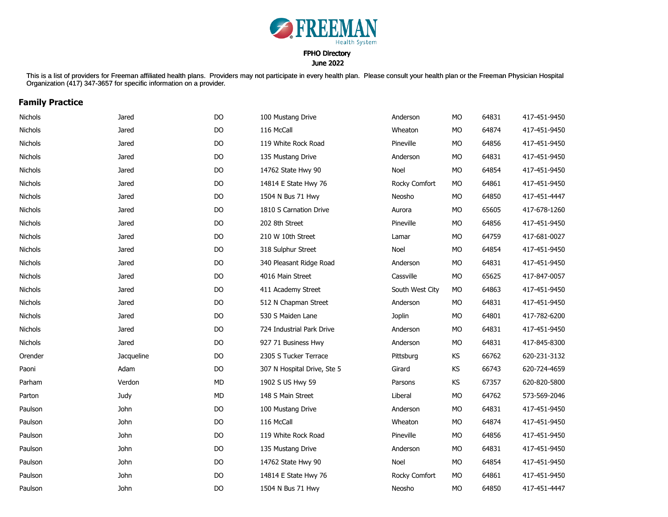

### June 2022

This is a list of providers for Freeman affiliated health plans. Providers may not participate in every health plan. Please consult your health plan or the Freeman Physician Hospital<br>Organization (417) 347-3657 for specifi

| Nichols | Jared      | DO        | 100 Mustang Drive           | Anderson        | MO        | 64831 | 417-451-9450 |
|---------|------------|-----------|-----------------------------|-----------------|-----------|-------|--------------|
| Nichols | Jared      | <b>DO</b> | 116 McCall                  | Wheaton         | MO        | 64874 | 417-451-9450 |
| Nichols | Jared      | DO        | 119 White Rock Road         | Pineville       | MO        | 64856 | 417-451-9450 |
| Nichols | Jared      | DO        | 135 Mustang Drive           | Anderson        | MO        | 64831 | 417-451-9450 |
| Nichols | Jared      | DO        | 14762 State Hwy 90          | Noel            | MO        | 64854 | 417-451-9450 |
| Nichols | Jared      | <b>DO</b> | 14814 E State Hwy 76        | Rocky Comfort   | MO        | 64861 | 417-451-9450 |
| Nichols | Jared      | <b>DO</b> | 1504 N Bus 71 Hwy           | Neosho          | <b>MO</b> | 64850 | 417-451-4447 |
| Nichols | Jared      | <b>DO</b> | 1810 S Carnation Drive      | Aurora          | MO        | 65605 | 417-678-1260 |
| Nichols | Jared      | <b>DO</b> | 202 8th Street              | Pineville       | MO        | 64856 | 417-451-9450 |
| Nichols | Jared      | DO        | 210 W 10th Street           | Lamar           | MO        | 64759 | 417-681-0027 |
| Nichols | Jared      | DO        | 318 Sulphur Street          | Noel            | MO        | 64854 | 417-451-9450 |
| Nichols | Jared      | DO        | 340 Pleasant Ridge Road     | Anderson        | MO        | 64831 | 417-451-9450 |
| Nichols | Jared      | DO        | 4016 Main Street            | Cassville       | MO        | 65625 | 417-847-0057 |
| Nichols | Jared      | DO        | 411 Academy Street          | South West City | <b>MO</b> | 64863 | 417-451-9450 |
| Nichols | Jared      | <b>DO</b> | 512 N Chapman Street        | Anderson        | MO        | 64831 | 417-451-9450 |
| Nichols | Jared      | <b>DO</b> | 530 S Maiden Lane           | <b>Joplin</b>   | MO        | 64801 | 417-782-6200 |
| Nichols | Jared      | DO        | 724 Industrial Park Drive   | Anderson        | MO        | 64831 | 417-451-9450 |
| Nichols | Jared      | DO        | 927 71 Business Hwy         | Anderson        | MO        | 64831 | 417-845-8300 |
| Orender | Jacqueline | DO        | 2305 S Tucker Terrace       | Pittsburg       | KS        | 66762 | 620-231-3132 |
| Paoni   | Adam       | DO        | 307 N Hospital Drive, Ste 5 | Girard          | KS        | 66743 | 620-724-4659 |
| Parham  | Verdon     | <b>MD</b> | 1902 S US Hwy 59            | Parsons         | KS        | 67357 | 620-820-5800 |
| Parton  | Judy       | <b>MD</b> | 148 S Main Street           | Liberal         | MO        | 64762 | 573-569-2046 |
| Paulson | John       | <b>DO</b> | 100 Mustang Drive           | Anderson        | MO        | 64831 | 417-451-9450 |
| Paulson | John       | DO        | 116 McCall                  | Wheaton         | MO        | 64874 | 417-451-9450 |
| Paulson | John       | DO        | 119 White Rock Road         | Pineville       | MO        | 64856 | 417-451-9450 |
| Paulson | John       | DO        | 135 Mustang Drive           | Anderson        | <b>MO</b> | 64831 | 417-451-9450 |
| Paulson | John       | DO        | 14762 State Hwy 90          | Noel            | <b>MO</b> | 64854 | 417-451-9450 |
| Paulson | John       | DO        | 14814 E State Hwy 76        | Rocky Comfort   | MO        | 64861 | 417-451-9450 |
| Paulson | John       | <b>DO</b> | 1504 N Bus 71 Hwy           | Neosho          | MO        | 64850 | 417-451-4447 |
|         |            |           |                             |                 |           |       |              |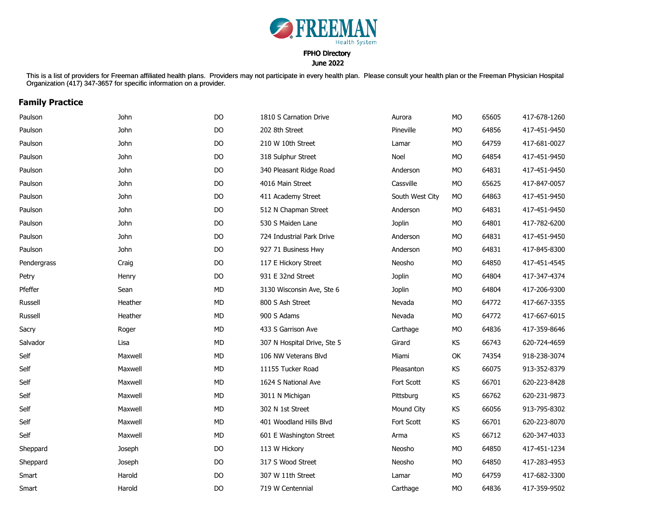

#### June 2022

This is a list of providers for Freeman affiliated health plans. Providers may not participate in every health plan. Please consult your health plan or the Freeman Physician Hospital<br>Organization (417) 347-3657 for specifi

| Paulson     | John        | DO        | 1810 S Carnation Drive      | Aurora          | MO        | 65605 | 417-678-1260 |
|-------------|-------------|-----------|-----------------------------|-----------------|-----------|-------|--------------|
| Paulson     | John        | <b>DO</b> | 202 8th Street              | Pineville       | <b>MO</b> | 64856 | 417-451-9450 |
| Paulson     | John        | DO        | 210 W 10th Street           | Lamar           | MO        | 64759 | 417-681-0027 |
| Paulson     | John        | DO        | 318 Sulphur Street          | Noel            | <b>MO</b> | 64854 | 417-451-9450 |
| Paulson     | John        | DO        | 340 Pleasant Ridge Road     | Anderson        | <b>MO</b> | 64831 | 417-451-9450 |
| Paulson     | John        | <b>DO</b> | 4016 Main Street            | Cassville       | MO        | 65625 | 417-847-0057 |
| Paulson     | John        | <b>DO</b> | 411 Academy Street          | South West City | MO        | 64863 | 417-451-9450 |
| Paulson     | John        | DO        | 512 N Chapman Street        | Anderson        | <b>MO</b> | 64831 | 417-451-9450 |
| Paulson     | John        | DO        | 530 S Maiden Lane           | Joplin          | MO        | 64801 | 417-782-6200 |
| Paulson     | <b>John</b> | <b>DO</b> | 724 Industrial Park Drive   | Anderson        | <b>MO</b> | 64831 | 417-451-9450 |
| Paulson     | John        | DO        | 927 71 Business Hwy         | Anderson        | MO        | 64831 | 417-845-8300 |
| Pendergrass | Craig       | <b>DO</b> | 117 E Hickory Street        | Neosho          | MO        | 64850 | 417-451-4545 |
| Petry       | Henry       | <b>DO</b> | 931 E 32nd Street           | <b>Joplin</b>   | MO        | 64804 | 417-347-4374 |
| Pfeffer     | Sean        | <b>MD</b> | 3130 Wisconsin Ave, Ste 6   | Joplin          | <b>MO</b> | 64804 | 417-206-9300 |
| Russell     | Heather     | <b>MD</b> | 800 S Ash Street            | Nevada          | MO        | 64772 | 417-667-3355 |
| Russell     | Heather     | <b>MD</b> | 900 S Adams                 | Nevada          | <b>MO</b> | 64772 | 417-667-6015 |
| Sacry       | Roger       | MD        | 433 S Garrison Ave          | Carthage        | MO        | 64836 | 417-359-8646 |
| Salvador    | Lisa        | MD        | 307 N Hospital Drive, Ste 5 | Girard          | KS        | 66743 | 620-724-4659 |
| Self        | Maxwell     | MD        | 106 NW Veterans Blvd        | Miami           | OK        | 74354 | 918-238-3074 |
| Self        | Maxwell     | MD        | 11155 Tucker Road           | Pleasanton      | KS        | 66075 | 913-352-8379 |
| Self        | Maxwell     | MD        | 1624 S National Ave         | Fort Scott      | KS        | 66701 | 620-223-8428 |
| Self        | Maxwell     | MD        | 3011 N Michigan             | Pittsburg       | KS        | 66762 | 620-231-9873 |
| Self        | Maxwell     | <b>MD</b> | 302 N 1st Street            | Mound City      | KS        | 66056 | 913-795-8302 |
| Self        | Maxwell     | MD        | 401 Woodland Hills Blvd     | Fort Scott      | KS        | 66701 | 620-223-8070 |
| Self        | Maxwell     | <b>MD</b> | 601 E Washington Street     | Arma            | KS        | 66712 | 620-347-4033 |
| Sheppard    | Joseph      | DO        | 113 W Hickory               | Neosho          | <b>MO</b> | 64850 | 417-451-1234 |
| Sheppard    | Joseph      | DO        | 317 S Wood Street           | Neosho          | <b>MO</b> | 64850 | 417-283-4953 |
| Smart       | Harold      | <b>DO</b> | 307 W 11th Street           | Lamar           | MO        | 64759 | 417-682-3300 |
| Smart       | Harold      | DO        | 719 W Centennial            | Carthage        | MO        | 64836 | 417-359-9502 |
|             |             |           |                             |                 |           |       |              |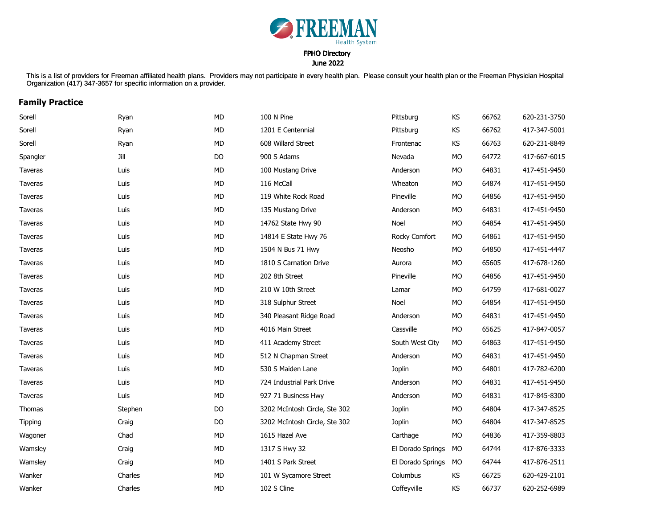

### June 2022

This is a list of providers for Freeman affiliated health plans. Providers may not participate in every health plan. Please consult your health plan or the Freeman Physician Hospital<br>Organization (417) 347-3657 for specifi

| Sorell         | Ryan    | <b>MD</b> | 100 N Pine                    | Pittsburg         | KS        | 66762 | 620-231-3750 |
|----------------|---------|-----------|-------------------------------|-------------------|-----------|-------|--------------|
| Sorell         | Ryan    | <b>MD</b> | 1201 E Centennial             | Pittsburg         | KS        | 66762 | 417-347-5001 |
| Sorell         | Ryan    | <b>MD</b> | 608 Willard Street            | Frontenac         | KS        | 66763 | 620-231-8849 |
| Spangler       | Jill    | DO        | 900 S Adams                   | Nevada            | MO        | 64772 | 417-667-6015 |
| Taveras        | Luis    | <b>MD</b> | 100 Mustang Drive             | Anderson          | MO        | 64831 | 417-451-9450 |
| Taveras        | Luis    | <b>MD</b> | 116 McCall                    | Wheaton           | <b>MO</b> | 64874 | 417-451-9450 |
| Taveras        | Luis    | MD        | 119 White Rock Road           | Pineville         | <b>MO</b> | 64856 | 417-451-9450 |
| Taveras        | Luis    | <b>MD</b> | 135 Mustang Drive             | Anderson          | MO        | 64831 | 417-451-9450 |
| Taveras        | Luis    | <b>MD</b> | 14762 State Hwy 90            | Noel              | <b>MO</b> | 64854 | 417-451-9450 |
| Taveras        | Luis    | <b>MD</b> | 14814 E State Hwy 76          | Rocky Comfort     | MO        | 64861 | 417-451-9450 |
| Taveras        | Luis    | <b>MD</b> | 1504 N Bus 71 Hwy             | Neosho            | MO        | 64850 | 417-451-4447 |
| Taveras        | Luis    | <b>MD</b> | 1810 S Carnation Drive        | Aurora            | MO        | 65605 | 417-678-1260 |
| Taveras        | Luis    | <b>MD</b> | 202 8th Street                | Pineville         | <b>MO</b> | 64856 | 417-451-9450 |
| Taveras        | Luis    | <b>MD</b> | 210 W 10th Street             | Lamar             | <b>MO</b> | 64759 | 417-681-0027 |
| Taveras        | Luis    | <b>MD</b> | 318 Sulphur Street            | Noel              | MO        | 64854 | 417-451-9450 |
| Taveras        | Luis    | <b>MD</b> | 340 Pleasant Ridge Road       | Anderson          | MO        | 64831 | 417-451-9450 |
| Taveras        | Luis    | <b>MD</b> | 4016 Main Street              | Cassville         | MO        | 65625 | 417-847-0057 |
| Taveras        | Luis    | <b>MD</b> | 411 Academy Street            | South West City   | MO        | 64863 | 417-451-9450 |
| Taveras        | Luis    | <b>MD</b> | 512 N Chapman Street          | Anderson          | MO        | 64831 | 417-451-9450 |
| Taveras        | Luis    | <b>MD</b> | 530 S Maiden Lane             | <b>Joplin</b>     | <b>MO</b> | 64801 | 417-782-6200 |
| <b>Taveras</b> | Luis    | MD        | 724 Industrial Park Drive     | Anderson          | <b>MO</b> | 64831 | 417-451-9450 |
| Taveras        | Luis    | <b>MD</b> | 927 71 Business Hwy           | Anderson          | MO        | 64831 | 417-845-8300 |
| Thomas         | Stephen | <b>DO</b> | 3202 McIntosh Circle, Ste 302 | <b>Joplin</b>     | <b>MO</b> | 64804 | 417-347-8525 |
| Tipping        | Craig   | DO        | 3202 McIntosh Circle, Ste 302 | <b>Joplin</b>     | MO        | 64804 | 417-347-8525 |
| Wagoner        | Chad    | <b>MD</b> | 1615 Hazel Ave                | Carthage          | MO        | 64836 | 417-359-8803 |
| Wamsley        | Craig   | <b>MD</b> | 1317 S Hwy 32                 | El Dorado Springs | МO        | 64744 | 417-876-3333 |
| Wamsley        | Craig   | <b>MD</b> | 1401 S Park Street            | El Dorado Springs | MO        | 64744 | 417-876-2511 |
| Wanker         | Charles | MD        | 101 W Sycamore Street         | Columbus          | KS        | 66725 | 620-429-2101 |
| Wanker         | Charles | <b>MD</b> | 102 S Cline                   | Coffeyville       | KS        | 66737 | 620-252-6989 |
|                |         |           |                               |                   |           |       |              |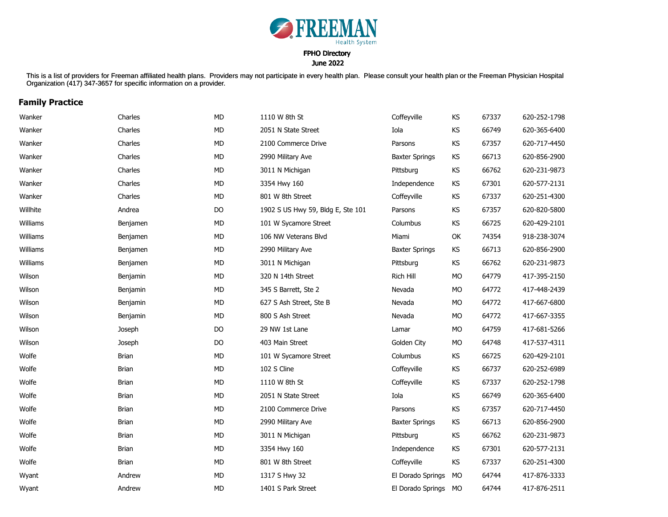

#### June 2022

This is a list of providers for Freeman affiliated health plans. Providers may not participate in every health plan. Please consult your health plan or the Freeman Physician Hospital<br>Organization (417) 347-3657 for specifi

| Wanker   | Charles      | MD        | 1110 W 8th St                     | Coffeyville           | KS        | 67337 | 620-252-1798 |
|----------|--------------|-----------|-----------------------------------|-----------------------|-----------|-------|--------------|
| Wanker   | Charles      | MD        | 2051 N State Street               | Iola                  | KS        | 66749 | 620-365-6400 |
| Wanker   | Charles      | MD        | 2100 Commerce Drive               | Parsons               | KS        | 67357 | 620-717-4450 |
| Wanker   | Charles      | MD        | 2990 Military Ave                 | <b>Baxter Springs</b> | KS        | 66713 | 620-856-2900 |
| Wanker   | Charles      | MD        | 3011 N Michigan                   | Pittsburg             | KS        | 66762 | 620-231-9873 |
| Wanker   | Charles      | <b>MD</b> | 3354 Hwy 160                      | Independence          | KS        | 67301 | 620-577-2131 |
| Wanker   | Charles      | MD        | 801 W 8th Street                  | Coffeyville           | KS        | 67337 | 620-251-4300 |
| Willhite | Andrea       | DO        | 1902 S US Hwy 59, Bldg E, Ste 101 | Parsons               | KS        | 67357 | 620-820-5800 |
| Williams | Benjamen     | <b>MD</b> | 101 W Sycamore Street             | Columbus              | KS        | 66725 | 620-429-2101 |
| Williams | Benjamen     | MD        | 106 NW Veterans Blvd              | Miami                 | OK        | 74354 | 918-238-3074 |
| Williams | Benjamen     | <b>MD</b> | 2990 Military Ave                 | <b>Baxter Springs</b> | KS        | 66713 | 620-856-2900 |
| Williams | Benjamen     | MD        | 3011 N Michigan                   | Pittsburg             | KS        | 66762 | 620-231-9873 |
| Wilson   | Benjamin     | <b>MD</b> | 320 N 14th Street                 | Rich Hill             | <b>MO</b> | 64779 | 417-395-2150 |
| Wilson   | Benjamin     | MD        | 345 S Barrett, Ste 2              | Nevada                | <b>MO</b> | 64772 | 417-448-2439 |
| Wilson   | Benjamin     | MD        | 627 S Ash Street, Ste B           | Nevada                | MO        | 64772 | 417-667-6800 |
| Wilson   | Benjamin     | <b>MD</b> | 800 S Ash Street                  | Nevada                | <b>MO</b> | 64772 | 417-667-3355 |
| Wilson   | Joseph       | DO        | 29 NW 1st Lane                    | Lamar                 | <b>MO</b> | 64759 | 417-681-5266 |
| Wilson   | Joseph       | DO        | 403 Main Street                   | Golden City           | <b>MO</b> | 64748 | 417-537-4311 |
| Wolfe    | Brian        | MD        | 101 W Sycamore Street             | Columbus              | KS        | 66725 | 620-429-2101 |
| Wolfe    | <b>Brian</b> | MD        | 102 S Cline                       | Coffeyville           | KS        | 66737 | 620-252-6989 |
| Wolfe    | <b>Brian</b> | MD        | 1110 W 8th St                     | Coffeyville           | KS        | 67337 | 620-252-1798 |
| Wolfe    | <b>Brian</b> | MD        | 2051 N State Street               | Iola                  | KS        | 66749 | 620-365-6400 |
| Wolfe    | Brian        | <b>MD</b> | 2100 Commerce Drive               | Parsons               | KS        | 67357 | 620-717-4450 |
| Wolfe    | <b>Brian</b> | MD        | 2990 Military Ave                 | <b>Baxter Springs</b> | KS        | 66713 | 620-856-2900 |
| Wolfe    | Brian        | <b>MD</b> | 3011 N Michigan                   | Pittsburg             | KS        | 66762 | 620-231-9873 |
| Wolfe    | <b>Brian</b> | MD        | 3354 Hwy 160                      | Independence          | KS        | 67301 | 620-577-2131 |
| Wolfe    | <b>Brian</b> | MD        | 801 W 8th Street                  | Coffeyville           | KS        | 67337 | 620-251-4300 |
| Wyant    | Andrew       | MD        | 1317 S Hwy 32                     | El Dorado Springs     | MO        | 64744 | 417-876-3333 |
| Wyant    | Andrew       | MD        | 1401 S Park Street                | El Dorado Springs MO  |           | 64744 | 417-876-2511 |
|          |              |           |                                   |                       |           |       |              |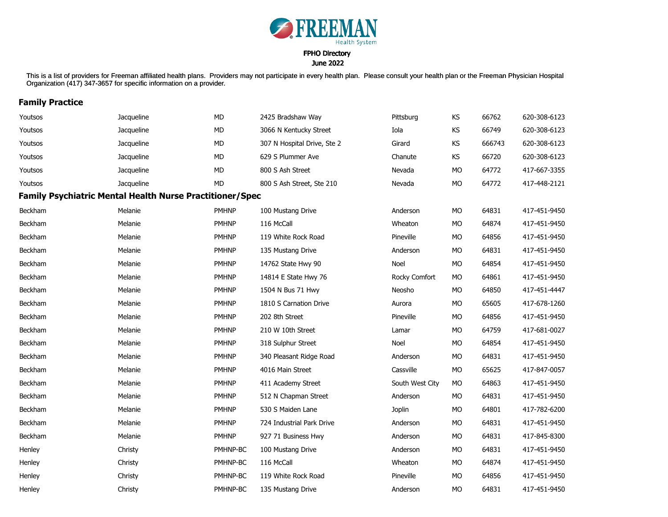

#### June 2022

This is a list of providers for Freeman affiliated health plans. Providers may not participate in every health plan. Please consult your health plan or the Freeman Physician Hospital<br>Organization (417) 347-3657 for specifi

| Youtsos | Jacqueline                                                      | <b>MD</b>    | 2425 Bradshaw Way           | Pittsburg       | KS        | 66762  | 620-308-6123 |
|---------|-----------------------------------------------------------------|--------------|-----------------------------|-----------------|-----------|--------|--------------|
| Youtsos | Jacqueline                                                      | <b>MD</b>    | 3066 N Kentucky Street      | Iola            | KS        | 66749  | 620-308-6123 |
| Youtsos | Jacqueline                                                      | <b>MD</b>    | 307 N Hospital Drive, Ste 2 | Girard          | KS        | 666743 | 620-308-6123 |
| Youtsos | Jacqueline                                                      | <b>MD</b>    | 629 S Plummer Ave           | Chanute         | KS        | 66720  | 620-308-6123 |
| Youtsos | Jacqueline                                                      | <b>MD</b>    | 800 S Ash Street            | Nevada          | MO        | 64772  | 417-667-3355 |
| Youtsos | Jacqueline                                                      | <b>MD</b>    | 800 S Ash Street, Ste 210   | Nevada          | <b>MO</b> | 64772  | 417-448-2121 |
|         | <b>Family Psychiatric Mental Health Nurse Practitioner/Spec</b> |              |                             |                 |           |        |              |
| Beckham | Melanie                                                         | <b>PMHNP</b> | 100 Mustang Drive           | Anderson        | MO        | 64831  | 417-451-9450 |
| Beckham | Melanie                                                         | <b>PMHNP</b> | 116 McCall                  | Wheaton         | <b>MO</b> | 64874  | 417-451-9450 |
| Beckham | Melanie                                                         | <b>PMHNP</b> | 119 White Rock Road         | Pineville       | MO        | 64856  | 417-451-9450 |
| Beckham | Melanie                                                         | <b>PMHNP</b> | 135 Mustang Drive           | Anderson        | MO        | 64831  | 417-451-9450 |
| Beckham | Melanie                                                         | <b>PMHNP</b> | 14762 State Hwy 90          | Noel            | MO        | 64854  | 417-451-9450 |
| Beckham | Melanie                                                         | <b>PMHNP</b> | 14814 E State Hwy 76        | Rocky Comfort   | <b>MO</b> | 64861  | 417-451-9450 |
| Beckham | Melanie                                                         | <b>PMHNP</b> | 1504 N Bus 71 Hwy           | Neosho          | <b>MO</b> | 64850  | 417-451-4447 |
| Beckham | Melanie                                                         | <b>PMHNP</b> | 1810 S Carnation Drive      | Aurora          | <b>MO</b> | 65605  | 417-678-1260 |
| Beckham | Melanie                                                         | <b>PMHNP</b> | 202 8th Street              | Pineville       | <b>MO</b> | 64856  | 417-451-9450 |
| Beckham | Melanie                                                         | <b>PMHNP</b> | 210 W 10th Street           | Lamar           | <b>MO</b> | 64759  | 417-681-0027 |
| Beckham | Melanie                                                         | <b>PMHNP</b> | 318 Sulphur Street          | Noel            | <b>MO</b> | 64854  | 417-451-9450 |
| Beckham | Melanie                                                         | <b>PMHNP</b> | 340 Pleasant Ridge Road     | Anderson        | MO        | 64831  | 417-451-9450 |
| Beckham | Melanie                                                         | <b>PMHNP</b> | 4016 Main Street            | Cassville       | <b>MO</b> | 65625  | 417-847-0057 |
| Beckham | Melanie                                                         | <b>PMHNP</b> | 411 Academy Street          | South West City | <b>MO</b> | 64863  | 417-451-9450 |
| Beckham | Melanie                                                         | <b>PMHNP</b> | 512 N Chapman Street        | Anderson        | <b>MO</b> | 64831  | 417-451-9450 |
| Beckham | Melanie                                                         | <b>PMHNP</b> | 530 S Maiden Lane           | <b>Joplin</b>   | <b>MO</b> | 64801  | 417-782-6200 |
| Beckham | Melanie                                                         | <b>PMHNP</b> | 724 Industrial Park Drive   | Anderson        | <b>MO</b> | 64831  | 417-451-9450 |
| Beckham | Melanie                                                         | <b>PMHNP</b> | 927 71 Business Hwy         | Anderson        | MO        | 64831  | 417-845-8300 |
| Henley  | Christy                                                         | PMHNP-BC     | 100 Mustang Drive           | Anderson        | MO        | 64831  | 417-451-9450 |
| Henley  | Christy                                                         | PMHNP-BC     | 116 McCall                  | Wheaton         | МO        | 64874  | 417-451-9450 |
| Henley  | Christy                                                         | PMHNP-BC     | 119 White Rock Road         | Pineville       | MO        | 64856  | 417-451-9450 |
| Henley  | Christy                                                         | PMHNP-BC     | 135 Mustang Drive           | Anderson        | <b>MO</b> | 64831  | 417-451-9450 |
|         |                                                                 |              |                             |                 |           |        |              |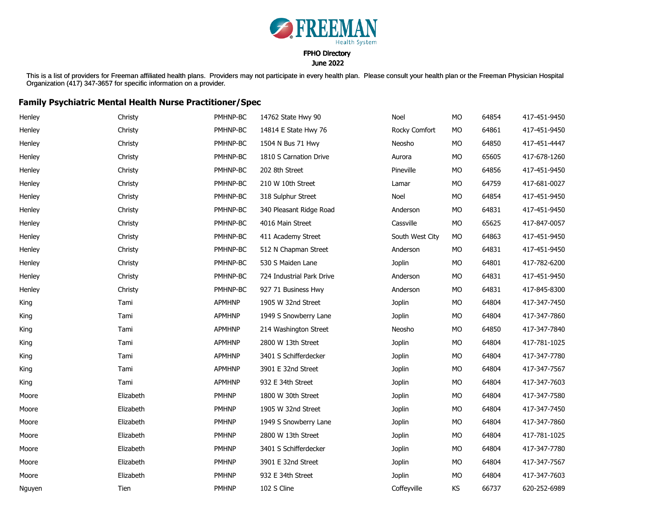

### June 2022

This is a list of providers for Freeman affiliated health plans. Providers may not participate in every health plan. Please consult your health plan or the Freeman Physician Hospital<br>Organization (417) 347-3657 for specifi

# Family Psychiatric Mental Health Nurse Practitioner/Spec

| Henley | Christy   | PMHNP-BC      | 14762 State Hwy 90        | Noel            | MO        | 64854 | 417-451-9450 |
|--------|-----------|---------------|---------------------------|-----------------|-----------|-------|--------------|
| Henley | Christy   | PMHNP-BC      | 14814 E State Hwy 76      | Rocky Comfort   | <b>MO</b> | 64861 | 417-451-9450 |
| Henley | Christy   | PMHNP-BC      | 1504 N Bus 71 Hwy         | Neosho          | <b>MO</b> | 64850 | 417-451-4447 |
| Henley | Christy   | PMHNP-BC      | 1810 S Carnation Drive    | Aurora          | <b>MO</b> | 65605 | 417-678-1260 |
| Henley | Christy   | PMHNP-BC      | 202 8th Street            | Pineville       | MO        | 64856 | 417-451-9450 |
| Henley | Christy   | PMHNP-BC      | 210 W 10th Street         | Lamar           | <b>MO</b> | 64759 | 417-681-0027 |
| Henley | Christy   | PMHNP-BC      | 318 Sulphur Street        | Noel            | <b>MO</b> | 64854 | 417-451-9450 |
| Henley | Christy   | PMHNP-BC      | 340 Pleasant Ridge Road   | Anderson        | MO        | 64831 | 417-451-9450 |
| Henley | Christy   | PMHNP-BC      | 4016 Main Street          | Cassville       | <b>MO</b> | 65625 | 417-847-0057 |
| Henley | Christy   | PMHNP-BC      | 411 Academy Street        | South West City | <b>MO</b> | 64863 | 417-451-9450 |
| Henley | Christy   | PMHNP-BC      | 512 N Chapman Street      | Anderson        | <b>MO</b> | 64831 | 417-451-9450 |
| Henley | Christy   | PMHNP-BC      | 530 S Maiden Lane         | <b>Joplin</b>   | MO        | 64801 | 417-782-6200 |
| Henley | Christy   | PMHNP-BC      | 724 Industrial Park Drive | Anderson        | <b>MO</b> | 64831 | 417-451-9450 |
| Henley | Christy   | PMHNP-BC      | 927 71 Business Hwy       | Anderson        | <b>MO</b> | 64831 | 417-845-8300 |
| King   | Tami      | <b>APMHNP</b> | 1905 W 32nd Street        | <b>Joplin</b>   | MO        | 64804 | 417-347-7450 |
| King   | Tami      | <b>APMHNP</b> | 1949 S Snowberry Lane     | Joplin          | <b>MO</b> | 64804 | 417-347-7860 |
| King   | Tami      | <b>APMHNP</b> | 214 Washington Street     | Neosho          | <b>MO</b> | 64850 | 417-347-7840 |
| King   | Tami      | <b>APMHNP</b> | 2800 W 13th Street        | <b>Joplin</b>   | <b>MO</b> | 64804 | 417-781-1025 |
| King   | Tami      | <b>APMHNP</b> | 3401 S Schifferdecker     | Joplin          | MO        | 64804 | 417-347-7780 |
| King   | Tami      | <b>APMHNP</b> | 3901 E 32nd Street        | Joplin          | <b>MO</b> | 64804 | 417-347-7567 |
| King   | Tami      | <b>APMHNP</b> | 932 E 34th Street         | <b>Joplin</b>   | <b>MO</b> | 64804 | 417-347-7603 |
| Moore  | Elizabeth | <b>PMHNP</b>  | 1800 W 30th Street        | Joplin          | MO        | 64804 | 417-347-7580 |
| Moore  | Elizabeth | <b>PMHNP</b>  | 1905 W 32nd Street        | Joplin          | <b>MO</b> | 64804 | 417-347-7450 |
| Moore  | Elizabeth | <b>PMHNP</b>  | 1949 S Snowberry Lane     | Joplin          | <b>MO</b> | 64804 | 417-347-7860 |
| Moore  | Elizabeth | <b>PMHNP</b>  | 2800 W 13th Street        | <b>Joplin</b>   | <b>MO</b> | 64804 | 417-781-1025 |
| Moore  | Elizabeth | <b>PMHNP</b>  | 3401 S Schifferdecker     | <b>Joplin</b>   | MO        | 64804 | 417-347-7780 |
| Moore  | Elizabeth | <b>PMHNP</b>  | 3901 E 32nd Street        | Joplin          | <b>MO</b> | 64804 | 417-347-7567 |
| Moore  | Elizabeth | <b>PMHNP</b>  | 932 E 34th Street         | <b>Joplin</b>   | MO        | 64804 | 417-347-7603 |
| Nguyen | Tien      | <b>PMHNP</b>  | 102 S Cline               | Coffeyville     | KS        | 66737 | 620-252-6989 |
|        |           |               |                           |                 |           |       |              |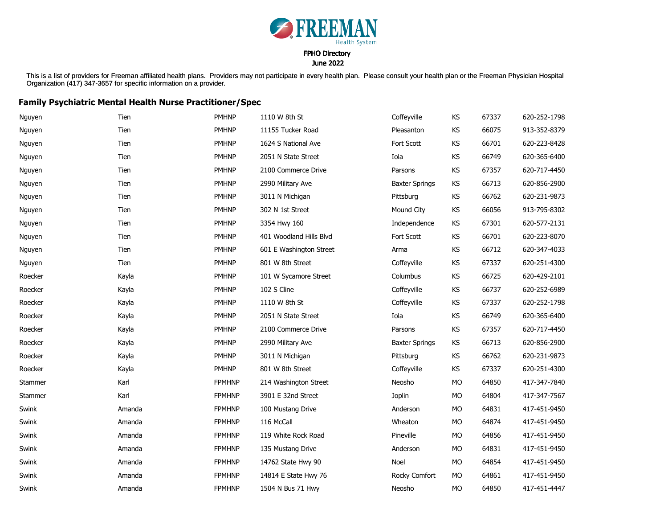

### June 2022

This is a list of providers for Freeman affiliated health plans. Providers may not participate in every health plan. Please consult your health plan or the Freeman Physician Hospital<br>Organization (417) 347-3657 for specifi

# Family Psychiatric Mental Health Nurse Practitioner/Spec

| Nguyen  | Tien   | <b>PMHNP</b>  | 1110 W 8th St           | Coffeyville           | KS        | 67337 | 620-252-1798 |
|---------|--------|---------------|-------------------------|-----------------------|-----------|-------|--------------|
| Nguyen  | Tien   | <b>PMHNP</b>  | 11155 Tucker Road       | Pleasanton            | KS        | 66075 | 913-352-8379 |
| Nguyen  | Tien   | <b>PMHNP</b>  | 1624 S National Ave     | Fort Scott            | KS        | 66701 | 620-223-8428 |
| Nguyen  | Tien   | <b>PMHNP</b>  | 2051 N State Street     | Iola                  | KS        | 66749 | 620-365-6400 |
| Nguyen  | Tien   | <b>PMHNP</b>  | 2100 Commerce Drive     | Parsons               | KS        | 67357 | 620-717-4450 |
| Nguyen  | Tien   | <b>PMHNP</b>  | 2990 Military Ave       | <b>Baxter Springs</b> | KS        | 66713 | 620-856-2900 |
| Nguyen  | Tien   | <b>PMHNP</b>  | 3011 N Michigan         | Pittsburg             | KS        | 66762 | 620-231-9873 |
| Nguyen  | Tien   | <b>PMHNP</b>  | 302 N 1st Street        | Mound City            | KS        | 66056 | 913-795-8302 |
| Nguyen  | Tien   | <b>PMHNP</b>  | 3354 Hwy 160            | Independence          | KS        | 67301 | 620-577-2131 |
| Nguyen  | Tien   | <b>PMHNP</b>  | 401 Woodland Hills Blvd | Fort Scott            | KS        | 66701 | 620-223-8070 |
| Nguyen  | Tien   | <b>PMHNP</b>  | 601 E Washington Street | Arma                  | KS        | 66712 | 620-347-4033 |
| Nguyen  | Tien   | <b>PMHNP</b>  | 801 W 8th Street        | Coffeyville           | KS        | 67337 | 620-251-4300 |
| Roecker | Kayla  | <b>PMHNP</b>  | 101 W Sycamore Street   | Columbus              | KS        | 66725 | 620-429-2101 |
| Roecker | Kayla  | <b>PMHNP</b>  | 102 S Cline             | Coffeyville           | KS        | 66737 | 620-252-6989 |
| Roecker | Kayla  | <b>PMHNP</b>  | 1110 W 8th St           | Coffeyville           | KS        | 67337 | 620-252-1798 |
| Roecker | Kayla  | <b>PMHNP</b>  | 2051 N State Street     | Iola                  | KS        | 66749 | 620-365-6400 |
| Roecker | Kayla  | <b>PMHNP</b>  | 2100 Commerce Drive     | Parsons               | KS        | 67357 | 620-717-4450 |
| Roecker | Kayla  | <b>PMHNP</b>  | 2990 Military Ave       | <b>Baxter Springs</b> | KS        | 66713 | 620-856-2900 |
| Roecker | Kayla  | <b>PMHNP</b>  | 3011 N Michigan         | Pittsburg             | KS        | 66762 | 620-231-9873 |
| Roecker | Kayla  | <b>PMHNP</b>  | 801 W 8th Street        | Coffeyville           | KS        | 67337 | 620-251-4300 |
| Stammer | Karl   | <b>FPMHNP</b> | 214 Washington Street   | Neosho                | MO        | 64850 | 417-347-7840 |
| Stammer | Karl   | <b>FPMHNP</b> | 3901 E 32nd Street      | <b>Joplin</b>         | MO        | 64804 | 417-347-7567 |
| Swink   | Amanda | <b>FPMHNP</b> | 100 Mustang Drive       | Anderson              | MO        | 64831 | 417-451-9450 |
| Swink   | Amanda | <b>FPMHNP</b> | 116 McCall              | Wheaton               | MO        | 64874 | 417-451-9450 |
| Swink   | Amanda | <b>FPMHNP</b> | 119 White Rock Road     | Pineville             | <b>MO</b> | 64856 | 417-451-9450 |
| Swink   | Amanda | <b>FPMHNP</b> | 135 Mustang Drive       | Anderson              | MO        | 64831 | 417-451-9450 |
| Swink   | Amanda | <b>FPMHNP</b> | 14762 State Hwy 90      | Noel                  | MO        | 64854 | 417-451-9450 |
| Swink   | Amanda | <b>FPMHNP</b> | 14814 E State Hwy 76    | Rocky Comfort         | MO        | 64861 | 417-451-9450 |
| Swink   | Amanda | <b>FPMHNP</b> | 1504 N Bus 71 Hwy       | Neosho                | <b>MO</b> | 64850 | 417-451-4447 |
|         |        |               |                         |                       |           |       |              |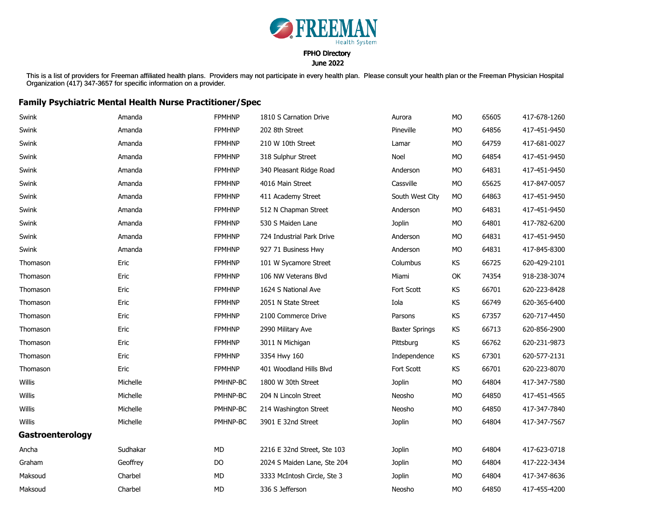

### June 2022

This is a list of providers for Freeman affiliated health plans. Providers may not participate in every health plan. Please consult your health plan or the Freeman Physician Hospital<br>Organization (417) 347-3657 for specifi

# Family Psychiatric Mental Health Nurse Practitioner/Spec

| Swink            | Amanda   | <b>FPMHNP</b> | 1810 S Carnation Drive      | Aurora                | MO        | 65605 | 417-678-1260 |
|------------------|----------|---------------|-----------------------------|-----------------------|-----------|-------|--------------|
| Swink            | Amanda   | <b>FPMHNP</b> | 202 8th Street              | Pineville             | <b>MO</b> | 64856 | 417-451-9450 |
| Swink            | Amanda   | <b>FPMHNP</b> | 210 W 10th Street           | Lamar                 | <b>MO</b> | 64759 | 417-681-0027 |
| Swink            | Amanda   | <b>FPMHNP</b> | 318 Sulphur Street          | Noel                  | <b>MO</b> | 64854 | 417-451-9450 |
| Swink            | Amanda   | <b>FPMHNP</b> | 340 Pleasant Ridge Road     | Anderson              | <b>MO</b> | 64831 | 417-451-9450 |
| Swink            | Amanda   | <b>FPMHNP</b> | 4016 Main Street            | Cassville             | <b>MO</b> | 65625 | 417-847-0057 |
| Swink            | Amanda   | <b>FPMHNP</b> | 411 Academy Street          | South West City       | <b>MO</b> | 64863 | 417-451-9450 |
| Swink            | Amanda   | <b>FPMHNP</b> | 512 N Chapman Street        | Anderson              | MO        | 64831 | 417-451-9450 |
| Swink            | Amanda   | <b>FPMHNP</b> | 530 S Maiden Lane           | <b>Joplin</b>         | <b>MO</b> | 64801 | 417-782-6200 |
| Swink            | Amanda   | <b>FPMHNP</b> | 724 Industrial Park Drive   | Anderson              | <b>MO</b> | 64831 | 417-451-9450 |
| Swink            | Amanda   | <b>FPMHNP</b> | 927 71 Business Hwy         | Anderson              | <b>MO</b> | 64831 | 417-845-8300 |
| Thomason         | Eric     | <b>FPMHNP</b> | 101 W Sycamore Street       | Columbus              | КS        | 66725 | 620-429-2101 |
| Thomason         | Eric     | <b>FPMHNP</b> | 106 NW Veterans Blvd        | Miami                 | OK        | 74354 | 918-238-3074 |
| Thomason         | Eric     | <b>FPMHNP</b> | 1624 S National Ave         | Fort Scott            | KS        | 66701 | 620-223-8428 |
| Thomason         | Eric     | <b>FPMHNP</b> | 2051 N State Street         | Iola                  | KS        | 66749 | 620-365-6400 |
| Thomason         | Eric     | <b>FPMHNP</b> | 2100 Commerce Drive         | Parsons               | KS        | 67357 | 620-717-4450 |
| Thomason         | Eric     | <b>FPMHNP</b> | 2990 Military Ave           | <b>Baxter Springs</b> | KS        | 66713 | 620-856-2900 |
| Thomason         | Eric     | <b>FPMHNP</b> | 3011 N Michigan             | Pittsburg             | KS        | 66762 | 620-231-9873 |
| Thomason         | Eric     | <b>FPMHNP</b> | 3354 Hwy 160                | Independence          | KS        | 67301 | 620-577-2131 |
| Thomason         | Eric     | <b>FPMHNP</b> | 401 Woodland Hills Blvd     | Fort Scott            | KS        | 66701 | 620-223-8070 |
| Willis           | Michelle | PMHNP-BC      | 1800 W 30th Street          | <b>Joplin</b>         | <b>MO</b> | 64804 | 417-347-7580 |
| Willis           | Michelle | PMHNP-BC      | 204 N Lincoln Street        | Neosho                | MO        | 64850 | 417-451-4565 |
| Willis           | Michelle | PMHNP-BC      | 214 Washington Street       | Neosho                | <b>MO</b> | 64850 | 417-347-7840 |
| Willis           | Michelle | PMHNP-BC      | 3901 E 32nd Street          | <b>Joplin</b>         | MO        | 64804 | 417-347-7567 |
| Gastroenterology |          |               |                             |                       |           |       |              |
| Ancha            | Sudhakar | <b>MD</b>     | 2216 E 32nd Street, Ste 103 | <b>Joplin</b>         | MO        | 64804 | 417-623-0718 |
| Graham           | Geoffrey | DO            | 2024 S Maiden Lane, Ste 204 | Joplin                | <b>MO</b> | 64804 | 417-222-3434 |
| Maksoud          | Charbel  | <b>MD</b>     | 3333 McIntosh Circle, Ste 3 | <b>Joplin</b>         | <b>MO</b> | 64804 | 417-347-8636 |
| Maksoud          | Charbel  | <b>MD</b>     | 336 S Jefferson             | Neosho                | <b>MO</b> | 64850 | 417-455-4200 |
|                  |          |               |                             |                       |           |       |              |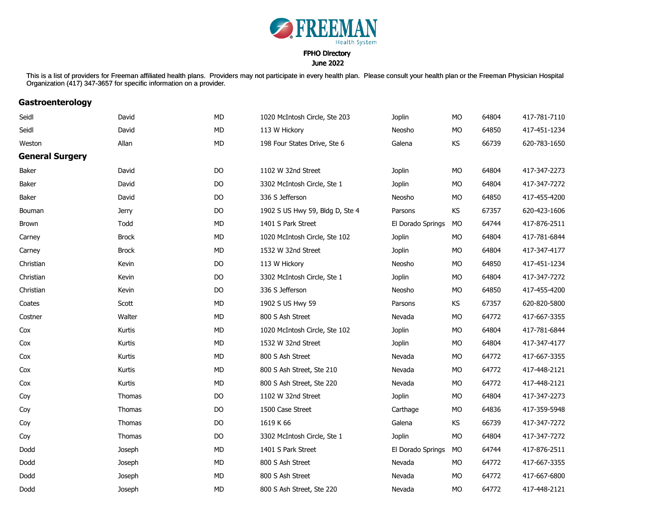

#### June 2022

This is a list of providers for Freeman affiliated health plans. Providers may not participate in every health plan. Please consult your health plan or the Freeman Physician Hospital<br>Organization (417) 347-3657 for specifi

### Gastroenterology

| Seidl                  | David        | <b>MD</b> | 1020 McIntosh Circle, Ste 203   | <b>Joplin</b>     | <b>MO</b> | 64804 | 417-781-7110 |
|------------------------|--------------|-----------|---------------------------------|-------------------|-----------|-------|--------------|
| Seidl                  | David        | <b>MD</b> | 113 W Hickory                   | Neosho            | <b>MO</b> | 64850 | 417-451-1234 |
| Weston                 | Allan        | <b>MD</b> | 198 Four States Drive, Ste 6    | Galena            | KS        | 66739 | 620-783-1650 |
| <b>General Surgery</b> |              |           |                                 |                   |           |       |              |
| Baker                  | David        | DO        | 1102 W 32nd Street              | Joplin            | <b>MO</b> | 64804 | 417-347-2273 |
| Baker                  | David        | DO        | 3302 McIntosh Circle, Ste 1     | <b>Joplin</b>     | MO        | 64804 | 417-347-7272 |
| Baker                  | David        | <b>DO</b> | 336 S Jefferson                 | Neosho            | <b>MO</b> | 64850 | 417-455-4200 |
| Bouman                 | <b>Jerry</b> | <b>DO</b> | 1902 S US Hwy 59, Bldg D, Ste 4 | Parsons           | KS        | 67357 | 620-423-1606 |
| Brown                  | Todd         | <b>MD</b> | 1401 S Park Street              | El Dorado Springs | MO        | 64744 | 417-876-2511 |
| Carney                 | <b>Brock</b> | <b>MD</b> | 1020 McIntosh Circle, Ste 102   | <b>Joplin</b>     | <b>MO</b> | 64804 | 417-781-6844 |
| Carney                 | <b>Brock</b> | <b>MD</b> | 1532 W 32nd Street              | Joplin            | MO        | 64804 | 417-347-4177 |
| Christian              | Kevin        | DO        | 113 W Hickory                   | Neosho            | <b>MO</b> | 64850 | 417-451-1234 |
| Christian              | Kevin        | DO        | 3302 McIntosh Circle, Ste 1     | Joplin            | <b>MO</b> | 64804 | 417-347-7272 |
| Christian              | Kevin        | DO        | 336 S Jefferson                 | Neosho            | <b>MO</b> | 64850 | 417-455-4200 |
| Coates                 | Scott        | <b>MD</b> | 1902 S US Hwy 59                | Parsons           | KS        | 67357 | 620-820-5800 |
| Costner                | Walter       | <b>MD</b> | 800 S Ash Street                | Nevada            | <b>MO</b> | 64772 | 417-667-3355 |
| Cox                    | Kurtis       | <b>MD</b> | 1020 McIntosh Circle, Ste 102   | Joplin            | <b>MO</b> | 64804 | 417-781-6844 |
| Cox                    | Kurtis       | <b>MD</b> | 1532 W 32nd Street              | Joplin            | MO        | 64804 | 417-347-4177 |
| Cox                    | Kurtis       | <b>MD</b> | 800 S Ash Street                | Nevada            | <b>MO</b> | 64772 | 417-667-3355 |
| Cox                    | Kurtis       | <b>MD</b> | 800 S Ash Street, Ste 210       | Nevada            | <b>MO</b> | 64772 | 417-448-2121 |
| Cox                    | Kurtis       | <b>MD</b> | 800 S Ash Street, Ste 220       | Nevada            | <b>MO</b> | 64772 | 417-448-2121 |
| Coy                    | Thomas       | DO        | 1102 W 32nd Street              | <b>Joplin</b>     | <b>MO</b> | 64804 | 417-347-2273 |
| Coy                    | Thomas       | DO        | 1500 Case Street                | Carthage          | <b>MO</b> | 64836 | 417-359-5948 |
| Coy                    | Thomas       | <b>DO</b> | 1619 K 66                       | Galena            | KS        | 66739 | 417-347-7272 |
| Coy                    | Thomas       | DO        | 3302 McIntosh Circle, Ste 1     | <b>Joplin</b>     | <b>MO</b> | 64804 | 417-347-7272 |
| Dodd                   | Joseph       | MD        | 1401 S Park Street              | El Dorado Springs | МO        | 64744 | 417-876-2511 |
| Dodd                   | Joseph       | <b>MD</b> | 800 S Ash Street                | Nevada            | MO        | 64772 | 417-667-3355 |
| Dodd                   | Joseph       | <b>MD</b> | 800 S Ash Street                | Nevada            | MO        | 64772 | 417-667-6800 |
| Dodd                   | Joseph       | <b>MD</b> | 800 S Ash Street, Ste 220       | Nevada            | <b>MO</b> | 64772 | 417-448-2121 |
|                        |              |           |                                 |                   |           |       |              |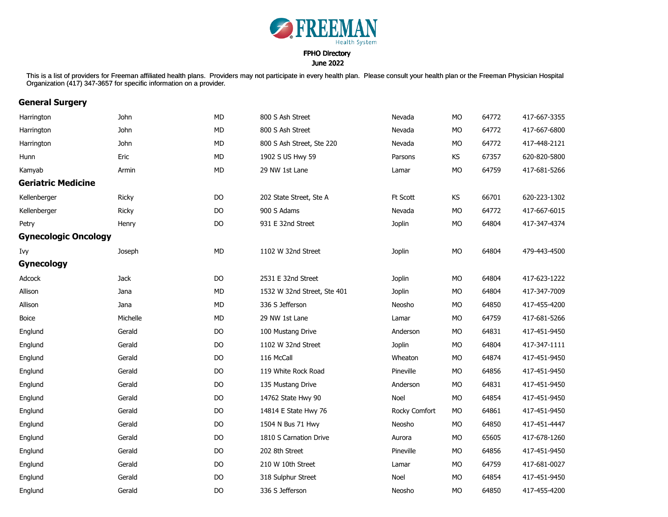

#### June 2022

This is a list of providers for Freeman affiliated health plans. Providers may not participate in every health plan. Please consult your health plan or the Freeman Physician Hospital<br>Organization (417) 347-3657 for specifi

### General Surgery

| Harrington                  | John        | <b>MD</b> | 800 S Ash Street            | Nevada        | <b>MO</b> | 64772 | 417-667-3355 |
|-----------------------------|-------------|-----------|-----------------------------|---------------|-----------|-------|--------------|
| Harrington                  | <b>John</b> | MD        | 800 S Ash Street            | Nevada        | <b>MO</b> | 64772 | 417-667-6800 |
| Harrington                  | John        | MD        | 800 S Ash Street, Ste 220   | Nevada        | <b>MO</b> | 64772 | 417-448-2121 |
| Hunn                        | Eric        | MD        | 1902 S US Hwy 59            | Parsons       | KS        | 67357 | 620-820-5800 |
| Kamyab                      | Armin       | MD        | 29 NW 1st Lane              | Lamar         | <b>MO</b> | 64759 | 417-681-5266 |
| <b>Geriatric Medicine</b>   |             |           |                             |               |           |       |              |
| Kellenberger                | Ricky       | DO        | 202 State Street, Ste A     | Ft Scott      | KS        | 66701 | 620-223-1302 |
| Kellenberger                | Ricky       | DO        | 900 S Adams                 | Nevada        | <b>MO</b> | 64772 | 417-667-6015 |
| Petry                       | Henry       | DO        | 931 E 32nd Street           | <b>Joplin</b> | <b>MO</b> | 64804 | 417-347-4374 |
| <b>Gynecologic Oncology</b> |             |           |                             |               |           |       |              |
| Ivy                         | Joseph      | <b>MD</b> | 1102 W 32nd Street          | <b>Joplin</b> | MO        | 64804 | 479-443-4500 |
| Gynecology                  |             |           |                             |               |           |       |              |
| Adcock                      | Jack        | DO        | 2531 E 32nd Street          | <b>Joplin</b> | <b>MO</b> | 64804 | 417-623-1222 |
| Allison                     | Jana        | MD        | 1532 W 32nd Street, Ste 401 | <b>Joplin</b> | MO        | 64804 | 417-347-7009 |
| Allison                     | Jana        | <b>MD</b> | 336 S Jefferson             | Neosho        | <b>MO</b> | 64850 | 417-455-4200 |
| Boice                       | Michelle    | <b>MD</b> | 29 NW 1st Lane              | Lamar         | <b>MO</b> | 64759 | 417-681-5266 |
| Englund                     | Gerald      | DO        | 100 Mustang Drive           | Anderson      | <b>MO</b> | 64831 | 417-451-9450 |
| Englund                     | Gerald      | DO        | 1102 W 32nd Street          | <b>Joplin</b> | MO        | 64804 | 417-347-1111 |
| Englund                     | Gerald      | DO        | 116 McCall                  | Wheaton       | <b>MO</b> | 64874 | 417-451-9450 |
| Englund                     | Gerald      | DO        | 119 White Rock Road         | Pineville     | MO        | 64856 | 417-451-9450 |
| Englund                     | Gerald      | DO        | 135 Mustang Drive           | Anderson      | MO        | 64831 | 417-451-9450 |
| Englund                     | Gerald      | DO        | 14762 State Hwy 90          | Noel          | <b>MO</b> | 64854 | 417-451-9450 |
| Englund                     | Gerald      | DO        | 14814 E State Hwy 76        | Rocky Comfort | <b>MO</b> | 64861 | 417-451-9450 |
| Englund                     | Gerald      | DO        | 1504 N Bus 71 Hwy           | Neosho        | MO        | 64850 | 417-451-4447 |
| Englund                     | Gerald      | DO        | 1810 S Carnation Drive      | Aurora        | MO        | 65605 | 417-678-1260 |
| Englund                     | Gerald      | DO        | 202 8th Street              | Pineville     | MO        | 64856 | 417-451-9450 |
| Englund                     | Gerald      | DO        | 210 W 10th Street           | Lamar         | MO        | 64759 | 417-681-0027 |
| Englund                     | Gerald      | DO        | 318 Sulphur Street          | Noel          | MO        | 64854 | 417-451-9450 |
| Englund                     | Gerald      | DO        | 336 S Jefferson             | Neosho        | <b>MO</b> | 64850 | 417-455-4200 |
|                             |             |           |                             |               |           |       |              |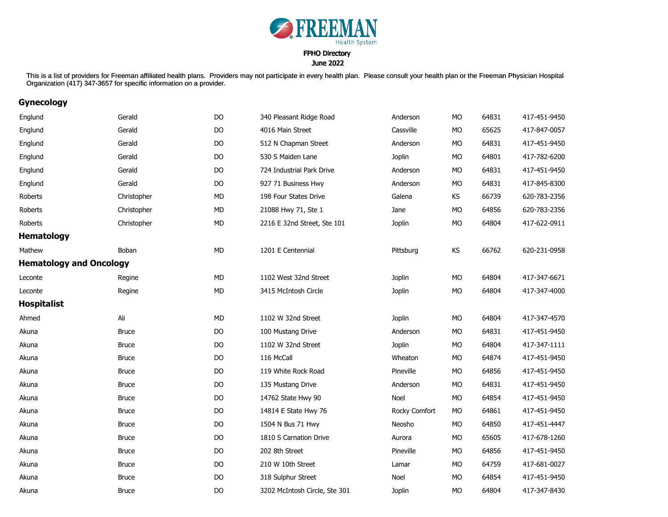

#### June 2022

This is a list of providers for Freeman affiliated health plans. Providers may not participate in every health plan. Please consult your health plan or the Freeman Physician Hospital<br>Organization (417) 347-3657 for specifi

# Gynecology

| Englund                        | Gerald       | DO        | 340 Pleasant Ridge Road       | Anderson      | MO        | 64831 | 417-451-9450 |
|--------------------------------|--------------|-----------|-------------------------------|---------------|-----------|-------|--------------|
| Englund                        | Gerald       | DO        | 4016 Main Street              | Cassville     | <b>MO</b> | 65625 | 417-847-0057 |
| Englund                        | Gerald       | DO        | 512 N Chapman Street          | Anderson      | MO        | 64831 | 417-451-9450 |
| Englund                        | Gerald       | DO        | 530 S Maiden Lane             | Joplin        | <b>MO</b> | 64801 | 417-782-6200 |
| Englund                        | Gerald       | DO.       | 724 Industrial Park Drive     | Anderson      | <b>MO</b> | 64831 | 417-451-9450 |
| Englund                        | Gerald       | DO.       | 927 71 Business Hwy           | Anderson      | <b>MO</b> | 64831 | 417-845-8300 |
| Roberts                        | Christopher  | <b>MD</b> | 198 Four States Drive         | Galena        | KS        | 66739 | 620-783-2356 |
| Roberts                        | Christopher  | MD        | 21088 Hwy 71, Ste 1           | Jane          | MO        | 64856 | 620-783-2356 |
| Roberts                        | Christopher  | <b>MD</b> | 2216 E 32nd Street, Ste 101   | Joplin        | <b>MO</b> | 64804 | 417-622-0911 |
| <b>Hematology</b>              |              |           |                               |               |           |       |              |
| Mathew                         | Boban        | <b>MD</b> | 1201 E Centennial             | Pittsburg     | KS        | 66762 | 620-231-0958 |
| <b>Hematology and Oncology</b> |              |           |                               |               |           |       |              |
| Leconte                        | Regine       | MD        | 1102 West 32nd Street         | Joplin        | MO        | 64804 | 417-347-6671 |
| Leconte                        | Regine       | <b>MD</b> | 3415 McIntosh Circle          | Joplin        | <b>MO</b> | 64804 | 417-347-4000 |
| <b>Hospitalist</b>             |              |           |                               |               |           |       |              |
| Ahmed                          | Ali          | <b>MD</b> | 1102 W 32nd Street            | <b>Joplin</b> | MO        | 64804 | 417-347-4570 |
| Akuna                          | <b>Bruce</b> | DO        | 100 Mustang Drive             | Anderson      | MO        | 64831 | 417-451-9450 |
| Akuna                          | <b>Bruce</b> | DO        | 1102 W 32nd Street            | Joplin        | MO        | 64804 | 417-347-1111 |
| Akuna                          | <b>Bruce</b> | DO        | 116 McCall                    | Wheaton       | MO        | 64874 | 417-451-9450 |
| Akuna                          | <b>Bruce</b> | DO.       | 119 White Rock Road           | Pineville     | MO        | 64856 | 417-451-9450 |
| Akuna                          | <b>Bruce</b> | DO        | 135 Mustang Drive             | Anderson      | <b>MO</b> | 64831 | 417-451-9450 |
| Akuna                          | <b>Bruce</b> | DO        | 14762 State Hwy 90            | Noel          | MO        | 64854 | 417-451-9450 |
| Akuna                          | <b>Bruce</b> | DO        | 14814 E State Hwy 76          | Rocky Comfort | <b>MO</b> | 64861 | 417-451-9450 |
| Akuna                          | <b>Bruce</b> | DO        | 1504 N Bus 71 Hwy             | Neosho        | <b>MO</b> | 64850 | 417-451-4447 |
| Akuna                          | <b>Bruce</b> | DO.       | 1810 S Carnation Drive        | Aurora        | <b>MO</b> | 65605 | 417-678-1260 |
| Akuna                          | <b>Bruce</b> | DO        | 202 8th Street                | Pineville     | MO        | 64856 | 417-451-9450 |
| Akuna                          | <b>Bruce</b> | DO        | 210 W 10th Street             | Lamar         | MO        | 64759 | 417-681-0027 |
| Akuna                          | <b>Bruce</b> | DO        | 318 Sulphur Street            | Noel          | MO        | 64854 | 417-451-9450 |
| Akuna                          | <b>Bruce</b> | DO        | 3202 McIntosh Circle, Ste 301 | <b>Joplin</b> | <b>MO</b> | 64804 | 417-347-8430 |
|                                |              |           |                               |               |           |       |              |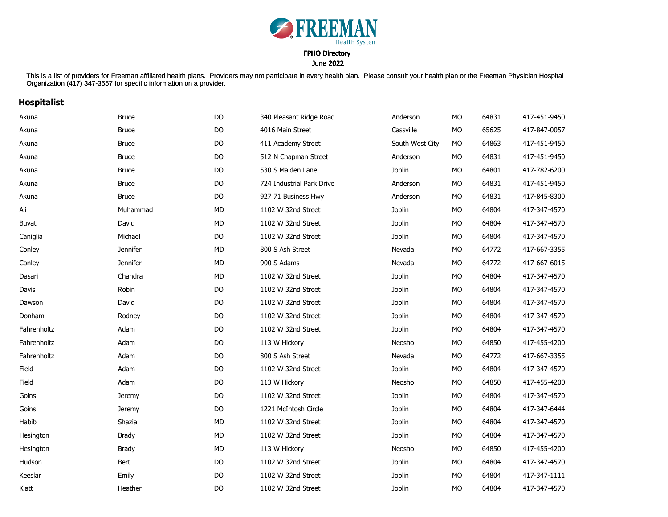

### June 2022

This is a list of providers for Freeman affiliated health plans. Providers may not participate in every health plan. Please consult your health plan or the Freeman Physician Hospital<br>Organization (417) 347-3657 for specifi

# Hospitalist

| Akuna       | <b>Bruce</b>    | DO        | 340 Pleasant Ridge Road   | Anderson        | MO        | 64831 | 417-451-9450 |
|-------------|-----------------|-----------|---------------------------|-----------------|-----------|-------|--------------|
| Akuna       | <b>Bruce</b>    | DO        | 4016 Main Street          | Cassville       | <b>MO</b> | 65625 | 417-847-0057 |
| Akuna       | <b>Bruce</b>    | DO        | 411 Academy Street        | South West City | <b>MO</b> | 64863 | 417-451-9450 |
| Akuna       | <b>Bruce</b>    | DO        | 512 N Chapman Street      | Anderson        | <b>MO</b> | 64831 | 417-451-9450 |
| Akuna       | <b>Bruce</b>    | DO        | 530 S Maiden Lane         | <b>Joplin</b>   | <b>MO</b> | 64801 | 417-782-6200 |
| Akuna       | <b>Bruce</b>    | DO        | 724 Industrial Park Drive | Anderson        | <b>MO</b> | 64831 | 417-451-9450 |
| Akuna       | <b>Bruce</b>    | DO        | 927 71 Business Hwy       | Anderson        | MO        | 64831 | 417-845-8300 |
| Ali         | Muhammad        | <b>MD</b> | 1102 W 32nd Street        | Joplin          | MO        | 64804 | 417-347-4570 |
| Buvat       | David           | <b>MD</b> | 1102 W 32nd Street        | Joplin          | MO        | 64804 | 417-347-4570 |
| Caniglia    | Michael         | DO        | 1102 W 32nd Street        | Joplin          | MO        | 64804 | 417-347-4570 |
| Conley      | <b>Jennifer</b> | <b>MD</b> | 800 S Ash Street          | Nevada          | <b>MO</b> | 64772 | 417-667-3355 |
| Conley      | <b>Jennifer</b> | <b>MD</b> | 900 S Adams               | Nevada          | MO        | 64772 | 417-667-6015 |
| Dasari      | Chandra         | <b>MD</b> | 1102 W 32nd Street        | <b>Joplin</b>   | MO        | 64804 | 417-347-4570 |
| Davis       | Robin           | DO        | 1102 W 32nd Street        | Joplin          | MO        | 64804 | 417-347-4570 |
| Dawson      | David           | DO        | 1102 W 32nd Street        | Joplin          | MO        | 64804 | 417-347-4570 |
| Donham      | Rodney          | DO        | 1102 W 32nd Street        | <b>Joplin</b>   | <b>MO</b> | 64804 | 417-347-4570 |
| Fahrenholtz | Adam            | DO        | 1102 W 32nd Street        | <b>Joplin</b>   | <b>MO</b> | 64804 | 417-347-4570 |
| Fahrenholtz | Adam            | DO        | 113 W Hickory             | Neosho          | MO        | 64850 | 417-455-4200 |
| Fahrenholtz | Adam            | <b>DO</b> | 800 S Ash Street          | Nevada          | MO        | 64772 | 417-667-3355 |
| Field       | Adam            | DO        | 1102 W 32nd Street        | Joplin          | MO        | 64804 | 417-347-4570 |
| Field       | Adam            | DO        | 113 W Hickory             | Neosho          | <b>MO</b> | 64850 | 417-455-4200 |
| Goins       | Jeremy          | DO        | 1102 W 32nd Street        | <b>Joplin</b>   | MO        | 64804 | 417-347-4570 |
| Goins       | Jeremy          | DO        | 1221 McIntosh Circle      | <b>Joplin</b>   | MO        | 64804 | 417-347-6444 |
| Habib       | Shazia          | MD        | 1102 W 32nd Street        | Joplin          | MO        | 64804 | 417-347-4570 |
| Hesington   | Brady           | <b>MD</b> | 1102 W 32nd Street        | Joplin          | MO        | 64804 | 417-347-4570 |
| Hesington   | <b>Brady</b>    | <b>MD</b> | 113 W Hickory             | Neosho          | <b>MO</b> | 64850 | 417-455-4200 |
| Hudson      | Bert            | DO        | 1102 W 32nd Street        | Joplin          | <b>MO</b> | 64804 | 417-347-4570 |
| Keeslar     | Emily           | DO        | 1102 W 32nd Street        | <b>Joplin</b>   | MO        | 64804 | 417-347-1111 |
| Klatt       | Heather         | <b>DO</b> | 1102 W 32nd Street        | <b>Joplin</b>   | <b>MO</b> | 64804 | 417-347-4570 |
|             |                 |           |                           |                 |           |       |              |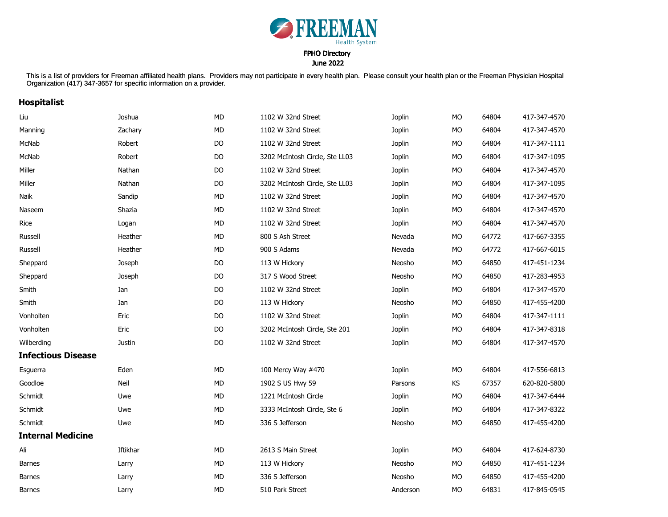

#### June 2022

This is a list of providers for Freeman affiliated health plans. Providers may not participate in every health plan. Please consult your health plan or the Freeman Physician Hospital<br>Organization (417) 347-3657 for specifi

# Hospitalist

| Liu                       | Joshua   | <b>MD</b> | 1102 W 32nd Street             | <b>Joplin</b> | MO        | 64804 | 417-347-4570 |
|---------------------------|----------|-----------|--------------------------------|---------------|-----------|-------|--------------|
| Manning                   | Zachary  | <b>MD</b> | 1102 W 32nd Street             | <b>Joplin</b> | <b>MO</b> | 64804 | 417-347-4570 |
| McNab                     | Robert   | DO        | 1102 W 32nd Street             | Joplin        | MO        | 64804 | 417-347-1111 |
| McNab                     | Robert   | DO        | 3202 McIntosh Circle, Ste LL03 | <b>Joplin</b> | MO        | 64804 | 417-347-1095 |
| Miller                    | Nathan   | DO        | 1102 W 32nd Street             | Joplin        | MO        | 64804 | 417-347-4570 |
| Miller                    | Nathan   | DO        | 3202 McIntosh Circle, Ste LL03 | <b>Joplin</b> | MO        | 64804 | 417-347-1095 |
| Naik                      | Sandip   | <b>MD</b> | 1102 W 32nd Street             | Joplin        | <b>MO</b> | 64804 | 417-347-4570 |
| Naseem                    | Shazia   | <b>MD</b> | 1102 W 32nd Street             | Joplin        | <b>MO</b> | 64804 | 417-347-4570 |
| Rice                      | Logan    | <b>MD</b> | 1102 W 32nd Street             | Joplin        | <b>MO</b> | 64804 | 417-347-4570 |
| Russell                   | Heather  | <b>MD</b> | 800 S Ash Street               | Nevada        | MO        | 64772 | 417-667-3355 |
| Russell                   | Heather  | <b>MD</b> | 900 S Adams                    | Nevada        | <b>MO</b> | 64772 | 417-667-6015 |
| Sheppard                  | Joseph   | DO        | 113 W Hickory                  | Neosho        | <b>MO</b> | 64850 | 417-451-1234 |
| Sheppard                  | Joseph   | DO        | 317 S Wood Street              | Neosho        | <b>MO</b> | 64850 | 417-283-4953 |
| Smith                     | Ian      | DO        | 1102 W 32nd Street             | Joplin        | MO        | 64804 | 417-347-4570 |
| Smith                     | Ian      | DO        | 113 W Hickory                  | Neosho        | MO        | 64850 | 417-455-4200 |
| Vonholten                 | Eric     | DO.       | 1102 W 32nd Street             | Joplin        | <b>MO</b> | 64804 | 417-347-1111 |
| Vonholten                 | Eric     | DO.       | 3202 McIntosh Circle, Ste 201  | Joplin        | MO        | 64804 | 417-347-8318 |
| Wilberding                | Justin   | DO        | 1102 W 32nd Street             | Joplin        | <b>MO</b> | 64804 | 417-347-4570 |
| <b>Infectious Disease</b> |          |           |                                |               |           |       |              |
| Esguerra                  | Eden     | MD        | 100 Mercy Way #470             | <b>Joplin</b> | MO        | 64804 | 417-556-6813 |
| Goodloe                   | Neil     | <b>MD</b> | 1902 S US Hwy 59               | Parsons       | KS        | 67357 | 620-820-5800 |
| Schmidt                   | Uwe      | <b>MD</b> | 1221 McIntosh Circle           | <b>Joplin</b> | MO        | 64804 | 417-347-6444 |
| Schmidt                   | Uwe      | <b>MD</b> | 3333 McIntosh Circle, Ste 6    | <b>Joplin</b> | MO        | 64804 | 417-347-8322 |
| Schmidt                   | Uwe      | <b>MD</b> | 336 S Jefferson                | Neosho        | MO        | 64850 | 417-455-4200 |
| <b>Internal Medicine</b>  |          |           |                                |               |           |       |              |
| Ali                       | Iftikhar | <b>MD</b> | 2613 S Main Street             | Joplin        | MO        | 64804 | 417-624-8730 |
| <b>Barnes</b>             | Larry    | <b>MD</b> | 113 W Hickory                  | Neosho        | <b>MO</b> | 64850 | 417-451-1234 |
| <b>Barnes</b>             | Larry    | <b>MD</b> | 336 S Jefferson                | Neosho        | MO        | 64850 | 417-455-4200 |
| <b>Barnes</b>             | Larry    | <b>MD</b> | 510 Park Street                | Anderson      | MO        | 64831 | 417-845-0545 |
|                           |          |           |                                |               |           |       |              |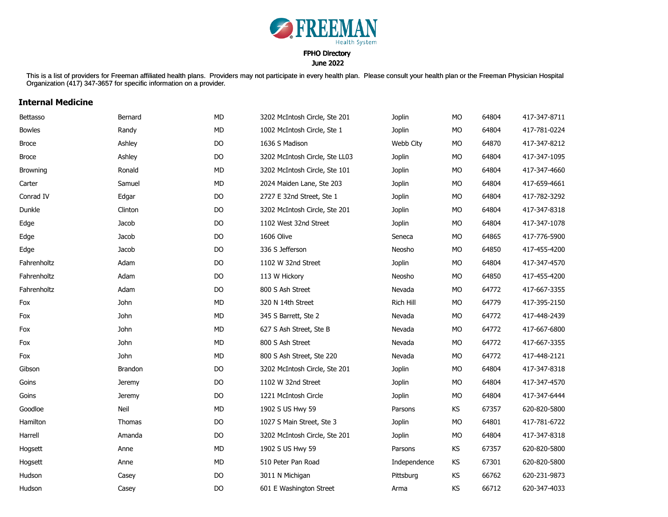

#### June 2022

This is a list of providers for Freeman affiliated health plans. Providers may not participate in every health plan. Please consult your health plan or the Freeman Physician Hospital<br>Organization (417) 347-3657 for specifi

### Internal Medicine

| Bettasso      | Bernard | <b>MD</b> | 3202 McIntosh Circle, Ste 201  | <b>Joplin</b> | MO        | 64804 | 417-347-8711 |
|---------------|---------|-----------|--------------------------------|---------------|-----------|-------|--------------|
| <b>Bowles</b> | Randy   | <b>MD</b> | 1002 McIntosh Circle, Ste 1    | <b>Joplin</b> | <b>MO</b> | 64804 | 417-781-0224 |
| <b>Broce</b>  | Ashley  | DO        | 1636 S Madison                 | Webb City     | MO        | 64870 | 417-347-8212 |
| <b>Broce</b>  | Ashley  | DO        | 3202 McIntosh Circle, Ste LL03 | Joplin        | MO        | 64804 | 417-347-1095 |
| Browning      | Ronald  | <b>MD</b> | 3202 McIntosh Circle, Ste 101  | Joplin        | <b>MO</b> | 64804 | 417-347-4660 |
| Carter        | Samuel  | <b>MD</b> | 2024 Maiden Lane, Ste 203      | <b>Joplin</b> | <b>MO</b> | 64804 | 417-659-4661 |
| Conrad IV     | Edgar   | <b>DO</b> | 2727 E 32nd Street, Ste 1      | <b>Joplin</b> | MO        | 64804 | 417-782-3292 |
| Dunkle        | Clinton | DO        | 3202 McIntosh Circle, Ste 201  | <b>Joplin</b> | MO        | 64804 | 417-347-8318 |
| Edge          | Jacob   | DO        | 1102 West 32nd Street          | <b>Joplin</b> | MO        | 64804 | 417-347-1078 |
| Edge          | Jacob   | DO.       | 1606 Olive                     | Seneca        | MO        | 64865 | 417-776-5900 |
| Edge          | Jacob   | <b>DO</b> | 336 S Jefferson                | Neosho        | <b>MO</b> | 64850 | 417-455-4200 |
| Fahrenholtz   | Adam    | <b>DO</b> | 1102 W 32nd Street             | Joplin        | MO        | 64804 | 417-347-4570 |
| Fahrenholtz   | Adam    | <b>DO</b> | 113 W Hickory                  | Neosho        | MO        | 64850 | 417-455-4200 |
| Fahrenholtz   | Adam    | DO        | 800 S Ash Street               | Nevada        | MO        | 64772 | 417-667-3355 |
| Fox           | John    | <b>MD</b> | 320 N 14th Street              | Rich Hill     | MO        | 64779 | 417-395-2150 |
| Fox           | John    | <b>MD</b> | 345 S Barrett, Ste 2           | Nevada        | <b>MO</b> | 64772 | 417-448-2439 |
| Fox           | John    | <b>MD</b> | 627 S Ash Street, Ste B        | Nevada        | <b>MO</b> | 64772 | 417-667-6800 |
| Fox           | John    | <b>MD</b> | 800 S Ash Street               | Nevada        | <b>MO</b> | 64772 | 417-667-3355 |
| Fox           | John    | <b>MD</b> | 800 S Ash Street, Ste 220      | Nevada        | MO        | 64772 | 417-448-2121 |
| Gibson        | Brandon | DO        | 3202 McIntosh Circle, Ste 201  | <b>Joplin</b> | MO        | 64804 | 417-347-8318 |
| Goins         | Jeremy  | DO        | 1102 W 32nd Street             | <b>Joplin</b> | MO        | 64804 | 417-347-4570 |
| Goins         | Jeremy  | <b>DO</b> | 1221 McIntosh Circle           | <b>Joplin</b> | MO        | 64804 | 417-347-6444 |
| Goodloe       | Neil    | <b>MD</b> | 1902 S US Hwy 59               | Parsons       | KS        | 67357 | 620-820-5800 |
| Hamilton      | Thomas  | <b>DO</b> | 1027 S Main Street, Ste 3      | <b>Joplin</b> | MO        | 64801 | 417-781-6722 |
| Harrell       | Amanda  | DO        | 3202 McIntosh Circle, Ste 201  | <b>Joplin</b> | MO        | 64804 | 417-347-8318 |
| Hogsett       | Anne    | <b>MD</b> | 1902 S US Hwy 59               | Parsons       | KS        | 67357 | 620-820-5800 |
| Hogsett       | Anne    | <b>MD</b> | 510 Peter Pan Road             | Independence  | KS        | 67301 | 620-820-5800 |
| Hudson        | Casey   | DO.       | 3011 N Michigan                | Pittsburg     | KS        | 66762 | 620-231-9873 |
| Hudson        | Casey   | <b>DO</b> | 601 E Washington Street        | Arma          | KS        | 66712 | 620-347-4033 |
|               |         |           |                                |               |           |       |              |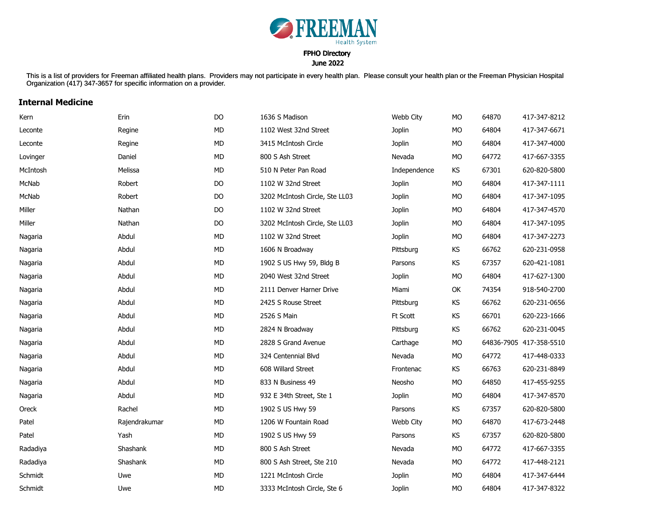

#### June 2022

This is a list of providers for Freeman affiliated health plans. Providers may not participate in every health plan. Please consult your health plan or the Freeman Physician Hospital<br>Organization (417) 347-3657 for specifi

### Internal Medicine

| Kern     | Erin          | DO        | 1636 S Madison                 | Webb City     | MO        | 64870 | 417-347-8212            |
|----------|---------------|-----------|--------------------------------|---------------|-----------|-------|-------------------------|
| Leconte  | Regine        | <b>MD</b> | 1102 West 32nd Street          | Joplin        | MO        | 64804 | 417-347-6671            |
| Leconte  | Regine        | <b>MD</b> | 3415 McIntosh Circle           | <b>Joplin</b> | MO        | 64804 | 417-347-4000            |
| Lovinger | Daniel        | <b>MD</b> | 800 S Ash Street               | Nevada        | <b>MO</b> | 64772 | 417-667-3355            |
| McIntosh | Melissa       | MD        | 510 N Peter Pan Road           | Independence  | KS        | 67301 | 620-820-5800            |
| McNab    | Robert        | <b>DO</b> | 1102 W 32nd Street             | <b>Joplin</b> | MO        | 64804 | 417-347-1111            |
| McNab    | Robert        | DO        | 3202 McIntosh Circle, Ste LL03 | <b>Joplin</b> | MO        | 64804 | 417-347-1095            |
| Miller   | Nathan        | DO        | 1102 W 32nd Street             | Joplin        | MO        | 64804 | 417-347-4570            |
| Miller   | Nathan        | <b>DO</b> | 3202 McIntosh Circle, Ste LL03 | <b>Joplin</b> | <b>MO</b> | 64804 | 417-347-1095            |
| Nagaria  | Abdul         | MD        | 1102 W 32nd Street             | <b>Joplin</b> | MO        | 64804 | 417-347-2273            |
| Nagaria  | Abdul         | MD        | 1606 N Broadway                | Pittsburg     | KS        | 66762 | 620-231-0958            |
| Nagaria  | Abdul         | <b>MD</b> | 1902 S US Hwy 59, Bldg B       | Parsons       | KS        | 67357 | 620-421-1081            |
| Nagaria  | Abdul         | <b>MD</b> | 2040 West 32nd Street          | Joplin        | MO        | 64804 | 417-627-1300            |
| Nagaria  | Abdul         | MD        | 2111 Denver Harner Drive       | Miami         | OK        | 74354 | 918-540-2700            |
| Nagaria  | Abdul         | MD        | 2425 S Rouse Street            | Pittsburg     | KS        | 66762 | 620-231-0656            |
| Nagaria  | Abdul         | <b>MD</b> | 2526 S Main                    | Ft Scott      | KS        | 66701 | 620-223-1666            |
| Nagaria  | Abdul         | <b>MD</b> | 2824 N Broadway                | Pittsburg     | KS        | 66762 | 620-231-0045            |
| Nagaria  | Abdul         | MD        | 2828 S Grand Avenue            | Carthage      | <b>MO</b> |       | 64836-7905 417-358-5510 |
| Nagaria  | Abdul         | MD        | 324 Centennial Blvd            | Nevada        | MO        | 64772 | 417-448-0333            |
| Nagaria  | Abdul         | MD        | 608 Willard Street             | Frontenac     | KS        | 66763 | 620-231-8849            |
| Nagaria  | Abdul         | <b>MD</b> | 833 N Business 49              | Neosho        | <b>MO</b> | 64850 | 417-455-9255            |
| Nagaria  | Abdul         | <b>MD</b> | 932 E 34th Street, Ste 1       | Joplin        | MO        | 64804 | 417-347-8570            |
| Oreck    | Rachel        | <b>MD</b> | 1902 S US Hwy 59               | Parsons       | KS        | 67357 | 620-820-5800            |
| Patel    | Rajendrakumar | MD        | 1206 W Fountain Road           | Webb City     | MO        | 64870 | 417-673-2448            |
| Patel    | Yash          | MD        | 1902 S US Hwy 59               | Parsons       | KS        | 67357 | 620-820-5800            |
| Radadiya | Shashank      | <b>MD</b> | 800 S Ash Street               | Nevada        | MO        | 64772 | 417-667-3355            |
| Radadiya | Shashank      | MD        | 800 S Ash Street, Ste 210      | Nevada        | MO        | 64772 | 417-448-2121            |
| Schmidt  | Uwe           | MD        | 1221 McIntosh Circle           | <b>Joplin</b> | MO        | 64804 | 417-347-6444            |
| Schmidt  | Uwe           | MD        | 3333 McIntosh Circle, Ste 6    | <b>Joplin</b> | <b>MO</b> | 64804 | 417-347-8322            |
|          |               |           |                                |               |           |       |                         |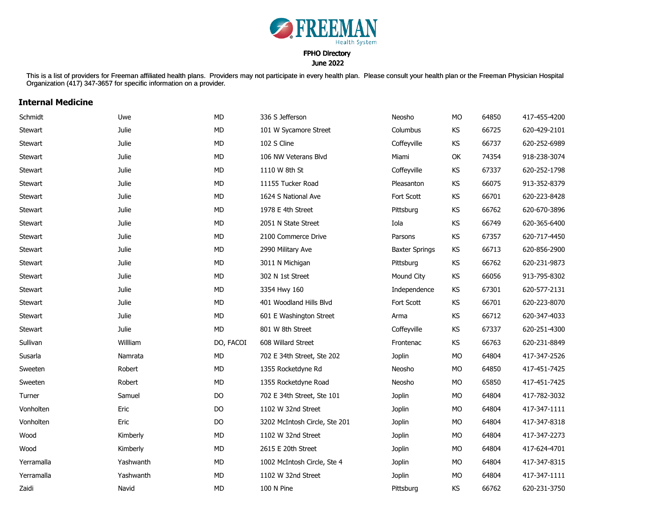

#### June 2022

This is a list of providers for Freeman affiliated health plans. Providers may not participate in every health plan. Please consult your health plan or the Freeman Physician Hospital<br>Organization (417) 347-3657 for specifi

### Internal Medicine

| Schmidt        | Uwe       | <b>MD</b> | 336 S Jefferson               | Neosho                | <b>MO</b> | 64850 | 417-455-4200 |
|----------------|-----------|-----------|-------------------------------|-----------------------|-----------|-------|--------------|
| Stewart        | Julie     | <b>MD</b> | 101 W Sycamore Street         | Columbus              | KS        | 66725 | 620-429-2101 |
| Stewart        | Julie     | <b>MD</b> | 102 S Cline                   | Coffeyville           | KS        | 66737 | 620-252-6989 |
| Stewart        | Julie     | <b>MD</b> | 106 NW Veterans Blvd          | Miami                 | OK        | 74354 | 918-238-3074 |
| Stewart        | Julie     | MD        | 1110 W 8th St                 | Coffeyville           | KS        | 67337 | 620-252-1798 |
| Stewart        | Julie     | <b>MD</b> | 11155 Tucker Road             | Pleasanton            | KS        | 66075 | 913-352-8379 |
| Stewart        | Julie     | MD        | 1624 S National Ave           | Fort Scott            | KS        | 66701 | 620-223-8428 |
| Stewart        | Julie     | <b>MD</b> | 1978 E 4th Street             | Pittsburg             | KS        | 66762 | 620-670-3896 |
| Stewart        | Julie     | <b>MD</b> | 2051 N State Street           | Iola                  | KS        | 66749 | 620-365-6400 |
| Stewart        | Julie     | <b>MD</b> | 2100 Commerce Drive           | Parsons               | KS        | 67357 | 620-717-4450 |
| Stewart        | Julie     | <b>MD</b> | 2990 Military Ave             | <b>Baxter Springs</b> | KS        | 66713 | 620-856-2900 |
| Stewart        | Julie     | MD        | 3011 N Michigan               | Pittsburg             | KS        | 66762 | 620-231-9873 |
| Stewart        | Julie     | <b>MD</b> | 302 N 1st Street              | Mound City            | KS        | 66056 | 913-795-8302 |
| Stewart        | Julie     | <b>MD</b> | 3354 Hwy 160                  | Independence          | KS        | 67301 | 620-577-2131 |
| <b>Stewart</b> | Julie     | <b>MD</b> | 401 Woodland Hills Blvd       | Fort Scott            | KS        | 66701 | 620-223-8070 |
| Stewart        | Julie     | <b>MD</b> | 601 E Washington Street       | Arma                  | KS        | 66712 | 620-347-4033 |
| Stewart        | Julie     | <b>MD</b> | 801 W 8th Street              | Coffeyville           | KS        | 67337 | 620-251-4300 |
| Sullivan       | Willliam  | DO, FACOI | 608 Willard Street            | Frontenac             | KS        | 66763 | 620-231-8849 |
| Susarla        | Namrata   | <b>MD</b> | 702 E 34th Street, Ste 202    | <b>Joplin</b>         | <b>MO</b> | 64804 | 417-347-2526 |
| Sweeten        | Robert    | <b>MD</b> | 1355 Rocketdyne Rd            | Neosho                | <b>MO</b> | 64850 | 417-451-7425 |
| Sweeten        | Robert    | <b>MD</b> | 1355 Rocketdyne Road          | Neosho                | <b>MO</b> | 65850 | 417-451-7425 |
| Turner         | Samuel    | <b>DO</b> | 702 E 34th Street, Ste 101    | <b>Joplin</b>         | MO        | 64804 | 417-782-3032 |
| Vonholten      | Eric      | <b>DO</b> | 1102 W 32nd Street            | <b>Joplin</b>         | MO        | 64804 | 417-347-1111 |
| Vonholten      | Eric      | DO        | 3202 McIntosh Circle, Ste 201 | Joplin                | MO        | 64804 | 417-347-8318 |
| Wood           | Kimberly  | <b>MD</b> | 1102 W 32nd Street            | Joplin                | MO        | 64804 | 417-347-2273 |
| Wood           | Kimberly  | <b>MD</b> | 2615 E 20th Street            | Joplin                | MO        | 64804 | 417-624-4701 |
| Yerramalla     | Yashwanth | <b>MD</b> | 1002 McIntosh Circle, Ste 4   | Joplin                | <b>MO</b> | 64804 | 417-347-8315 |
| Yerramalla     | Yashwanth | <b>MD</b> | 1102 W 32nd Street            | Joplin                | MO        | 64804 | 417-347-1111 |
| Zaidi          | Navid     | <b>MD</b> | 100 N Pine                    | Pittsburg             | KS        | 66762 | 620-231-3750 |
|                |           |           |                               |                       |           |       |              |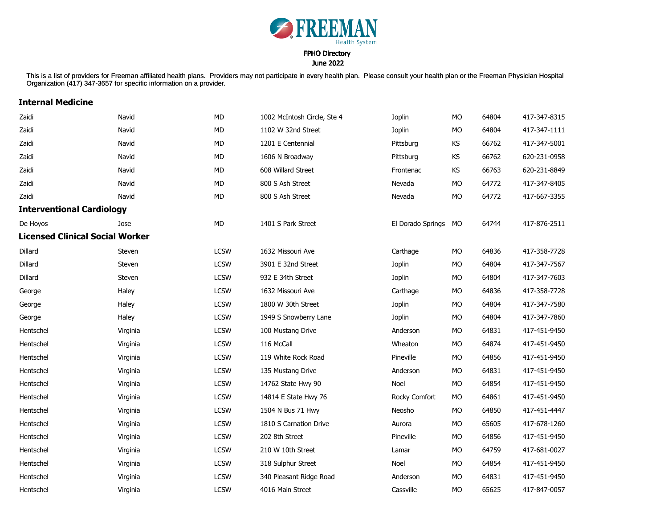

#### June 2022

This is a list of providers for Freeman affiliated health plans. Providers may not participate in every health plan. Please consult your health plan or the Freeman Physician Hospital<br>Organization (417) 347-3657 for specifi

### Internal Medicine

| Zaidi                                  | Navid    | <b>MD</b>   | 1002 McIntosh Circle, Ste 4 | <b>Joplin</b>        | <b>MO</b> | 64804 | 417-347-8315 |
|----------------------------------------|----------|-------------|-----------------------------|----------------------|-----------|-------|--------------|
| Zaidi                                  | Navid    | <b>MD</b>   | 1102 W 32nd Street          | <b>Joplin</b>        | <b>MO</b> | 64804 | 417-347-1111 |
| Zaidi                                  | Navid    | <b>MD</b>   | 1201 E Centennial           | Pittsburg            | KS        | 66762 | 417-347-5001 |
| Zaidi                                  | Navid    | <b>MD</b>   | 1606 N Broadway             | Pittsburg            | KS        | 66762 | 620-231-0958 |
| Zaidi                                  | Navid    | <b>MD</b>   | 608 Willard Street          | Frontenac            | KS        | 66763 | 620-231-8849 |
| Zaidi                                  | Navid    | <b>MD</b>   | 800 S Ash Street            | Nevada               | <b>MO</b> | 64772 | 417-347-8405 |
| Zaidi                                  | Navid    | <b>MD</b>   | 800 S Ash Street            | Nevada               | MO        | 64772 | 417-667-3355 |
| <b>Interventional Cardiology</b>       |          |             |                             |                      |           |       |              |
| De Hoyos                               | Jose     | <b>MD</b>   | 1401 S Park Street          | El Dorado Springs MO |           | 64744 | 417-876-2511 |
| <b>Licensed Clinical Social Worker</b> |          |             |                             |                      |           |       |              |
| Dillard                                | Steven   | <b>LCSW</b> | 1632 Missouri Ave           | Carthage             | MO        | 64836 | 417-358-7728 |
| Dillard                                | Steven   | <b>LCSW</b> | 3901 E 32nd Street          | Joplin               | MO        | 64804 | 417-347-7567 |
| Dillard                                | Steven   | <b>LCSW</b> | 932 E 34th Street           | <b>Joplin</b>        | MO        | 64804 | 417-347-7603 |
| George                                 | Haley    | <b>LCSW</b> | 1632 Missouri Ave           | Carthage             | MO        | 64836 | 417-358-7728 |
| George                                 | Haley    | <b>LCSW</b> | 1800 W 30th Street          | <b>Joplin</b>        | MO        | 64804 | 417-347-7580 |
| George                                 | Haley    | <b>LCSW</b> | 1949 S Snowberry Lane       | <b>Joplin</b>        | MO        | 64804 | 417-347-7860 |
| Hentschel                              | Virginia | <b>LCSW</b> | 100 Mustang Drive           | Anderson             | MO        | 64831 | 417-451-9450 |
| Hentschel                              | Virginia | <b>LCSW</b> | 116 McCall                  | Wheaton              | MO        | 64874 | 417-451-9450 |
| Hentschel                              | Virginia | <b>LCSW</b> | 119 White Rock Road         | Pineville            | MO        | 64856 | 417-451-9450 |
| Hentschel                              | Virginia | <b>LCSW</b> | 135 Mustang Drive           | Anderson             | MO        | 64831 | 417-451-9450 |
| Hentschel                              | Virginia | <b>LCSW</b> | 14762 State Hwy 90          | Noel                 | MO        | 64854 | 417-451-9450 |
| Hentschel                              | Virginia | <b>LCSW</b> | 14814 E State Hwy 76        | Rocky Comfort        | MO        | 64861 | 417-451-9450 |
| Hentschel                              | Virginia | <b>LCSW</b> | 1504 N Bus 71 Hwy           | Neosho               | <b>MO</b> | 64850 | 417-451-4447 |
| Hentschel                              | Virginia | <b>LCSW</b> | 1810 S Carnation Drive      | Aurora               | MO        | 65605 | 417-678-1260 |
| Hentschel                              | Virginia | <b>LCSW</b> | 202 8th Street              | Pineville            | MO        | 64856 | 417-451-9450 |
| Hentschel                              | Virginia | <b>LCSW</b> | 210 W 10th Street           | Lamar                | MO        | 64759 | 417-681-0027 |
| Hentschel                              | Virginia | <b>LCSW</b> | 318 Sulphur Street          | Noel                 | МO        | 64854 | 417-451-9450 |
| Hentschel                              | Virginia | <b>LCSW</b> | 340 Pleasant Ridge Road     | Anderson             | MO        | 64831 | 417-451-9450 |
| Hentschel                              | Virginia | <b>LCSW</b> | 4016 Main Street            | Cassville            | MO        | 65625 | 417-847-0057 |
|                                        |          |             |                             |                      |           |       |              |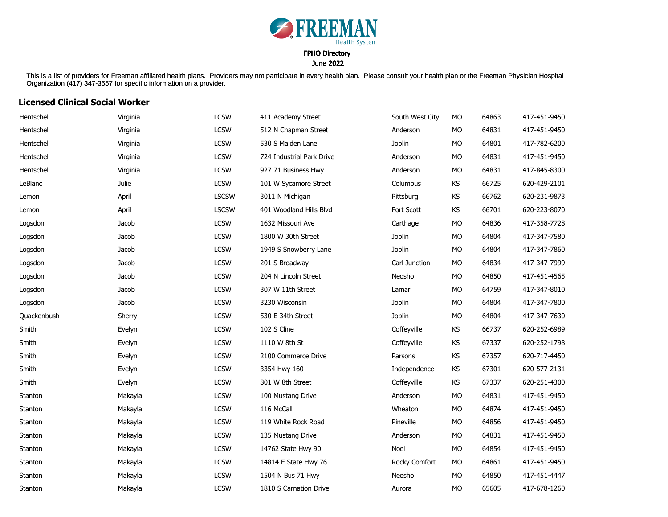

#### June 2022

This is a list of providers for Freeman affiliated health plans. Providers may not participate in every health plan. Please consult your health plan or the Freeman Physician Hospital<br>Organization (417) 347-3657 for specifi

### Licensed Clinical Social Worker

| Hentschel   | Virginia | <b>LCSW</b>  | 411 Academy Street        | South West City | MO        | 64863 | 417-451-9450 |
|-------------|----------|--------------|---------------------------|-----------------|-----------|-------|--------------|
| Hentschel   | Virginia | <b>LCSW</b>  | 512 N Chapman Street      | Anderson        | MO        | 64831 | 417-451-9450 |
| Hentschel   | Virginia | <b>LCSW</b>  | 530 S Maiden Lane         | <b>Joplin</b>   | MO        | 64801 | 417-782-6200 |
| Hentschel   | Virginia | <b>LCSW</b>  | 724 Industrial Park Drive | Anderson        | <b>MO</b> | 64831 | 417-451-9450 |
| Hentschel   | Virginia | <b>LCSW</b>  | 927 71 Business Hwy       | Anderson        | MO        | 64831 | 417-845-8300 |
| LeBlanc     | Julie    | <b>LCSW</b>  | 101 W Sycamore Street     | Columbus        | KS        | 66725 | 620-429-2101 |
| Lemon       | April    | <b>LSCSW</b> | 3011 N Michigan           | Pittsburg       | KS        | 66762 | 620-231-9873 |
| Lemon       | April    | <b>LSCSW</b> | 401 Woodland Hills Blvd   | Fort Scott      | KS        | 66701 | 620-223-8070 |
| Logsdon     | Jacob    | <b>LCSW</b>  | 1632 Missouri Ave         | Carthage        | MO        | 64836 | 417-358-7728 |
| Logsdon     | Jacob    | <b>LCSW</b>  | 1800 W 30th Street        | Joplin          | <b>MO</b> | 64804 | 417-347-7580 |
| Logsdon     | Jacob    | <b>LCSW</b>  | 1949 S Snowberry Lane     | <b>Joplin</b>   | MO        | 64804 | 417-347-7860 |
| Logsdon     | Jacob    | <b>LCSW</b>  | 201 S Broadway            | Carl Junction   | MO        | 64834 | 417-347-7999 |
| Logsdon     | Jacob    | <b>LCSW</b>  | 204 N Lincoln Street      | Neosho          | <b>MO</b> | 64850 | 417-451-4565 |
| Logsdon     | Jacob    | <b>LCSW</b>  | 307 W 11th Street         | Lamar           | <b>MO</b> | 64759 | 417-347-8010 |
| Logsdon     | Jacob    | <b>LCSW</b>  | 3230 Wisconsin            | <b>Joplin</b>   | MO        | 64804 | 417-347-7800 |
| Quackenbush | Sherry   | <b>LCSW</b>  | 530 E 34th Street         | <b>Joplin</b>   | MO        | 64804 | 417-347-7630 |
| Smith       | Evelyn   | <b>LCSW</b>  | 102 S Cline               | Coffeyville     | KS        | 66737 | 620-252-6989 |
| Smith       | Evelyn   | <b>LCSW</b>  | 1110 W 8th St             | Coffeyville     | KS        | 67337 | 620-252-1798 |
| Smith       | Evelyn   | <b>LCSW</b>  | 2100 Commerce Drive       | Parsons         | KS        | 67357 | 620-717-4450 |
| Smith       | Evelyn   | <b>LCSW</b>  | 3354 Hwy 160              | Independence    | KS        | 67301 | 620-577-2131 |
| Smith       | Evelyn   | <b>LCSW</b>  | 801 W 8th Street          | Coffeyville     | KS        | 67337 | 620-251-4300 |
| Stanton     | Makayla  | <b>LCSW</b>  | 100 Mustang Drive         | Anderson        | MO        | 64831 | 417-451-9450 |
| Stanton     | Makayla  | <b>LCSW</b>  | 116 McCall                | Wheaton         | MO        | 64874 | 417-451-9450 |
| Stanton     | Makayla  | <b>LCSW</b>  | 119 White Rock Road       | Pineville       | <b>MO</b> | 64856 | 417-451-9450 |
| Stanton     | Makayla  | <b>LCSW</b>  | 135 Mustang Drive         | Anderson        | <b>MO</b> | 64831 | 417-451-9450 |
| Stanton     | Makayla  | <b>LCSW</b>  | 14762 State Hwy 90        | Noel            | MO        | 64854 | 417-451-9450 |
| Stanton     | Makayla  | <b>LCSW</b>  | 14814 E State Hwy 76      | Rocky Comfort   | MO        | 64861 | 417-451-9450 |
| Stanton     | Makayla  | <b>LCSW</b>  | 1504 N Bus 71 Hwy         | Neosho          | MO        | 64850 | 417-451-4447 |
| Stanton     | Makayla  | <b>LCSW</b>  | 1810 S Carnation Drive    | Aurora          | <b>MO</b> | 65605 | 417-678-1260 |
|             |          |              |                           |                 |           |       |              |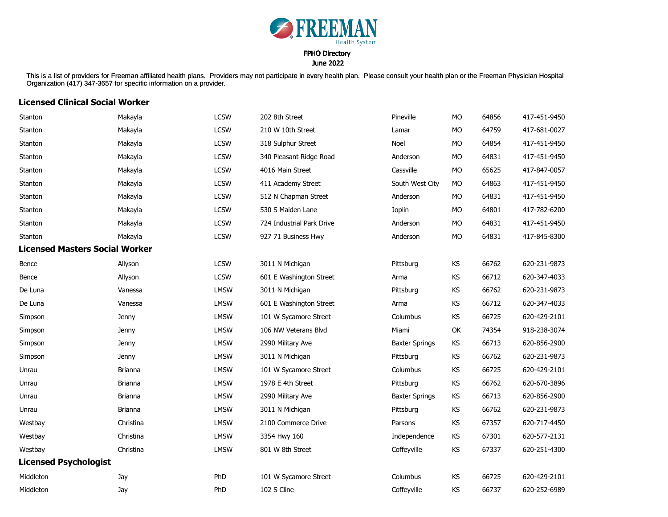

#### June 2022

This is a list of providers for Freeman affiliated health plans. Providers may not participate in every health plan. Please consult your health plan or the Freeman Physician Hospital<br>Organization (417) 347-3657 for specifi

### Licensed Clinical Social Worker

| Stanton                               | Makayla        | <b>LCSW</b> | 202 8th Street            | Pineville             | <b>MO</b> | 64856 | 417-451-9450 |
|---------------------------------------|----------------|-------------|---------------------------|-----------------------|-----------|-------|--------------|
| Stanton                               | Makayla        | <b>LCSW</b> | 210 W 10th Street         | Lamar                 | <b>MO</b> | 64759 | 417-681-0027 |
| Stanton                               | Makayla        | <b>LCSW</b> | 318 Sulphur Street        | Noel                  | MO        | 64854 | 417-451-9450 |
| Stanton                               | Makayla        | <b>LCSW</b> | 340 Pleasant Ridge Road   | Anderson              | <b>MO</b> | 64831 | 417-451-9450 |
| Stanton                               | Makayla        | <b>LCSW</b> | 4016 Main Street          | Cassville             | <b>MO</b> | 65625 | 417-847-0057 |
| Stanton                               | Makayla        | <b>LCSW</b> | 411 Academy Street        | South West City       | <b>MO</b> | 64863 | 417-451-9450 |
| Stanton                               | Makayla        | <b>LCSW</b> | 512 N Chapman Street      | Anderson              | MO        | 64831 | 417-451-9450 |
| Stanton                               | Makayla        | <b>LCSW</b> | 530 S Maiden Lane         | <b>Joplin</b>         | МO        | 64801 | 417-782-6200 |
| Stanton                               | Makayla        | <b>LCSW</b> | 724 Industrial Park Drive | Anderson              | <b>MO</b> | 64831 | 417-451-9450 |
| Stanton                               | Makayla        | <b>LCSW</b> | 927 71 Business Hwy       | Anderson              | <b>MO</b> | 64831 | 417-845-8300 |
| <b>Licensed Masters Social Worker</b> |                |             |                           |                       |           |       |              |
| Bence                                 | Allyson        | <b>LCSW</b> | 3011 N Michigan           | Pittsburg             | KS        | 66762 | 620-231-9873 |
| Bence                                 | Allyson        | <b>LCSW</b> | 601 E Washington Street   | Arma                  | KS        | 66712 | 620-347-4033 |
| De Luna                               | Vanessa        | <b>LMSW</b> | 3011 N Michigan           | Pittsburg             | KS        | 66762 | 620-231-9873 |
| De Luna                               | Vanessa        | <b>LMSW</b> | 601 E Washington Street   | Arma                  | KS        | 66712 | 620-347-4033 |
| Simpson                               | Jenny          | <b>LMSW</b> | 101 W Sycamore Street     | Columbus              | KS        | 66725 | 620-429-2101 |
| Simpson                               | Jenny          | <b>LMSW</b> | 106 NW Veterans Blvd      | Miami                 | OK        | 74354 | 918-238-3074 |
| Simpson                               | Jenny          | <b>LMSW</b> | 2990 Military Ave         | <b>Baxter Springs</b> | KS        | 66713 | 620-856-2900 |
| Simpson                               | Jenny          | <b>LMSW</b> | 3011 N Michigan           | Pittsburg             | KS        | 66762 | 620-231-9873 |
| Unrau                                 | <b>Brianna</b> | <b>LMSW</b> | 101 W Sycamore Street     | Columbus              | KS        | 66725 | 620-429-2101 |
| Unrau                                 | <b>Brianna</b> | <b>LMSW</b> | 1978 E 4th Street         | Pittsburg             | KS        | 66762 | 620-670-3896 |
| Unrau                                 | Brianna        | <b>LMSW</b> | 2990 Military Ave         | <b>Baxter Springs</b> | KS        | 66713 | 620-856-2900 |
| Unrau                                 | <b>Brianna</b> | <b>LMSW</b> | 3011 N Michigan           | Pittsburg             | KS        | 66762 | 620-231-9873 |
| Westbay                               | Christina      | <b>LMSW</b> | 2100 Commerce Drive       | Parsons               | KS        | 67357 | 620-717-4450 |
| Westbay                               | Christina      | <b>LMSW</b> | 3354 Hwy 160              | Independence          | KS        | 67301 | 620-577-2131 |
| Westbay                               | Christina      | <b>LMSW</b> | 801 W 8th Street          | Coffeyville           | KS        | 67337 | 620-251-4300 |
| <b>Licensed Psychologist</b>          |                |             |                           |                       |           |       |              |
| Middleton                             | Jay            | PhD         | 101 W Sycamore Street     | Columbus              | KS        | 66725 | 620-429-2101 |
| Middleton                             | Jay            | PhD         | 102 S Cline               | Coffeyville           | KS        | 66737 | 620-252-6989 |
|                                       |                |             |                           |                       |           |       |              |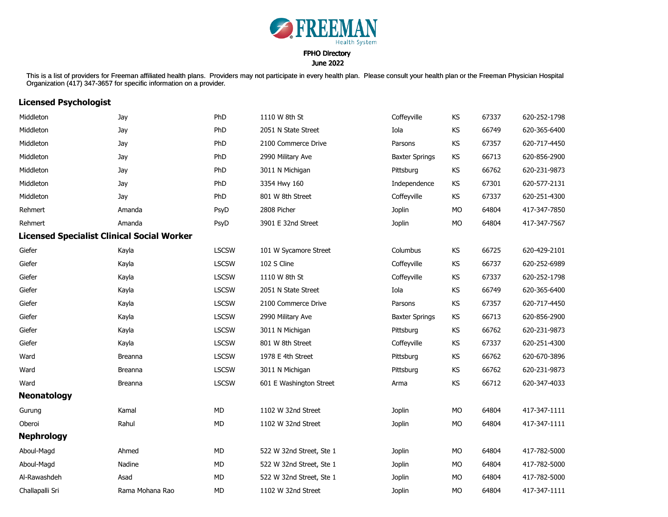

#### June 2022

This is a list of providers for Freeman affiliated health plans. Providers may not participate in every health plan. Please consult your health plan or the Freeman Physician Hospital<br>Organization (417) 347-3657 for specifi

# Licensed Psychologist

| Middleton                                         | Jay             | PhD          | 1110 W 8th St            | Coffeyville           | KS        | 67337 | 620-252-1798 |
|---------------------------------------------------|-----------------|--------------|--------------------------|-----------------------|-----------|-------|--------------|
| Middleton                                         | Jay             | PhD          | 2051 N State Street      | Iola                  | KS        | 66749 | 620-365-6400 |
| Middleton                                         | Jay             | PhD          | 2100 Commerce Drive      | Parsons               | KS        | 67357 | 620-717-4450 |
| Middleton                                         | Jay             | PhD          | 2990 Military Ave        | <b>Baxter Springs</b> | KS        | 66713 | 620-856-2900 |
| Middleton                                         | Jay             | PhD          | 3011 N Michigan          | Pittsburg             | KS        | 66762 | 620-231-9873 |
| Middleton                                         | Jay             | PhD          | 3354 Hwy 160             | Independence          | KS        | 67301 | 620-577-2131 |
| Middleton                                         | Jay             | PhD          | 801 W 8th Street         | Coffeyville           | KS        | 67337 | 620-251-4300 |
| Rehmert                                           | Amanda          | PsyD         | 2808 Picher              | <b>Joplin</b>         | MO        | 64804 | 417-347-7850 |
| Rehmert                                           | Amanda          | PsyD         | 3901 E 32nd Street       | <b>Joplin</b>         | MO        | 64804 | 417-347-7567 |
| <b>Licensed Specialist Clinical Social Worker</b> |                 |              |                          |                       |           |       |              |
| Giefer                                            | Kayla           | <b>LSCSW</b> | 101 W Sycamore Street    | Columbus              | KS        | 66725 | 620-429-2101 |
| Giefer                                            | Kayla           | <b>LSCSW</b> | 102 S Cline              | Coffeyville           | KS        | 66737 | 620-252-6989 |
| Giefer                                            | Kayla           | <b>LSCSW</b> | 1110 W 8th St            | Coffeyville           | KS        | 67337 | 620-252-1798 |
| Giefer                                            | Kayla           | <b>LSCSW</b> | 2051 N State Street      | Iola                  | KS        | 66749 | 620-365-6400 |
| Giefer                                            | Kayla           | <b>LSCSW</b> | 2100 Commerce Drive      | Parsons               | KS        | 67357 | 620-717-4450 |
| Giefer                                            | Kayla           | <b>LSCSW</b> | 2990 Military Ave        | <b>Baxter Springs</b> | KS        | 66713 | 620-856-2900 |
| Giefer                                            | Kayla           | <b>LSCSW</b> | 3011 N Michigan          | Pittsburg             | KS        | 66762 | 620-231-9873 |
| Giefer                                            | Kayla           | <b>LSCSW</b> | 801 W 8th Street         | Coffeyville           | KS        | 67337 | 620-251-4300 |
| Ward                                              | <b>Breanna</b>  | <b>LSCSW</b> | 1978 E 4th Street        | Pittsburg             | KS        | 66762 | 620-670-3896 |
| Ward                                              | Breanna         | <b>LSCSW</b> | 3011 N Michigan          | Pittsburg             | KS        | 66762 | 620-231-9873 |
| Ward                                              | Breanna         | <b>LSCSW</b> | 601 E Washington Street  | Arma                  | KS        | 66712 | 620-347-4033 |
| <b>Neonatology</b>                                |                 |              |                          |                       |           |       |              |
| Gurung                                            | Kamal           | <b>MD</b>    | 1102 W 32nd Street       | <b>Joplin</b>         | <b>MO</b> | 64804 | 417-347-1111 |
| Oberoi                                            | Rahul           | <b>MD</b>    | 1102 W 32nd Street       | <b>Joplin</b>         | <b>MO</b> | 64804 | 417-347-1111 |
| <b>Nephrology</b>                                 |                 |              |                          |                       |           |       |              |
| Aboul-Magd                                        | Ahmed           | <b>MD</b>    | 522 W 32nd Street, Ste 1 | <b>Joplin</b>         | <b>MO</b> | 64804 | 417-782-5000 |
| Aboul-Magd                                        | Nadine          | MD           | 522 W 32nd Street, Ste 1 | <b>Joplin</b>         | МO        | 64804 | 417-782-5000 |
| Al-Rawashdeh                                      | Asad            | MD           | 522 W 32nd Street, Ste 1 | <b>Joplin</b>         | МO        | 64804 | 417-782-5000 |
| Challapalli Sri                                   | Rama Mohana Rao | <b>MD</b>    | 1102 W 32nd Street       | <b>Joplin</b>         | MO        | 64804 | 417-347-1111 |
|                                                   |                 |              |                          |                       |           |       |              |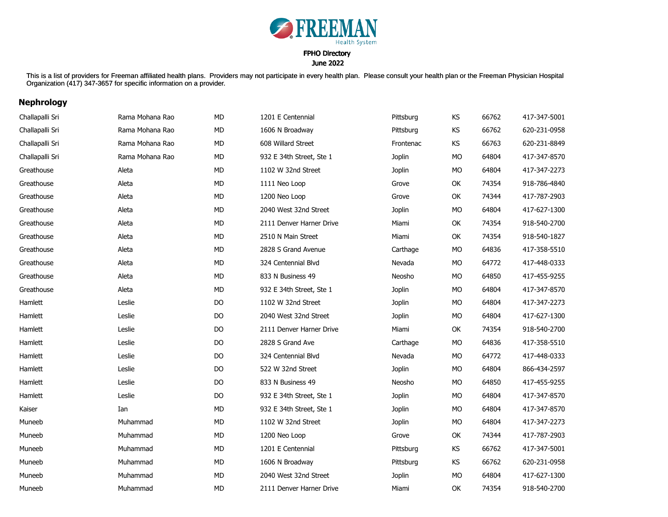

#### June 2022

This is a list of providers for Freeman affiliated health plans. Providers may not participate in every health plan. Please consult your health plan or the Freeman Physician Hospital<br>Organization (417) 347-3657 for specifi

# Nephrology

| Challapalli Sri | Rama Mohana Rao | MD        | 1201 E Centennial        | Pittsburg     | KS        | 66762 | 417-347-5001 |
|-----------------|-----------------|-----------|--------------------------|---------------|-----------|-------|--------------|
| Challapalli Sri | Rama Mohana Rao | MD        | 1606 N Broadway          | Pittsburg     | KS        | 66762 | 620-231-0958 |
| Challapalli Sri | Rama Mohana Rao | <b>MD</b> | 608 Willard Street       | Frontenac     | KS        | 66763 | 620-231-8849 |
| Challapalli Sri | Rama Mohana Rao | MD        | 932 E 34th Street, Ste 1 | <b>Joplin</b> | MO        | 64804 | 417-347-8570 |
| Greathouse      | Aleta           | MD        | 1102 W 32nd Street       | <b>Joplin</b> | <b>MO</b> | 64804 | 417-347-2273 |
| Greathouse      | Aleta           | <b>MD</b> | 1111 Neo Loop            | Grove         | OK        | 74354 | 918-786-4840 |
| Greathouse      | Aleta           | <b>MD</b> | 1200 Neo Loop            | Grove         | OK        | 74344 | 417-787-2903 |
| Greathouse      | Aleta           | MD        | 2040 West 32nd Street    | <b>Joplin</b> | MO        | 64804 | 417-627-1300 |
| Greathouse      | Aleta           | MD        | 2111 Denver Harner Drive | Miami         | OK        | 74354 | 918-540-2700 |
| Greathouse      | Aleta           | <b>MD</b> | 2510 N Main Street       | Miami         | OK        | 74354 | 918-540-1827 |
| Greathouse      | Aleta           | <b>MD</b> | 2828 S Grand Avenue      | Carthage      | <b>MO</b> | 64836 | 417-358-5510 |
| Greathouse      | Aleta           | <b>MD</b> | 324 Centennial Blvd      | Nevada        | MO        | 64772 | 417-448-0333 |
| Greathouse      | Aleta           | <b>MD</b> | 833 N Business 49        | Neosho        | <b>MO</b> | 64850 | 417-455-9255 |
| Greathouse      | Aleta           | MD        | 932 E 34th Street, Ste 1 | <b>Joplin</b> | MO        | 64804 | 417-347-8570 |
| Hamlett         | Leslie          | DO        | 1102 W 32nd Street       | <b>Joplin</b> | MO        | 64804 | 417-347-2273 |
| Hamlett         | Leslie          | DO        | 2040 West 32nd Street    | <b>Joplin</b> | MO        | 64804 | 417-627-1300 |
| Hamlett         | Leslie          | DO        | 2111 Denver Harner Drive | Miami         | OK        | 74354 | 918-540-2700 |
| Hamlett         | Leslie          | DO        | 2828 S Grand Ave         | Carthage      | <b>MO</b> | 64836 | 417-358-5510 |
| Hamlett         | Leslie          | DO        | 324 Centennial Blvd      | Nevada        | <b>MO</b> | 64772 | 417-448-0333 |
| Hamlett         | Leslie          | DO        | 522 W 32nd Street        | <b>Joplin</b> | MO        | 64804 | 866-434-2597 |
| Hamlett         | Leslie          | DO        | 833 N Business 49        | Neosho        | <b>MO</b> | 64850 | 417-455-9255 |
| Hamlett         | Leslie          | DO        | 932 E 34th Street, Ste 1 | <b>Joplin</b> | MO        | 64804 | 417-347-8570 |
| Kaiser          | Ian             | <b>MD</b> | 932 E 34th Street, Ste 1 | <b>Joplin</b> | MO        | 64804 | 417-347-8570 |
| Muneeb          | Muhammad        | MD        | 1102 W 32nd Street       | <b>Joplin</b> | <b>MO</b> | 64804 | 417-347-2273 |
| Muneeb          | Muhammad        | <b>MD</b> | 1200 Neo Loop            | Grove         | OK        | 74344 | 417-787-2903 |
| Muneeb          | Muhammad        | MD        | 1201 E Centennial        | Pittsburg     | KS        | 66762 | 417-347-5001 |
| Muneeb          | Muhammad        | MD        | 1606 N Broadway          | Pittsburg     | KS        | 66762 | 620-231-0958 |
| Muneeb          | Muhammad        | MD        | 2040 West 32nd Street    | Joplin        | MO        | 64804 | 417-627-1300 |
| Muneeb          | Muhammad        | MD        | 2111 Denver Harner Drive | Miami         | OK        | 74354 | 918-540-2700 |
|                 |                 |           |                          |               |           |       |              |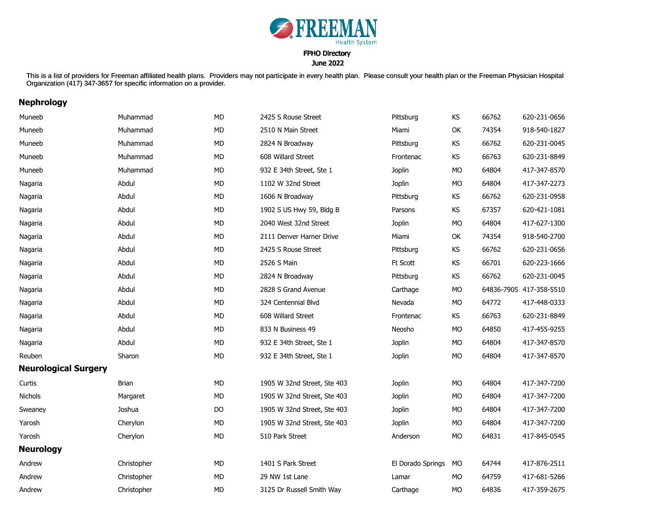

#### June 2022

This is a list of providers for Freeman affiliated health plans. Providers may not participate in every health plan. Please consult your health plan or the Freeman Physician Hospital<br>Organization (417) 347-3657 for specifi

# Nephrology

| Muneeb                      | Muhammad     | <b>MD</b> | 2425 S Rouse Street         | Pittsburg         | KS        | 66762 | 620-231-0656            |
|-----------------------------|--------------|-----------|-----------------------------|-------------------|-----------|-------|-------------------------|
| Muneeb                      | Muhammad     | <b>MD</b> | 2510 N Main Street          | Miami             | OK        | 74354 | 918-540-1827            |
| Muneeb                      | Muhammad     | <b>MD</b> | 2824 N Broadway             | Pittsburg         | KS        | 66762 | 620-231-0045            |
| Muneeb                      | Muhammad     | <b>MD</b> | 608 Willard Street          | Frontenac         | KS        | 66763 | 620-231-8849            |
| Muneeb                      | Muhammad     | <b>MD</b> | 932 E 34th Street, Ste 1    | <b>Joplin</b>     | <b>MO</b> | 64804 | 417-347-8570            |
| Nagaria                     | Abdul        | MD        | 1102 W 32nd Street          | <b>Joplin</b>     | MO        | 64804 | 417-347-2273            |
| Nagaria                     | Abdul        | <b>MD</b> | 1606 N Broadway             | Pittsburg         | KS        | 66762 | 620-231-0958            |
| Nagaria                     | Abdul        | <b>MD</b> | 1902 S US Hwy 59, Bldg B    | Parsons           | КS        | 67357 | 620-421-1081            |
| Nagaria                     | Abdul        | <b>MD</b> | 2040 West 32nd Street       | Joplin            | MO        | 64804 | 417-627-1300            |
| Nagaria                     | Abdul        | <b>MD</b> | 2111 Denver Harner Drive    | Miami             | OK        | 74354 | 918-540-2700            |
| Nagaria                     | Abdul        | <b>MD</b> | 2425 S Rouse Street         | Pittsburg         | KS        | 66762 | 620-231-0656            |
| Nagaria                     | Abdul        | <b>MD</b> | 2526 S Main                 | <b>Ft Scott</b>   | KS        | 66701 | 620-223-1666            |
| Nagaria                     | Abdul        | <b>MD</b> | 2824 N Broadway             | Pittsburg         | KS        | 66762 | 620-231-0045            |
| Nagaria                     | Abdul        | <b>MD</b> | 2828 S Grand Avenue         | Carthage          | <b>MO</b> |       | 64836-7905 417-358-5510 |
| Nagaria                     | Abdul        | <b>MD</b> | 324 Centennial Blvd         | Nevada            | MO        | 64772 | 417-448-0333            |
| Nagaria                     | Abdul        | <b>MD</b> | 608 Willard Street          | Frontenac         | KS        | 66763 | 620-231-8849            |
| Nagaria                     | Abdul        | <b>MD</b> | 833 N Business 49           | Neosho            | <b>MO</b> | 64850 | 417-455-9255            |
| Nagaria                     | Abdul        | <b>MD</b> | 932 E 34th Street, Ste 1    | <b>Joplin</b>     | <b>MO</b> | 64804 | 417-347-8570            |
| Reuben                      | Sharon       | <b>MD</b> | 932 E 34th Street, Ste 1    | <b>Joplin</b>     | MO        | 64804 | 417-347-8570            |
| <b>Neurological Surgery</b> |              |           |                             |                   |           |       |                         |
| Curtis                      | <b>Brian</b> | <b>MD</b> | 1905 W 32nd Street, Ste 403 | <b>Joplin</b>     | MO        | 64804 | 417-347-7200            |
| Nichols                     | Margaret     | <b>MD</b> | 1905 W 32nd Street, Ste 403 | <b>Joplin</b>     | MO        | 64804 | 417-347-7200            |
| Sweaney                     | Joshua       | DO        | 1905 W 32nd Street, Ste 403 | <b>Joplin</b>     | <b>MO</b> | 64804 | 417-347-7200            |
| Yarosh                      | Cherylon     | <b>MD</b> | 1905 W 32nd Street, Ste 403 | Joplin            | <b>MO</b> | 64804 | 417-347-7200            |
| Yarosh                      | Cherylon     | <b>MD</b> | 510 Park Street             | Anderson          | <b>MO</b> | 64831 | 417-845-0545            |
| <b>Neurology</b>            |              |           |                             |                   |           |       |                         |
| Andrew                      | Christopher  | <b>MD</b> | 1401 S Park Street          | El Dorado Springs | МO        | 64744 | 417-876-2511            |
| Andrew                      | Christopher  | <b>MD</b> | 29 NW 1st Lane              | Lamar             | <b>MO</b> | 64759 | 417-681-5266            |
| Andrew                      | Christopher  | <b>MD</b> | 3125 Dr Russell Smith Way   | Carthage          | <b>MO</b> | 64836 | 417-359-2675            |
|                             |              |           |                             |                   |           |       |                         |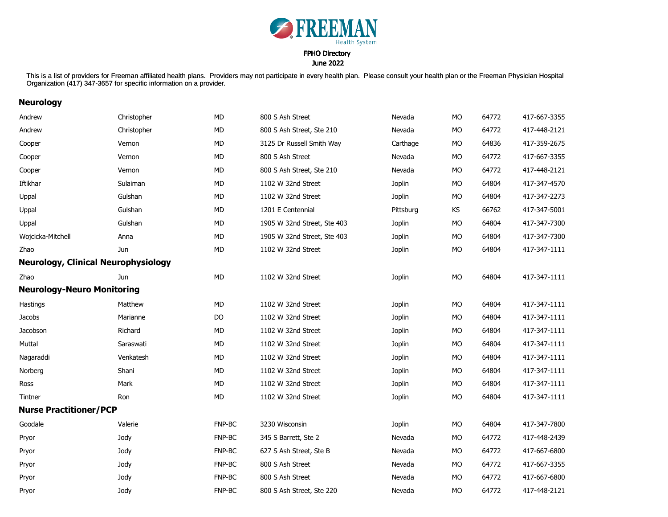

#### June 2022

This is a list of providers for Freeman affiliated health plans. Providers may not participate in every health plan. Please consult your health plan or the Freeman Physician Hospital<br>Organization (417) 347-3657 for specifi

# Neurology

| Andrew                            | Christopher                                | <b>MD</b> | 800 S Ash Street            | Nevada        | <b>MO</b>      | 64772 | 417-667-3355 |
|-----------------------------------|--------------------------------------------|-----------|-----------------------------|---------------|----------------|-------|--------------|
| Andrew                            | Christopher                                | <b>MD</b> | 800 S Ash Street, Ste 210   | Nevada        | M <sub>O</sub> | 64772 | 417-448-2121 |
| Cooper                            | Vernon                                     | <b>MD</b> | 3125 Dr Russell Smith Way   | Carthage      | <b>MO</b>      | 64836 | 417-359-2675 |
| Cooper                            | Vernon                                     | MD        | 800 S Ash Street            | Nevada        | MO             | 64772 | 417-667-3355 |
| Cooper                            | Vernon                                     | MD        | 800 S Ash Street, Ste 210   | Nevada        | MO             | 64772 | 417-448-2121 |
| Iftikhar                          | Sulaiman                                   | MD        | 1102 W 32nd Street          | Joplin        | MO             | 64804 | 417-347-4570 |
| Uppal                             | Gulshan                                    | MD        | 1102 W 32nd Street          | <b>Joplin</b> | MO             | 64804 | 417-347-2273 |
| Uppal                             | Gulshan                                    | <b>MD</b> | 1201 E Centennial           | Pittsburg     | KS             | 66762 | 417-347-5001 |
| Uppal                             | Gulshan                                    | <b>MD</b> | 1905 W 32nd Street, Ste 403 | <b>Joplin</b> | MO             | 64804 | 417-347-7300 |
| Wojcicka-Mitchell                 | Anna                                       | <b>MD</b> | 1905 W 32nd Street, Ste 403 | Joplin        | MO             | 64804 | 417-347-7300 |
| Zhao                              | Jun                                        | <b>MD</b> | 1102 W 32nd Street          | Joplin        | <b>MO</b>      | 64804 | 417-347-1111 |
|                                   | <b>Neurology, Clinical Neurophysiology</b> |           |                             |               |                |       |              |
| Zhao                              | Jun                                        | <b>MD</b> | 1102 W 32nd Street          | Joplin        | MO             | 64804 | 417-347-1111 |
| <b>Neurology-Neuro Monitoring</b> |                                            |           |                             |               |                |       |              |
| Hastings                          | Matthew                                    | MD        | 1102 W 32nd Street          | Joplin        | MO             | 64804 | 417-347-1111 |
| Jacobs                            | Marianne                                   | DO        | 1102 W 32nd Street          | <b>Joplin</b> | <b>MO</b>      | 64804 | 417-347-1111 |
| Jacobson                          | Richard                                    | <b>MD</b> | 1102 W 32nd Street          | <b>Joplin</b> | MO             | 64804 | 417-347-1111 |
| Muttal                            | Saraswati                                  | <b>MD</b> | 1102 W 32nd Street          | Joplin        | MO             | 64804 | 417-347-1111 |
| Nagaraddi                         | Venkatesh                                  | <b>MD</b> | 1102 W 32nd Street          | Joplin        | MO             | 64804 | 417-347-1111 |
| Norberg                           | Shani                                      | <b>MD</b> | 1102 W 32nd Street          | Joplin        | <b>MO</b>      | 64804 | 417-347-1111 |
| Ross                              | Mark                                       | <b>MD</b> | 1102 W 32nd Street          | Joplin        | <b>MO</b>      | 64804 | 417-347-1111 |
| Tintner                           | Ron                                        | <b>MD</b> | 1102 W 32nd Street          | <b>Joplin</b> | <b>MO</b>      | 64804 | 417-347-1111 |
| <b>Nurse Practitioner/PCP</b>     |                                            |           |                             |               |                |       |              |
| Goodale                           | Valerie                                    | FNP-BC    | 3230 Wisconsin              | Joplin        | MO             | 64804 | 417-347-7800 |
| Pryor                             | Jody                                       | FNP-BC    | 345 S Barrett, Ste 2        | Nevada        | MO             | 64772 | 417-448-2439 |
| Pryor                             | Jody                                       | FNP-BC    | 627 S Ash Street, Ste B     | Nevada        | MO             | 64772 | 417-667-6800 |
| Pryor                             | Jody                                       | FNP-BC    | 800 S Ash Street            | Nevada        | MO             | 64772 | 417-667-3355 |
| Pryor                             | Jody                                       | FNP-BC    | 800 S Ash Street            | Nevada        | MO             | 64772 | 417-667-6800 |
| Pryor                             | Jody                                       | FNP-BC    | 800 S Ash Street, Ste 220   | Nevada        | MO             | 64772 | 417-448-2121 |
|                                   |                                            |           |                             |               |                |       |              |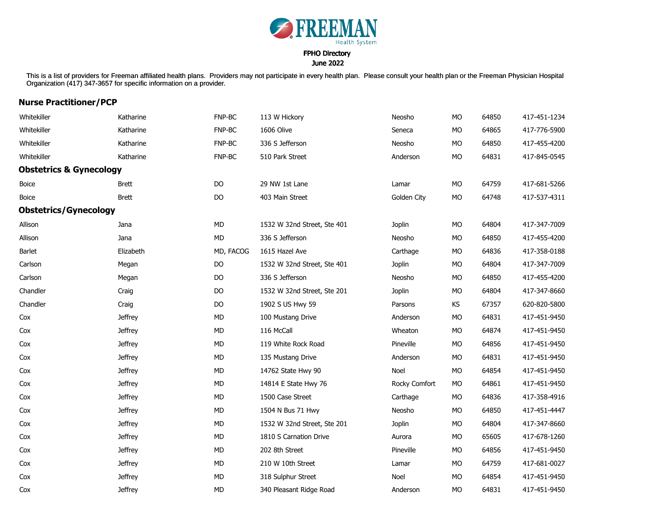

#### June 2022

This is a list of providers for Freeman affiliated health plans. Providers may not participate in every health plan. Please consult your health plan or the Freeman Physician Hospital<br>Organization (417) 347-3657 for specifi

# Nurse Practitioner/PCP

| Whitekiller                        | Katharine      | FNP-BC    | 113 W Hickory               | Neosho        | MO        | 64850 | 417-451-1234 |
|------------------------------------|----------------|-----------|-----------------------------|---------------|-----------|-------|--------------|
| Whitekiller                        | Katharine      | FNP-BC    | 1606 Olive                  | Seneca        | MO        | 64865 | 417-776-5900 |
| Whitekiller                        | Katharine      | FNP-BC    | 336 S Jefferson             | Neosho        | MO        | 64850 | 417-455-4200 |
| Whitekiller                        | Katharine      | FNP-BC    | 510 Park Street             | Anderson      | MO        | 64831 | 417-845-0545 |
| <b>Obstetrics &amp; Gynecology</b> |                |           |                             |               |           |       |              |
| <b>Boice</b>                       | <b>Brett</b>   | DO        | 29 NW 1st Lane              | Lamar         | MO        | 64759 | 417-681-5266 |
| <b>Boice</b>                       | <b>Brett</b>   | DO        | 403 Main Street             | Golden City   | <b>MO</b> | 64748 | 417-537-4311 |
| <b>Obstetrics/Gynecology</b>       |                |           |                             |               |           |       |              |
| Allison                            | Jana           | <b>MD</b> | 1532 W 32nd Street, Ste 401 | <b>Joplin</b> | <b>MO</b> | 64804 | 417-347-7009 |
| Allison                            | Jana           | <b>MD</b> | 336 S Jefferson             | Neosho        | <b>MO</b> | 64850 | 417-455-4200 |
| <b>Barlet</b>                      | Elizabeth      | MD, FACOG | 1615 Hazel Ave              | Carthage      | МO        | 64836 | 417-358-0188 |
| Carlson                            | Megan          | <b>DO</b> | 1532 W 32nd Street, Ste 401 | <b>Joplin</b> | МO        | 64804 | 417-347-7009 |
| Carlson                            | Megan          | DO        | 336 S Jefferson             | Neosho        | MO        | 64850 | 417-455-4200 |
| Chandler                           | Craig          | DO        | 1532 W 32nd Street, Ste 201 | Joplin        | MO        | 64804 | 417-347-8660 |
| Chandler                           | Craig          | DO        | 1902 S US Hwy 59            | Parsons       | KS        | 67357 | 620-820-5800 |
| Cox                                | <b>Jeffrey</b> | <b>MD</b> | 100 Mustang Drive           | Anderson      | MO        | 64831 | 417-451-9450 |
| Cox                                | <b>Jeffrey</b> | <b>MD</b> | 116 McCall                  | Wheaton       | <b>MO</b> | 64874 | 417-451-9450 |
| Cox                                | <b>Jeffrey</b> | <b>MD</b> | 119 White Rock Road         | Pineville     | <b>MO</b> | 64856 | 417-451-9450 |
| Cox                                | <b>Jeffrey</b> | <b>MD</b> | 135 Mustang Drive           | Anderson      | <b>MO</b> | 64831 | 417-451-9450 |
| Cox                                | <b>Jeffrey</b> | <b>MD</b> | 14762 State Hwy 90          | Noel          | MO        | 64854 | 417-451-9450 |
| Cox                                | <b>Jeffrey</b> | <b>MD</b> | 14814 E State Hwy 76        | Rocky Comfort | MO        | 64861 | 417-451-9450 |
| Cox                                | <b>Jeffrey</b> | <b>MD</b> | 1500 Case Street            | Carthage      | MO        | 64836 | 417-358-4916 |
| Cox                                | <b>Jeffrey</b> | <b>MD</b> | 1504 N Bus 71 Hwy           | Neosho        | MO        | 64850 | 417-451-4447 |
| Cox                                | <b>Jeffrey</b> | <b>MD</b> | 1532 W 32nd Street, Ste 201 | Joplin        | MO        | 64804 | 417-347-8660 |
| Cox                                | <b>Jeffrey</b> | MD        | 1810 S Carnation Drive      | Aurora        | MO        | 65605 | 417-678-1260 |
| Cox                                | <b>Jeffrey</b> | <b>MD</b> | 202 8th Street              | Pineville     | <b>MO</b> | 64856 | 417-451-9450 |
| Cox                                | <b>Jeffrey</b> | <b>MD</b> | 210 W 10th Street           | Lamar         | <b>MO</b> | 64759 | 417-681-0027 |
| Cox                                | <b>Jeffrey</b> | MD        | 318 Sulphur Street          | Noel          | MO        | 64854 | 417-451-9450 |
| Cox                                | <b>Jeffrey</b> | <b>MD</b> | 340 Pleasant Ridge Road     | Anderson      | MO        | 64831 | 417-451-9450 |
|                                    |                |           |                             |               |           |       |              |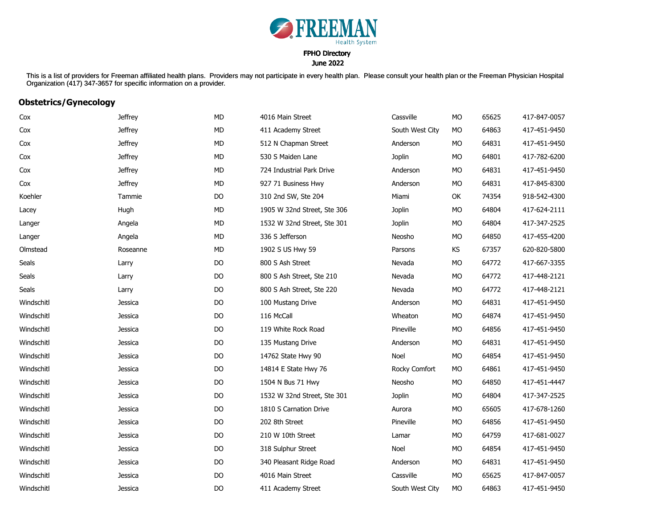

#### June 2022

This is a list of providers for Freeman affiliated health plans. Providers may not participate in every health plan. Please consult your health plan or the Freeman Physician Hospital<br>Organization (417) 347-3657 for specifi

# Obstetrics/Gynecology

| Cox        | <b>Jeffrey</b> | <b>MD</b> | 4016 Main Street            | Cassville       | MO        | 65625 | 417-847-0057 |
|------------|----------------|-----------|-----------------------------|-----------------|-----------|-------|--------------|
| Cox        | <b>Jeffrey</b> | <b>MD</b> | 411 Academy Street          | South West City | MO        | 64863 | 417-451-9450 |
| Cox        | <b>Jeffrey</b> | MD        | 512 N Chapman Street        | Anderson        | MO        | 64831 | 417-451-9450 |
| Cox        | <b>Jeffrey</b> | <b>MD</b> | 530 S Maiden Lane           | <b>Joplin</b>   | <b>MO</b> | 64801 | 417-782-6200 |
| Cox        | <b>Jeffrey</b> | <b>MD</b> | 724 Industrial Park Drive   | Anderson        | MO        | 64831 | 417-451-9450 |
| Cox        | <b>Jeffrey</b> | MD        | 927 71 Business Hwy         | Anderson        | MO        | 64831 | 417-845-8300 |
| Koehler    | Tammie         | DO        | 310 2nd SW, Ste 204         | Miami           | OK        | 74354 | 918-542-4300 |
| Lacey      | Hugh           | MD        | 1905 W 32nd Street, Ste 306 | <b>Joplin</b>   | MO        | 64804 | 417-624-2111 |
| Langer     | Angela         | MD        | 1532 W 32nd Street, Ste 301 | <b>Joplin</b>   | <b>MO</b> | 64804 | 417-347-2525 |
| Langer     | Angela         | MD        | 336 S Jefferson             | Neosho          | <b>MO</b> | 64850 | 417-455-4200 |
| Olmstead   | Roseanne       | <b>MD</b> | 1902 S US Hwy 59            | Parsons         | KS        | 67357 | 620-820-5800 |
| Seals      | Larry          | DO        | 800 S Ash Street            | Nevada          | MO        | 64772 | 417-667-3355 |
| Seals      | Larry          | DO        | 800 S Ash Street, Ste 210   | Nevada          | MO        | 64772 | 417-448-2121 |
| Seals      | Larry          | DO        | 800 S Ash Street, Ste 220   | Nevada          | <b>MO</b> | 64772 | 417-448-2121 |
| Windschitl | Jessica        | DO        | 100 Mustang Drive           | Anderson        | MO        | 64831 | 417-451-9450 |
| Windschitl | Jessica        | DO        | 116 McCall                  | Wheaton         | MO        | 64874 | 417-451-9450 |
| Windschitl | <b>Jessica</b> | DO        | 119 White Rock Road         | Pineville       | MO        | 64856 | 417-451-9450 |
| Windschitl | Jessica        | DO.       | 135 Mustang Drive           | Anderson        | <b>MO</b> | 64831 | 417-451-9450 |
| Windschitl | <b>Jessica</b> | DO        | 14762 State Hwy 90          | Noel            | MO        | 64854 | 417-451-9450 |
| Windschitl | Jessica        | DO        | 14814 E State Hwy 76        | Rocky Comfort   | MO        | 64861 | 417-451-9450 |
| Windschitl | Jessica        | DO        | 1504 N Bus 71 Hwy           | Neosho          | MO        | 64850 | 417-451-4447 |
| Windschitl | <b>Jessica</b> | DO        | 1532 W 32nd Street, Ste 301 | <b>Joplin</b>   | MO        | 64804 | 417-347-2525 |
| Windschitl | <b>Jessica</b> | DO        | 1810 S Carnation Drive      | Aurora          | <b>MO</b> | 65605 | 417-678-1260 |
| Windschitl | Jessica        | DO        | 202 8th Street              | Pineville       | <b>MO</b> | 64856 | 417-451-9450 |
| Windschitl | Jessica        | DO        | 210 W 10th Street           | Lamar           | MO        | 64759 | 417-681-0027 |
| Windschitl | <b>Jessica</b> | DO        | 318 Sulphur Street          | Noel            | MO        | 64854 | 417-451-9450 |
| Windschitl | <b>Jessica</b> | DO        | 340 Pleasant Ridge Road     | Anderson        | MO        | 64831 | 417-451-9450 |
| Windschitl | Jessica        | DO        | 4016 Main Street            | Cassville       | MO        | 65625 | 417-847-0057 |
| Windschitl | Jessica        | DO        | 411 Academy Street          | South West City | <b>MO</b> | 64863 | 417-451-9450 |
|            |                |           |                             |                 |           |       |              |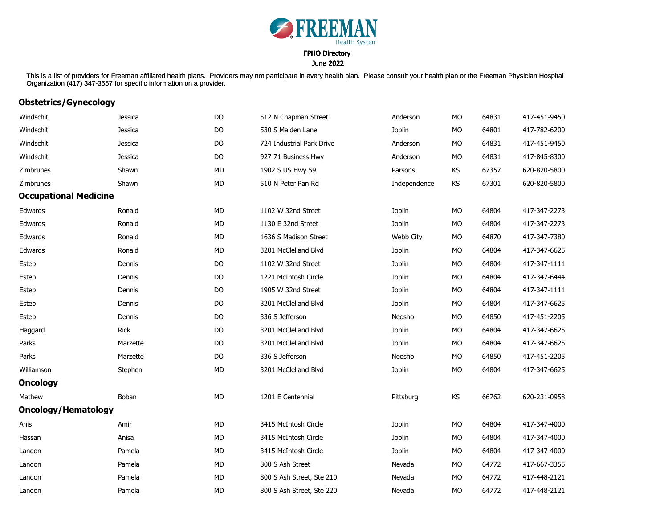

#### June 2022

This is a list of providers for Freeman affiliated health plans. Providers may not participate in every health plan. Please consult your health plan or the Freeman Physician Hospital<br>Organization (417) 347-3657 for specifi

# Obstetrics/Gynecology

| Windschitl                   | Jessica        | DO        | 512 N Chapman Street      | Anderson      | <b>MO</b> | 64831 | 417-451-9450 |
|------------------------------|----------------|-----------|---------------------------|---------------|-----------|-------|--------------|
| Windschitl                   | <b>Jessica</b> | <b>DO</b> | 530 S Maiden Lane         | <b>Joplin</b> | <b>MO</b> | 64801 | 417-782-6200 |
| Windschitl                   | <b>Jessica</b> | <b>DO</b> | 724 Industrial Park Drive | Anderson      | <b>MO</b> | 64831 | 417-451-9450 |
| Windschitl                   | <b>Jessica</b> | DO        | 927 71 Business Hwy       | Anderson      | <b>MO</b> | 64831 | 417-845-8300 |
| Zimbrunes                    | Shawn          | <b>MD</b> | 1902 S US Hwy 59          | Parsons       | KS        | 67357 | 620-820-5800 |
| Zimbrunes                    | Shawn          | <b>MD</b> | 510 N Peter Pan Rd        | Independence  | KS        | 67301 | 620-820-5800 |
| <b>Occupational Medicine</b> |                |           |                           |               |           |       |              |
| Edwards                      | Ronald         | <b>MD</b> | 1102 W 32nd Street        | <b>Joplin</b> | MO        | 64804 | 417-347-2273 |
| Edwards                      | Ronald         | <b>MD</b> | 1130 E 32nd Street        | <b>Joplin</b> | <b>MO</b> | 64804 | 417-347-2273 |
| Edwards                      | Ronald         | <b>MD</b> | 1636 S Madison Street     | Webb City     | MO        | 64870 | 417-347-7380 |
| Edwards                      | Ronald         | <b>MD</b> | 3201 McClelland Blvd      | <b>Joplin</b> | MO        | 64804 | 417-347-6625 |
| Estep                        | Dennis         | DO        | 1102 W 32nd Street        | <b>Joplin</b> | <b>MO</b> | 64804 | 417-347-1111 |
| Estep                        | Dennis         | DO        | 1221 McIntosh Circle      | Joplin        | <b>MO</b> | 64804 | 417-347-6444 |
| Estep                        | Dennis         | <b>DO</b> | 1905 W 32nd Street        | <b>Joplin</b> | <b>MO</b> | 64804 | 417-347-1111 |
| Estep                        | Dennis         | <b>DO</b> | 3201 McClelland Blvd      | <b>Joplin</b> | <b>MO</b> | 64804 | 417-347-6625 |
| Estep                        | Dennis         | DO        | 336 S Jefferson           | Neosho        | <b>MO</b> | 64850 | 417-451-2205 |
| Haggard                      | <b>Rick</b>    | DO        | 3201 McClelland Blvd      | <b>Joplin</b> | <b>MO</b> | 64804 | 417-347-6625 |
| Parks                        | Marzette       | DO        | 3201 McClelland Blvd      | <b>Joplin</b> | <b>MO</b> | 64804 | 417-347-6625 |
| Parks                        | Marzette       | <b>DO</b> | 336 S Jefferson           | Neosho        | <b>MO</b> | 64850 | 417-451-2205 |
| Williamson                   | Stephen        | <b>MD</b> | 3201 McClelland Blvd      | <b>Joplin</b> | <b>MO</b> | 64804 | 417-347-6625 |
| <b>Oncology</b>              |                |           |                           |               |           |       |              |
| Mathew                       | Boban          | <b>MD</b> | 1201 E Centennial         | Pittsburg     | KS        | 66762 | 620-231-0958 |
| <b>Oncology/Hematology</b>   |                |           |                           |               |           |       |              |
| Anis                         | Amir           | <b>MD</b> | 3415 McIntosh Circle      | <b>Joplin</b> | MO        | 64804 | 417-347-4000 |
| Hassan                       | Anisa          | <b>MD</b> | 3415 McIntosh Circle      | <b>Joplin</b> | <b>MO</b> | 64804 | 417-347-4000 |
| Landon                       | Pamela         | <b>MD</b> | 3415 McIntosh Circle      | <b>Joplin</b> | <b>MO</b> | 64804 | 417-347-4000 |
| Landon                       | Pamela         | <b>MD</b> | 800 S Ash Street          | Nevada        | MO        | 64772 | 417-667-3355 |
| Landon                       | Pamela         | MD        | 800 S Ash Street, Ste 210 | Nevada        | <b>MO</b> | 64772 | 417-448-2121 |
| Landon                       | Pamela         | <b>MD</b> | 800 S Ash Street, Ste 220 | Nevada        | <b>MO</b> | 64772 | 417-448-2121 |
|                              |                |           |                           |               |           |       |              |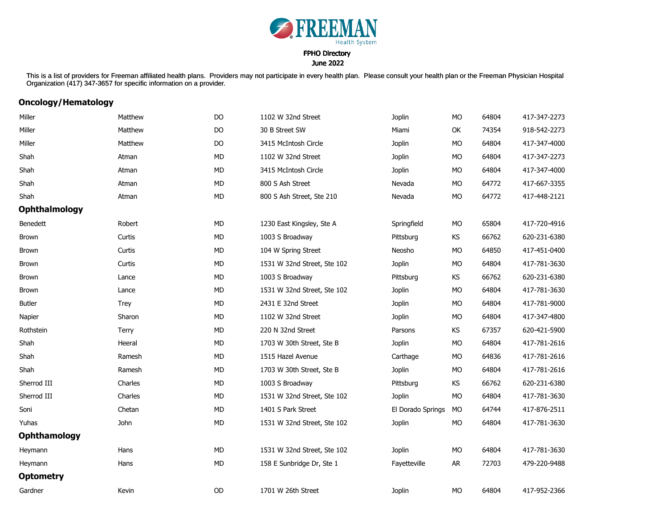

#### June 2022

This is a list of providers for Freeman affiliated health plans. Providers may not participate in every health plan. Please consult your health plan or the Freeman Physician Hospital<br>Organization (417) 347-3657 for specifi

# Oncology/Hematology

| Miller               | Matthew      | D <sub>O</sub> | 1102 W 32nd Street          | <b>Joplin</b>     | MO         | 64804 | 417-347-2273 |
|----------------------|--------------|----------------|-----------------------------|-------------------|------------|-------|--------------|
| Miller               | Matthew      | D <sub>O</sub> | 30 B Street SW              | Miami             | OK         | 74354 | 918-542-2273 |
| Miller               | Matthew      | D <sub>O</sub> | 3415 McIntosh Circle        | <b>Joplin</b>     | MO         | 64804 | 417-347-4000 |
| Shah                 | Atman        | MD             | 1102 W 32nd Street          | Joplin            | <b>MO</b>  | 64804 | 417-347-2273 |
| Shah                 | Atman        | MD             | 3415 McIntosh Circle        | <b>Joplin</b>     | <b>MO</b>  | 64804 | 417-347-4000 |
| Shah                 | Atman        | MD             | 800 S Ash Street            | Nevada            | <b>MO</b>  | 64772 | 417-667-3355 |
| Shah                 | Atman        | MD             | 800 S Ash Street, Ste 210   | Nevada            | MO         | 64772 | 417-448-2121 |
| <b>Ophthalmology</b> |              |                |                             |                   |            |       |              |
| Benedett             | Robert       | <b>MD</b>      | 1230 East Kingsley, Ste A   | Springfield       | MO         | 65804 | 417-720-4916 |
| Brown                | Curtis       | MD             | 1003 S Broadway             | Pittsburg         | KS         | 66762 | 620-231-6380 |
| Brown                | Curtis       | MD             | 104 W Spring Street         | Neosho            | <b>MO</b>  | 64850 | 417-451-0400 |
| Brown                | Curtis       | MD             | 1531 W 32nd Street, Ste 102 | Joplin            | MO         | 64804 | 417-781-3630 |
| Brown                | Lance        | MD             | 1003 S Broadway             | Pittsburg         | KS         | 66762 | 620-231-6380 |
| Brown                | Lance        | MD             | 1531 W 32nd Street, Ste 102 | <b>Joplin</b>     | MO         | 64804 | 417-781-3630 |
| <b>Butler</b>        | <b>Trey</b>  | MD             | 2431 E 32nd Street          | <b>Joplin</b>     | MO         | 64804 | 417-781-9000 |
| Napier               | Sharon       | MD             | 1102 W 32nd Street          | <b>Joplin</b>     | MO         | 64804 | 417-347-4800 |
| Rothstein            | <b>Terry</b> | <b>MD</b>      | 220 N 32nd Street           | Parsons           | KS         | 67357 | 620-421-5900 |
| Shah                 | Heeral       | MD             | 1703 W 30th Street, Ste B   | <b>Joplin</b>     | MO         | 64804 | 417-781-2616 |
| Shah                 | Ramesh       | MD             | 1515 Hazel Avenue           | Carthage          | MO         | 64836 | 417-781-2616 |
| Shah                 | Ramesh       | MD             | 1703 W 30th Street, Ste B   | <b>Joplin</b>     | MO         | 64804 | 417-781-2616 |
| Sherrod III          | Charles      | MD             | 1003 S Broadway             | Pittsburg         | KS         | 66762 | 620-231-6380 |
| Sherrod III          | Charles      | MD             | 1531 W 32nd Street, Ste 102 | <b>Joplin</b>     | MO         | 64804 | 417-781-3630 |
| Soni                 | Chetan       | MD             | 1401 S Park Street          | El Dorado Springs | MO         | 64744 | 417-876-2511 |
| Yuhas                | John         | MD             | 1531 W 32nd Street, Ste 102 | <b>Joplin</b>     | MO         | 64804 | 417-781-3630 |
| <b>Ophthamology</b>  |              |                |                             |                   |            |       |              |
| Heymann              | Hans         | <b>MD</b>      | 1531 W 32nd Street, Ste 102 | <b>Joplin</b>     | MO         | 64804 | 417-781-3630 |
| Heymann              | Hans         | MD             | 158 E Sunbridge Dr, Ste 1   | Fayetteville      | ${\sf AR}$ | 72703 | 479-220-9488 |
| <b>Optometry</b>     |              |                |                             |                   |            |       |              |
| Gardner              | Kevin        | OD             | 1701 W 26th Street          | <b>Joplin</b>     | MO         | 64804 | 417-952-2366 |
|                      |              |                |                             |                   |            |       |              |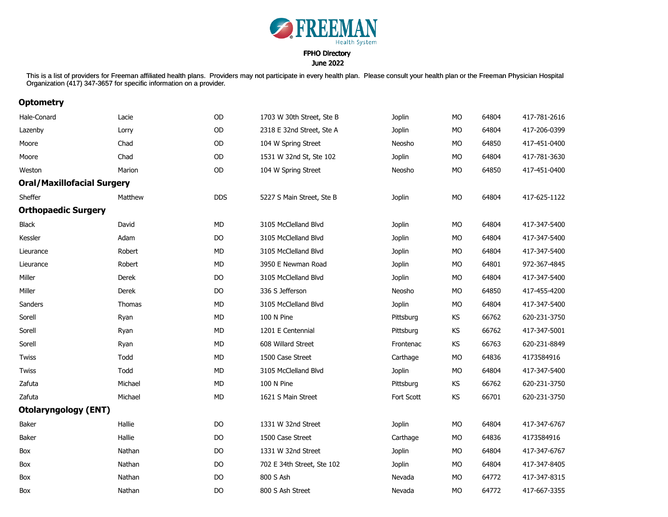

#### June 2022

This is a list of providers for Freeman affiliated health plans. Providers may not participate in every health plan. Please consult your health plan or the Freeman Physician Hospital<br>Organization (417) 347-3657 for specifi

### **Optometry**

| Hale-Conard                       | Lacie   | <b>OD</b>  | 1703 W 30th Street, Ste B  | <b>Joplin</b> | <b>MO</b> | 64804 | 417-781-2616 |
|-----------------------------------|---------|------------|----------------------------|---------------|-----------|-------|--------------|
| Lazenby                           | Lorry   | OD         | 2318 E 32nd Street, Ste A  | Joplin        | MO        | 64804 | 417-206-0399 |
| Moore                             | Chad    | OD         | 104 W Spring Street        | Neosho        | MO        | 64850 | 417-451-0400 |
| Moore                             | Chad    | OD         | 1531 W 32nd St, Ste 102    | Joplin        | MO        | 64804 | 417-781-3630 |
| Weston                            | Marion  | OD         | 104 W Spring Street        | Neosho        | MO        | 64850 | 417-451-0400 |
| <b>Oral/Maxillofacial Surgery</b> |         |            |                            |               |           |       |              |
| Sheffer                           | Matthew | <b>DDS</b> | 5227 S Main Street, Ste B  | Joplin        | MO        | 64804 | 417-625-1122 |
| <b>Orthopaedic Surgery</b>        |         |            |                            |               |           |       |              |
| <b>Black</b>                      | David   | <b>MD</b>  | 3105 McClelland Blvd       | Joplin        | MO        | 64804 | 417-347-5400 |
| Kessler                           | Adam    | DO         | 3105 McClelland Blvd       | <b>Joplin</b> | MO        | 64804 | 417-347-5400 |
| Lieurance                         | Robert  | <b>MD</b>  | 3105 McClelland Blvd       | Joplin        | MO        | 64804 | 417-347-5400 |
| Lieurance                         | Robert  | <b>MD</b>  | 3950 E Newman Road         | <b>Joplin</b> | <b>MO</b> | 64801 | 972-367-4845 |
| Miller                            | Derek   | <b>DO</b>  | 3105 McClelland Blvd       | <b>Joplin</b> | <b>MO</b> | 64804 | 417-347-5400 |
| Miller                            | Derek   | DO         | 336 S Jefferson            | Neosho        | MO        | 64850 | 417-455-4200 |
| Sanders                           | Thomas  | <b>MD</b>  | 3105 McClelland Blvd       | Joplin        | MO        | 64804 | 417-347-5400 |
| Sorell                            | Ryan    | <b>MD</b>  | 100 N Pine                 | Pittsburg     | KS        | 66762 | 620-231-3750 |
| Sorell                            | Ryan    | <b>MD</b>  | 1201 E Centennial          | Pittsburg     | KS        | 66762 | 417-347-5001 |
| Sorell                            | Ryan    | <b>MD</b>  | 608 Willard Street         | Frontenac     | KS        | 66763 | 620-231-8849 |
| <b>Twiss</b>                      | Todd    | <b>MD</b>  | 1500 Case Street           | Carthage      | MO        | 64836 | 4173584916   |
| <b>Twiss</b>                      | Todd    | <b>MD</b>  | 3105 McClelland Blvd       | Joplin        | MO        | 64804 | 417-347-5400 |
| Zafuta                            | Michael | MD         | 100 N Pine                 | Pittsburg     | KS        | 66762 | 620-231-3750 |
| Zafuta                            | Michael | <b>MD</b>  | 1621 S Main Street         | Fort Scott    | KS        | 66701 | 620-231-3750 |
| <b>Otolaryngology (ENT)</b>       |         |            |                            |               |           |       |              |
| Baker                             | Hallie  | <b>DO</b>  | 1331 W 32nd Street         | Joplin        | MO        | 64804 | 417-347-6767 |
| Baker                             | Hallie  | <b>DO</b>  | 1500 Case Street           | Carthage      | MO        | 64836 | 4173584916   |
| Box                               | Nathan  | <b>DO</b>  | 1331 W 32nd Street         | Joplin        | <b>MO</b> | 64804 | 417-347-6767 |
| Box                               | Nathan  | DO         | 702 E 34th Street, Ste 102 | Joplin        | MO        | 64804 | 417-347-8405 |
| Box                               | Nathan  | DO         | 800 S Ash                  | Nevada        | MO        | 64772 | 417-347-8315 |
| Box                               | Nathan  | DO         | 800 S Ash Street           | Nevada        | MO        | 64772 | 417-667-3355 |
|                                   |         |            |                            |               |           |       |              |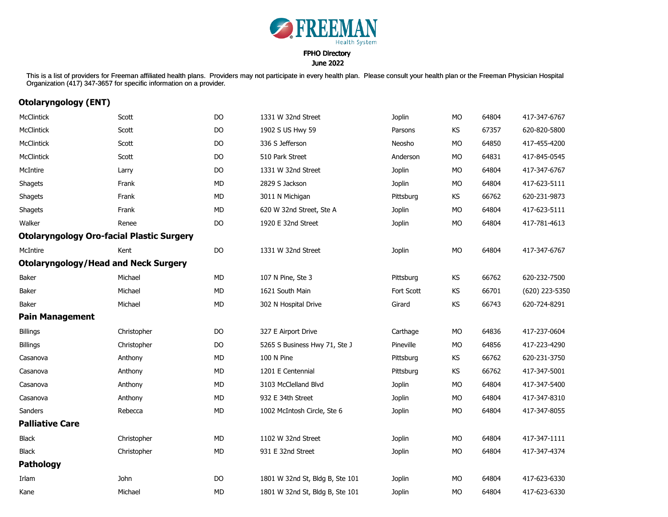

#### June 2022

This is a list of providers for Freeman affiliated health plans. Providers may not participate in every health plan. Please consult your health plan or the Freeman Physician Hospital<br>Organization (417) 347-3657 for specifi

# Otolaryngology (ENT)

| McClintick             | Scott                                            | DO        | 1331 W 32nd Street              | <b>Joplin</b> | MO        | 64804 | 417-347-6767   |
|------------------------|--------------------------------------------------|-----------|---------------------------------|---------------|-----------|-------|----------------|
| <b>McClintick</b>      | Scott                                            | DO        | 1902 S US Hwy 59                | Parsons       | KS        | 67357 | 620-820-5800   |
| McClintick             | Scott                                            | DO        | 336 S Jefferson                 | Neosho        | <b>MO</b> | 64850 | 417-455-4200   |
| McClintick             | Scott                                            | DO        | 510 Park Street                 | Anderson      | MO        | 64831 | 417-845-0545   |
| McIntire               | Larry                                            | DO        | 1331 W 32nd Street              | <b>Joplin</b> | MO        | 64804 | 417-347-6767   |
| Shagets                | Frank                                            | <b>MD</b> | 2829 S Jackson                  | <b>Joplin</b> | МO        | 64804 | 417-623-5111   |
| Shagets                | Frank                                            | <b>MD</b> | 3011 N Michigan                 | Pittsburg     | KS        | 66762 | 620-231-9873   |
| <b>Shagets</b>         | Frank                                            | <b>MD</b> | 620 W 32nd Street, Ste A        | <b>Joplin</b> | MO        | 64804 | 417-623-5111   |
| Walker                 | Renee                                            | DO        | 1920 E 32nd Street              | <b>Joplin</b> | MO        | 64804 | 417-781-4613   |
|                        | <b>Otolaryngology Oro-facial Plastic Surgery</b> |           |                                 |               |           |       |                |
| McIntire               | Kent                                             | DO        | 1331 W 32nd Street              | Joplin        | MO        | 64804 | 417-347-6767   |
|                        | <b>Otolaryngology/Head and Neck Surgery</b>      |           |                                 |               |           |       |                |
| Baker                  | Michael                                          | <b>MD</b> | 107 N Pine, Ste 3               | Pittsburg     | KS        | 66762 | 620-232-7500   |
| Baker                  | Michael                                          | <b>MD</b> | 1621 South Main                 | Fort Scott    | KS        | 66701 | (620) 223-5350 |
| Baker                  | Michael                                          | <b>MD</b> | 302 N Hospital Drive            | Girard        | KS        | 66743 | 620-724-8291   |
| <b>Pain Management</b> |                                                  |           |                                 |               |           |       |                |
| <b>Billings</b>        | Christopher                                      | DO        | 327 E Airport Drive             | Carthage      | MO        | 64836 | 417-237-0604   |
| Billings               | Christopher                                      | DO.       | 5265 S Business Hwy 71, Ste J   | Pineville     | МO        | 64856 | 417-223-4290   |
| Casanova               | Anthony                                          | <b>MD</b> | 100 N Pine                      | Pittsburg     | KS        | 66762 | 620-231-3750   |
| Casanova               | Anthony                                          | <b>MD</b> | 1201 E Centennial               | Pittsburg     | KS        | 66762 | 417-347-5001   |
| Casanova               | Anthony                                          | MD        | 3103 McClelland Blvd            | <b>Joplin</b> | MO        | 64804 | 417-347-5400   |
| Casanova               | Anthony                                          | MD        | 932 E 34th Street               | <b>Joplin</b> | МO        | 64804 | 417-347-8310   |
| Sanders                | Rebecca                                          | <b>MD</b> | 1002 McIntosh Circle, Ste 6     | <b>Joplin</b> | MO        | 64804 | 417-347-8055   |
| <b>Palliative Care</b> |                                                  |           |                                 |               |           |       |                |
| <b>Black</b>           | Christopher                                      | <b>MD</b> | 1102 W 32nd Street              | <b>Joplin</b> | MO        | 64804 | 417-347-1111   |
| <b>Black</b>           | Christopher                                      | <b>MD</b> | 931 E 32nd Street               | Joplin        | MO        | 64804 | 417-347-4374   |
| <b>Pathology</b>       |                                                  |           |                                 |               |           |       |                |
| Irlam                  | John                                             | DO        | 1801 W 32nd St, Bldg B, Ste 101 | <b>Joplin</b> | MO        | 64804 | 417-623-6330   |
| Kane                   | Michael                                          | <b>MD</b> | 1801 W 32nd St, Bldg B, Ste 101 | <b>Joplin</b> | <b>MO</b> | 64804 | 417-623-6330   |
|                        |                                                  |           |                                 |               |           |       |                |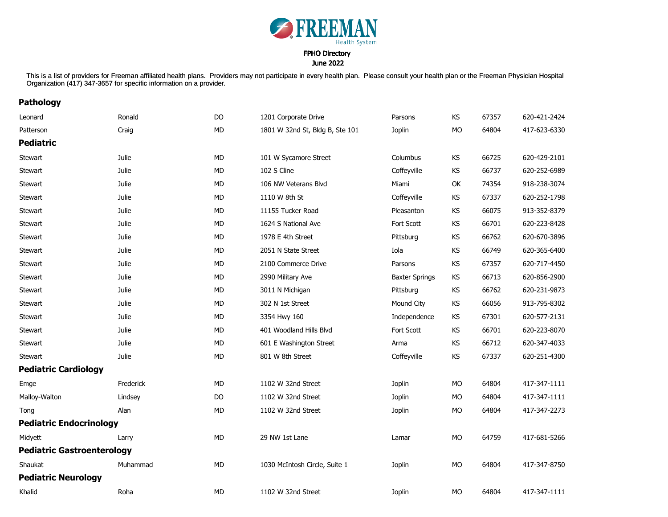

#### June 2022

This is a list of providers for Freeman affiliated health plans. Providers may not participate in every health plan. Please consult your health plan or the Freeman Physician Hospital<br>Organization (417) 347-3657 for specifi

# Pathology

| Leonard                           | Ronald    | DO        | 1201 Corporate Drive            | Parsons               | KS        | 67357 | 620-421-2424 |
|-----------------------------------|-----------|-----------|---------------------------------|-----------------------|-----------|-------|--------------|
| Patterson                         | Craig     | <b>MD</b> | 1801 W 32nd St, Bldg B, Ste 101 | Joplin                | <b>MO</b> | 64804 | 417-623-6330 |
| <b>Pediatric</b>                  |           |           |                                 |                       |           |       |              |
| Stewart                           | Julie     | <b>MD</b> | 101 W Sycamore Street           | Columbus              | KS        | 66725 | 620-429-2101 |
| Stewart                           | Julie     | <b>MD</b> | 102 S Cline                     | Coffeyville           | KS        | 66737 | 620-252-6989 |
| Stewart                           | Julie     | <b>MD</b> | 106 NW Veterans Blvd            | Miami                 | OK        | 74354 | 918-238-3074 |
| <b>Stewart</b>                    | Julie     | <b>MD</b> | 1110 W 8th St                   | Coffeyville           | KS        | 67337 | 620-252-1798 |
| <b>Stewart</b>                    | Julie     | <b>MD</b> | 11155 Tucker Road               | Pleasanton            | KS        | 66075 | 913-352-8379 |
| Stewart                           | Julie     | <b>MD</b> | 1624 S National Ave             | Fort Scott            | KS        | 66701 | 620-223-8428 |
| Stewart                           | Julie     | <b>MD</b> | 1978 E 4th Street               | Pittsburg             | KS        | 66762 | 620-670-3896 |
| Stewart                           | Julie     | <b>MD</b> | 2051 N State Street             | Iola                  | KS        | 66749 | 620-365-6400 |
| Stewart                           | Julie     | <b>MD</b> | 2100 Commerce Drive             | Parsons               | KS        | 67357 | 620-717-4450 |
| Stewart                           | Julie     | <b>MD</b> | 2990 Military Ave               | <b>Baxter Springs</b> | KS        | 66713 | 620-856-2900 |
| Stewart                           | Julie     | <b>MD</b> | 3011 N Michigan                 | Pittsburg             | KS        | 66762 | 620-231-9873 |
| <b>Stewart</b>                    | Julie     | <b>MD</b> | 302 N 1st Street                | Mound City            | KS        | 66056 | 913-795-8302 |
| Stewart                           | Julie     | <b>MD</b> | 3354 Hwy 160                    | Independence          | KS        | 67301 | 620-577-2131 |
| Stewart                           | Julie     | <b>MD</b> | 401 Woodland Hills Blvd         | Fort Scott            | KS        | 66701 | 620-223-8070 |
| Stewart                           | Julie     | <b>MD</b> | 601 E Washington Street         | Arma                  | KS        | 66712 | 620-347-4033 |
| <b>Stewart</b>                    | Julie     | <b>MD</b> | 801 W 8th Street                | Coffeyville           | KS        | 67337 | 620-251-4300 |
| <b>Pediatric Cardiology</b>       |           |           |                                 |                       |           |       |              |
| Emge                              | Frederick | <b>MD</b> | 1102 W 32nd Street              | Joplin                | <b>MO</b> | 64804 | 417-347-1111 |
| Malloy-Walton                     | Lindsey   | DO        | 1102 W 32nd Street              | <b>Joplin</b>         | <b>MO</b> | 64804 | 417-347-1111 |
| Tong                              | Alan      | <b>MD</b> | 1102 W 32nd Street              | <b>Joplin</b>         | <b>MO</b> | 64804 | 417-347-2273 |
| <b>Pediatric Endocrinology</b>    |           |           |                                 |                       |           |       |              |
| Midyett                           | Larry     | <b>MD</b> | 29 NW 1st Lane                  | Lamar                 | <b>MO</b> | 64759 | 417-681-5266 |
| <b>Pediatric Gastroenterology</b> |           |           |                                 |                       |           |       |              |
| Shaukat                           | Muhammad  | <b>MD</b> | 1030 McIntosh Circle, Suite 1   | <b>Joplin</b>         | <b>MO</b> | 64804 | 417-347-8750 |
| <b>Pediatric Neurology</b>        |           |           |                                 |                       |           |       |              |
| Khalid                            | Roha      | <b>MD</b> | 1102 W 32nd Street              | <b>Joplin</b>         | <b>MO</b> | 64804 | 417-347-1111 |
|                                   |           |           |                                 |                       |           |       |              |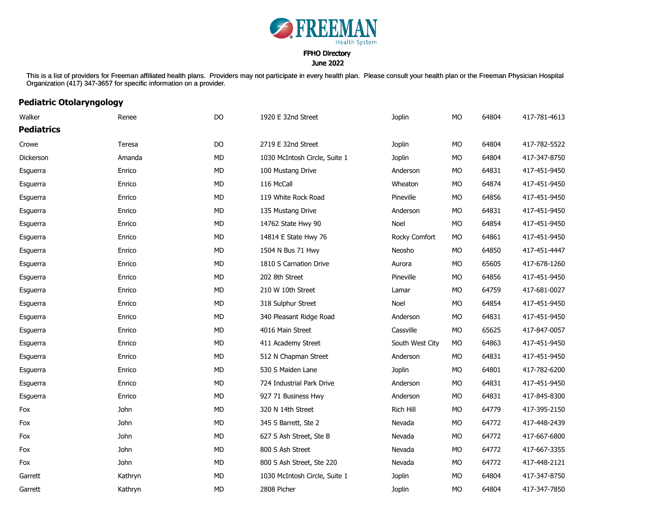

#### June 2022

This is a list of providers for Freeman affiliated health plans. Providers may not participate in every health plan. Please consult your health plan or the Freeman Physician Hospital<br>Organization (417) 347-3657 for specifi

# Pediatric Otolaryngology

| Walker            | Renee   | DO        | 1920 E 32nd Street            | <b>Joplin</b>   | <b>MO</b> | 64804 | 417-781-4613 |
|-------------------|---------|-----------|-------------------------------|-----------------|-----------|-------|--------------|
| <b>Pediatrics</b> |         |           |                               |                 |           |       |              |
| Crowe             | Teresa  | DO        | 2719 E 32nd Street            | <b>Joplin</b>   | <b>MO</b> | 64804 | 417-782-5522 |
| Dickerson         | Amanda  | <b>MD</b> | 1030 McIntosh Circle, Suite 1 | <b>Joplin</b>   | <b>MO</b> | 64804 | 417-347-8750 |
| Esquerra          | Enrico  | <b>MD</b> | 100 Mustang Drive             | Anderson        | <b>MO</b> | 64831 | 417-451-9450 |
| Esquerra          | Enrico  | <b>MD</b> | 116 McCall                    | Wheaton         | <b>MO</b> | 64874 | 417-451-9450 |
| Esquerra          | Enrico  | MD        | 119 White Rock Road           | Pineville       | MO        | 64856 | 417-451-9450 |
| Esguerra          | Enrico  | <b>MD</b> | 135 Mustang Drive             | Anderson        | <b>MO</b> | 64831 | 417-451-9450 |
| Esguerra          | Enrico  | <b>MD</b> | 14762 State Hwy 90            | Noel            | <b>MO</b> | 64854 | 417-451-9450 |
| Esguerra          | Enrico  | <b>MD</b> | 14814 E State Hwy 76          | Rocky Comfort   | <b>MO</b> | 64861 | 417-451-9450 |
| Esguerra          | Enrico  | <b>MD</b> | 1504 N Bus 71 Hwy             | Neosho          | <b>MO</b> | 64850 | 417-451-4447 |
| Esquerra          | Enrico  | <b>MD</b> | 1810 S Carnation Drive        | Aurora          | MO        | 65605 | 417-678-1260 |
| Esguerra          | Enrico  | <b>MD</b> | 202 8th Street                | Pineville       | МO        | 64856 | 417-451-9450 |
| Esguerra          | Enrico  | <b>MD</b> | 210 W 10th Street             | Lamar           | <b>MO</b> | 64759 | 417-681-0027 |
| Esguerra          | Enrico  | <b>MD</b> | 318 Sulphur Street            | Noel            | <b>MO</b> | 64854 | 417-451-9450 |
| Esquerra          | Enrico  | <b>MD</b> | 340 Pleasant Ridge Road       | Anderson        | <b>MO</b> | 64831 | 417-451-9450 |
| Esquerra          | Enrico  | <b>MD</b> | 4016 Main Street              | Cassville       | <b>MO</b> | 65625 | 417-847-0057 |
| Esguerra          | Enrico  | <b>MD</b> | 411 Academy Street            | South West City | <b>MO</b> | 64863 | 417-451-9450 |
| Esguerra          | Enrico  | <b>MD</b> | 512 N Chapman Street          | Anderson        | MO        | 64831 | 417-451-9450 |
| Esguerra          | Enrico  | <b>MD</b> | 530 S Maiden Lane             | <b>Joplin</b>   | MO        | 64801 | 417-782-6200 |
| Esguerra          | Enrico  | <b>MD</b> | 724 Industrial Park Drive     | Anderson        | <b>MO</b> | 64831 | 417-451-9450 |
| Esquerra          | Enrico  | <b>MD</b> | 927 71 Business Hwy           | Anderson        | MO        | 64831 | 417-845-8300 |
| Fox               | John    | <b>MD</b> | 320 N 14th Street             | Rich Hill       | <b>MO</b> | 64779 | 417-395-2150 |
| Fox               | John    | <b>MD</b> | 345 S Barrett, Ste 2          | Nevada          | <b>MO</b> | 64772 | 417-448-2439 |
| Fox               | John    | <b>MD</b> | 627 S Ash Street, Ste B       | Nevada          | <b>MO</b> | 64772 | 417-667-6800 |
| Fox               | John    | <b>MD</b> | 800 S Ash Street              | Nevada          | <b>MO</b> | 64772 | 417-667-3355 |
| Fox               | John    | <b>MD</b> | 800 S Ash Street, Ste 220     | Nevada          | <b>MO</b> | 64772 | 417-448-2121 |
| Garrett           | Kathryn | MD        | 1030 McIntosh Circle, Suite 1 | <b>Joplin</b>   | <b>MO</b> | 64804 | 417-347-8750 |
| Garrett           | Kathryn | <b>MD</b> | 2808 Picher                   | Joplin          | <b>MO</b> | 64804 | 417-347-7850 |
|                   |         |           |                               |                 |           |       |              |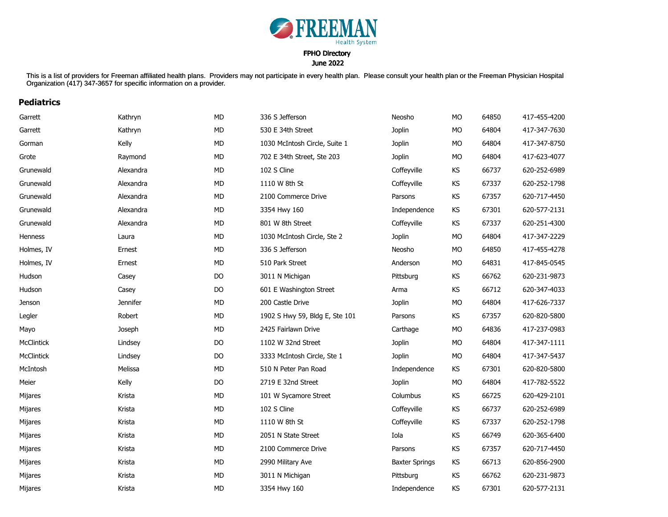

#### June 2022

This is a list of providers for Freeman affiliated health plans. Providers may not participate in every health plan. Please consult your health plan or the Freeman Physician Hospital<br>Organization (417) 347-3657 for specifi

# Pediatrics

| Garrett    | Kathryn   | <b>MD</b> | 336 S Jefferson                | Neosho                | MO        | 64850 | 417-455-4200 |
|------------|-----------|-----------|--------------------------------|-----------------------|-----------|-------|--------------|
| Garrett    | Kathryn   | <b>MD</b> | 530 E 34th Street              | Joplin                | <b>MO</b> | 64804 | 417-347-7630 |
| Gorman     | Kelly     | <b>MD</b> | 1030 McIntosh Circle, Suite 1  | <b>Joplin</b>         | MO        | 64804 | 417-347-8750 |
| Grote      | Raymond   | <b>MD</b> | 702 E 34th Street, Ste 203     | <b>Joplin</b>         | MO        | 64804 | 417-623-4077 |
| Grunewald  | Alexandra | <b>MD</b> | 102 S Cline                    | Coffeyville           | KS        | 66737 | 620-252-6989 |
| Grunewald  | Alexandra | <b>MD</b> | 1110 W 8th St                  | Coffeyville           | KS        | 67337 | 620-252-1798 |
| Grunewald  | Alexandra | <b>MD</b> | 2100 Commerce Drive            | Parsons               | KS        | 67357 | 620-717-4450 |
| Grunewald  | Alexandra | <b>MD</b> | 3354 Hwy 160                   | Independence          | KS        | 67301 | 620-577-2131 |
| Grunewald  | Alexandra | <b>MD</b> | 801 W 8th Street               | Coffeyville           | KS        | 67337 | 620-251-4300 |
| Henness    | Laura     | <b>MD</b> | 1030 McIntosh Circle, Ste 2    | Joplin                | MO        | 64804 | 417-347-2229 |
| Holmes, IV | Ernest    | <b>MD</b> | 336 S Jefferson                | Neosho                | <b>MO</b> | 64850 | 417-455-4278 |
| Holmes, IV | Ernest    | <b>MD</b> | 510 Park Street                | Anderson              | MO        | 64831 | 417-845-0545 |
| Hudson     | Casey     | <b>DO</b> | 3011 N Michigan                | Pittsburg             | КS        | 66762 | 620-231-9873 |
| Hudson     | Casey     | DO        | 601 E Washington Street        | Arma                  | KS        | 66712 | 620-347-4033 |
| Jenson     | Jennifer  | <b>MD</b> | 200 Castle Drive               | Joplin                | MO        | 64804 | 417-626-7337 |
| Legler     | Robert    | <b>MD</b> | 1902 S Hwy 59, Bldg E, Ste 101 | Parsons               | KS        | 67357 | 620-820-5800 |
| Mayo       | Joseph    | <b>MD</b> | 2425 Fairlawn Drive            | Carthage              | MO        | 64836 | 417-237-0983 |
| McClintick | Lindsey   | DO        | 1102 W 32nd Street             | <b>Joplin</b>         | MO        | 64804 | 417-347-1111 |
| McClintick | Lindsey   | <b>DO</b> | 3333 McIntosh Circle, Ste 1    | <b>Joplin</b>         | MO        | 64804 | 417-347-5437 |
| McIntosh   | Melissa   | <b>MD</b> | 510 N Peter Pan Road           | Independence          | KS        | 67301 | 620-820-5800 |
| Meier      | Kelly     | DO        | 2719 E 32nd Street             | <b>Joplin</b>         | MO        | 64804 | 417-782-5522 |
| Mijares    | Krista    | <b>MD</b> | 101 W Sycamore Street          | Columbus              | KS        | 66725 | 620-429-2101 |
| Mijares    | Krista    | <b>MD</b> | 102 S Cline                    | Coffeyville           | KS        | 66737 | 620-252-6989 |
| Mijares    | Krista    | <b>MD</b> | 1110 W 8th St                  | Coffeyville           | KS        | 67337 | 620-252-1798 |
| Mijares    | Krista    | <b>MD</b> | 2051 N State Street            | Iola                  | KS        | 66749 | 620-365-6400 |
| Mijares    | Krista    | <b>MD</b> | 2100 Commerce Drive            | Parsons               | KS        | 67357 | 620-717-4450 |
| Mijares    | Krista    | <b>MD</b> | 2990 Military Ave              | <b>Baxter Springs</b> | KS        | 66713 | 620-856-2900 |
| Mijares    | Krista    | <b>MD</b> | 3011 N Michigan                | Pittsburg             | KS        | 66762 | 620-231-9873 |
| Mijares    | Krista    | <b>MD</b> | 3354 Hwy 160                   | Independence          | KS        | 67301 | 620-577-2131 |
|            |           |           |                                |                       |           |       |              |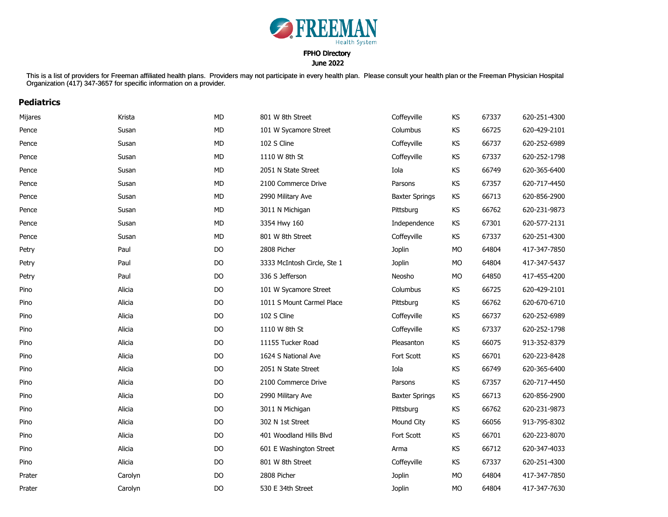

#### June 2022

This is a list of providers for Freeman affiliated health plans. Providers may not participate in every health plan. Please consult your health plan or the Freeman Physician Hospital<br>Organization (417) 347-3657 for specifi

### Pediatrics

| Mijares | Krista  | <b>MD</b> | 801 W 8th Street            | Coffeyville           | KS        | 67337 | 620-251-4300 |
|---------|---------|-----------|-----------------------------|-----------------------|-----------|-------|--------------|
| Pence   | Susan   | <b>MD</b> | 101 W Sycamore Street       | Columbus              | KS        | 66725 | 620-429-2101 |
| Pence   | Susan   | <b>MD</b> | 102 S Cline                 | Coffeyville           | KS        | 66737 | 620-252-6989 |
| Pence   | Susan   | <b>MD</b> | 1110 W 8th St               | Coffeyville           | KS        | 67337 | 620-252-1798 |
| Pence   | Susan   | <b>MD</b> | 2051 N State Street         | Iola                  | KS        | 66749 | 620-365-6400 |
| Pence   | Susan   | <b>MD</b> | 2100 Commerce Drive         | Parsons               | KS        | 67357 | 620-717-4450 |
| Pence   | Susan   | <b>MD</b> | 2990 Military Ave           | <b>Baxter Springs</b> | KS        | 66713 | 620-856-2900 |
| Pence   | Susan   | <b>MD</b> | 3011 N Michigan             | Pittsburg             | KS        | 66762 | 620-231-9873 |
| Pence   | Susan   | <b>MD</b> | 3354 Hwy 160                | Independence          | KS        | 67301 | 620-577-2131 |
| Pence   | Susan   | <b>MD</b> | 801 W 8th Street            | Coffeyville           | KS        | 67337 | 620-251-4300 |
| Petry   | Paul    | <b>DO</b> | 2808 Picher                 | <b>Joplin</b>         | MO        | 64804 | 417-347-7850 |
| Petry   | Paul    | <b>DO</b> | 3333 McIntosh Circle, Ste 1 | <b>Joplin</b>         | MO        | 64804 | 417-347-5437 |
| Petry   | Paul    | DO        | 336 S Jefferson             | Neosho                | MO        | 64850 | 417-455-4200 |
| Pino    | Alicia  | DO        | 101 W Sycamore Street       | Columbus              | KS        | 66725 | 620-429-2101 |
| Pino    | Alicia  | DO        | 1011 S Mount Carmel Place   | Pittsburg             | KS        | 66762 | 620-670-6710 |
| Pino    | Alicia  | DO        | 102 S Cline                 | Coffeyville           | KS        | 66737 | 620-252-6989 |
| Pino    | Alicia  | DO.       | 1110 W 8th St               | Coffeyville           | KS        | 67337 | 620-252-1798 |
| Pino    | Alicia  | <b>DO</b> | 11155 Tucker Road           | Pleasanton            | KS        | 66075 | 913-352-8379 |
| Pino    | Alicia  | <b>DO</b> | 1624 S National Ave         | Fort Scott            | KS        | 66701 | 620-223-8428 |
| Pino    | Alicia  | <b>DO</b> | 2051 N State Street         | Iola                  | KS        | 66749 | 620-365-6400 |
| Pino    | Alicia  | <b>DO</b> | 2100 Commerce Drive         | Parsons               | KS        | 67357 | 620-717-4450 |
| Pino    | Alicia  | DO        | 2990 Military Ave           | <b>Baxter Springs</b> | KS        | 66713 | 620-856-2900 |
| Pino    | Alicia  | DO        | 3011 N Michigan             | Pittsburg             | KS        | 66762 | 620-231-9873 |
| Pino    | Alicia  | DO        | 302 N 1st Street            | Mound City            | KS        | 66056 | 913-795-8302 |
| Pino    | Alicia  | DO        | 401 Woodland Hills Blvd     | Fort Scott            | KS        | 66701 | 620-223-8070 |
| Pino    | Alicia  | <b>DO</b> | 601 E Washington Street     | Arma                  | KS        | 66712 | 620-347-4033 |
| Pino    | Alicia  | <b>DO</b> | 801 W 8th Street            | Coffeyville           | KS        | 67337 | 620-251-4300 |
| Prater  | Carolyn | DO.       | 2808 Picher                 | <b>Joplin</b>         | MO        | 64804 | 417-347-7850 |
| Prater  | Carolyn | <b>DO</b> | 530 E 34th Street           | <b>Joplin</b>         | <b>MO</b> | 64804 | 417-347-7630 |
|         |         |           |                             |                       |           |       |              |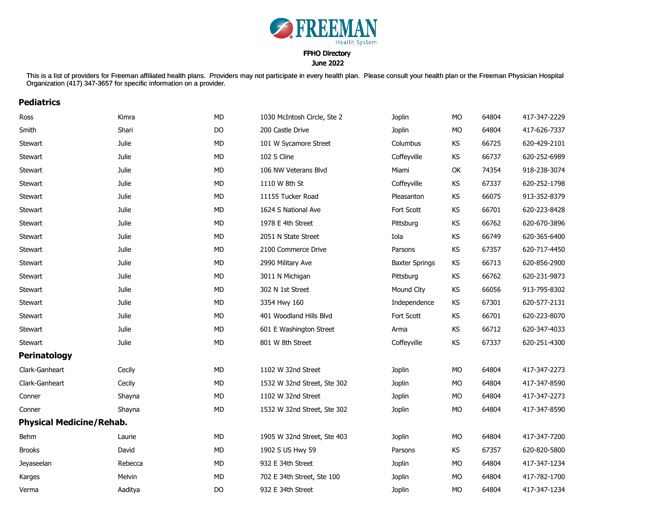

#### June 2022

This is a list of providers for Freeman affiliated health plans. Providers may not participate in every health plan. Please consult your health plan or the Freeman Physician Hospital<br>Organization (417) 347-3657 for specifi

### Pediatrics

| Ross                            | Kimra   | <b>MD</b> | 1030 McIntosh Circle, Ste 2 | <b>Joplin</b>         | <b>MO</b> | 64804 | 417-347-2229 |
|---------------------------------|---------|-----------|-----------------------------|-----------------------|-----------|-------|--------------|
| Smith                           | Shari   | DO        | 200 Castle Drive            | <b>Joplin</b>         | <b>MO</b> | 64804 | 417-626-7337 |
| Stewart                         | Julie   | MD        | 101 W Sycamore Street       | Columbus              | KS        | 66725 | 620-429-2101 |
| Stewart                         | Julie   | <b>MD</b> | 102 S Cline                 | Coffeyville           | KS        | 66737 | 620-252-6989 |
| Stewart                         | Julie   | MD        | 106 NW Veterans Blvd        | Miami                 | OK        | 74354 | 918-238-3074 |
| Stewart                         | Julie   | MD        | 1110 W 8th St               | Coffeyville           | KS        | 67337 | 620-252-1798 |
| Stewart                         | Julie   | MD        | 11155 Tucker Road           | Pleasanton            | KS        | 66075 | 913-352-8379 |
| Stewart                         | Julie   | MD        | 1624 S National Ave         | Fort Scott            | KS        | 66701 | 620-223-8428 |
| Stewart                         | Julie   | MD        | 1978 E 4th Street           | Pittsburg             | KS        | 66762 | 620-670-3896 |
| Stewart                         | Julie   | MD        | 2051 N State Street         | Iola                  | KS        | 66749 | 620-365-6400 |
| Stewart                         | Julie   | MD        | 2100 Commerce Drive         | Parsons               | KS        | 67357 | 620-717-4450 |
| Stewart                         | Julie   | MD        | 2990 Military Ave           | <b>Baxter Springs</b> | KS        | 66713 | 620-856-2900 |
| Stewart                         | Julie   | MD        | 3011 N Michigan             | Pittsburg             | KS        | 66762 | 620-231-9873 |
| Stewart                         | Julie   | MD        | 302 N 1st Street            | Mound City            | KS        | 66056 | 913-795-8302 |
| <b>Stewart</b>                  | Julie   | MD        | 3354 Hwy 160                | Independence          | KS        | 67301 | 620-577-2131 |
| Stewart                         | Julie   | MD        | 401 Woodland Hills Blvd     | Fort Scott            | KS        | 66701 | 620-223-8070 |
| Stewart                         | Julie   | MD        | 601 E Washington Street     | Arma                  | KS        | 66712 | 620-347-4033 |
| Stewart                         | Julie   | MD        | 801 W 8th Street            | Coffeyville           | KS        | 67337 | 620-251-4300 |
| <b>Perinatology</b>             |         |           |                             |                       |           |       |              |
| Clark-Ganheart                  | Cecily  | MD        | 1102 W 32nd Street          | <b>Joplin</b>         | MO        | 64804 | 417-347-2273 |
| Clark-Ganheart                  | Cecily  | MD        | 1532 W 32nd Street, Ste 302 | <b>Joplin</b>         | <b>MO</b> | 64804 | 417-347-8590 |
| Conner                          | Shayna  | MD        | 1102 W 32nd Street          | <b>Joplin</b>         | <b>MO</b> | 64804 | 417-347-2273 |
| Conner                          | Shayna  | MD        | 1532 W 32nd Street, Ste 302 | <b>Joplin</b>         | <b>MO</b> | 64804 | 417-347-8590 |
| <b>Physical Medicine/Rehab.</b> |         |           |                             |                       |           |       |              |
| <b>Behm</b>                     | Laurie  | MD        | 1905 W 32nd Street, Ste 403 | <b>Joplin</b>         | MO        | 64804 | 417-347-7200 |
| <b>Brooks</b>                   | David   | MD        | 1902 S US Hwy 59            | Parsons               | KS        | 67357 | 620-820-5800 |
| Jeyaseelan                      | Rebecca | MD        | 932 E 34th Street           | <b>Joplin</b>         | <b>MO</b> | 64804 | 417-347-1234 |
| Karges                          | Melvin  | MD        | 702 E 34th Street, Ste 100  | <b>Joplin</b>         | <b>MO</b> | 64804 | 417-782-1700 |
| Verma                           | Aaditya | DO        | 932 E 34th Street           | <b>Joplin</b>         | <b>MO</b> | 64804 | 417-347-1234 |
|                                 |         |           |                             |                       |           |       |              |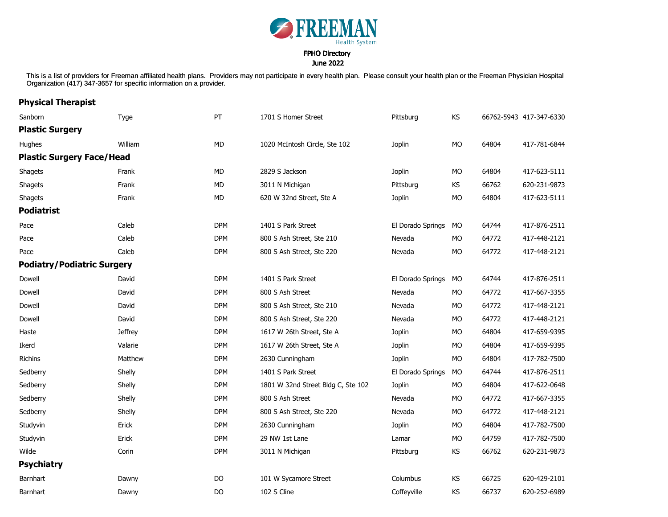

#### June 2022

This is a list of providers for Freeman affiliated health plans. Providers may not participate in every health plan. Please consult your health plan or the Freeman Physician Hospital<br>Organization (417) 347-3657 for specifi

Physical Therapist

| Sanborn                           | Tyge           | PT         | 1701 S Homer Street                | Pittsburg         | KS        |       | 66762-5943 417-347-6330 |
|-----------------------------------|----------------|------------|------------------------------------|-------------------|-----------|-------|-------------------------|
| <b>Plastic Surgery</b>            |                |            |                                    |                   |           |       |                         |
| <b>Hughes</b>                     | William        | <b>MD</b>  | 1020 McIntosh Circle, Ste 102      | Joplin            | <b>MO</b> | 64804 | 417-781-6844            |
| <b>Plastic Surgery Face/Head</b>  |                |            |                                    |                   |           |       |                         |
| Shagets                           | Frank          | MD         | 2829 S Jackson                     | <b>Joplin</b>     | <b>MO</b> | 64804 | 417-623-5111            |
| Shagets                           | Frank          | <b>MD</b>  | 3011 N Michigan                    | Pittsburg         | KS        | 66762 | 620-231-9873            |
| <b>Shagets</b>                    | Frank          | MD         | 620 W 32nd Street, Ste A           | <b>Joplin</b>     | <b>MO</b> | 64804 | 417-623-5111            |
| Podiatrist                        |                |            |                                    |                   |           |       |                         |
| Pace                              | Caleb          | <b>DPM</b> | 1401 S Park Street                 | El Dorado Springs | <b>MO</b> | 64744 | 417-876-2511            |
| Pace                              | Caleb          | <b>DPM</b> | 800 S Ash Street, Ste 210          | Nevada            | МO        | 64772 | 417-448-2121            |
| Pace                              | Caleb          | <b>DPM</b> | 800 S Ash Street, Ste 220          | Nevada            | <b>MO</b> | 64772 | 417-448-2121            |
| <b>Podiatry/Podiatric Surgery</b> |                |            |                                    |                   |           |       |                         |
| Dowell                            | David          | <b>DPM</b> | 1401 S Park Street                 | El Dorado Springs | MO        | 64744 | 417-876-2511            |
| Dowell                            | David          | <b>DPM</b> | 800 S Ash Street                   | Nevada            | <b>MO</b> | 64772 | 417-667-3355            |
| Dowell                            | David          | <b>DPM</b> | 800 S Ash Street, Ste 210          | Nevada            | <b>MO</b> | 64772 | 417-448-2121            |
| Dowell                            | David          | <b>DPM</b> | 800 S Ash Street, Ste 220          | Nevada            | <b>MO</b> | 64772 | 417-448-2121            |
| Haste                             | <b>Jeffrey</b> | <b>DPM</b> | 1617 W 26th Street, Ste A          | <b>Joplin</b>     | <b>MO</b> | 64804 | 417-659-9395            |
| Ikerd                             | Valarie        | <b>DPM</b> | 1617 W 26th Street, Ste A          | <b>Joplin</b>     | МO        | 64804 | 417-659-9395            |
| Richins                           | Matthew        | <b>DPM</b> | 2630 Cunningham                    | <b>Joplin</b>     | <b>MO</b> | 64804 | 417-782-7500            |
| Sedberry                          | Shelly         | <b>DPM</b> | 1401 S Park Street                 | El Dorado Springs | МO        | 64744 | 417-876-2511            |
| Sedberry                          | Shelly         | <b>DPM</b> | 1801 W 32nd Street Bldg C, Ste 102 | <b>Joplin</b>     | <b>MO</b> | 64804 | 417-622-0648            |
| Sedberry                          | Shelly         | <b>DPM</b> | 800 S Ash Street                   | Nevada            | <b>MO</b> | 64772 | 417-667-3355            |
| Sedberry                          | Shelly         | <b>DPM</b> | 800 S Ash Street, Ste 220          | Nevada            | МO        | 64772 | 417-448-2121            |
| Studyvin                          | Erick          | <b>DPM</b> | 2630 Cunningham                    | Joplin            | <b>MO</b> | 64804 | 417-782-7500            |
| Studyvin                          | Erick          | <b>DPM</b> | 29 NW 1st Lane                     | Lamar             | МO        | 64759 | 417-782-7500            |
| Wilde                             | Corin          | <b>DPM</b> | 3011 N Michigan                    | Pittsburg         | KS        | 66762 | 620-231-9873            |
| Psychiatry                        |                |            |                                    |                   |           |       |                         |
| Barnhart                          | Dawny          | DO         | 101 W Sycamore Street              | Columbus          | KS        | 66725 | 620-429-2101            |
| Barnhart                          | Dawny          | DO         | 102 S Cline                        | Coffeyville       | KS        | 66737 | 620-252-6989            |
|                                   |                |            |                                    |                   |           |       |                         |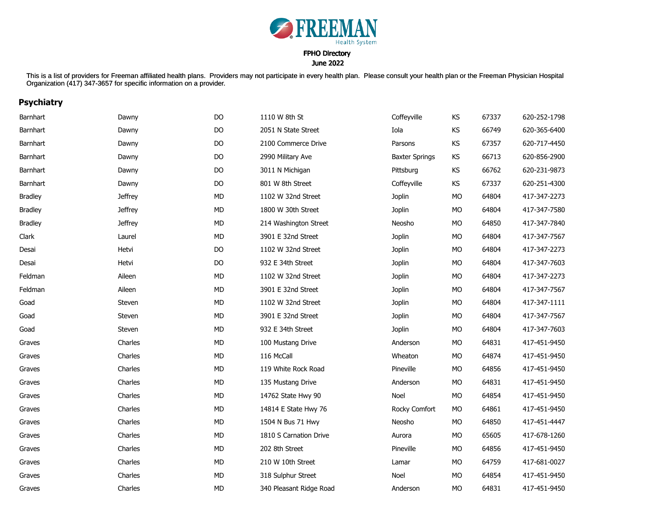

#### June 2022

This is a list of providers for Freeman affiliated health plans. Providers may not participate in every health plan. Please consult your health plan or the Freeman Physician Hospital<br>Organization (417) 347-3657 for specifi

# Psychiatry

| Barnhart       | Dawny          | DO        | 1110 W 8th St           | Coffeyville           | KS        | 67337 | 620-252-1798 |
|----------------|----------------|-----------|-------------------------|-----------------------|-----------|-------|--------------|
| Barnhart       | Dawny          | DO        | 2051 N State Street     | Iola                  | KS        | 66749 | 620-365-6400 |
| Barnhart       | Dawny          | DO        | 2100 Commerce Drive     | Parsons               | KS        | 67357 | 620-717-4450 |
| Barnhart       | Dawny          | <b>DO</b> | 2990 Military Ave       | <b>Baxter Springs</b> | KS        | 66713 | 620-856-2900 |
| Barnhart       | Dawny          | <b>DO</b> | 3011 N Michigan         | Pittsburg             | KS        | 66762 | 620-231-9873 |
| Barnhart       | Dawny          | DO        | 801 W 8th Street        | Coffeyville           | KS        | 67337 | 620-251-4300 |
| <b>Bradley</b> | <b>Jeffrey</b> | <b>MD</b> | 1102 W 32nd Street      | <b>Joplin</b>         | MO        | 64804 | 417-347-2273 |
| <b>Bradley</b> | <b>Jeffrey</b> | <b>MD</b> | 1800 W 30th Street      | <b>Joplin</b>         | <b>MO</b> | 64804 | 417-347-7580 |
| <b>Bradley</b> | <b>Jeffrey</b> | <b>MD</b> | 214 Washington Street   | Neosho                | MO        | 64850 | 417-347-7840 |
| Clark          | Laurel         | <b>MD</b> | 3901 E 32nd Street      | Joplin                | MO        | 64804 | 417-347-7567 |
| Desai          | Hetvi          | DO        | 1102 W 32nd Street      | <b>Joplin</b>         | MO        | 64804 | 417-347-2273 |
| Desai          | Hetvi          | DO        | 932 E 34th Street       | <b>Joplin</b>         | <b>MO</b> | 64804 | 417-347-7603 |
| Feldman        | Aileen         | <b>MD</b> | 1102 W 32nd Street      | <b>Joplin</b>         | <b>MO</b> | 64804 | 417-347-2273 |
| Feldman        | Aileen         | <b>MD</b> | 3901 E 32nd Street      | Joplin                | MO        | 64804 | 417-347-7567 |
| Goad           | Steven         | <b>MD</b> | 1102 W 32nd Street      | Joplin                | MO        | 64804 | 417-347-1111 |
| Goad           | Steven         | <b>MD</b> | 3901 E 32nd Street      | <b>Joplin</b>         | <b>MO</b> | 64804 | 417-347-7567 |
| Goad           | Steven         | <b>MD</b> | 932 E 34th Street       | <b>Joplin</b>         | MO        | 64804 | 417-347-7603 |
| Graves         | Charles        | <b>MD</b> | 100 Mustang Drive       | Anderson              | <b>MO</b> | 64831 | 417-451-9450 |
| Graves         | Charles        | <b>MD</b> | 116 McCall              | Wheaton               | MO        | 64874 | 417-451-9450 |
| Graves         | Charles        | <b>MD</b> | 119 White Rock Road     | Pineville             | <b>MO</b> | 64856 | 417-451-9450 |
| Graves         | Charles        | <b>MD</b> | 135 Mustang Drive       | Anderson              | MO        | 64831 | 417-451-9450 |
| Graves         | Charles        | <b>MD</b> | 14762 State Hwy 90      | Noel                  | MO        | 64854 | 417-451-9450 |
| Graves         | Charles        | <b>MD</b> | 14814 E State Hwy 76    | Rocky Comfort         | MO        | 64861 | 417-451-9450 |
| Graves         | Charles        | <b>MD</b> | 1504 N Bus 71 Hwy       | Neosho                | <b>MO</b> | 64850 | 417-451-4447 |
| Graves         | Charles        | <b>MD</b> | 1810 S Carnation Drive  | Aurora                | <b>MO</b> | 65605 | 417-678-1260 |
| Graves         | Charles        | <b>MD</b> | 202 8th Street          | Pineville             | MO        | 64856 | 417-451-9450 |
| Graves         | Charles        | <b>MD</b> | 210 W 10th Street       | Lamar                 | MO        | 64759 | 417-681-0027 |
| Graves         | Charles        | <b>MD</b> | 318 Sulphur Street      | Noel                  | <b>MO</b> | 64854 | 417-451-9450 |
| Graves         | Charles        | <b>MD</b> | 340 Pleasant Ridge Road | Anderson              | MO        | 64831 | 417-451-9450 |
|                |                |           |                         |                       |           |       |              |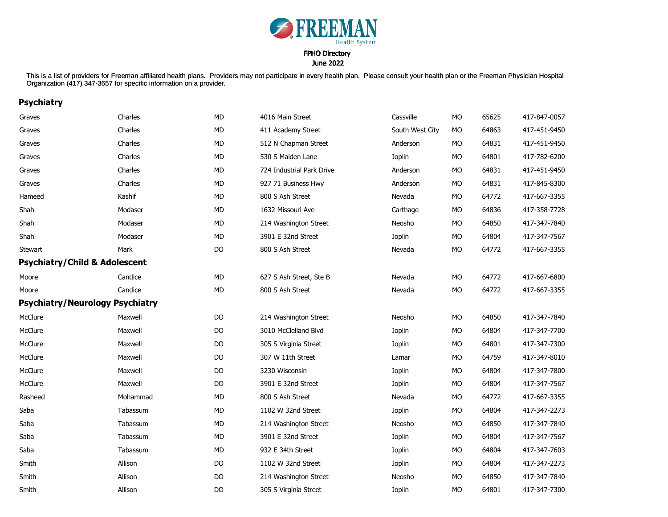

#### June 2022

This is a list of providers for Freeman affiliated health plans. Providers may not participate in every health plan. Please consult your health plan or the Freeman Physician Hospital<br>Organization (417) 347-3657 for specifi

# Psychiatry

| Graves                                   | Charles  | <b>MD</b> | 4016 Main Street          | Cassville       | <b>MO</b> | 65625 | 417-847-0057 |
|------------------------------------------|----------|-----------|---------------------------|-----------------|-----------|-------|--------------|
| Graves                                   | Charles  | <b>MD</b> | 411 Academy Street        | South West City | MO        | 64863 | 417-451-9450 |
| Graves                                   | Charles  | <b>MD</b> | 512 N Chapman Street      | Anderson        | MO        | 64831 | 417-451-9450 |
| Graves                                   | Charles  | <b>MD</b> | 530 S Maiden Lane         | Joplin          | MO        | 64801 | 417-782-6200 |
| Graves                                   | Charles  | <b>MD</b> | 724 Industrial Park Drive | Anderson        | MO        | 64831 | 417-451-9450 |
| Graves                                   | Charles  | <b>MD</b> | 927 71 Business Hwy       | Anderson        | MO        | 64831 | 417-845-8300 |
| Hameed                                   | Kashif   | <b>MD</b> | 800 S Ash Street          | Nevada          | <b>MO</b> | 64772 | 417-667-3355 |
| Shah                                     | Modaser  | <b>MD</b> | 1632 Missouri Ave         | Carthage        | <b>MO</b> | 64836 | 417-358-7728 |
| Shah                                     | Modaser  | <b>MD</b> | 214 Washington Street     | Neosho          | <b>MO</b> | 64850 | 417-347-7840 |
| Shah                                     | Modaser  | <b>MD</b> | 3901 E 32nd Street        | <b>Joplin</b>   | MO        | 64804 | 417-347-7567 |
| Stewart                                  | Mark     | <b>DO</b> | 800 S Ash Street          | Nevada          | MO        | 64772 | 417-667-3355 |
| <b>Psychiatry/Child &amp; Adolescent</b> |          |           |                           |                 |           |       |              |
| Moore                                    | Candice  | <b>MD</b> | 627 S Ash Street, Ste B   | Nevada          | MO        | 64772 | 417-667-6800 |
| Moore                                    | Candice  | <b>MD</b> | 800 S Ash Street          | Nevada          | MO        | 64772 | 417-667-3355 |
| <b>Psychiatry/Neurology Psychiatry</b>   |          |           |                           |                 |           |       |              |
| McClure                                  | Maxwell  | DO        | 214 Washington Street     | Neosho          | MO        | 64850 | 417-347-7840 |
| McClure                                  | Maxwell  | DO        | 3010 McClelland Blvd      | <b>Joplin</b>   | <b>MO</b> | 64804 | 417-347-7700 |
| McClure                                  | Maxwell  | <b>DO</b> | 305 S Virginia Street     | <b>Joplin</b>   | <b>MO</b> | 64801 | 417-347-7300 |
| McClure                                  | Maxwell  | <b>DO</b> | 307 W 11th Street         | Lamar           | <b>MO</b> | 64759 | 417-347-8010 |
| McClure                                  | Maxwell  | <b>DO</b> | 3230 Wisconsin            | <b>Joplin</b>   | MO        | 64804 | 417-347-7800 |
| McClure                                  | Maxwell  | DO        | 3901 E 32nd Street        | <b>Joplin</b>   | MO        | 64804 | 417-347-7567 |
| Rasheed                                  | Mohammad | <b>MD</b> | 800 S Ash Street          | Nevada          | MO        | 64772 | 417-667-3355 |
| Saba                                     | Tabassum | <b>MD</b> | 1102 W 32nd Street        | Joplin          | <b>MO</b> | 64804 | 417-347-2273 |
| Saba                                     | Tabassum | <b>MD</b> | 214 Washington Street     | Neosho          | MO        | 64850 | 417-347-7840 |
| Saba                                     | Tabassum | MD        | 3901 E 32nd Street        | Joplin          | MO        | 64804 | 417-347-7567 |
| Saba                                     | Tabassum | <b>MD</b> | 932 E 34th Street         | <b>Joplin</b>   | <b>MO</b> | 64804 | 417-347-7603 |
| Smith                                    | Allison  | DO.       | 1102 W 32nd Street        | <b>Joplin</b>   | <b>MO</b> | 64804 | 417-347-2273 |
| Smith                                    | Allison  | DO        | 214 Washington Street     | Neosho          | <b>MO</b> | 64850 | 417-347-7840 |
| Smith                                    | Allison  | <b>DO</b> | 305 S Virginia Street     | <b>Joplin</b>   | <b>MO</b> | 64801 | 417-347-7300 |
|                                          |          |           |                           |                 |           |       |              |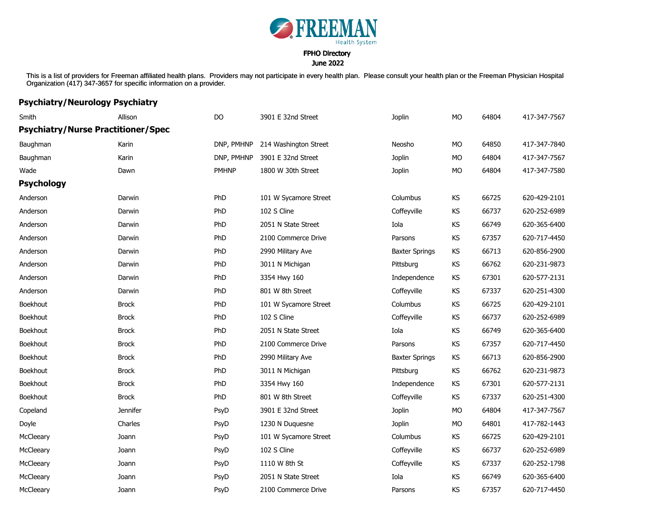

#### June 2022

This is a list of providers for Freeman affiliated health plans. Providers may not participate in every health plan. Please consult your health plan or the Freeman Physician Hospital<br>Organization (417) 347-3657 for specifi

# Psychiatry/Neurology Psychiatry

| Smith                                     | Allison         | DO         | 3901 E 32nd Street    | <b>Joplin</b>         | <b>MO</b> | 64804 | 417-347-7567 |
|-------------------------------------------|-----------------|------------|-----------------------|-----------------------|-----------|-------|--------------|
| <b>Psychiatry/Nurse Practitioner/Spec</b> |                 |            |                       |                       |           |       |              |
| Baughman                                  | Karin           | DNP, PMHNP | 214 Washington Street | Neosho                | <b>MO</b> | 64850 | 417-347-7840 |
| Baughman                                  | Karin           | DNP, PMHNP | 3901 E 32nd Street    | <b>Joplin</b>         | <b>MO</b> | 64804 | 417-347-7567 |
| Wade                                      | Dawn            | PMHNP      | 1800 W 30th Street    | <b>Joplin</b>         | <b>MO</b> | 64804 | 417-347-7580 |
| <b>Psychology</b>                         |                 |            |                       |                       |           |       |              |
| Anderson                                  | Darwin          | PhD        | 101 W Sycamore Street | Columbus              | KS        | 66725 | 620-429-2101 |
| Anderson                                  | Darwin          | PhD        | 102 S Cline           | Coffeyville           | KS        | 66737 | 620-252-6989 |
| Anderson                                  | Darwin          | PhD        | 2051 N State Street   | Iola                  | KS        | 66749 | 620-365-6400 |
| Anderson                                  | Darwin          | PhD        | 2100 Commerce Drive   | Parsons               | KS        | 67357 | 620-717-4450 |
| Anderson                                  | Darwin          | PhD        | 2990 Military Ave     | <b>Baxter Springs</b> | KS        | 66713 | 620-856-2900 |
| Anderson                                  | Darwin          | PhD        | 3011 N Michigan       | Pittsburg             | KS        | 66762 | 620-231-9873 |
| Anderson                                  | Darwin          | PhD        | 3354 Hwy 160          | Independence          | KS        | 67301 | 620-577-2131 |
| Anderson                                  | Darwin          | PhD        | 801 W 8th Street      | Coffeyville           | KS        | 67337 | 620-251-4300 |
| Boekhout                                  | <b>Brock</b>    | PhD        | 101 W Sycamore Street | Columbus              | KS        | 66725 | 620-429-2101 |
| Boekhout                                  | <b>Brock</b>    | PhD        | 102 S Cline           | Coffeyville           | KS        | 66737 | 620-252-6989 |
| Boekhout                                  | <b>Brock</b>    | PhD        | 2051 N State Street   | Iola                  | KS        | 66749 | 620-365-6400 |
| Boekhout                                  | <b>Brock</b>    | PhD        | 2100 Commerce Drive   | Parsons               | KS        | 67357 | 620-717-4450 |
| Boekhout                                  | <b>Brock</b>    | PhD        | 2990 Military Ave     | <b>Baxter Springs</b> | KS        | 66713 | 620-856-2900 |
| Boekhout                                  | <b>Brock</b>    | PhD        | 3011 N Michigan       | Pittsburg             | KS        | 66762 | 620-231-9873 |
| Boekhout                                  | <b>Brock</b>    | PhD        | 3354 Hwy 160          | Independence          | KS        | 67301 | 620-577-2131 |
| Boekhout                                  | <b>Brock</b>    | PhD        | 801 W 8th Street      | Coffeyville           | KS        | 67337 | 620-251-4300 |
| Copeland                                  | <b>Jennifer</b> | PsyD       | 3901 E 32nd Street    | <b>Joplin</b>         | <b>MO</b> | 64804 | 417-347-7567 |
| Doyle                                     | Charles         | PsyD       | 1230 N Duquesne       | <b>Joplin</b>         | MO        | 64801 | 417-782-1443 |
| McCleeary                                 | Joann           | PsyD       | 101 W Sycamore Street | Columbus              | KS        | 66725 | 620-429-2101 |
| McCleeary                                 | Joann           | PsyD       | 102 S Cline           | Coffeyville           | KS        | 66737 | 620-252-6989 |
| McCleeary                                 | Joann           | PsyD       | 1110 W 8th St         | Coffeyville           | KS        | 67337 | 620-252-1798 |
| McCleeary                                 | Joann           | PsyD       | 2051 N State Street   | Iola                  | KS        | 66749 | 620-365-6400 |
| McCleeary                                 | Joann           | PsyD       | 2100 Commerce Drive   | Parsons               | KS        | 67357 | 620-717-4450 |
|                                           |                 |            |                       |                       |           |       |              |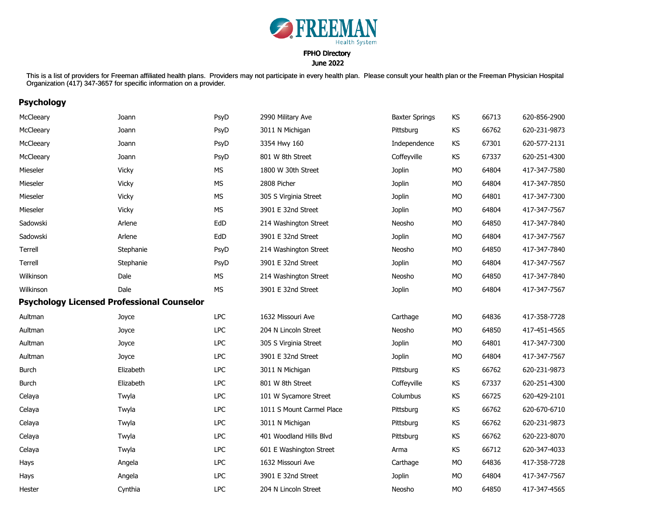

#### June 2022

This is a list of providers for Freeman affiliated health plans. Providers may not participate in every health plan. Please consult your health plan or the Freeman Physician Hospital<br>Organization (417) 347-3657 for specifi

# Psychology

| McCleeary                                         | Joann        | PsyD       | 2990 Military Ave         | <b>Baxter Springs</b> | KS        | 66713 | 620-856-2900 |
|---------------------------------------------------|--------------|------------|---------------------------|-----------------------|-----------|-------|--------------|
| McCleeary                                         | Joann        | PsyD       | 3011 N Michigan           | Pittsburg             | KS        | 66762 | 620-231-9873 |
| McCleeary                                         | Joann        | PsyD       | 3354 Hwy 160              | Independence          | KS        | 67301 | 620-577-2131 |
| McCleeary                                         | Joann        | PsyD       | 801 W 8th Street          | Coffeyville           | KS        | 67337 | 620-251-4300 |
| Mieseler                                          | <b>Vicky</b> | MS         | 1800 W 30th Street        | <b>Joplin</b>         | <b>MO</b> | 64804 | 417-347-7580 |
| Mieseler                                          | Vicky        | <b>MS</b>  | 2808 Picher               | <b>Joplin</b>         | <b>MO</b> | 64804 | 417-347-7850 |
| Mieseler                                          | Vicky        | <b>MS</b>  | 305 S Virginia Street     | <b>Joplin</b>         | MO        | 64801 | 417-347-7300 |
| Mieseler                                          | <b>Vicky</b> | <b>MS</b>  | 3901 E 32nd Street        | <b>Joplin</b>         | MO        | 64804 | 417-347-7567 |
| Sadowski                                          | Arlene       | EdD        | 214 Washington Street     | Neosho                | MO        | 64850 | 417-347-7840 |
| Sadowski                                          | Arlene       | EdD        | 3901 E 32nd Street        | <b>Joplin</b>         | <b>MO</b> | 64804 | 417-347-7567 |
| Terrell                                           | Stephanie    | PsyD       | 214 Washington Street     | Neosho                | <b>MO</b> | 64850 | 417-347-7840 |
| Terrell                                           | Stephanie    | PsyD       | 3901 E 32nd Street        | <b>Joplin</b>         | <b>MO</b> | 64804 | 417-347-7567 |
| Wilkinson                                         | Dale         | MS         | 214 Washington Street     | Neosho                | MO        | 64850 | 417-347-7840 |
| Wilkinson                                         | Dale         | <b>MS</b>  | 3901 E 32nd Street        | <b>Joplin</b>         | MO        | 64804 | 417-347-7567 |
| <b>Psychology Licensed Professional Counselor</b> |              |            |                           |                       |           |       |              |
| Aultman                                           | Joyce        | <b>LPC</b> | 1632 Missouri Ave         | Carthage              | <b>MO</b> | 64836 | 417-358-7728 |
| Aultman                                           | Joyce        | <b>LPC</b> | 204 N Lincoln Street      | Neosho                | <b>MO</b> | 64850 | 417-451-4565 |
| Aultman                                           | Joyce        | <b>LPC</b> | 305 S Virginia Street     | <b>Joplin</b>         | MO        | 64801 | 417-347-7300 |
| Aultman                                           | Joyce        | <b>LPC</b> | 3901 E 32nd Street        | <b>Joplin</b>         | <b>MO</b> | 64804 | 417-347-7567 |
| Burch                                             | Elizabeth    | <b>LPC</b> | 3011 N Michigan           | Pittsburg             | KS        | 66762 | 620-231-9873 |
| Burch                                             | Elizabeth    | <b>LPC</b> | 801 W 8th Street          | Coffeyville           | KS        | 67337 | 620-251-4300 |
| Celaya                                            | Twyla        | <b>LPC</b> | 101 W Sycamore Street     | Columbus              | KS        | 66725 | 620-429-2101 |
| Celaya                                            | Twyla        | <b>LPC</b> | 1011 S Mount Carmel Place | Pittsburg             | KS        | 66762 | 620-670-6710 |
| Celaya                                            | Twyla        | <b>LPC</b> | 3011 N Michigan           | Pittsburg             | KS        | 66762 | 620-231-9873 |
| Celaya                                            | Twyla        | <b>LPC</b> | 401 Woodland Hills Blvd   | Pittsburg             | KS        | 66762 | 620-223-8070 |
| Celaya                                            | Twyla        | <b>LPC</b> | 601 E Washington Street   | Arma                  | KS        | 66712 | 620-347-4033 |
| Hays                                              | Angela       | <b>LPC</b> | 1632 Missouri Ave         | Carthage              | <b>MO</b> | 64836 | 417-358-7728 |
| Hays                                              | Angela       | <b>LPC</b> | 3901 E 32nd Street        | <b>Joplin</b>         | MO        | 64804 | 417-347-7567 |
| Hester                                            | Cynthia      | <b>LPC</b> | 204 N Lincoln Street      | Neosho                | <b>MO</b> | 64850 | 417-347-4565 |
|                                                   |              |            |                           |                       |           |       |              |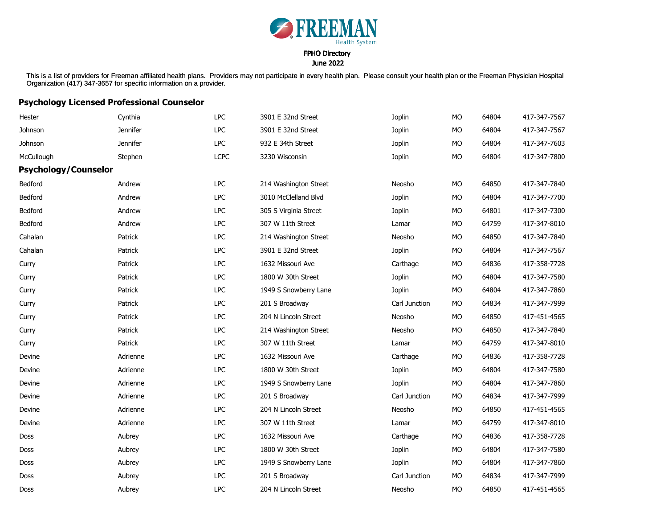

#### June 2022

This is a list of providers for Freeman affiliated health plans. Providers may not participate in every health plan. Please consult your health plan or the Freeman Physician Hospital<br>Organization (417) 347-3657 for specifi

# Psychology Licensed Professional Counselor

| Hester                      | Cynthia         | <b>LPC</b>  | 3901 E 32nd Street    | <b>Joplin</b> | <b>MO</b> | 64804 | 417-347-7567 |
|-----------------------------|-----------------|-------------|-----------------------|---------------|-----------|-------|--------------|
| Johnson                     | <b>Jennifer</b> | <b>LPC</b>  | 3901 E 32nd Street    | <b>Joplin</b> | <b>MO</b> | 64804 | 417-347-7567 |
| Johnson                     | Jennifer        | <b>LPC</b>  | 932 E 34th Street     | Joplin        | MO        | 64804 | 417-347-7603 |
| McCullough                  | Stephen         | <b>LCPC</b> | 3230 Wisconsin        | Joplin        | <b>MO</b> | 64804 | 417-347-7800 |
| <b>Psychology/Counselor</b> |                 |             |                       |               |           |       |              |
| Bedford                     | Andrew          | <b>LPC</b>  | 214 Washington Street | Neosho        | MO        | 64850 | 417-347-7840 |
| Bedford                     | Andrew          | <b>LPC</b>  | 3010 McClelland Blvd  | <b>Joplin</b> | <b>MO</b> | 64804 | 417-347-7700 |
| Bedford                     | Andrew          | <b>LPC</b>  | 305 S Virginia Street | <b>Joplin</b> | <b>MO</b> | 64801 | 417-347-7300 |
| Bedford                     | Andrew          | <b>LPC</b>  | 307 W 11th Street     | Lamar         | <b>MO</b> | 64759 | 417-347-8010 |
| Cahalan                     | Patrick         | <b>LPC</b>  | 214 Washington Street | Neosho        | <b>MO</b> | 64850 | 417-347-7840 |
| Cahalan                     | Patrick         | <b>LPC</b>  | 3901 E 32nd Street    | <b>Joplin</b> | MO        | 64804 | 417-347-7567 |
| Curry                       | Patrick         | <b>LPC</b>  | 1632 Missouri Ave     | Carthage      | MO        | 64836 | 417-358-7728 |
| Curry                       | Patrick         | <b>LPC</b>  | 1800 W 30th Street    | Joplin        | <b>MO</b> | 64804 | 417-347-7580 |
| Curry                       | Patrick         | <b>LPC</b>  | 1949 S Snowberry Lane | Joplin        | <b>MO</b> | 64804 | 417-347-7860 |
| Curry                       | Patrick         | <b>LPC</b>  | 201 S Broadway        | Carl Junction | MO        | 64834 | 417-347-7999 |
| Curry                       | Patrick         | <b>LPC</b>  | 204 N Lincoln Street  | Neosho        | <b>MO</b> | 64850 | 417-451-4565 |
| Curry                       | Patrick         | <b>LPC</b>  | 214 Washington Street | Neosho        | <b>MO</b> | 64850 | 417-347-7840 |
| Curry                       | Patrick         | <b>LPC</b>  | 307 W 11th Street     | Lamar         | <b>MO</b> | 64759 | 417-347-8010 |
| Devine                      | Adrienne        | <b>LPC</b>  | 1632 Missouri Ave     | Carthage      | MO        | 64836 | 417-358-7728 |
| Devine                      | Adrienne        | <b>LPC</b>  | 1800 W 30th Street    | <b>Joplin</b> | MO        | 64804 | 417-347-7580 |
| Devine                      | Adrienne        | <b>LPC</b>  | 1949 S Snowberry Lane | <b>Joplin</b> | MO        | 64804 | 417-347-7860 |
| Devine                      | Adrienne        | <b>LPC</b>  | 201 S Broadway        | Carl Junction | <b>MO</b> | 64834 | 417-347-7999 |
| Devine                      | Adrienne        | <b>LPC</b>  | 204 N Lincoln Street  | Neosho        | <b>MO</b> | 64850 | 417-451-4565 |
| Devine                      | Adrienne        | <b>LPC</b>  | 307 W 11th Street     | Lamar         | <b>MO</b> | 64759 | 417-347-8010 |
| Doss                        | Aubrey          | <b>LPC</b>  | 1632 Missouri Ave     | Carthage      | MO        | 64836 | 417-358-7728 |
| <b>Doss</b>                 | Aubrey          | <b>LPC</b>  | 1800 W 30th Street    | <b>Joplin</b> | <b>MO</b> | 64804 | 417-347-7580 |
| Doss                        | Aubrey          | <b>LPC</b>  | 1949 S Snowberry Lane | <b>Joplin</b> | <b>MO</b> | 64804 | 417-347-7860 |
| <b>Doss</b>                 | Aubrey          | <b>LPC</b>  | 201 S Broadway        | Carl Junction | MO        | 64834 | 417-347-7999 |
| Doss                        | Aubrey          | <b>LPC</b>  | 204 N Lincoln Street  | Neosho        | MO        | 64850 | 417-451-4565 |
|                             |                 |             |                       |               |           |       |              |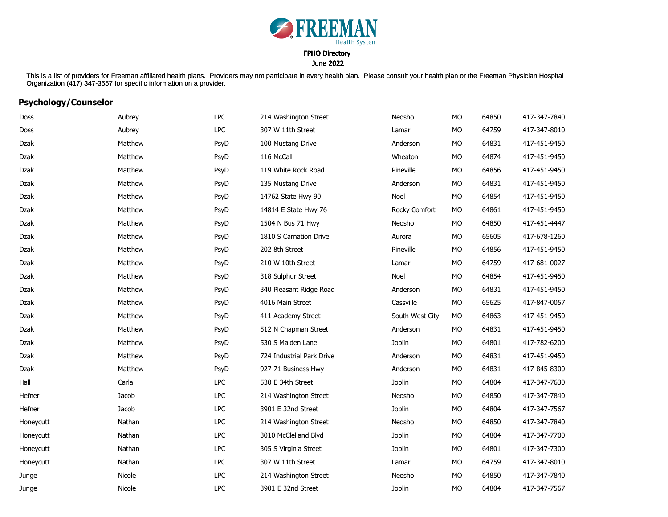

#### June 2022

This is a list of providers for Freeman affiliated health plans. Providers may not participate in every health plan. Please consult your health plan or the Freeman Physician Hospital<br>Organization (417) 347-3657 for specifi

# Psychology/Counselor

| Doss      | Aubrey  | <b>LPC</b> | 214 Washington Street     | Neosho          | <b>MO</b> | 64850 | 417-347-7840 |
|-----------|---------|------------|---------------------------|-----------------|-----------|-------|--------------|
| Doss      | Aubrey  | <b>LPC</b> | 307 W 11th Street         | Lamar           | <b>MO</b> | 64759 | 417-347-8010 |
| Dzak      | Matthew | PsyD       | 100 Mustang Drive         | Anderson        | <b>MO</b> | 64831 | 417-451-9450 |
| Dzak      | Matthew | PsyD       | 116 McCall                | Wheaton         | MO        | 64874 | 417-451-9450 |
| Dzak      | Matthew | PsyD       | 119 White Rock Road       | Pineville       | <b>MO</b> | 64856 | 417-451-9450 |
| Dzak      | Matthew | PsyD       | 135 Mustang Drive         | Anderson        | <b>MO</b> | 64831 | 417-451-9450 |
| Dzak      | Matthew | PsyD       | 14762 State Hwy 90        | Noel            | <b>MO</b> | 64854 | 417-451-9450 |
| Dzak      | Matthew | PsyD       | 14814 E State Hwy 76      | Rocky Comfort   | MO        | 64861 | 417-451-9450 |
| Dzak      | Matthew | PsyD       | 1504 N Bus 71 Hwy         | Neosho          | <b>MO</b> | 64850 | 417-451-4447 |
| Dzak      | Matthew | PsyD       | 1810 S Carnation Drive    | Aurora          | MO        | 65605 | 417-678-1260 |
| Dzak      | Matthew | PsyD       | 202 8th Street            | Pineville       | <b>MO</b> | 64856 | 417-451-9450 |
| Dzak      | Matthew | PsyD       | 210 W 10th Street         | Lamar           | MO        | 64759 | 417-681-0027 |
| Dzak      | Matthew | PsyD       | 318 Sulphur Street        | Noel            | MO        | 64854 | 417-451-9450 |
| Dzak      | Matthew | PsyD       | 340 Pleasant Ridge Road   | Anderson        | MO        | 64831 | 417-451-9450 |
| Dzak      | Matthew | PsyD       | 4016 Main Street          | Cassville       | MO        | 65625 | 417-847-0057 |
| Dzak      | Matthew | PsyD       | 411 Academy Street        | South West City | <b>MO</b> | 64863 | 417-451-9450 |
| Dzak      | Matthew | PsyD       | 512 N Chapman Street      | Anderson        | <b>MO</b> | 64831 | 417-451-9450 |
| Dzak      | Matthew | PsyD       | 530 S Maiden Lane         | <b>Joplin</b>   | MO        | 64801 | 417-782-6200 |
| Dzak      | Matthew | PsyD       | 724 Industrial Park Drive | Anderson        | MO        | 64831 | 417-451-9450 |
| Dzak      | Matthew | PsyD       | 927 71 Business Hwy       | Anderson        | MO        | 64831 | 417-845-8300 |
| Hall      | Carla   | <b>LPC</b> | 530 E 34th Street         | <b>Joplin</b>   | MO        | 64804 | 417-347-7630 |
| Hefner    | Jacob   | <b>LPC</b> | 214 Washington Street     | Neosho          | <b>MO</b> | 64850 | 417-347-7840 |
| Hefner    | Jacob   | <b>LPC</b> | 3901 E 32nd Street        | Joplin          | <b>MO</b> | 64804 | 417-347-7567 |
| Honeycutt | Nathan  | <b>LPC</b> | 214 Washington Street     | Neosho          | <b>MO</b> | 64850 | 417-347-7840 |
| Honeycutt | Nathan  | <b>LPC</b> | 3010 McClelland Blvd      | <b>Joplin</b>   | MO        | 64804 | 417-347-7700 |
| Honeycutt | Nathan  | <b>LPC</b> | 305 S Virginia Street     | Joplin          | MO        | 64801 | 417-347-7300 |
| Honeycutt | Nathan  | <b>LPC</b> | 307 W 11th Street         | Lamar           | <b>MO</b> | 64759 | 417-347-8010 |
| Junge     | Nicole  | <b>LPC</b> | 214 Washington Street     | Neosho          | <b>MO</b> | 64850 | 417-347-7840 |
| Junge     | Nicole  | <b>LPC</b> | 3901 E 32nd Street        | <b>Joplin</b>   | <b>MO</b> | 64804 | 417-347-7567 |
|           |         |            |                           |                 |           |       |              |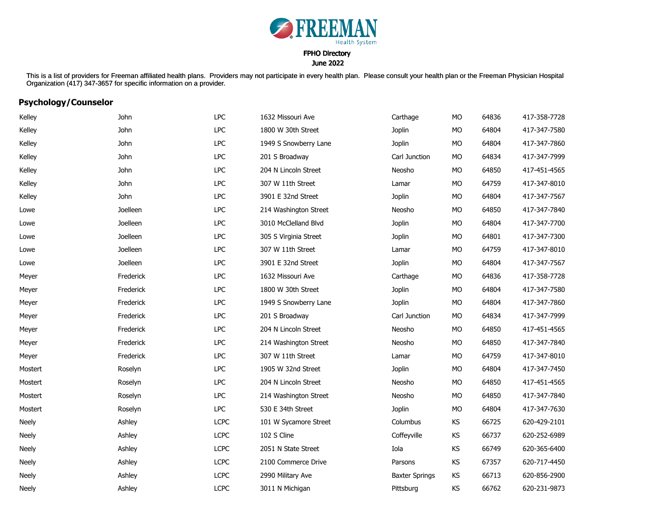

#### June 2022

This is a list of providers for Freeman affiliated health plans. Providers may not participate in every health plan. Please consult your health plan or the Freeman Physician Hospital<br>Organization (417) 347-3657 for specifi

# Psychology/Counselor

| Kelley       | John        | <b>LPC</b>  | 1632 Missouri Ave     | Carthage              | <b>MO</b> | 64836 | 417-358-7728 |
|--------------|-------------|-------------|-----------------------|-----------------------|-----------|-------|--------------|
| Kelley       | John        | <b>LPC</b>  | 1800 W 30th Street    | Joplin                | <b>MO</b> | 64804 | 417-347-7580 |
| Kelley       | John        | <b>LPC</b>  | 1949 S Snowberry Lane | <b>Joplin</b>         | <b>MO</b> | 64804 | 417-347-7860 |
| Kelley       | <b>John</b> | <b>LPC</b>  | 201 S Broadway        | Carl Junction         | <b>MO</b> | 64834 | 417-347-7999 |
| Kelley       | John        | <b>LPC</b>  | 204 N Lincoln Street  | Neosho                | MO        | 64850 | 417-451-4565 |
| Kelley       | John        | <b>LPC</b>  | 307 W 11th Street     | Lamar                 | MO        | 64759 | 417-347-8010 |
| Kelley       | John        | <b>LPC</b>  | 3901 E 32nd Street    | <b>Joplin</b>         | <b>MO</b> | 64804 | 417-347-7567 |
| Lowe         | Joelleen    | <b>LPC</b>  | 214 Washington Street | Neosho                | <b>MO</b> | 64850 | 417-347-7840 |
| Lowe         | Joelleen    | <b>LPC</b>  | 3010 McClelland Blvd  | <b>Joplin</b>         | <b>MO</b> | 64804 | 417-347-7700 |
| Lowe         | Joelleen    | <b>LPC</b>  | 305 S Virginia Street | <b>Joplin</b>         | MO        | 64801 | 417-347-7300 |
| Lowe         | Joelleen    | <b>LPC</b>  | 307 W 11th Street     | Lamar                 | <b>MO</b> | 64759 | 417-347-8010 |
| Lowe         | Joelleen    | <b>LPC</b>  | 3901 E 32nd Street    | <b>Joplin</b>         | <b>MO</b> | 64804 | 417-347-7567 |
| Meyer        | Frederick   | <b>LPC</b>  | 1632 Missouri Ave     | Carthage              | MO        | 64836 | 417-358-7728 |
| Meyer        | Frederick   | <b>LPC</b>  | 1800 W 30th Street    | <b>Joplin</b>         | <b>MO</b> | 64804 | 417-347-7580 |
| Meyer        | Frederick   | <b>LPC</b>  | 1949 S Snowberry Lane | <b>Joplin</b>         | <b>MO</b> | 64804 | 417-347-7860 |
| Meyer        | Frederick   | <b>LPC</b>  | 201 S Broadway        | Carl Junction         | <b>MO</b> | 64834 | 417-347-7999 |
| Meyer        | Frederick   | <b>LPC</b>  | 204 N Lincoln Street  | Neosho                | MO        | 64850 | 417-451-4565 |
| Meyer        | Frederick   | <b>LPC</b>  | 214 Washington Street | Neosho                | MO        | 64850 | 417-347-7840 |
| Meyer        | Frederick   | <b>LPC</b>  | 307 W 11th Street     | Lamar                 | <b>MO</b> | 64759 | 417-347-8010 |
| Mostert      | Roselyn     | <b>LPC</b>  | 1905 W 32nd Street    | <b>Joplin</b>         | MO        | 64804 | 417-347-7450 |
| Mostert      | Roselyn     | <b>LPC</b>  | 204 N Lincoln Street  | Neosho                | <b>MO</b> | 64850 | 417-451-4565 |
| Mostert      | Roselyn     | <b>LPC</b>  | 214 Washington Street | Neosho                | <b>MO</b> | 64850 | 417-347-7840 |
| Mostert      | Roselyn     | <b>LPC</b>  | 530 E 34th Street     | <b>Joplin</b>         | <b>MO</b> | 64804 | 417-347-7630 |
| <b>Neely</b> | Ashley      | <b>LCPC</b> | 101 W Sycamore Street | Columbus              | KS        | 66725 | 620-429-2101 |
| Neely        | Ashley      | <b>LCPC</b> | 102 S Cline           | Coffeyville           | ΚS        | 66737 | 620-252-6989 |
| Neely        | Ashley      | <b>LCPC</b> | 2051 N State Street   | Iola                  | KS        | 66749 | 620-365-6400 |
| Neely        | Ashley      | <b>LCPC</b> | 2100 Commerce Drive   | Parsons               | KS        | 67357 | 620-717-4450 |
| <b>Neely</b> | Ashley      | <b>LCPC</b> | 2990 Military Ave     | <b>Baxter Springs</b> | ΚS        | 66713 | 620-856-2900 |
| <b>Neely</b> | Ashley      | <b>LCPC</b> | 3011 N Michigan       | Pittsburg             | ΚS        | 66762 | 620-231-9873 |
|              |             |             |                       |                       |           |       |              |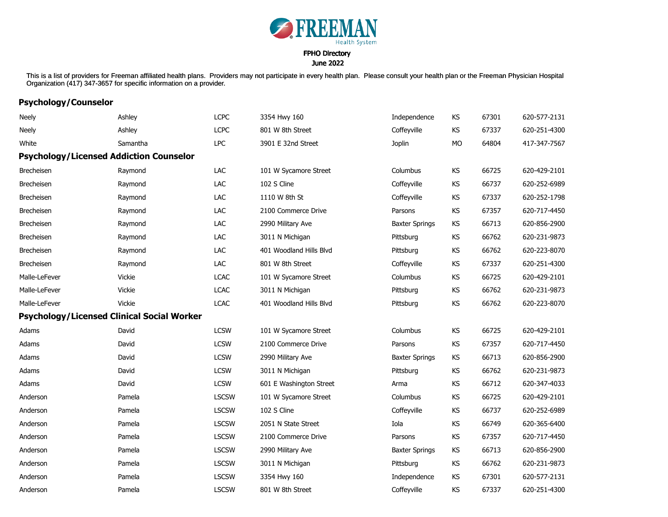

#### June 2022

This is a list of providers for Freeman affiliated health plans. Providers may not participate in every health plan. Please consult your health plan or the Freeman Physician Hospital<br>Organization (417) 347-3657 for specifi

# Psychology/Counselor

| <b>Neely</b>                                      | Ashley   | <b>LCPC</b>  | 3354 Hwy 160            | Independence          | KS | 67301 | 620-577-2131 |
|---------------------------------------------------|----------|--------------|-------------------------|-----------------------|----|-------|--------------|
| <b>Neely</b>                                      | Ashley   | <b>LCPC</b>  | 801 W 8th Street        | Coffeyville           | KS | 67337 | 620-251-4300 |
| White                                             | Samantha | <b>LPC</b>   | 3901 E 32nd Street      | <b>Joplin</b>         | MO | 64804 | 417-347-7567 |
| <b>Psychology/Licensed Addiction Counselor</b>    |          |              |                         |                       |    |       |              |
| <b>Brecheisen</b>                                 | Raymond  | <b>LAC</b>   | 101 W Sycamore Street   | Columbus              | KS | 66725 | 620-429-2101 |
| Brecheisen                                        | Raymond  | <b>LAC</b>   | 102 S Cline             | Coffeyville           | KS | 66737 | 620-252-6989 |
| <b>Brecheisen</b>                                 | Raymond  | <b>LAC</b>   | 1110 W 8th St           | Coffeyville           | KS | 67337 | 620-252-1798 |
| Brecheisen                                        | Raymond  | <b>LAC</b>   | 2100 Commerce Drive     | Parsons               | KS | 67357 | 620-717-4450 |
| Brecheisen                                        | Raymond  | <b>LAC</b>   | 2990 Military Ave       | <b>Baxter Springs</b> | KS | 66713 | 620-856-2900 |
| Brecheisen                                        | Raymond  | <b>LAC</b>   | 3011 N Michigan         | Pittsburg             | KS | 66762 | 620-231-9873 |
| <b>Brecheisen</b>                                 | Raymond  | <b>LAC</b>   | 401 Woodland Hills Blvd | Pittsburg             | KS | 66762 | 620-223-8070 |
| Brecheisen                                        | Raymond  | LAC          | 801 W 8th Street        | Coffeyville           | KS | 67337 | 620-251-4300 |
| Malle-LeFever                                     | Vickie   | <b>LCAC</b>  | 101 W Sycamore Street   | Columbus              | KS | 66725 | 620-429-2101 |
| Malle-LeFever                                     | Vickie   | <b>LCAC</b>  | 3011 N Michigan         | Pittsburg             | KS | 66762 | 620-231-9873 |
| Malle-LeFever                                     | Vickie   | <b>LCAC</b>  | 401 Woodland Hills Blvd | Pittsburg             | KS | 66762 | 620-223-8070 |
| <b>Psychology/Licensed Clinical Social Worker</b> |          |              |                         |                       |    |       |              |
| Adams                                             | David    | <b>LCSW</b>  | 101 W Sycamore Street   | Columbus              | KS | 66725 | 620-429-2101 |
| Adams                                             | David    | <b>LCSW</b>  | 2100 Commerce Drive     | Parsons               | KS | 67357 | 620-717-4450 |
| Adams                                             | David    | <b>LCSW</b>  | 2990 Military Ave       | <b>Baxter Springs</b> | KS | 66713 | 620-856-2900 |
| Adams                                             | David    | <b>LCSW</b>  | 3011 N Michigan         | Pittsburg             | KS | 66762 | 620-231-9873 |
| Adams                                             | David    | <b>LCSW</b>  | 601 E Washington Street | Arma                  | KS | 66712 | 620-347-4033 |
| Anderson                                          | Pamela   | <b>LSCSW</b> | 101 W Sycamore Street   | Columbus              | KS | 66725 | 620-429-2101 |
| Anderson                                          | Pamela   | <b>LSCSW</b> | 102 S Cline             | Coffeyville           | KS | 66737 | 620-252-6989 |
| Anderson                                          | Pamela   | <b>LSCSW</b> | 2051 N State Street     | Iola                  | KS | 66749 | 620-365-6400 |
| Anderson                                          | Pamela   | <b>LSCSW</b> | 2100 Commerce Drive     | Parsons               | KS | 67357 | 620-717-4450 |
| Anderson                                          | Pamela   | <b>LSCSW</b> | 2990 Military Ave       | <b>Baxter Springs</b> | KS | 66713 | 620-856-2900 |
| Anderson                                          | Pamela   | <b>LSCSW</b> | 3011 N Michigan         | Pittsburg             | KS | 66762 | 620-231-9873 |
| Anderson                                          | Pamela   | <b>LSCSW</b> | 3354 Hwy 160            | Independence          | KS | 67301 | 620-577-2131 |
| Anderson                                          | Pamela   | <b>LSCSW</b> | 801 W 8th Street        | Coffeyville           | KS | 67337 | 620-251-4300 |
|                                                   |          |              |                         |                       |    |       |              |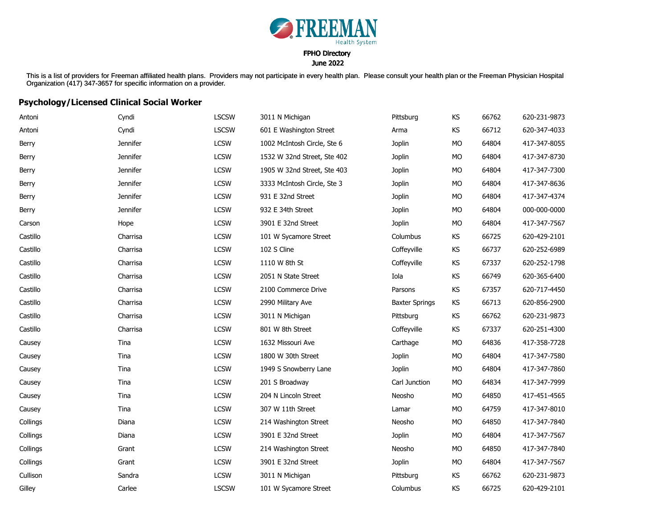

#### June 2022

This is a list of providers for Freeman affiliated health plans. Providers may not participate in every health plan. Please consult your health plan or the Freeman Physician Hospital<br>Organization (417) 347-3657 for specifi

| Antoni   | Cyndi           | <b>LSCSW</b> | 3011 N Michigan             | Pittsburg             | KS        | 66762 | 620-231-9873 |
|----------|-----------------|--------------|-----------------------------|-----------------------|-----------|-------|--------------|
| Antoni   | Cyndi           | <b>LSCSW</b> | 601 E Washington Street     | Arma                  | KS        | 66712 | 620-347-4033 |
| Berry    | <b>Jennifer</b> | <b>LCSW</b>  | 1002 McIntosh Circle, Ste 6 | <b>Joplin</b>         | <b>MO</b> | 64804 | 417-347-8055 |
| Berry    | <b>Jennifer</b> | <b>LCSW</b>  | 1532 W 32nd Street, Ste 402 | <b>Joplin</b>         | MO        | 64804 | 417-347-8730 |
| Berry    | <b>Jennifer</b> | <b>LCSW</b>  | 1905 W 32nd Street, Ste 403 | <b>Joplin</b>         | MO        | 64804 | 417-347-7300 |
| Berry    | <b>Jennifer</b> | <b>LCSW</b>  | 3333 McIntosh Circle, Ste 3 | <b>Joplin</b>         | <b>MO</b> | 64804 | 417-347-8636 |
| Berry    | <b>Jennifer</b> | <b>LCSW</b>  | 931 E 32nd Street           | <b>Joplin</b>         | MO        | 64804 | 417-347-4374 |
| Berry    | Jennifer        | <b>LCSW</b>  | 932 E 34th Street           | <b>Joplin</b>         | MO        | 64804 | 000-000-0000 |
| Carson   | Hope            | <b>LCSW</b>  | 3901 E 32nd Street          | <b>Joplin</b>         | <b>MO</b> | 64804 | 417-347-7567 |
| Castillo | Charrisa        | <b>LCSW</b>  | 101 W Sycamore Street       | Columbus              | KS        | 66725 | 620-429-2101 |
| Castillo | Charrisa        | <b>LCSW</b>  | 102 S Cline                 | Coffeyville           | KS        | 66737 | 620-252-6989 |
| Castillo | Charrisa        | <b>LCSW</b>  | 1110 W 8th St               | Coffeyville           | KS        | 67337 | 620-252-1798 |
| Castillo | Charrisa        | <b>LCSW</b>  | 2051 N State Street         | Iola                  | KS        | 66749 | 620-365-6400 |
| Castillo | Charrisa        | <b>LCSW</b>  | 2100 Commerce Drive         | Parsons               | KS        | 67357 | 620-717-4450 |
| Castillo | Charrisa        | <b>LCSW</b>  | 2990 Military Ave           | <b>Baxter Springs</b> | KS        | 66713 | 620-856-2900 |
| Castillo | Charrisa        | <b>LCSW</b>  | 3011 N Michigan             | Pittsburg             | KS        | 66762 | 620-231-9873 |
| Castillo | Charrisa        | <b>LCSW</b>  | 801 W 8th Street            | Coffeyville           | KS        | 67337 | 620-251-4300 |
| Causey   | Tina            | <b>LCSW</b>  | 1632 Missouri Ave           | Carthage              | MO        | 64836 | 417-358-7728 |
| Causey   | Tina            | <b>LCSW</b>  | 1800 W 30th Street          | <b>Joplin</b>         | <b>MO</b> | 64804 | 417-347-7580 |
| Causey   | Tina            | <b>LCSW</b>  | 1949 S Snowberry Lane       | <b>Joplin</b>         | MO        | 64804 | 417-347-7860 |
| Causey   | Tina            | <b>LCSW</b>  | 201 S Broadway              | Carl Junction         | MO        | 64834 | 417-347-7999 |
| Causey   | Tina            | <b>LCSW</b>  | 204 N Lincoln Street        | Neosho                | <b>MO</b> | 64850 | 417-451-4565 |
| Causey   | Tina            | <b>LCSW</b>  | 307 W 11th Street           | Lamar                 | MO        | 64759 | 417-347-8010 |
| Collings | Diana           | <b>LCSW</b>  | 214 Washington Street       | Neosho                | MO        | 64850 | 417-347-7840 |
| Collings | Diana           | <b>LCSW</b>  | 3901 E 32nd Street          | <b>Joplin</b>         | <b>MO</b> | 64804 | 417-347-7567 |
| Collings | Grant           | <b>LCSW</b>  | 214 Washington Street       | Neosho                | MO        | 64850 | 417-347-7840 |
| Collings | Grant           | <b>LCSW</b>  | 3901 E 32nd Street          | Joplin                | MO        | 64804 | 417-347-7567 |
| Cullison | Sandra          | <b>LCSW</b>  | 3011 N Michigan             | Pittsburg             | KS        | 66762 | 620-231-9873 |
| Gilley   | Carlee          | <b>LSCSW</b> | 101 W Sycamore Street       | Columbus              | KS        | 66725 | 620-429-2101 |
|          |                 |              |                             |                       |           |       |              |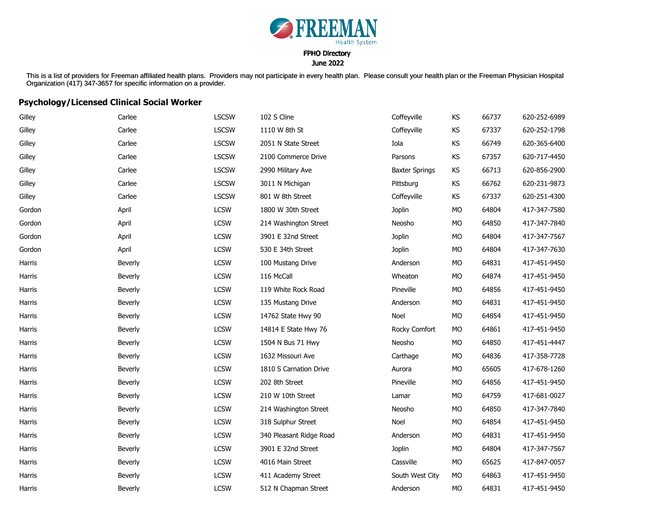

#### June 2022

This is a list of providers for Freeman affiliated health plans. Providers may not participate in every health plan. Please consult your health plan or the Freeman Physician Hospital<br>Organization (417) 347-3657 for specifi

| Gilley | Carlee         | <b>LSCSW</b> | 102 S Cline             | Coffeyville           | KS        | 66737 | 620-252-6989 |
|--------|----------------|--------------|-------------------------|-----------------------|-----------|-------|--------------|
| Gilley | Carlee         | <b>LSCSW</b> | 1110 W 8th St           | Coffeyville           | KS        | 67337 | 620-252-1798 |
| Gilley | Carlee         | <b>LSCSW</b> | 2051 N State Street     | Iola                  | KS        | 66749 | 620-365-6400 |
| Gilley | Carlee         | <b>LSCSW</b> | 2100 Commerce Drive     | Parsons               | KS        | 67357 | 620-717-4450 |
| Gilley | Carlee         | <b>LSCSW</b> | 2990 Military Ave       | <b>Baxter Springs</b> | KS        | 66713 | 620-856-2900 |
| Gilley | Carlee         | <b>LSCSW</b> | 3011 N Michigan         | Pittsburg             | KS        | 66762 | 620-231-9873 |
| Gilley | Carlee         | <b>LSCSW</b> | 801 W 8th Street        | Coffeyville           | KS        | 67337 | 620-251-4300 |
| Gordon | April          | <b>LCSW</b>  | 1800 W 30th Street      | Joplin                | MO        | 64804 | 417-347-7580 |
| Gordon | April          | <b>LCSW</b>  | 214 Washington Street   | Neosho                | <b>MO</b> | 64850 | 417-347-7840 |
| Gordon | April          | <b>LCSW</b>  | 3901 E 32nd Street      | <b>Joplin</b>         | MO        | 64804 | 417-347-7567 |
| Gordon | April          | <b>LCSW</b>  | 530 E 34th Street       | Joplin                | MO        | 64804 | 417-347-7630 |
| Harris | <b>Beverly</b> | <b>LCSW</b>  | 100 Mustang Drive       | Anderson              | MO        | 64831 | 417-451-9450 |
| Harris | Beverly        | <b>LCSW</b>  | 116 McCall              | Wheaton               | <b>MO</b> | 64874 | 417-451-9450 |
| Harris | Beverly        | <b>LCSW</b>  | 119 White Rock Road     | Pineville             | MO        | 64856 | 417-451-9450 |
| Harris | Beverly        | <b>LCSW</b>  | 135 Mustang Drive       | Anderson              | MO        | 64831 | 417-451-9450 |
| Harris | <b>Beverly</b> | <b>LCSW</b>  | 14762 State Hwy 90      | Noel                  | MO        | 64854 | 417-451-9450 |
| Harris | Beverly        | <b>LCSW</b>  | 14814 E State Hwy 76    | Rocky Comfort         | MO        | 64861 | 417-451-9450 |
| Harris | <b>Beverly</b> | <b>LCSW</b>  | 1504 N Bus 71 Hwy       | Neosho                | MO        | 64850 | 417-451-4447 |
| Harris | Beverly        | <b>LCSW</b>  | 1632 Missouri Ave       | Carthage              | <b>MO</b> | 64836 | 417-358-7728 |
| Harris | Beverly        | <b>LCSW</b>  | 1810 S Carnation Drive  | Aurora                | MO        | 65605 | 417-678-1260 |
| Harris | Beverly        | <b>LCSW</b>  | 202 8th Street          | Pineville             | MO        | 64856 | 417-451-9450 |
| Harris | Beverly        | <b>LCSW</b>  | 210 W 10th Street       | Lamar                 | <b>MO</b> | 64759 | 417-681-0027 |
| Harris | Beverly        | <b>LCSW</b>  | 214 Washington Street   | Neosho                | <b>MO</b> | 64850 | 417-347-7840 |
| Harris | <b>Beverly</b> | <b>LCSW</b>  | 318 Sulphur Street      | Noel                  | MO        | 64854 | 417-451-9450 |
| Harris | <b>Beverly</b> | <b>LCSW</b>  | 340 Pleasant Ridge Road | Anderson              | <b>MO</b> | 64831 | 417-451-9450 |
| Harris | Beverly        | <b>LCSW</b>  | 3901 E 32nd Street      | <b>Joplin</b>         | MO        | 64804 | 417-347-7567 |
| Harris | Beverly        | <b>LCSW</b>  | 4016 Main Street        | Cassville             | MO        | 65625 | 417-847-0057 |
| Harris | Beverly        | <b>LCSW</b>  | 411 Academy Street      | South West City       | MO        | 64863 | 417-451-9450 |
| Harris | Beverly        | <b>LCSW</b>  | 512 N Chapman Street    | Anderson              | <b>MO</b> | 64831 | 417-451-9450 |
|        |                |              |                         |                       |           |       |              |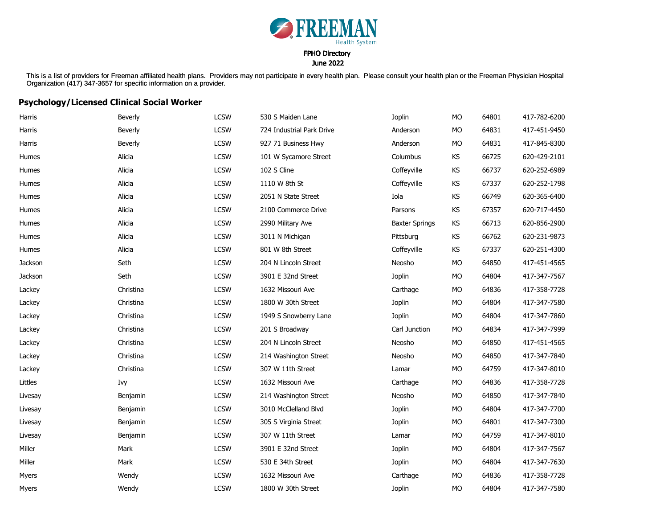

#### June 2022

This is a list of providers for Freeman affiliated health plans. Providers may not participate in every health plan. Please consult your health plan or the Freeman Physician Hospital<br>Organization (417) 347-3657 for specifi

| Harris  | Beverly   | <b>LCSW</b> | 530 S Maiden Lane         | <b>Joplin</b>         | MO        | 64801 | 417-782-6200 |
|---------|-----------|-------------|---------------------------|-----------------------|-----------|-------|--------------|
| Harris  | Beverly   | <b>LCSW</b> | 724 Industrial Park Drive | Anderson              | MO        | 64831 | 417-451-9450 |
| Harris  | Beverly   | <b>LCSW</b> | 927 71 Business Hwy       | Anderson              | <b>MO</b> | 64831 | 417-845-8300 |
| Humes   | Alicia    | <b>LCSW</b> | 101 W Sycamore Street     | Columbus              | KS        | 66725 | 620-429-2101 |
| Humes   | Alicia    | <b>LCSW</b> | 102 S Cline               | Coffeyville           | KS        | 66737 | 620-252-6989 |
| Humes   | Alicia    | <b>LCSW</b> | 1110 W 8th St             | Coffeyville           | KS        | 67337 | 620-252-1798 |
| Humes   | Alicia    | <b>LCSW</b> | 2051 N State Street       | Iola                  | KS        | 66749 | 620-365-6400 |
| Humes   | Alicia    | <b>LCSW</b> | 2100 Commerce Drive       | Parsons               | KS        | 67357 | 620-717-4450 |
| Humes   | Alicia    | <b>LCSW</b> | 2990 Military Ave         | <b>Baxter Springs</b> | KS        | 66713 | 620-856-2900 |
| Humes   | Alicia    | <b>LCSW</b> | 3011 N Michigan           | Pittsburg             | KS        | 66762 | 620-231-9873 |
| Humes   | Alicia    | <b>LCSW</b> | 801 W 8th Street          | Coffeyville           | KS        | 67337 | 620-251-4300 |
| Jackson | Seth      | <b>LCSW</b> | 204 N Lincoln Street      | Neosho                | MO        | 64850 | 417-451-4565 |
| Jackson | Seth      | <b>LCSW</b> | 3901 E 32nd Street        | Joplin                | MO        | 64804 | 417-347-7567 |
| Lackey  | Christina | <b>LCSW</b> | 1632 Missouri Ave         | Carthage              | MO        | 64836 | 417-358-7728 |
| Lackey  | Christina | <b>LCSW</b> | 1800 W 30th Street        | <b>Joplin</b>         | MO        | 64804 | 417-347-7580 |
| Lackey  | Christina | <b>LCSW</b> | 1949 S Snowberry Lane     | <b>Joplin</b>         | MO        | 64804 | 417-347-7860 |
| Lackey  | Christina | <b>LCSW</b> | 201 S Broadway            | Carl Junction         | MO        | 64834 | 417-347-7999 |
| Lackey  | Christina | <b>LCSW</b> | 204 N Lincoln Street      | Neosho                | <b>MO</b> | 64850 | 417-451-4565 |
| Lackey  | Christina | <b>LCSW</b> | 214 Washington Street     | Neosho                | MO        | 64850 | 417-347-7840 |
| Lackey  | Christina | <b>LCSW</b> | 307 W 11th Street         | Lamar                 | MO        | 64759 | 417-347-8010 |
| Littles | Ivy       | <b>LCSW</b> | 1632 Missouri Ave         | Carthage              | MO        | 64836 | 417-358-7728 |
| Livesay | Benjamin  | <b>LCSW</b> | 214 Washington Street     | Neosho                | MO        | 64850 | 417-347-7840 |
| Livesay | Benjamin  | <b>LCSW</b> | 3010 McClelland Blvd      | Joplin                | MO        | 64804 | 417-347-7700 |
| Livesay | Benjamin  | <b>LCSW</b> | 305 S Virginia Street     | <b>Joplin</b>         | MO        | 64801 | 417-347-7300 |
| Livesay | Benjamin  | <b>LCSW</b> | 307 W 11th Street         | Lamar                 | <b>MO</b> | 64759 | 417-347-8010 |
| Miller  | Mark      | <b>LCSW</b> | 3901 E 32nd Street        | <b>Joplin</b>         | MO        | 64804 | 417-347-7567 |
| Miller  | Mark      | <b>LCSW</b> | 530 E 34th Street         | Joplin                | MO        | 64804 | 417-347-7630 |
| Myers   | Wendy     | <b>LCSW</b> | 1632 Missouri Ave         | Carthage              | MO        | 64836 | 417-358-7728 |
| Myers   | Wendy     | <b>LCSW</b> | 1800 W 30th Street        | <b>Joplin</b>         | <b>MO</b> | 64804 | 417-347-7580 |
|         |           |             |                           |                       |           |       |              |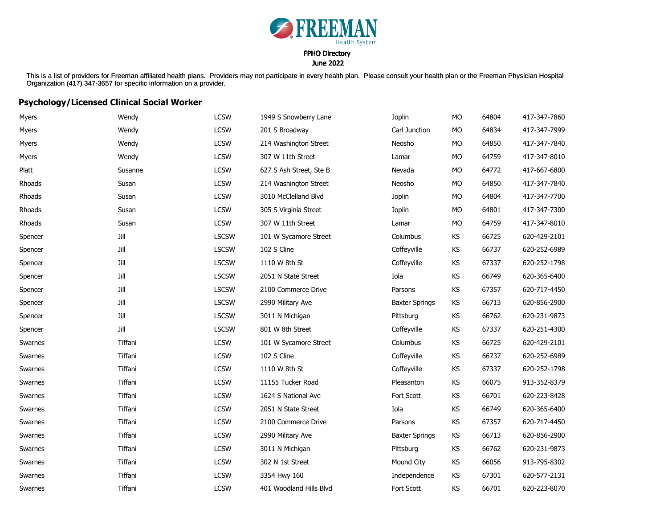

#### June 2022

This is a list of providers for Freeman affiliated health plans. Providers may not participate in every health plan. Please consult your health plan or the Freeman Physician Hospital<br>Organization (417) 347-3657 for specifi

| Myers   | Wendy   | <b>LCSW</b>  | 1949 S Snowberry Lane   | <b>Joplin</b>         | <b>MO</b> | 64804 | 417-347-7860 |
|---------|---------|--------------|-------------------------|-----------------------|-----------|-------|--------------|
| Myers   | Wendy   | <b>LCSW</b>  | 201 S Broadway          | Carl Junction         | MO        | 64834 | 417-347-7999 |
| Myers   | Wendy   | <b>LCSW</b>  | 214 Washington Street   | Neosho                | <b>MO</b> | 64850 | 417-347-7840 |
| Myers   | Wendy   | <b>LCSW</b>  | 307 W 11th Street       | Lamar                 | <b>MO</b> | 64759 | 417-347-8010 |
| Platt   | Susanne | <b>LCSW</b>  | 627 S Ash Street, Ste B | Nevada                | <b>MO</b> | 64772 | 417-667-6800 |
| Rhoads  | Susan   | <b>LCSW</b>  | 214 Washington Street   | Neosho                | MO        | 64850 | 417-347-7840 |
| Rhoads  | Susan   | <b>LCSW</b>  | 3010 McClelland Blvd    | <b>Joplin</b>         | <b>MO</b> | 64804 | 417-347-7700 |
| Rhoads  | Susan   | <b>LCSW</b>  | 305 S Virginia Street   | <b>Joplin</b>         | МO        | 64801 | 417-347-7300 |
| Rhoads  | Susan   | <b>LCSW</b>  | 307 W 11th Street       | Lamar                 | MO        | 64759 | 417-347-8010 |
| Spencer | Jill    | <b>LSCSW</b> | 101 W Sycamore Street   | Columbus              | KS        | 66725 | 620-429-2101 |
| Spencer | Jill    | <b>LSCSW</b> | 102 S Cline             | Coffeyville           | KS        | 66737 | 620-252-6989 |
| Spencer | Jill    | <b>LSCSW</b> | 1110 W 8th St           | Coffeyville           | KS        | 67337 | 620-252-1798 |
| Spencer | Jill    | <b>LSCSW</b> | 2051 N State Street     | Iola                  | KS        | 66749 | 620-365-6400 |
| Spencer | Jill    | <b>LSCSW</b> | 2100 Commerce Drive     | Parsons               | KS        | 67357 | 620-717-4450 |
| Spencer | Jill    | <b>LSCSW</b> | 2990 Military Ave       | <b>Baxter Springs</b> | КS        | 66713 | 620-856-2900 |
| Spencer | Jill    | <b>LSCSW</b> | 3011 N Michigan         | Pittsburg             | KS        | 66762 | 620-231-9873 |
| Spencer | Jill    | <b>LSCSW</b> | 801 W 8th Street        | Coffeyville           | KS        | 67337 | 620-251-4300 |
| Swarnes | Tiffani | <b>LCSW</b>  | 101 W Sycamore Street   | Columbus              | KS        | 66725 | 620-429-2101 |
| Swarnes | Tiffani | <b>LCSW</b>  | 102 S Cline             | Coffeyville           | KS        | 66737 | 620-252-6989 |
| Swarnes | Tiffani | <b>LCSW</b>  | 1110 W 8th St           | Coffeyville           | KS        | 67337 | 620-252-1798 |
| Swarnes | Tiffani | <b>LCSW</b>  | 11155 Tucker Road       | Pleasanton            | KS        | 66075 | 913-352-8379 |
| Swarnes | Tiffani | <b>LCSW</b>  | 1624 S National Ave     | Fort Scott            | KS        | 66701 | 620-223-8428 |
| Swarnes | Tiffani | <b>LCSW</b>  | 2051 N State Street     | Iola                  | KS        | 66749 | 620-365-6400 |
| Swarnes | Tiffani | <b>LCSW</b>  | 2100 Commerce Drive     | Parsons               | KS        | 67357 | 620-717-4450 |
| Swarnes | Tiffani | <b>LCSW</b>  | 2990 Military Ave       | <b>Baxter Springs</b> | KS        | 66713 | 620-856-2900 |
| Swarnes | Tiffani | <b>LCSW</b>  | 3011 N Michigan         | Pittsburg             | KS        | 66762 | 620-231-9873 |
| Swarnes | Tiffani | <b>LCSW</b>  | 302 N 1st Street        | Mound City            | KS        | 66056 | 913-795-8302 |
| Swarnes | Tiffani | <b>LCSW</b>  | 3354 Hwy 160            | Independence          | KS        | 67301 | 620-577-2131 |
| Swarnes | Tiffani | <b>LCSW</b>  | 401 Woodland Hills Blvd | Fort Scott            | KS        | 66701 | 620-223-8070 |
|         |         |              |                         |                       |           |       |              |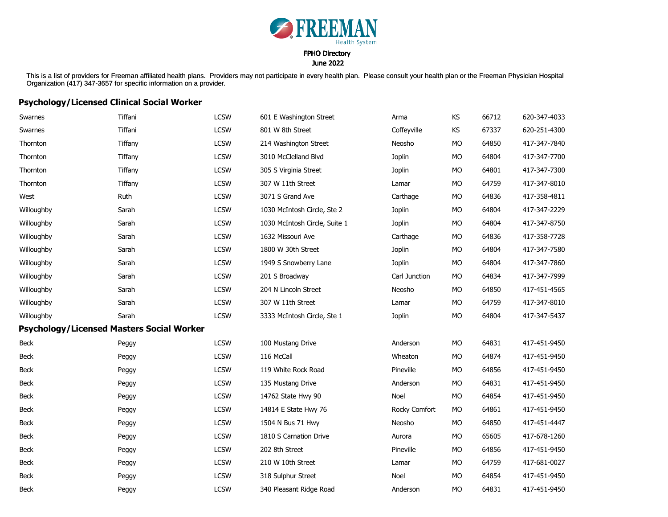

#### June 2022

This is a list of providers for Freeman affiliated health plans. Providers may not participate in every health plan. Please consult your health plan or the Freeman Physician Hospital<br>Organization (417) 347-3657 for specifi

| Swarnes     | Tiffani                                          | <b>LCSW</b> | 601 E Washington Street       | Arma          | KS        | 66712 | 620-347-4033 |
|-------------|--------------------------------------------------|-------------|-------------------------------|---------------|-----------|-------|--------------|
| Swarnes     | Tiffani                                          | <b>LCSW</b> | 801 W 8th Street              | Coffeyville   | KS        | 67337 | 620-251-4300 |
| Thornton    | Tiffany                                          | <b>LCSW</b> | 214 Washington Street         | Neosho        | <b>MO</b> | 64850 | 417-347-7840 |
| Thornton    | Tiffany                                          | <b>LCSW</b> | 3010 McClelland Blvd          | <b>Joplin</b> | <b>MO</b> | 64804 | 417-347-7700 |
| Thornton    | Tiffany                                          | <b>LCSW</b> | 305 S Virginia Street         | <b>Joplin</b> | <b>MO</b> | 64801 | 417-347-7300 |
| Thornton    | Tiffany                                          | <b>LCSW</b> | 307 W 11th Street             | Lamar         | <b>MO</b> | 64759 | 417-347-8010 |
| West        | Ruth                                             | <b>LCSW</b> | 3071 S Grand Ave              | Carthage      | <b>MO</b> | 64836 | 417-358-4811 |
| Willoughby  | Sarah                                            | <b>LCSW</b> | 1030 McIntosh Circle, Ste 2   | <b>Joplin</b> | МO        | 64804 | 417-347-2229 |
| Willoughby  | Sarah                                            | <b>LCSW</b> | 1030 McIntosh Circle, Suite 1 | <b>Joplin</b> | <b>MO</b> | 64804 | 417-347-8750 |
| Willoughby  | Sarah                                            | <b>LCSW</b> | 1632 Missouri Ave             | Carthage      | <b>MO</b> | 64836 | 417-358-7728 |
| Willoughby  | Sarah                                            | <b>LCSW</b> | 1800 W 30th Street            | <b>Joplin</b> | <b>MO</b> | 64804 | 417-347-7580 |
| Willoughby  | Sarah                                            | <b>LCSW</b> | 1949 S Snowberry Lane         | <b>Joplin</b> | <b>MO</b> | 64804 | 417-347-7860 |
| Willoughby  | Sarah                                            | <b>LCSW</b> | 201 S Broadway                | Carl Junction | <b>MO</b> | 64834 | 417-347-7999 |
| Willoughby  | Sarah                                            | <b>LCSW</b> | 204 N Lincoln Street          | Neosho        | <b>MO</b> | 64850 | 417-451-4565 |
| Willoughby  | Sarah                                            | <b>LCSW</b> | 307 W 11th Street             | Lamar         | МO        | 64759 | 417-347-8010 |
| Willoughby  | Sarah                                            | <b>LCSW</b> | 3333 McIntosh Circle, Ste 1   | Joplin        | MO        | 64804 | 417-347-5437 |
|             | <b>Psychology/Licensed Masters Social Worker</b> |             |                               |               |           |       |              |
| <b>Beck</b> | Peggy                                            | <b>LCSW</b> | 100 Mustang Drive             | Anderson      | <b>MO</b> | 64831 | 417-451-9450 |
| <b>Beck</b> | Peggy                                            | <b>LCSW</b> | 116 McCall                    | Wheaton       | <b>MO</b> | 64874 | 417-451-9450 |
| <b>Beck</b> | Peggy                                            | <b>LCSW</b> | 119 White Rock Road           | Pineville     | <b>MO</b> | 64856 | 417-451-9450 |
| <b>Beck</b> | Peggy                                            | <b>LCSW</b> | 135 Mustang Drive             | Anderson      | <b>MO</b> | 64831 | 417-451-9450 |
| <b>Beck</b> | Peggy                                            | <b>LCSW</b> | 14762 State Hwy 90            | Noel          | <b>MO</b> | 64854 | 417-451-9450 |
| <b>Beck</b> | Peggy                                            | <b>LCSW</b> | 14814 E State Hwy 76          | Rocky Comfort | <b>MO</b> | 64861 | 417-451-9450 |
| <b>Beck</b> | Peggy                                            | <b>LCSW</b> | 1504 N Bus 71 Hwy             | Neosho        | <b>MO</b> | 64850 | 417-451-4447 |
| <b>Beck</b> | Peggy                                            | <b>LCSW</b> | 1810 S Carnation Drive        | Aurora        | MO        | 65605 | 417-678-1260 |
| <b>Beck</b> | Peggy                                            | <b>LCSW</b> | 202 8th Street                | Pineville     | <b>MO</b> | 64856 | 417-451-9450 |
| <b>Beck</b> | Peggy                                            | <b>LCSW</b> | 210 W 10th Street             | Lamar         | МO        | 64759 | 417-681-0027 |
| <b>Beck</b> | Peggy                                            | <b>LCSW</b> | 318 Sulphur Street            | Noel          | <b>MO</b> | 64854 | 417-451-9450 |
| <b>Beck</b> | Peggy                                            | <b>LCSW</b> | 340 Pleasant Ridge Road       | Anderson      | <b>MO</b> | 64831 | 417-451-9450 |
|             |                                                  |             |                               |               |           |       |              |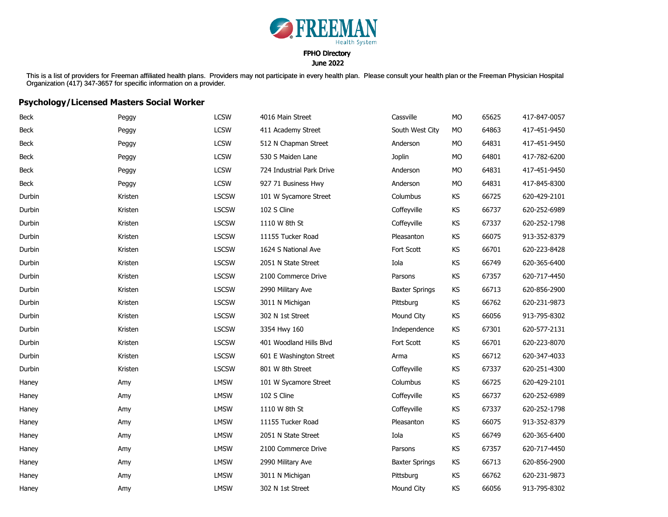

#### June 2022

This is a list of providers for Freeman affiliated health plans. Providers may not participate in every health plan. Please consult your health plan or the Freeman Physician Hospital<br>Organization (417) 347-3657 for specifi

# Psychology/Licensed Masters Social Worker

| Beck        | Peggy   | <b>LCSW</b>  | 4016 Main Street          | Cassville             | MO        | 65625 | 417-847-0057 |
|-------------|---------|--------------|---------------------------|-----------------------|-----------|-------|--------------|
| <b>Beck</b> | Peggy   | <b>LCSW</b>  | 411 Academy Street        | South West City       | <b>MO</b> | 64863 | 417-451-9450 |
| Beck        | Peggy   | <b>LCSW</b>  | 512 N Chapman Street      | Anderson              | <b>MO</b> | 64831 | 417-451-9450 |
| <b>Beck</b> | Peggy   | <b>LCSW</b>  | 530 S Maiden Lane         | <b>Joplin</b>         | <b>MO</b> | 64801 | 417-782-6200 |
| <b>Beck</b> | Peggy   | <b>LCSW</b>  | 724 Industrial Park Drive | Anderson              | <b>MO</b> | 64831 | 417-451-9450 |
| Beck        | Peggy   | <b>LCSW</b>  | 927 71 Business Hwy       | Anderson              | <b>MO</b> | 64831 | 417-845-8300 |
| Durbin      | Kristen | <b>LSCSW</b> | 101 W Sycamore Street     | Columbus              | KS        | 66725 | 620-429-2101 |
| Durbin      | Kristen | <b>LSCSW</b> | 102 S Cline               | Coffeyville           | KS        | 66737 | 620-252-6989 |
| Durbin      | Kristen | <b>LSCSW</b> | 1110 W 8th St             | Coffeyville           | KS        | 67337 | 620-252-1798 |
| Durbin      | Kristen | <b>LSCSW</b> | 11155 Tucker Road         | Pleasanton            | KS        | 66075 | 913-352-8379 |
| Durbin      | Kristen | <b>LSCSW</b> | 1624 S National Ave       | Fort Scott            | KS        | 66701 | 620-223-8428 |
| Durbin      | Kristen | <b>LSCSW</b> | 2051 N State Street       | Iola                  | KS        | 66749 | 620-365-6400 |
| Durbin      | Kristen | <b>LSCSW</b> | 2100 Commerce Drive       | Parsons               | KS        | 67357 | 620-717-4450 |
| Durbin      | Kristen | <b>LSCSW</b> | 2990 Military Ave         | <b>Baxter Springs</b> | KS        | 66713 | 620-856-2900 |
| Durbin      | Kristen | <b>LSCSW</b> | 3011 N Michigan           | Pittsburg             | KS        | 66762 | 620-231-9873 |
| Durbin      | Kristen | <b>LSCSW</b> | 302 N 1st Street          | Mound City            | KS        | 66056 | 913-795-8302 |
| Durbin      | Kristen | <b>LSCSW</b> | 3354 Hwy 160              | Independence          | KS        | 67301 | 620-577-2131 |
| Durbin      | Kristen | <b>LSCSW</b> | 401 Woodland Hills Blvd   | Fort Scott            | KS        | 66701 | 620-223-8070 |
| Durbin      | Kristen | <b>LSCSW</b> | 601 E Washington Street   | Arma                  | KS        | 66712 | 620-347-4033 |
| Durbin      | Kristen | <b>LSCSW</b> | 801 W 8th Street          | Coffeyville           | KS        | 67337 | 620-251-4300 |
| Haney       | Amy     | <b>LMSW</b>  | 101 W Sycamore Street     | Columbus              | KS        | 66725 | 620-429-2101 |
| Haney       | Amy     | <b>LMSW</b>  | 102 S Cline               | Coffeyville           | KS        | 66737 | 620-252-6989 |
| Haney       | Amy     | <b>LMSW</b>  | 1110 W 8th St             | Coffeyville           | KS        | 67337 | 620-252-1798 |
| Haney       | Amy     | <b>LMSW</b>  | 11155 Tucker Road         | Pleasanton            | KS        | 66075 | 913-352-8379 |
| Haney       | Amy     | <b>LMSW</b>  | 2051 N State Street       | Iola                  | KS        | 66749 | 620-365-6400 |
| Haney       | Amy     | <b>LMSW</b>  | 2100 Commerce Drive       | Parsons               | KS        | 67357 | 620-717-4450 |
| Haney       | Amy     | <b>LMSW</b>  | 2990 Military Ave         | <b>Baxter Springs</b> | KS        | 66713 | 620-856-2900 |
| Haney       | Amy     | <b>LMSW</b>  | 3011 N Michigan           | Pittsburg             | KS        | 66762 | 620-231-9873 |
| Haney       | Amy     | <b>LMSW</b>  | 302 N 1st Street          | Mound City            | KS        | 66056 | 913-795-8302 |
|             |         |              |                           |                       |           |       |              |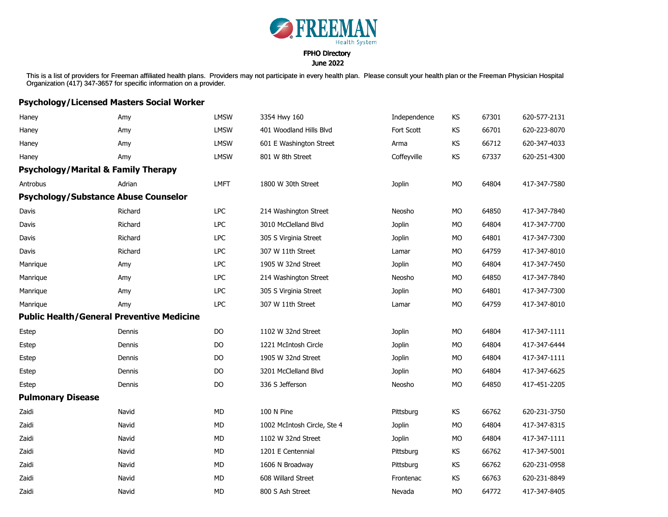

#### June 2022

This is a list of providers for Freeman affiliated health plans. Providers may not participate in every health plan. Please consult your health plan or the Freeman Physician Hospital<br>Organization (417) 347-3657 for specifi

# Psychology/Licensed Masters Social Worker

| Haney                    | Amy                                              | <b>LMSW</b> | 3354 Hwy 160                | Independence  | KS        | 67301 | 620-577-2131 |
|--------------------------|--------------------------------------------------|-------------|-----------------------------|---------------|-----------|-------|--------------|
| Haney                    | Amy                                              | <b>LMSW</b> | 401 Woodland Hills Blvd     | Fort Scott    | KS        | 66701 | 620-223-8070 |
| Haney                    | Amy                                              | <b>LMSW</b> | 601 E Washington Street     | Arma          | KS        | 66712 | 620-347-4033 |
| Haney                    | Amy                                              | <b>LMSW</b> | 801 W 8th Street            | Coffeyville   | KS        | 67337 | 620-251-4300 |
|                          | <b>Psychology/Marital &amp; Family Therapy</b>   |             |                             |               |           |       |              |
| Antrobus                 | Adrian                                           | <b>LMFT</b> | 1800 W 30th Street          | Joplin        | <b>MO</b> | 64804 | 417-347-7580 |
|                          | <b>Psychology/Substance Abuse Counselor</b>      |             |                             |               |           |       |              |
| Davis                    | Richard                                          | <b>LPC</b>  | 214 Washington Street       | Neosho        | <b>MO</b> | 64850 | 417-347-7840 |
| Davis                    | Richard                                          | <b>LPC</b>  | 3010 McClelland Blvd        | <b>Joplin</b> | <b>MO</b> | 64804 | 417-347-7700 |
| Davis                    | Richard                                          | <b>LPC</b>  | 305 S Virginia Street       | Joplin        | <b>MO</b> | 64801 | 417-347-7300 |
| Davis                    | Richard                                          | <b>LPC</b>  | 307 W 11th Street           | Lamar         | MO        | 64759 | 417-347-8010 |
| Manrique                 | Amy                                              | <b>LPC</b>  | 1905 W 32nd Street          | Joplin        | <b>MO</b> | 64804 | 417-347-7450 |
| Manrique                 | Amy                                              | <b>LPC</b>  | 214 Washington Street       | Neosho        | <b>MO</b> | 64850 | 417-347-7840 |
| Manrique                 | Amy                                              | <b>LPC</b>  | 305 S Virginia Street       | Joplin        | MO        | 64801 | 417-347-7300 |
| Manrique                 | Amy                                              | <b>LPC</b>  | 307 W 11th Street           | Lamar         | MO        | 64759 | 417-347-8010 |
|                          | <b>Public Health/General Preventive Medicine</b> |             |                             |               |           |       |              |
| Estep                    | Dennis                                           | DO          | 1102 W 32nd Street          | Joplin        | <b>MO</b> | 64804 | 417-347-1111 |
| Estep                    | Dennis                                           | DO          | 1221 McIntosh Circle        | <b>Joplin</b> | <b>MO</b> | 64804 | 417-347-6444 |
| Estep                    | Dennis                                           | DO          | 1905 W 32nd Street          | Joplin        | <b>MO</b> | 64804 | 417-347-1111 |
| Estep                    | Dennis                                           | DO          | 3201 McClelland Blvd        | Joplin        | <b>MO</b> | 64804 | 417-347-6625 |
| Estep                    | Dennis                                           | DO          | 336 S Jefferson             | Neosho        | <b>MO</b> | 64850 | 417-451-2205 |
| <b>Pulmonary Disease</b> |                                                  |             |                             |               |           |       |              |
| Zaidi                    | Navid                                            | <b>MD</b>   | 100 N Pine                  | Pittsburg     | KS        | 66762 | 620-231-3750 |
| Zaidi                    | Navid                                            | <b>MD</b>   | 1002 McIntosh Circle, Ste 4 | <b>Joplin</b> | <b>MO</b> | 64804 | 417-347-8315 |
| Zaidi                    | Navid                                            | <b>MD</b>   | 1102 W 32nd Street          | Joplin        | MO        | 64804 | 417-347-1111 |
| Zaidi                    | Navid                                            | <b>MD</b>   | 1201 E Centennial           | Pittsburg     | KS        | 66762 | 417-347-5001 |
| Zaidi                    | Navid                                            | <b>MD</b>   | 1606 N Broadway             | Pittsburg     | KS        | 66762 | 620-231-0958 |
| Zaidi                    | Navid                                            | <b>MD</b>   | 608 Willard Street          | Frontenac     | KS        | 66763 | 620-231-8849 |
| Zaidi                    | Navid                                            | <b>MD</b>   | 800 S Ash Street            | Nevada        | <b>MO</b> | 64772 | 417-347-8405 |
|                          |                                                  |             |                             |               |           |       |              |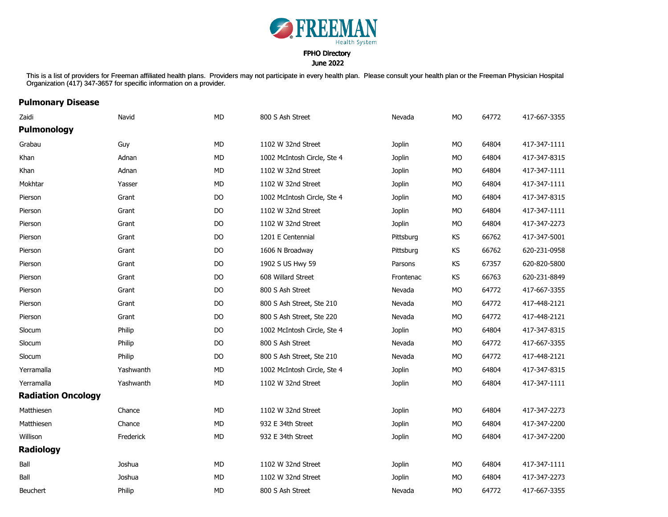

#### June 2022

This is a list of providers for Freeman affiliated health plans. Providers may not participate in every health plan. Please consult your health plan or the Freeman Physician Hospital<br>Organization (417) 347-3657 for specifi

# Pulmonary Disease

| Zaidi                     | Navid     | <b>MD</b> | 800 S Ash Street            | Nevada        | <b>MO</b> | 64772 | 417-667-3355 |
|---------------------------|-----------|-----------|-----------------------------|---------------|-----------|-------|--------------|
| <b>Pulmonology</b>        |           |           |                             |               |           |       |              |
| Grabau                    | Guy       | <b>MD</b> | 1102 W 32nd Street          | Joplin        | MO        | 64804 | 417-347-1111 |
| Khan                      | Adnan     | <b>MD</b> | 1002 McIntosh Circle, Ste 4 | <b>Joplin</b> | MO        | 64804 | 417-347-8315 |
| Khan                      | Adnan     | <b>MD</b> | 1102 W 32nd Street          | Joplin        | MO        | 64804 | 417-347-1111 |
| Mokhtar                   | Yasser    | <b>MD</b> | 1102 W 32nd Street          | Joplin        | MO        | 64804 | 417-347-1111 |
| Pierson                   | Grant     | <b>DO</b> | 1002 McIntosh Circle, Ste 4 | Joplin        | <b>MO</b> | 64804 | 417-347-8315 |
| Pierson                   | Grant     | <b>DO</b> | 1102 W 32nd Street          | Joplin        | <b>MO</b> | 64804 | 417-347-1111 |
| Pierson                   | Grant     | DO.       | 1102 W 32nd Street          | Joplin        | <b>MO</b> | 64804 | 417-347-2273 |
| Pierson                   | Grant     | DO        | 1201 E Centennial           | Pittsburg     | KS        | 66762 | 417-347-5001 |
| Pierson                   | Grant     | DO        | 1606 N Broadway             | Pittsburg     | KS        | 66762 | 620-231-0958 |
| Pierson                   | Grant     | DO        | 1902 S US Hwy 59            | Parsons       | KS        | 67357 | 620-820-5800 |
| Pierson                   | Grant     | DO        | 608 Willard Street          | Frontenac     | KS        | 66763 | 620-231-8849 |
| Pierson                   | Grant     | DO        | 800 S Ash Street            | Nevada        | MO        | 64772 | 417-667-3355 |
| Pierson                   | Grant     | <b>DO</b> | 800 S Ash Street, Ste 210   | Nevada        | MO        | 64772 | 417-448-2121 |
| Pierson                   | Grant     | <b>DO</b> | 800 S Ash Street, Ste 220   | Nevada        | <b>MO</b> | 64772 | 417-448-2121 |
| Slocum                    | Philip    | DO        | 1002 McIntosh Circle, Ste 4 | Joplin        | <b>MO</b> | 64804 | 417-347-8315 |
| Slocum                    | Philip    | DO.       | 800 S Ash Street            | Nevada        | <b>MO</b> | 64772 | 417-667-3355 |
| Slocum                    | Philip    | DO        | 800 S Ash Street, Ste 210   | Nevada        | MO        | 64772 | 417-448-2121 |
| Yerramalla                | Yashwanth | <b>MD</b> | 1002 McIntosh Circle, Ste 4 | <b>Joplin</b> | MO        | 64804 | 417-347-8315 |
| Yerramalla                | Yashwanth | <b>MD</b> | 1102 W 32nd Street          | Joplin        | MO        | 64804 | 417-347-1111 |
| <b>Radiation Oncology</b> |           |           |                             |               |           |       |              |
| Matthiesen                | Chance    | <b>MD</b> | 1102 W 32nd Street          | <b>Joplin</b> | MO        | 64804 | 417-347-2273 |
| Matthiesen                | Chance    | <b>MD</b> | 932 E 34th Street           | <b>Joplin</b> | MO        | 64804 | 417-347-2200 |
| Willison                  | Frederick | <b>MD</b> | 932 E 34th Street           | Joplin        | <b>MO</b> | 64804 | 417-347-2200 |
| <b>Radiology</b>          |           |           |                             |               |           |       |              |
| Ball                      | Joshua    | <b>MD</b> | 1102 W 32nd Street          | Joplin        | MO        | 64804 | 417-347-1111 |
| Ball                      | Joshua    | MD        | 1102 W 32nd Street          | <b>Joplin</b> | MO        | 64804 | 417-347-2273 |
| Beuchert                  | Philip    | <b>MD</b> | 800 S Ash Street            | Nevada        | MO        | 64772 | 417-667-3355 |
|                           |           |           |                             |               |           |       |              |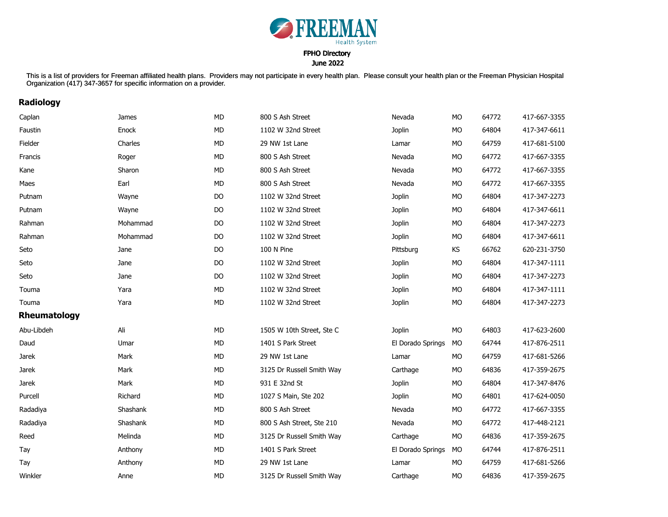

### June 2022

This is a list of providers for Freeman affiliated health plans. Providers may not participate in every health plan. Please consult your health plan or the Freeman Physician Hospital<br>Organization (417) 347-3657 for specifi

# Radiology

| Caplan       | James    | <b>MD</b> | 800 S Ash Street          | Nevada            | MO        | 64772 | 417-667-3355 |
|--------------|----------|-----------|---------------------------|-------------------|-----------|-------|--------------|
| Faustin      | Enock    | <b>MD</b> | 1102 W 32nd Street        | Joplin            | MO        | 64804 | 417-347-6611 |
| Fielder      | Charles  | <b>MD</b> | 29 NW 1st Lane            | Lamar             | <b>MO</b> | 64759 | 417-681-5100 |
| Francis      | Roger    | <b>MD</b> | 800 S Ash Street          | Nevada            | MO        | 64772 | 417-667-3355 |
| Kane         | Sharon   | <b>MD</b> | 800 S Ash Street          | Nevada            | <b>MO</b> | 64772 | 417-667-3355 |
| Maes         | Earl     | <b>MD</b> | 800 S Ash Street          | Nevada            | MO        | 64772 | 417-667-3355 |
| Putnam       | Wayne    | DO        | 1102 W 32nd Street        | <b>Joplin</b>     | <b>MO</b> | 64804 | 417-347-2273 |
| Putnam       | Wayne    | DO        | 1102 W 32nd Street        | <b>Joplin</b>     | MO        | 64804 | 417-347-6611 |
| Rahman       | Mohammad | <b>DO</b> | 1102 W 32nd Street        | <b>Joplin</b>     | <b>MO</b> | 64804 | 417-347-2273 |
| Rahman       | Mohammad | <b>DO</b> | 1102 W 32nd Street        | Joplin            | MO        | 64804 | 417-347-6611 |
| Seto         | Jane     | DO        | 100 N Pine                | Pittsburg         | KS        | 66762 | 620-231-3750 |
| Seto         | Jane     | <b>DO</b> | 1102 W 32nd Street        | <b>Joplin</b>     | MO        | 64804 | 417-347-1111 |
| Seto         | Jane     | <b>DO</b> | 1102 W 32nd Street        | <b>Joplin</b>     | MO        | 64804 | 417-347-2273 |
| Touma        | Yara     | <b>MD</b> | 1102 W 32nd Street        | <b>Joplin</b>     | <b>MO</b> | 64804 | 417-347-1111 |
| Touma        | Yara     | MD        | 1102 W 32nd Street        | <b>Joplin</b>     | MO        | 64804 | 417-347-2273 |
| Rheumatology |          |           |                           |                   |           |       |              |
| Abu-Libdeh   | Ali      | <b>MD</b> | 1505 W 10th Street, Ste C | Joplin            | MO        | 64803 | 417-623-2600 |
| Daud         | Umar     | <b>MD</b> | 1401 S Park Street        | El Dorado Springs | MO        | 64744 | 417-876-2511 |
| Jarek        | Mark     | <b>MD</b> | 29 NW 1st Lane            | Lamar             | MO        | 64759 | 417-681-5266 |
| Jarek        | Mark     | <b>MD</b> | 3125 Dr Russell Smith Way | Carthage          | <b>MO</b> | 64836 | 417-359-2675 |
| Jarek        | Mark     | <b>MD</b> | 931 E 32nd St             | <b>Joplin</b>     | MO        | 64804 | 417-347-8476 |
| Purcell      | Richard  | <b>MD</b> | 1027 S Main, Ste 202      | <b>Joplin</b>     | <b>MO</b> | 64801 | 417-624-0050 |
| Radadiya     | Shashank | <b>MD</b> | 800 S Ash Street          | Nevada            | <b>MO</b> | 64772 | 417-667-3355 |
| Radadiya     | Shashank | <b>MD</b> | 800 S Ash Street, Ste 210 | Nevada            | MO        | 64772 | 417-448-2121 |
| Reed         | Melinda  | <b>MD</b> | 3125 Dr Russell Smith Way | Carthage          | MO        | 64836 | 417-359-2675 |
| Tay          | Anthony  | <b>MD</b> | 1401 S Park Street        | El Dorado Springs | МO        | 64744 | 417-876-2511 |
| Tay          | Anthony  | <b>MD</b> | 29 NW 1st Lane            | Lamar             | MO        | 64759 | 417-681-5266 |
| Winkler      | Anne     | <b>MD</b> | 3125 Dr Russell Smith Way | Carthage          | MO        | 64836 | 417-359-2675 |
|              |          |           |                           |                   |           |       |              |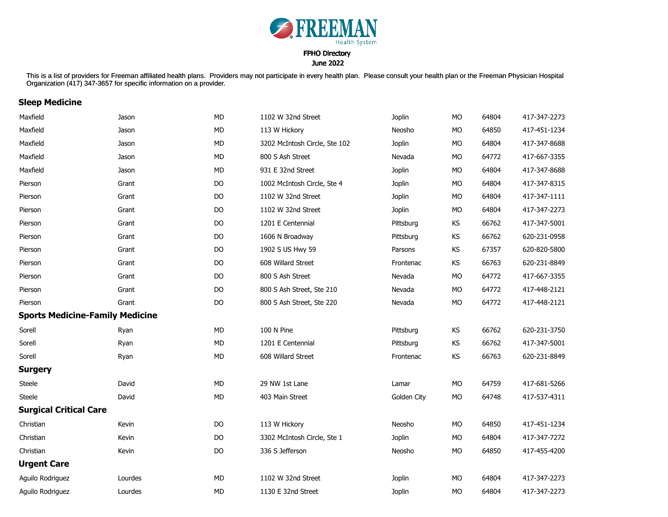

### June 2022

This is a list of providers for Freeman affiliated health plans. Providers may not participate in every health plan. Please consult your health plan or the Freeman Physician Hospital<br>Organization (417) 347-3657 for specifi

# Sleep Medicine

| Maxfield                               | Jason   | <b>MD</b> | 1102 W 32nd Street            | <b>Joplin</b> | <b>MO</b> | 64804 | 417-347-2273 |
|----------------------------------------|---------|-----------|-------------------------------|---------------|-----------|-------|--------------|
| Maxfield                               | Jason   | <b>MD</b> | 113 W Hickory                 | Neosho        | <b>MO</b> | 64850 | 417-451-1234 |
| Maxfield                               | Jason   | <b>MD</b> | 3202 McIntosh Circle, Ste 102 | Joplin        | MO        | 64804 | 417-347-8688 |
| Maxfield                               | Jason   | <b>MD</b> | 800 S Ash Street              | Nevada        | <b>MO</b> | 64772 | 417-667-3355 |
| Maxfield                               | Jason   | <b>MD</b> | 931 E 32nd Street             | Joplin        | MO        | 64804 | 417-347-8688 |
| Pierson                                | Grant   | DO        | 1002 McIntosh Circle, Ste 4   | <b>Joplin</b> | MO        | 64804 | 417-347-8315 |
| Pierson                                | Grant   | <b>DO</b> | 1102 W 32nd Street            | Joplin        | MO        | 64804 | 417-347-1111 |
| Pierson                                | Grant   | <b>DO</b> | 1102 W 32nd Street            | Joplin        | MO        | 64804 | 417-347-2273 |
| Pierson                                | Grant   | DO.       | 1201 E Centennial             | Pittsburg     | KS        | 66762 | 417-347-5001 |
| Pierson                                | Grant   | DO        | 1606 N Broadway               | Pittsburg     | KS        | 66762 | 620-231-0958 |
| Pierson                                | Grant   | DO        | 1902 S US Hwy 59              | Parsons       | KS        | 67357 | 620-820-5800 |
| Pierson                                | Grant   | DO        | 608 Willard Street            | Frontenac     | KS        | 66763 | 620-231-8849 |
| Pierson                                | Grant   | DO        | 800 S Ash Street              | Nevada        | <b>MO</b> | 64772 | 417-667-3355 |
| Pierson                                | Grant   | DO        | 800 S Ash Street, Ste 210     | Nevada        | MO        | 64772 | 417-448-2121 |
| Pierson                                | Grant   | DO        | 800 S Ash Street, Ste 220     | Nevada        | MO        | 64772 | 417-448-2121 |
| <b>Sports Medicine-Family Medicine</b> |         |           |                               |               |           |       |              |
| Sorell                                 | Ryan    | <b>MD</b> | 100 N Pine                    | Pittsburg     | KS        | 66762 | 620-231-3750 |
| Sorell                                 | Ryan    | <b>MD</b> | 1201 E Centennial             | Pittsburg     | KS        | 66762 | 417-347-5001 |
| Sorell                                 | Ryan    | <b>MD</b> | 608 Willard Street            | Frontenac     | KS        | 66763 | 620-231-8849 |
| <b>Surgery</b>                         |         |           |                               |               |           |       |              |
| Steele                                 | David   | MD        | 29 NW 1st Lane                | Lamar         | MO        | 64759 | 417-681-5266 |
| Steele                                 | David   | <b>MD</b> | 403 Main Street               | Golden City   | MO        | 64748 | 417-537-4311 |
| <b>Surgical Critical Care</b>          |         |           |                               |               |           |       |              |
| Christian                              | Kevin   | DO        | 113 W Hickory                 | Neosho        | MO        | 64850 | 417-451-1234 |
| Christian                              | Kevin   | <b>DO</b> | 3302 McIntosh Circle, Ste 1   | <b>Joplin</b> | <b>MO</b> | 64804 | 417-347-7272 |
| Christian                              | Kevin   | DO        | 336 S Jefferson               | Neosho        | MO        | 64850 | 417-455-4200 |
| <b>Urgent Care</b>                     |         |           |                               |               |           |       |              |
| Aguilo Rodriguez                       | Lourdes | <b>MD</b> | 1102 W 32nd Street            | <b>Joplin</b> | MO        | 64804 | 417-347-2273 |
| Aguilo Rodriguez                       | Lourdes | <b>MD</b> | 1130 E 32nd Street            | <b>Joplin</b> | MO        | 64804 | 417-347-2273 |
|                                        |         |           |                               |               |           |       |              |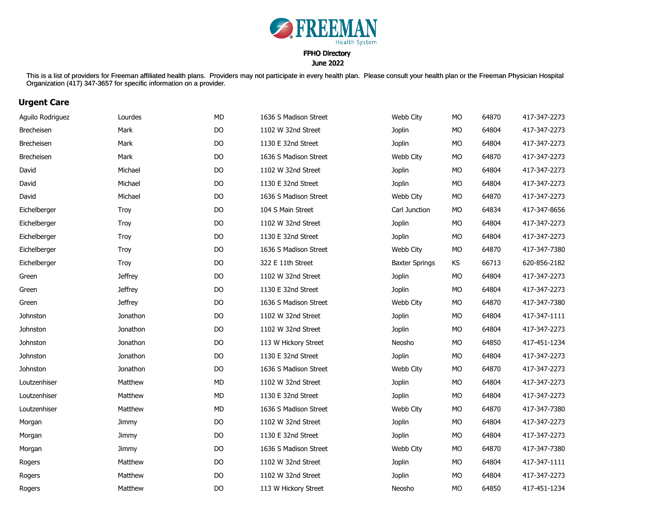

### June 2022

This is a list of providers for Freeman affiliated health plans. Providers may not participate in every health plan. Please consult your health plan or the Freeman Physician Hospital<br>Organization (417) 347-3657 for specifi

# Urgent Care

| Aguilo Rodriguez | Lourdes        | <b>MD</b> | 1636 S Madison Street | Webb City             | MO        | 64870 | 417-347-2273 |
|------------------|----------------|-----------|-----------------------|-----------------------|-----------|-------|--------------|
| Brecheisen       | Mark           | DO        | 1102 W 32nd Street    | <b>Joplin</b>         | <b>MO</b> | 64804 | 417-347-2273 |
| Brecheisen       | Mark           | DO        | 1130 E 32nd Street    | Joplin                | <b>MO</b> | 64804 | 417-347-2273 |
| Brecheisen       | Mark           | DO        | 1636 S Madison Street | Webb City             | <b>MO</b> | 64870 | 417-347-2273 |
| David            | Michael        | DO.       | 1102 W 32nd Street    | <b>Joplin</b>         | MO        | 64804 | 417-347-2273 |
| David            | Michael        | DO        | 1130 E 32nd Street    | Joplin                | <b>MO</b> | 64804 | 417-347-2273 |
| David            | Michael        | DO        | 1636 S Madison Street | Webb City             | <b>MO</b> | 64870 | 417-347-2273 |
| Eichelberger     | Troy           | DO        | 104 S Main Street     | Carl Junction         | <b>MO</b> | 64834 | 417-347-8656 |
| Eichelberger     | Troy           | DO        | 1102 W 32nd Street    | <b>Joplin</b>         | MO        | 64804 | 417-347-2273 |
| Eichelberger     | <b>Troy</b>    | DO        | 1130 E 32nd Street    | Joplin                | <b>MO</b> | 64804 | 417-347-2273 |
| Eichelberger     | <b>Troy</b>    | DO        | 1636 S Madison Street | Webb City             | MO        | 64870 | 417-347-7380 |
| Eichelberger     | Troy           | DO        | 322 E 11th Street     | <b>Baxter Springs</b> | KS        | 66713 | 620-856-2182 |
| Green            | <b>Jeffrey</b> | DO        | 1102 W 32nd Street    | <b>Joplin</b>         | MO        | 64804 | 417-347-2273 |
| Green            | <b>Jeffrey</b> | DO        | 1130 E 32nd Street    | Joplin                | <b>MO</b> | 64804 | 417-347-2273 |
| Green            | <b>Jeffrey</b> | DO        | 1636 S Madison Street | Webb City             | MO        | 64870 | 417-347-7380 |
| Johnston         | Jonathon       | DO        | 1102 W 32nd Street    | <b>Joplin</b>         | <b>MO</b> | 64804 | 417-347-1111 |
| Johnston         | Jonathon       | DO        | 1102 W 32nd Street    | Joplin                | MO        | 64804 | 417-347-2273 |
| Johnston         | Jonathon       | DO        | 113 W Hickory Street  | Neosho                | <b>MO</b> | 64850 | 417-451-1234 |
| Johnston         | Jonathon       | DO        | 1130 E 32nd Street    | <b>Joplin</b>         | MO        | 64804 | 417-347-2273 |
| Johnston         | Jonathon       | DO        | 1636 S Madison Street | Webb City             | <b>MO</b> | 64870 | 417-347-2273 |
| Loutzenhiser     | Matthew        | <b>MD</b> | 1102 W 32nd Street    | <b>Joplin</b>         | MO        | 64804 | 417-347-2273 |
| Loutzenhiser     | Matthew        | <b>MD</b> | 1130 E 32nd Street    | <b>Joplin</b>         | MO        | 64804 | 417-347-2273 |
| Loutzenhiser     | Matthew        | <b>MD</b> | 1636 S Madison Street | Webb City             | <b>MO</b> | 64870 | 417-347-7380 |
| Morgan           | Jimmy          | DO.       | 1102 W 32nd Street    | <b>Joplin</b>         | <b>MO</b> | 64804 | 417-347-2273 |
| Morgan           | Jimmy          | DO        | 1130 E 32nd Street    | <b>Joplin</b>         | <b>MO</b> | 64804 | 417-347-2273 |
| Morgan           | Jimmy          | DO        | 1636 S Madison Street | Webb City             | MO        | 64870 | 417-347-7380 |
| Rogers           | Matthew        | DO        | 1102 W 32nd Street    | <b>Joplin</b>         | MO        | 64804 | 417-347-1111 |
| Rogers           | Matthew        | DO        | 1102 W 32nd Street    | Joplin                | MO        | 64804 | 417-347-2273 |
| Rogers           | Matthew        | DO        | 113 W Hickory Street  | Neosho                | <b>MO</b> | 64850 | 417-451-1234 |
|                  |                |           |                       |                       |           |       |              |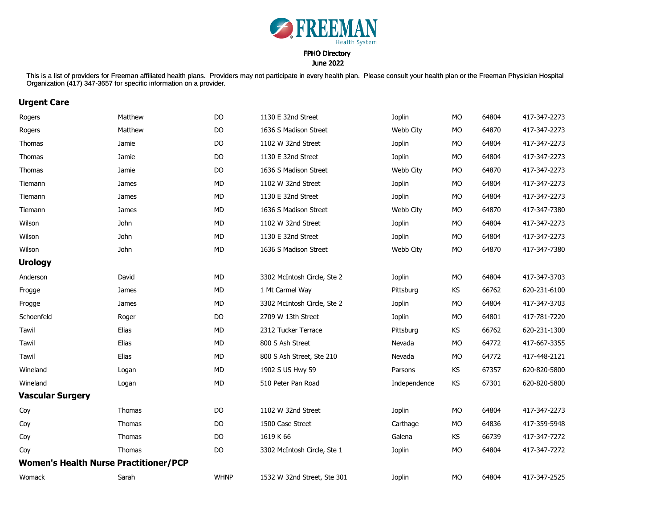

### June 2022

This is a list of providers for Freeman affiliated health plans. Providers may not participate in every health plan. Please consult your health plan or the Freeman Physician Hospital<br>Organization (417) 347-3657 for specifi

# Urgent Care

| Rogers                                       | Matthew       | DO             | 1130 E 32nd Street          | Joplin        | <b>MO</b> | 64804 | 417-347-2273 |
|----------------------------------------------|---------------|----------------|-----------------------------|---------------|-----------|-------|--------------|
| Rogers                                       | Matthew       | DO             | 1636 S Madison Street       | Webb City     | <b>MO</b> | 64870 | 417-347-2273 |
| Thomas                                       | Jamie         | D <sub>O</sub> | 1102 W 32nd Street          | <b>Joplin</b> | <b>MO</b> | 64804 | 417-347-2273 |
| Thomas                                       | Jamie         | DO             | 1130 E 32nd Street          | <b>Joplin</b> | MO        | 64804 | 417-347-2273 |
| Thomas                                       | Jamie         | <b>DO</b>      | 1636 S Madison Street       | Webb City     | MO        | 64870 | 417-347-2273 |
| Tiemann                                      | James         | <b>MD</b>      | 1102 W 32nd Street          | <b>Joplin</b> | <b>MO</b> | 64804 | 417-347-2273 |
| Tiemann                                      | James         | MD             | 1130 E 32nd Street          | <b>Joplin</b> | MO        | 64804 | 417-347-2273 |
| Tiemann                                      | James         | <b>MD</b>      | 1636 S Madison Street       | Webb City     | <b>MO</b> | 64870 | 417-347-7380 |
| Wilson                                       | John          | <b>MD</b>      | 1102 W 32nd Street          | <b>Joplin</b> | <b>MO</b> | 64804 | 417-347-2273 |
| Wilson                                       | John          | <b>MD</b>      | 1130 E 32nd Street          | <b>Joplin</b> | MO        | 64804 | 417-347-2273 |
| Wilson                                       | John          | <b>MD</b>      | 1636 S Madison Street       | Webb City     | MO        | 64870 | 417-347-7380 |
| <b>Urology</b>                               |               |                |                             |               |           |       |              |
| Anderson                                     | David         | <b>MD</b>      | 3302 McIntosh Circle, Ste 2 | <b>Joplin</b> | MO        | 64804 | 417-347-3703 |
| Frogge                                       | James         | <b>MD</b>      | 1 Mt Carmel Way             | Pittsburg     | KS        | 66762 | 620-231-6100 |
| Frogge                                       | James         | <b>MD</b>      | 3302 McIntosh Circle, Ste 2 | <b>Joplin</b> | <b>MO</b> | 64804 | 417-347-3703 |
| Schoenfeld                                   | Roger         | DO             | 2709 W 13th Street          | <b>Joplin</b> | MO        | 64801 | 417-781-7220 |
| Tawil                                        | Elias         | <b>MD</b>      | 2312 Tucker Terrace         | Pittsburg     | KS        | 66762 | 620-231-1300 |
| Tawil                                        | Elias         | <b>MD</b>      | 800 S Ash Street            | Nevada        | <b>MO</b> | 64772 | 417-667-3355 |
| Tawil                                        | Elias         | <b>MD</b>      | 800 S Ash Street, Ste 210   | Nevada        | MO        | 64772 | 417-448-2121 |
| Wineland                                     | Logan         | <b>MD</b>      | 1902 S US Hwy 59            | Parsons       | KS        | 67357 | 620-820-5800 |
| Wineland                                     | Logan         | <b>MD</b>      | 510 Peter Pan Road          | Independence  | KS        | 67301 | 620-820-5800 |
| <b>Vascular Surgery</b>                      |               |                |                             |               |           |       |              |
| Coy                                          | Thomas        | DO             | 1102 W 32nd Street          | <b>Joplin</b> | MO        | 64804 | 417-347-2273 |
| Coy                                          | <b>Thomas</b> | D <sub>O</sub> | 1500 Case Street            | Carthage      | <b>MO</b> | 64836 | 417-359-5948 |
| Coy                                          | Thomas        | <b>DO</b>      | 1619 K 66                   | Galena        | KS        | 66739 | 417-347-7272 |
| Coy                                          | Thomas        | DO             | 3302 McIntosh Circle, Ste 1 | <b>Joplin</b> | MO        | 64804 | 417-347-7272 |
| <b>Women's Health Nurse Practitioner/PCP</b> |               |                |                             |               |           |       |              |
| Womack                                       | Sarah         | <b>WHNP</b>    | 1532 W 32nd Street, Ste 301 | <b>Joplin</b> | MO        | 64804 | 417-347-2525 |
|                                              |               |                |                             |               |           |       |              |